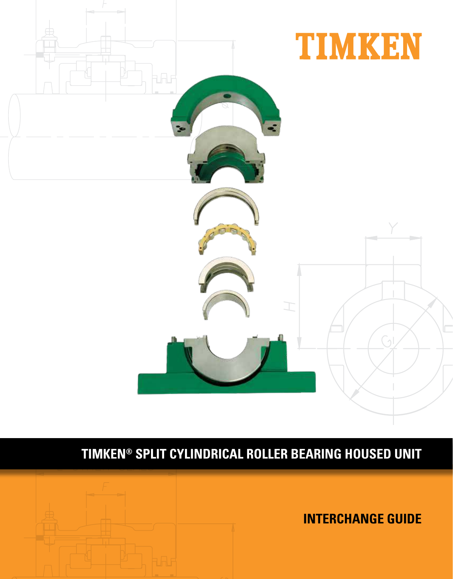

# **TIMKEN® SPLIT CYLINDRICAL ROLLER BEARING HOUSED UNIT**

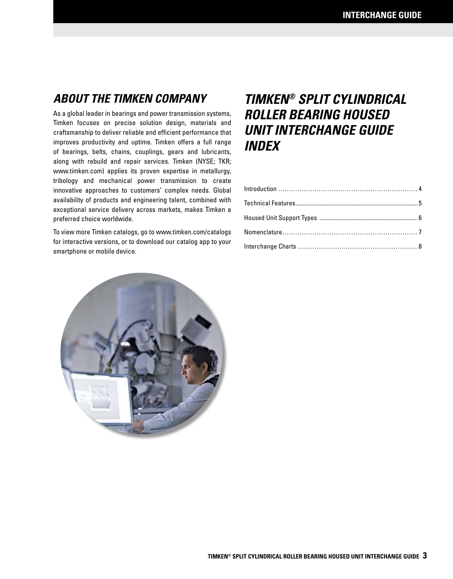## **ABOUT THE TIMKEN COMPANY**

As a global leader in bearings and power transmission systems, Timken focuses on precise solution design, materials and craftsmanship to deliver reliable and efficient performance that improves productivity and uptime. Timken offers a full range of bearings, belts, chains, couplings, gears and lubricants, along with rebuild and repair services. Timken (NYSE; TKR; www.timken.com) applies its proven expertise in metallurgy, tribology and mechanical power transmission to create innovative approaches to customers' complex needs. Global availability of products and engineering talent, combined with exceptional service delivery across markets, makes Timken a preferred choice worldwide.

To view more Timken catalogs, go to www.timken.com/catalogs for interactive versions, or to download our catalog app to your smartphone or mobile device.

## **TIMKEN® SPLIT CYLINDRICAL ROLLER BEARING HOUSED UNIT INTERCHANGE GUIDE INDEX**

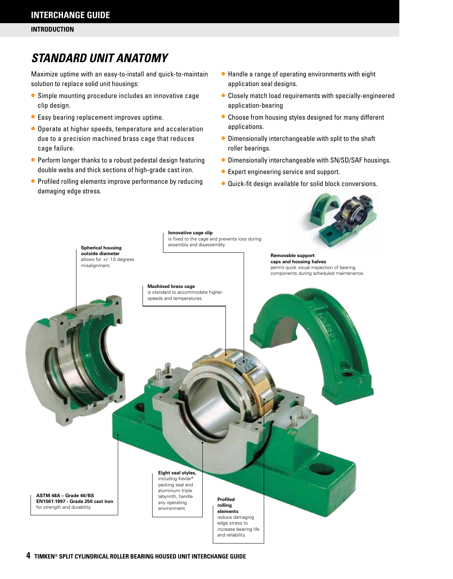## **STANDARD UNIT ANATOMY**

Maximize uptime with an easy-to-install and quick-to-maintain solution to replace solid unit housings:

- Simple mounting procedure includes an innovative cage clip design.
- Easy bearing replacement improves uptime.
- Operate at higher speeds, temperature and acceleration due to a precision machined brass cage that reduces cage failure.
- Perform longer thanks to a robust pedestal design featuring double webs and thick sections of high-grade cast iron.
- Profiled rolling elements improve performance by reducing damaging edge stress.
- Handle a range of operating environments with eight application seal designs.
- Closely match load requirements with specially-engineered application-bearing
- Choose from housing styles designed for many different applications.
- Dimensionally interchangeable with split to the shaft roller bearings.
- Dimensionally interchangeable with SN/SD/SAF housings.
- Expert engineering service and support.
- Quick-fit design available for solid block conversions.

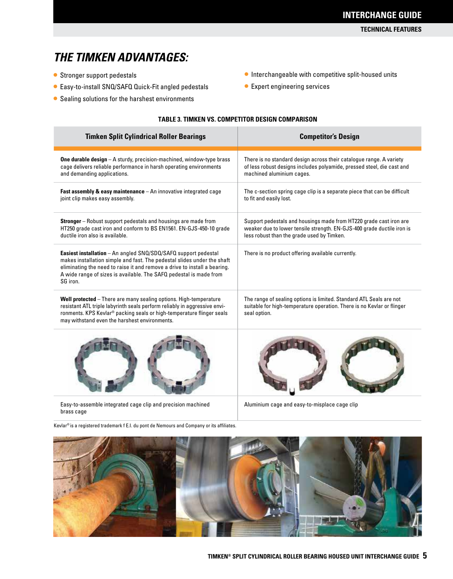#### **TECHNICAL FEATURES**

## **THE TIMKEN ADVANTAGES:**

- Stronger support pedestals
- Easy-to-install SNQ/SAFQ Quick-Fit angled pedestals
- Sealing solutions for the harshest environments
- Interchangeable with competitive split-housed units
- Expert engineering services

#### **TABLE 3. TIMKEN VS. COMPETITOR DESIGN COMPARISON**

| <b>Timken Split Cylindrical Roller Bearings</b>                                                                                                                                                                                                                                                          | <b>Competitor's Design</b>                                                                                                                                                                 |
|----------------------------------------------------------------------------------------------------------------------------------------------------------------------------------------------------------------------------------------------------------------------------------------------------------|--------------------------------------------------------------------------------------------------------------------------------------------------------------------------------------------|
| <b>One durable design</b> $-$ A sturdy, precision-machined, window-type brass<br>cage delivers reliable performance in harsh operating environments<br>and demanding applications.                                                                                                                       | There is no standard design across their catalogue range. A variety<br>of less robust designs includes polyamide, pressed steel, die cast and<br>machined aluminium cages.                 |
| <b>Fast assembly &amp; easy maintenance</b> $-$ An innovative integrated cage<br>joint clip makes easy assembly.                                                                                                                                                                                         | The c-section spring cage clip is a separate piece that can be difficult<br>to fit and easily lost.                                                                                        |
| <b>Stronger</b> – Robust support pedestals and housings are made from<br>HT250 grade cast iron and conform to BS EN1561. EN-GJS-450-10 grade<br>ductile iron also is available.                                                                                                                          | Support pedestals and housings made from HT220 grade cast iron are<br>weaker due to lower tensile strength. EN-GJS-400 grade ductile iron is<br>less robust than the grade used by Timken. |
| Easiest installation - An angled SNQ/SDQ/SAFQ support pedestal<br>makes installation simple and fast. The pedestal slides under the shaft<br>eliminating the need to raise it and remove a drive to install a bearing.<br>A wide range of sizes is available. The SAFQ pedestal is made from<br>SG iron. | There is no product offering available currently.                                                                                                                                          |
| Well protected - There are many sealing options. High-temperature<br>resistant ATL triple labyrinth seals perform reliably in aggressive envi-<br>ronments. KPS Kevlar <sup>®</sup> packing seals or high-temperature flinger seals<br>may withstand even the harshest environments.                     | The range of sealing options is limited. Standard ATL Seals are not<br>suitable for high-temperature operation. There is no Kevlar or flinger<br>seal option.                              |
|                                                                                                                                                                                                                                                                                                          |                                                                                                                                                                                            |

Easy-to-assemble integrated cage clip and precision machined brass cage

Kevlar® is a registered trademark f E.I. du pont de Nemours and Company or its affiliates.

Aluminium cage and easy-to-misplace cage clip

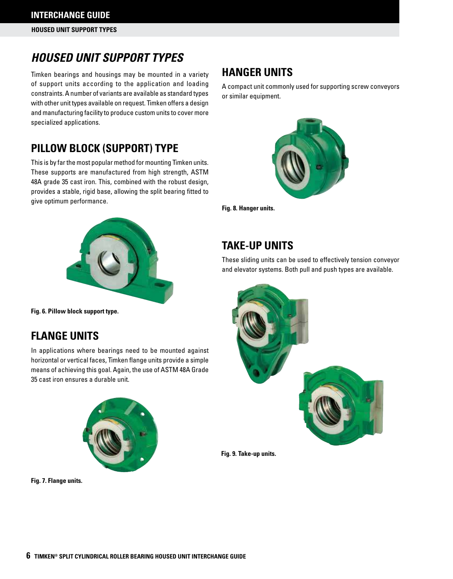## **HOUSED UNIT SUPPORT TYPES**

Timken bearings and housings may be mounted in a variety of support units according to the application and loading constraints. A number of variants are available as standard types with other unit types available on request. Timken offers a design and manufacturing facility to produce custom units to cover more specialized applications.

## **PILLOW BLOCK (SUPPORT) TYPE**

This is by far the most popular method for mounting Timken units. These supports are manufactured from high strength, ASTM 48A grade 35 cast iron. This, combined with the robust design, provides a stable, rigid base, allowing the split bearing fitted to give optimum performance.



**Fig. 6. Pillow block support type.**

## **FLANGE UNITS**

In applications where bearings need to be mounted against horizontal or vertical faces, Timken flange units provide a simple means of achieving this goal. Again, the use of ASTM 48A Grade 35 cast iron ensures a durable unit.



**Fig. 7. Flange units.**

## **HANGER UNITS**

A compact unit commonly used for supporting screw conveyors or similar equipment.



**Fig. 8. Hanger units.**

## **TAKE-UP UNITS**

These sliding units can be used to effectively tension conveyor and elevator systems. Both pull and push types are available.



**Fig. 9. Take-up units.**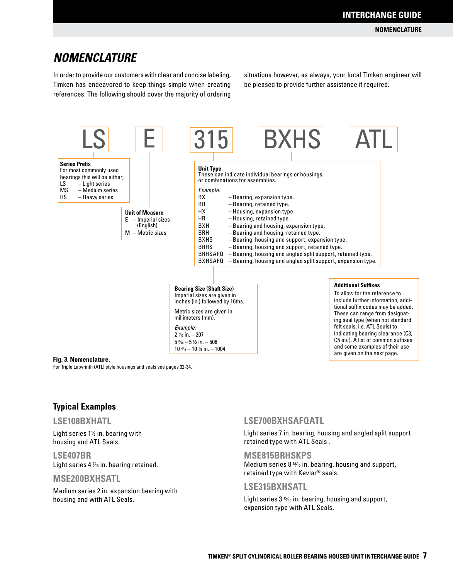## **NOMENCLATURE**

In order to provide our customers with clear and concise labeling, Timken has endeavored to keep things simple when creating references. The following should cover the majority of ordering situations however, as always, your local Timken engineer will be pleased to provide further assistance if required.



#### **Fig. 3. Nomenclature.**

For Triple Labyrinth (ATL) style housings and seals see pages 32-34.

### **Typical Examples**

#### **LSE108BXHATL**

Light series  $1\frac{1}{2}$  in. bearing with housing and ATL Seals.

**LSE407BR**  Light series  $4\frac{y}{16}$  in. bearing retained.

#### **MSE200BXHSATL**

Medium series 2 in. expansion bearing with housing and with ATL Seals.

#### **LSE700BXHSAFQATL**

Light series 7 in. bearing, housing and angled split support retained type with ATL Seals .

#### **MSE815BRHSKPS**

Medium series 8<sup>15</sup>/16 in. bearing, housing and support, retained type with Kevlar® seals.

#### **LSE315BXHSATL**

Light series  $3\frac{15}{16}$  in. bearing, housing and support, expansion type with ATL Seals.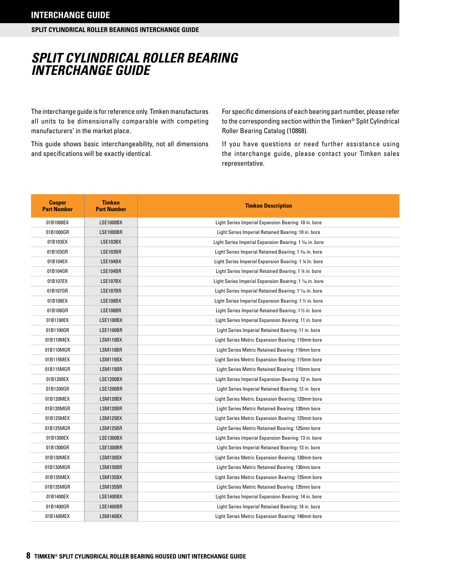## **SPLIT CYLINDRICAL ROLLER BEARING INTERCHANGE GUIDE**

The interchange guide is for reference only. Timken manufactures all units to be dimensionally comparable with competing manufacturers' in the market place.

This guide shows basic interchangeability, not all dimensions and specifications will be exactly identical.

For specific dimensions of each bearing part number, please refer to the corresponding section within the Timken® Split Cylindrical Roller Bearing Catalog (10868).

If you have questions or need further assistance using the interchange guide, please contact your Timken sales representative.

| <b>Cooper</b><br><b>Part Number</b> | <b>Timken</b><br><b>Part Number</b> | <b>Timken Description</b>                               |
|-------------------------------------|-------------------------------------|---------------------------------------------------------|
| 01B1000EX                           | <b>LSE1000BX</b>                    | Light Series Imperial Expansion Bearing: 10 in. bore    |
| 01B1000GR                           | <b>LSE1000BR</b>                    | Light Series Imperial Retained Bearing: 10 in. bore     |
| 01B103EX                            | <b>LSE103BX</b>                     | Light Series Imperial Expansion Bearing: 1 3/6 in. bore |
| 01B103GR                            | LSE103BR                            | Light Series Imperial Retained Bearing: 1 3/6 in. bore  |
| 01B104EX                            | <b>LSE104BX</b>                     | Light Series Imperial Expansion Bearing: 1 % In. bore   |
| 01B104GR                            | LSE104BR                            | Light Series Imperial Retained Bearing: 1 1/4 in. bore  |
| 01B107EX                            | <b>LSE107BX</b>                     | Light Series Imperial Expansion Bearing: 1 % in. bore   |
| 01B107GR                            | LSE107BR                            | Light Series Imperial Retained Bearing: 1 % in. bore    |
| 01B108EX                            | <b>LSE108BX</b>                     | Light Series Imperial Expansion Bearing: 1 1/2 in. bore |
| 01B108GR                            | LSE108BR                            | Light Series Imperial Retained Bearing: 1 1/2 in. bore  |
| 01B1100EX                           | LSE1100BX                           | Light Series Imperial Expansion Bearing: 11 in. bore    |
| 01B1100GR                           | <b>LSE1100BR</b>                    | Light Series Imperial Retained Bearing: 11 in. bore     |
| 01B110MEX                           | LSM110BX                            | Light Series Metric Expansion Bearing: 110mm bore       |
| 01B110MGR                           | LSM110BR                            | Light Series Metric Retained Bearing: 110mm bore        |
| 01B115MEX                           | LSM115BX                            | Light Series Metric Expansion Bearing: 115mm bore       |
| 01B115MGR                           | LSM115BR                            | Light Series Metric Retained Bearing: 115mm bore        |
| 01B1200EX                           | LSE1200BX                           | Light Series Imperial Expansion Bearing: 12 in. bore    |
| 01B1200GR                           | <b>LSE1200BR</b>                    | Light Series Imperial Retained Bearing: 12 in. bore     |
| 01B120MEX                           | LSM120BX                            | Light Series Metric Expansion Bearing: 120mm bore       |
| 01B120MGR                           | LSM120BR                            | Light Series Metric Retained Bearing: 120mm bore        |
| 01B125MEX                           | LSM125BX                            | Light Series Metric Expansion Bearing: 125mm bore       |
| 01B125MGR                           | LSM125BR                            | Light Series Metric Retained Bearing: 125mm bore        |
| 01B1300EX                           | <b>LSE1300BX</b>                    | Light Series Imperial Expansion Bearing: 13 in. bore    |
| 01B1300GR                           | <b>LSE1300BR</b>                    | Light Series Imperial Retained Bearing: 13 in. bore     |
| 01B130MEX                           | LSM130BX                            | Light Series Metric Expansion Bearing: 130mm bore       |
| 01B130MGR                           | LSM130BR                            | Light Series Metric Retained Bearing: 130mm bore        |
| 01B135MEX                           | LSM135BX                            | Light Series Metric Expansion Bearing: 135mm bore       |
| 01B135MGR                           | LSM135BR                            | Light Series Metric Retained Bearing: 135mm bore        |
| 01B1400EX                           | <b>LSE1400BX</b>                    | Light Series Imperial Expansion Bearing: 14 in. bore    |
| 01B1400GR                           | LSE1400BR                           | Light Series Imperial Retained Bearing: 14 in. bore     |
| 01B140MEX                           | LSM140BX                            | Light Series Metric Expansion Bearing: 140mm bore       |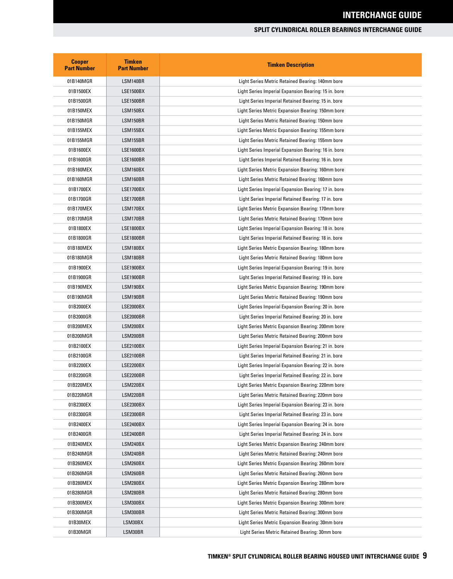| <b>Cooper</b><br><b>Part Number</b> | <b>Timken</b><br><b>Part Number</b> | <b>Timken Description</b>                            |
|-------------------------------------|-------------------------------------|------------------------------------------------------|
| 01B140MGR                           | LSM140BR                            | Light Series Metric Retained Bearing: 140mm bore     |
| 01B1500EX                           | <b>LSE1500BX</b>                    | Light Series Imperial Expansion Bearing: 15 in. bore |
| 01B1500GR                           | <b>LSE1500BR</b>                    | Light Series Imperial Retained Bearing: 15 in. bore  |
| 01B150MEX                           | LSM150BX                            | Light Series Metric Expansion Bearing: 150mm bore    |
| 01B150MGR                           | LSM150BR                            | Light Series Metric Retained Bearing: 150mm bore     |
| 01B155MEX                           | <b>LSM155BX</b>                     | Light Series Metric Expansion Bearing: 155mm bore    |
| 01B155MGR                           | LSM155BR                            | Light Series Metric Retained Bearing: 155mm bore     |
| 01B1600EX                           | <b>LSE1600BX</b>                    | Light Series Imperial Expansion Bearing: 16 in. bore |
| 01B1600GR                           | LSE1600BR                           | Light Series Imperial Retained Bearing: 16 in. bore  |
| 01B160MEX                           | LSM160BX                            | Light Series Metric Expansion Bearing: 160mm bore    |
| 01B160MGR                           | LSM160BR                            | Light Series Metric Retained Bearing: 160mm bore     |
| 01B1700EX                           | <b>LSE1700BX</b>                    | Light Series Imperial Expansion Bearing: 17 in. bore |
| 01B1700GR                           | <b>LSE1700BR</b>                    | Light Series Imperial Retained Bearing: 17 in. bore  |
| 01B170MEX                           | LSM170BX                            | Light Series Metric Expansion Bearing: 170mm bore    |
| 01B170MGR                           | LSM170BR                            | Light Series Metric Retained Bearing: 170mm bore     |
| 01B1800EX                           | <b>LSE1800BX</b>                    | Light Series Imperial Expansion Bearing: 18 in. bore |
| 01B1800GR                           | LSE1800BR                           | Light Series Imperial Retained Bearing: 18 in. bore  |
| 01B180MEX                           | LSM180BX                            | Light Series Metric Expansion Bearing: 180mm bore    |
| 01B180MGR                           | LSM180BR                            | Light Series Metric Retained Bearing: 180mm bore     |
| 01B1900EX                           | <b>LSE1900BX</b>                    | Light Series Imperial Expansion Bearing: 19 in. bore |
| 01B1900GR                           | <b>LSE1900BR</b>                    | Light Series Imperial Retained Bearing: 19 in. bore  |
| 01B190MEX                           | LSM190BX                            | Light Series Metric Expansion Bearing: 190mm bore    |
| 01B190MGR                           | LSM190BR                            | Light Series Metric Retained Bearing: 190mm bore     |
| 01B2000EX                           | <b>LSE2000BX</b>                    | Light Series Imperial Expansion Bearing: 20 in. bore |
| 01B2000GR                           | LSE2000BR                           | Light Series Imperial Retained Bearing: 20 in. bore  |
| 01B200MEX                           | LSM200BX                            | Light Series Metric Expansion Bearing: 200mm bore    |
| 01B200MGR                           | LSM200BR                            | Light Series Metric Retained Bearing: 200mm bore     |
| 01B2100EX                           | <b>LSE2100BX</b>                    | Light Series Imperial Expansion Bearing: 21 in. bore |
| 01B2100GR                           | LSE2100BR                           | Light Series Imperial Retained Bearing: 21 in. bore  |
| 01B2200EX                           | <b>LSE2200BX</b>                    | Light Series Imperial Expansion Bearing: 22 in. bore |
| 01B2200GR                           | LSE2200BR                           | Light Series Imperial Retained Bearing: 22 in. bore  |
| 01B220MEX                           | LSM220BX                            | Light Series Metric Expansion Bearing: 220mm bore    |
| 01B220MGR                           | LSM220BR                            | Light Series Metric Retained Bearing: 220mm bore     |
| 01B2300EX                           | <b>LSE2300BX</b>                    | Light Series Imperial Expansion Bearing: 23 in. bore |
| 01B2300GR                           | LSE2300BR                           | Light Series Imperial Retained Bearing: 23 in. bore  |
| 01B2400EX                           | LSE2400BX                           | Light Series Imperial Expansion Bearing: 24 in. bore |
| 01B2400GR                           | LSE2400BR                           | Light Series Imperial Retained Bearing: 24 in. bore  |
| 01B240MEX                           | LSM240BX                            | Light Series Metric Expansion Bearing: 240mm bore    |
| 01B240MGR                           | LSM240BR                            | Light Series Metric Retained Bearing: 240mm bore     |
| 01B260MEX                           | LSM260BX                            | Light Series Metric Expansion Bearing: 260mm bore    |
| 01B260MGR                           | LSM260BR                            | Light Series Metric Retained Bearing: 260mm bore     |
| 01B280MEX                           | LSM280BX                            | Light Series Metric Expansion Bearing: 280mm bore    |
| 01B280MGR                           | LSM280BR                            | Light Series Metric Retained Bearing: 280mm bore     |
| 01B300MEX                           | LSM300BX                            | Light Series Metric Expansion Bearing: 300mm bore    |
| 01B300MGR                           | LSM300BR                            | Light Series Metric Retained Bearing: 300mm bore     |
| 01B30MEX                            | LSM30BX                             | Light Series Metric Expansion Bearing: 30mm bore     |
| 01B30MGR                            | LSM30BR                             | Light Series Metric Retained Bearing: 30mm bore      |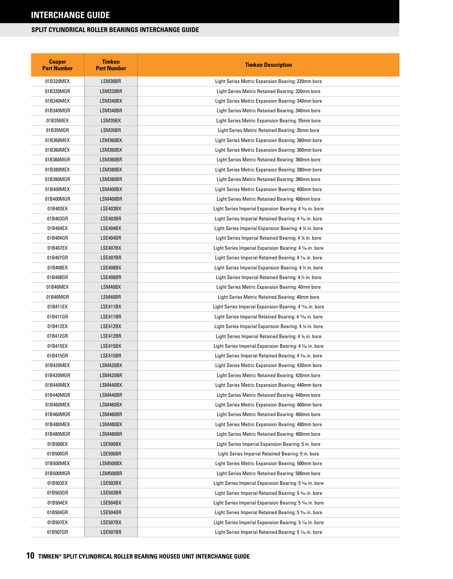| <b>Cooper</b><br><b>Part Number</b> | Timken<br><b>Part Number</b> | <b>Timken Description</b>                                          |
|-------------------------------------|------------------------------|--------------------------------------------------------------------|
| 01B320MEX                           | LSM30BR                      | Light Series Metric Expansion Bearing: 320mm bore                  |
| 01B320MGR                           | LSM320BR                     | Light Series Metric Retained Bearing: 320mm bore                   |
| 01B340MEX                           | LSM340BX                     | Light Series Metric Expansion Bearing: 340mm bore                  |
| 01B340MGR                           | LSM340BR                     | Light Series Metric Retained Bearing: 340mm bore                   |
| 01B35MEX                            | LSM35BX                      | Light Series Metric Expansion Bearing: 35mm bore                   |
| 01B35MGR                            | LSM35BR                      | Light Series Metric Retained Bearing: 35mm bore                    |
| 01B360MEX                           | LSM360BX                     | Light Series Metric Expansion Bearing: 360mm bore                  |
| 01B360MEX                           | LSM360BX                     | Light Series Metric Expansion Bearing: 360mm bore                  |
| 01B360MGR                           | LSM360BR                     | Light Series Metric Retained Bearing: 360mm bore                   |
| 01B380MEX                           | LSM380BX                     | Light Series Metric Expansion Bearing: 380mm bore                  |
| 01B380MGR                           | LSM380BR                     | Light Series Metric Retained Bearing: 380mm bore                   |
| 01B400MEX                           | LSM400BX                     | Light Series Metric Expansion Bearing: 400mm bore                  |
| 01B400MGR                           | LSM400BR                     | Light Series Metric Retained Bearing: 400mm bore                   |
| 01B403EX                            | LSE403BX                     | Light Series Imperial Expansion Bearing: 4 <sup>3</sup> % in. bore |
| 01B403GR                            | LSE403BR                     | Light Series Imperial Retained Bearing: 4 % in. bore               |
| 01B404EX                            | LSE404BX                     | Light Series Imperial Expansion Bearing: 4 % in. bore              |
| 01B404GR                            | LSE404BR                     | Light Series Imperial Retained Bearing: 4 % in. bore               |
| 01B407EX                            | LSE407BX                     | Light Series Imperial Expansion Bearing: 4 1/16 in. bore           |
| 01B407GR                            | LSE407BR                     | Light Series Imperial Retained Bearing: 4 % in. bore               |
| 01B408EX                            | LSE408BX                     | Light Series Imperial Expansion Bearing: 4 1/2 in. bore            |
| 01B408GR                            | LSE408BR                     | Light Series Imperial Retained Bearing: $4\frac{1}{2}$ in. bore    |
| 01B40MEX                            | LSM40BX                      | Light Series Metric Expansion Bearing: 40mm bore                   |
| 01B40MGR                            | LSM40BR                      | Light Series Metric Retained Bearing: 40mm bore                    |
| 01B411EX                            | LSE411BX                     | Light Series Imperial Expansion Bearing: 4 11/16 in. bore          |
| 01B411GR                            | LSE411BR                     | Light Series Imperial Retained Bearing: 4 1% in. bore              |
| 01B412EX                            | LSE412BX                     | Light Series Imperial Expansion Bearing: 4 % in. bore              |
| 01B412GR                            | LSE412BR                     | Light Series Imperial Retained Bearing: 4 % in. bore               |
| 01B415EX                            | LSE415BX                     | Light Series Imperial Expansion Bearing: 4 % in. bore              |
| 01B415GR                            | LSE415BR                     | Light Series Imperial Retained Bearing: 4 % in. bore               |
| 01B420MEX                           | LSM420BX                     | Light Series Metric Expansion Bearing: 420mm bore                  |
| 01B420MGR                           | LSM420BR                     | Light Series Metric Retained Bearing: 420mm bore                   |
| 01B440MEX                           | LSM440BX                     | Light Series Metric Expansion Bearing: 440mm bore                  |
| 01B440MGR                           | LSM440BR                     | Light Series Metric Retained Bearing: 440mm bore                   |
| 01B460MEX                           | LSM460BX                     | Light Series Metric Expansion Bearing: 460mm bore                  |
| 01B460MGR                           | LSM460BR                     | Light Series Metric Retained Bearing: 460mm bore                   |
| 01B480MEX                           | LSM480BX                     | Light Series Metric Expansion Bearing: 480mm bore                  |
| 01B480MGR                           | LSM480BR                     | Light Series Metric Retained Bearing: 480mm bore                   |
| 01B500EX                            | LSE500BX                     | Light Series Imperial Expansion Bearing: 5 in. bore                |
| 01B500GR                            | LSE500BR                     | Light Series Imperial Retained Bearing: 5 in. bore                 |
| 01B500MEX                           | LSM500BX                     | Light Series Metric Expansion Bearing: 500mm bore                  |
| 01B500MGR                           | LSM500BR                     | Light Series Metric Retained Bearing: 500mm bore                   |
| 01B503EX                            | LSE503BX                     | Light Series Imperial Expansion Bearing: 5 % in. bore              |
| 01B503GR                            | LSE503BR                     | Light Series Imperial Retained Bearing: 5 % in. bore               |
| 01B504EX                            | LSE504BX                     | Light Series Imperial Expansion Bearing: 5 % in. bore              |
| 01B504GR                            | LSE504BR                     | Light Series Imperial Retained Bearing: 5 % in. bore               |
| 01B507EX                            | LSE507BX                     | Light Series Imperial Expansion Bearing: 5 % in. bore              |
| 01B507GR                            | LSE507BR                     | Light Series Imperial Retained Bearing: 5 % in. bore               |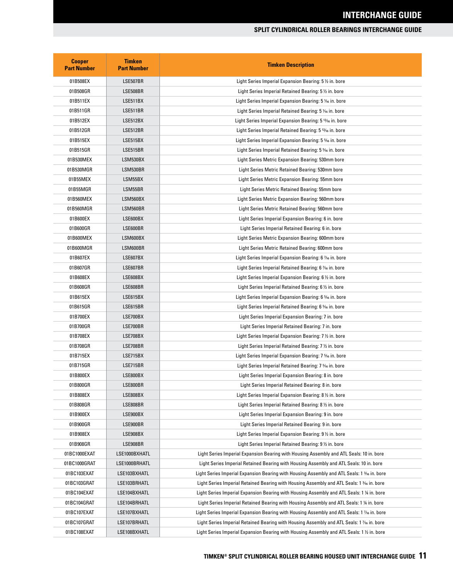| <b>Cooper</b><br><b>Part Number</b> | <b>Timken</b><br><b>Part Number</b> | <b>Timken Description</b>                                                                             |
|-------------------------------------|-------------------------------------|-------------------------------------------------------------------------------------------------------|
| 01B508EX                            | LSE507BR                            | Light Series Imperial Expansion Bearing: 5 1/2 in. bore                                               |
| 01B508GR                            | LSE508BR                            | Light Series Imperial Retained Bearing: 5 1/2 in. bore                                                |
| 01B511EX                            | LSE511BX                            | Light Series Imperial Expansion Bearing: 5 1/16 in. bore                                              |
| 01B511GR                            | LSE511BR                            | Light Series Imperial Retained Bearing: 5 1/6 in. bore                                                |
| 01B512EX                            | LSE512BX                            | Light Series Imperial Expansion Bearing: 5 <sup>12/16</sup> in. bore                                  |
| 01B512GR                            | LSE512BR                            | Light Series Imperial Retained Bearing: 5 <sup>12</sup> % in. bore                                    |
| 01B515EX                            | LSE515BX                            | Light Series Imperial Expansion Bearing: 5 % in. bore                                                 |
| 01B515GR                            | LSE515BR                            | Light Series Imperial Retained Bearing: 5 % in. bore                                                  |
| 01B530MEX                           | LSM530BX                            | Light Series Metric Expansion Bearing: 530mm bore                                                     |
| 01B530MGR                           | LSM530BR                            | Light Series Metric Retained Bearing: 530mm bore                                                      |
| 01B55MEX                            | LSM55BX                             | Light Series Metric Expansion Bearing: 55mm bore                                                      |
| 01B55MGR                            | LSM55BR                             | Light Series Metric Retained Bearing: 55mm bore                                                       |
| 01B560MEX                           | LSM560BX                            | Light Series Metric Expansion Bearing: 560mm bore                                                     |
| 01B560MGR                           | LSM560BR                            | Light Series Metric Retained Bearing: 560mm bore                                                      |
| 01B600EX                            | LSE600BX                            | Light Series Imperial Expansion Bearing: 6 in. bore                                                   |
| 01B600GR                            | LSE600BR                            | Light Series Imperial Retained Bearing: 6 in. bore                                                    |
| 01B600MEX                           | LSM600BX                            | Light Series Metric Expansion Bearing: 600mm bore                                                     |
| 01B600MGR                           | LSM600BR                            | Light Series Metric Retained Bearing: 600mm bore                                                      |
| 01B607EX                            | LSE607BX                            | Light Series Imperial Expansion Bearing: 6 1/16 in. bore                                              |
| 01B607GR                            | LSE607BR                            | Light Series Imperial Retained Bearing: 6 % in. bore                                                  |
| 01B608EX                            | LSE608BX                            | Light Series Imperial Expansion Bearing: 6 1/2 in. bore                                               |
| 01B608GR                            | LSE608BR                            | Light Series Imperial Retained Bearing: 6 $\frac{1}{2}$ in. bore                                      |
| 01B615EX                            | LSE615BX                            | Light Series Imperial Expansion Bearing: 6 % in. bore                                                 |
| 01B615GR                            | LSE615BR                            | Light Series Imperial Retained Bearing: 6 % in. bore                                                  |
| 01B700EX                            | LSE700BX                            | Light Series Imperial Expansion Bearing: 7 in. bore                                                   |
| 01B700GR                            | LSE700BR                            | Light Series Imperial Retained Bearing: 7 in. bore                                                    |
| 01B708EX                            | LSE708BX                            | Light Series Imperial Expansion Bearing: 7 ½ in. bore                                                 |
| 01B708GR                            | LSE708BR                            | Light Series Imperial Retained Bearing: 7 ½ in. bore                                                  |
| 01B715EX                            | LSE715BX                            | Light Series Imperial Expansion Bearing: 7 % in. bore                                                 |
| 01B715GR                            | LSE715BR                            | Light Series Imperial Retained Bearing: 7 % in. bore                                                  |
| 01B800EX                            | LSE800BX                            | Light Series Imperial Expansion Bearing: 8 in. bore                                                   |
| 01B800GR                            | LSE800BR                            | Light Series Imperial Retained Bearing: 8 in. bore                                                    |
| 01B808EX                            | LSE808BX                            | Light Series Imperial Expansion Bearing: 8 1/2 in. bore                                               |
| 01B808GR                            | LSE808BR                            | Light Series Imperial Retained Bearing: 8 1/2 in. bore                                                |
| 01B900EX                            | LSE900BX                            | Light Series Imperial Expansion Bearing: 9 in. bore                                                   |
| 01B900GR                            | LSE900BR                            | Light Series Imperial Retained Bearing: 9 in. bore                                                    |
| 01B908EX                            | LSE908BX                            | Light Series Imperial Expansion Bearing: 9 1/2 in. bore                                               |
| 01B908GR                            | LSE908BR                            | Light Series Imperial Retained Bearing: 9 1/2 in. bore                                                |
| 01BC1000EXAT                        | LSE1000BXHATL                       | Light Series Imperial Expansion Bearing with Housing Assembly and ATL Seals: 10 in. bore              |
| 01BC1000GRAT                        | LSE1000BRHATL                       | Light Series Imperial Retained Bearing with Housing Assembly and ATL Seals: 10 in. bore               |
| 01BC103EXAT                         | LSE103BXHATL                        | Light Series Imperial Expansion Bearing with Housing Assembly and ATL Seals: 1 $\frac{3}{6}$ in. bore |
| 01BC103GRAT                         | LSE103BRHATL                        | Light Series Imperial Retained Bearing with Housing Assembly and ATL Seals: 1 3⁄16 in. bore           |
| 01BC104EXAT                         | LSE104BXHATL                        | Light Series Imperial Expansion Bearing with Housing Assembly and ATL Seals: 1 ¼ in. bore             |
| 01BC104GRAT                         | LSE104BRHATL                        | Light Series Imperial Retained Bearing with Housing Assembly and ATL Seals: 1 ¼ in. bore              |
| 01BC107EXAT                         | LSE107BXHATL                        | Light Series Imperial Expansion Bearing with Housing Assembly and ATL Seals: 1 1/16 in. bore          |
| 01BC107GRAT                         | LSE107BRHATL                        | Light Series Imperial Retained Bearing with Housing Assembly and ATL Seals: 1 1/16 in. bore           |
| 01BC108EXAT                         | LSE108BXHATL                        | Light Series Imperial Expansion Bearing with Housing Assembly and ATL Seals: 1 1/2 in. bore           |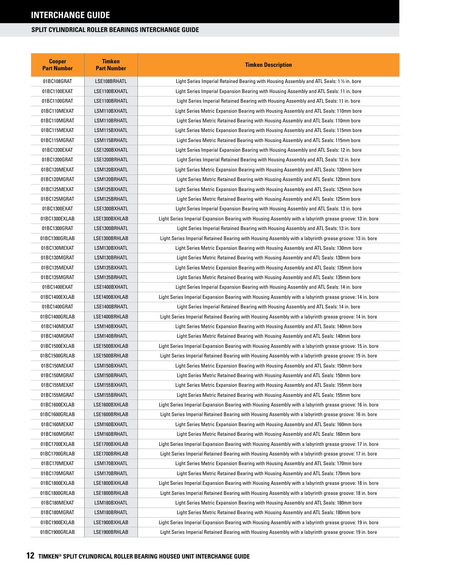| <b>Cooper</b><br><b>Part Number</b> | <b>Timken</b><br><b>Part Number</b> | <b>Timken Description</b>                                                                                 |
|-------------------------------------|-------------------------------------|-----------------------------------------------------------------------------------------------------------|
| 01BC108GRAT                         | LSE108BRHATL                        | Light Series Imperial Retained Bearing with Housing Assembly and ATL Seals: 1 1/2 in. bore                |
| 01BC1100EXAT                        | LSE1100BXHATL                       | Light Series Imperial Expansion Bearing with Housing Assembly and ATL Seals: 11 in. bore                  |
| 01BC1100GRAT                        | LSE1100BRHATL                       | Light Series Imperial Retained Bearing with Housing Assembly and ATL Seals: 11 in. bore                   |
| 01BC110MEXAT                        | LSM110BXHATL                        | Light Series Metric Expansion Bearing with Housing Assembly and ATL Seals: 110mm bore                     |
| 01BC110MGRAT                        | LSM110BRHATL                        | Light Series Metric Retained Bearing with Housing Assembly and ATL Seals: 110mm bore                      |
| 01BC115MEXAT                        | LSM115BXHATL                        | Light Series Metric Expansion Bearing with Housing Assembly and ATL Seals: 115mm bore                     |
| 01BC115MGRAT                        | LSM115BRHATL                        | Light Series Metric Retained Bearing with Housing Assembly and ATL Seals: 115mm bore                      |
| 01BC1200EXAT                        | LSE1200BXHATL                       | Light Series Imperial Expansion Bearing with Housing Assembly and ATL Seals: 12 in. bore                  |
| 01BC1200GRAT                        | LSE1200BRHATL                       | Light Series Imperial Retained Bearing with Housing Assembly and ATL Seals: 12 in. bore                   |
| 01BC120MEXAT                        | LSM120BXHATL                        | Light Series Metric Expansion Bearing with Housing Assembly and ATL Seals: 120mm bore                     |
| 01BC120MGRAT                        | LSM120BRHATL                        | Light Series Metric Retained Bearing with Housing Assembly and ATL Seals: 120mm bore                      |
| 01BC125MEXAT                        | LSM125BXHATL                        | Light Series Metric Expansion Bearing with Housing Assembly and ATL Seals: 125mm bore                     |
| 01BC125MGRAT                        | LSM125BRHATL                        | Light Series Metric Retained Bearing with Housing Assembly and ATL Seals: 125mm bore                      |
| 01BC1300EXAT                        | LSE1300BXHATL                       | Light Series Imperial Expansion Bearing with Housing Assembly and ATL Seals: 13 in. bore                  |
| 01BC1300EXLAB                       | LSE1300BXHLAB                       | Light Series Imperial Expansion Bearing with Housing Assembly with a labyrinth grease groove: 13 in. bore |
| 01BC1300GRAT                        | LSE1300BRHATL                       | Light Series Imperial Retained Bearing with Housing Assembly and ATL Seals: 13 in. bore                   |
| 01BC1300GRLAB                       | LSE1300BRHLAB                       | Light Series Imperial Retained Bearing with Housing Assembly with a labyrinth grease groove: 13 in. bore  |
| 01BC130MEXAT                        | LSM130BXHATL                        | Light Series Metric Expansion Bearing with Housing Assembly and ATL Seals: 130mm bore                     |
| 01BC130MGRAT                        | LSM130BRHATL                        | Light Series Metric Retained Bearing with Housing Assembly and ATL Seals: 130mm bore                      |
| 01BC135MEXAT                        | LSM135BXHATL                        | Light Series Metric Expansion Bearing with Housing Assembly and ATL Seals: 135mm bore                     |
| 01BC135MGRAT                        | LSM135BRHATL                        | Light Series Metric Retained Bearing with Housing Assembly and ATL Seals: 135mm bore                      |
| 01BC1400EXAT                        | LSE1400BXHATL                       | Light Series Imperial Expansion Bearing with Housing Assembly and ATL Seals: 14 in. bore                  |
| 01BC1400EXLAB                       | LSE1400BXHLAB                       | Light Series Imperial Expansion Bearing with Housing Assembly with a labyrinth grease groove: 14 in. bore |
| 01BC1400GRAT                        | LSE1400BRHATL                       | Light Series Imperial Retained Bearing with Housing Assembly and ATL Seals: 14 in. bore                   |
| 01BC1400GRLAB                       | LSE1400BRHLAB                       | Light Series Imperial Retained Bearing with Housing Assembly with a labyrinth grease groove: 14 in. bore  |
| 01BC140MEXAT                        | LSM140BXHATL                        | Light Series Metric Expansion Bearing with Housing Assembly and ATL Seals: 140mm bore                     |
| 01BC140MGRAT                        | LSM140BRHATL                        | Light Series Metric Retained Bearing with Housing Assembly and ATL Seals: 140mm bore                      |
| 01BC1500EXLAB                       | LSE1500BXHLAB                       | Light Series Imperial Expansion Bearing with Housing Assembly with a labyrinth grease groove: 15 in. bore |
| 01BC1500GRLAB                       | LSE1500BRHLAB                       | Light Series Imperial Retained Bearing with Housing Assembly with a labyrinth grease groove: 15 in. bore  |
| 01BC150MEXAT                        | LSM150BXHATL                        | Light Series Metric Expansion Bearing with Housing Assembly and ATL Seals: 150mm bore                     |
| 01BC150MGRAT                        | LSM150BRHATL                        | Light Series Metric Retained Bearing with Housing Assembly and ATL Seals: 150mm bore                      |
| 01BC155MEXAT                        | LSM155BXHATL                        | Light Series Metric Expansion Bearing with Housing Assembly and ATL Seals: 155mm bore                     |
| 01BC155MGRAT                        | LSM155BRHATL                        | Light Series Metric Retained Bearing with Housing Assembly and ATL Seals: 155mm bore                      |
| 01BC1600EXLAB                       | LSE1600BXHLAB                       | Light Series Imperial Expansion Bearing with Housing Assembly with a labyrinth grease groove: 16 in. bore |
| 01BC1600GRLAB                       | LSE1600BRHLAB                       | Light Series Imperial Retained Bearing with Housing Assembly with a labyrinth grease groove: 16 in. bore  |
| 01BC160MEXAT                        | LSM160BXHATL                        | Light Series Metric Expansion Bearing with Housing Assembly and ATL Seals: 160mm bore                     |
| 01BC160MGRAT                        | LSM160BRHATL                        | Light Series Metric Retained Bearing with Housing Assembly and ATL Seals: 160mm bore                      |
| 01BC1700EXLAB                       | LSE1700BXHLAB                       | Light Series Imperial Expansion Bearing with Housing Assembly with a labyrinth grease groove: 17 in. bore |
| 01BC1700GRLAB                       | LSE1700BRHLAB                       | Light Series Imperial Retained Bearing with Housing Assembly with a labyrinth grease groove: 17 in. bore  |
| 01BC170MEXAT                        | LSM170BXHATL                        | Light Series Metric Expansion Bearing with Housing Assembly and ATL Seals: 170mm bore                     |
| 01BC170MGRAT                        | LSM170BRHATL                        | Light Series Metric Retained Bearing with Housing Assembly and ATL Seals: 170mm bore                      |
| 01BC1800EXLAB                       | LSE1800BXHLAB                       | Light Series Imperial Expansion Bearing with Housing Assembly with a labyrinth grease groove: 18 in. bore |
| 01BC1800GRLAB                       | LSE1800BRHLAB                       | Light Series Imperial Retained Bearing with Housing Assembly with a labyrinth grease groove: 18 in. bore  |
| 01BC180MEXAT                        | LSM180BXHATL                        | Light Series Metric Expansion Bearing with Housing Assembly and ATL Seals: 180mm bore                     |
| 01BC180MGRAT                        | LSM180BRHATL                        | Light Series Metric Retained Bearing with Housing Assembly and ATL Seals: 180mm bore                      |
| 01BC1900EXLAB                       | LSE1900BXHLAB                       | Light Series Imperial Expansion Bearing with Housing Assembly with a labyrinth grease groove: 19 in. bore |
| 01BC1900GRLAB                       | LSE1900BRHLAB                       | Light Series Imperial Retained Bearing with Housing Assembly with a labyrinth grease groove: 19 in. bore  |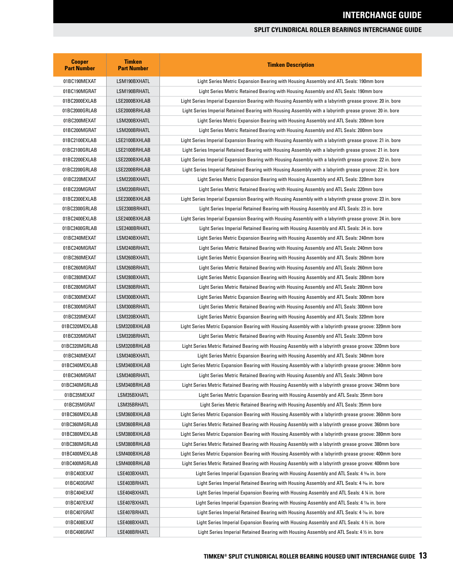| <b>Cooper</b><br><b>Part Number</b> | <b>Timken</b><br><b>Part Number</b> | <b>Timken Description</b>                                                                                 |
|-------------------------------------|-------------------------------------|-----------------------------------------------------------------------------------------------------------|
| 01BC190MEXAT                        | LSM190BXHATL                        | Light Series Metric Expansion Bearing with Housing Assembly and ATL Seals: 190mm bore                     |
| 01BC190MGRAT                        | LSM190BRHATL                        | Light Series Metric Retained Bearing with Housing Assembly and ATL Seals: 190mm bore                      |
| 01BC2000EXLAB                       | LSE2000BXHLAB                       | Light Series Imperial Expansion Bearing with Housing Assembly with a labyrinth grease groove: 20 in. bore |
| 01BC2000GRLAB                       | LSE2000BRHLAB                       | Light Series Imperial Retained Bearing with Housing Assembly with a labyrinth grease groove: 20 in. bore  |
| 01BC200MEXAT                        | LSM200BXHATL                        | Light Series Metric Expansion Bearing with Housing Assembly and ATL Seals: 200mm bore                     |
| 01BC200MGRAT                        | LSM200BRHATL                        | Light Series Metric Retained Bearing with Housing Assembly and ATL Seals: 200mm bore                      |
| 01BC2100EXLAB                       | LSE2100BXHLAB                       | Light Series Imperial Expansion Bearing with Housing Assembly with a labyrinth grease groove: 21 in. bore |
| 01BC2100GRLAB                       | LSE2100BRHLAB                       | Light Series Imperial Retained Bearing with Housing Assembly with a labyrinth grease groove: 21 in. bore  |
| 01BC2200EXLAB                       | LSE2200BXHLAB                       | Light Series Imperial Expansion Bearing with Housing Assembly with a labyrinth grease groove: 22 in. bore |
| 01BC2200GRLAB                       | LSE2200BRHLAB                       | Light Series Imperial Retained Bearing with Housing Assembly with a labyrinth grease groove: 22 in. bore  |
| 01BC220MEXAT                        | LSM220BXHATL                        | Light Series Metric Expansion Bearing with Housing Assembly and ATL Seals: 220mm bore                     |
| 01BC220MGRAT                        | LSM220BRHATL                        | Light Series Metric Retained Bearing with Housing Assembly and ATL Seals: 220mm bore                      |
| 01BC2300EXLAB                       | LSE2300BXHLAB                       | Light Series Imperial Expansion Bearing with Housing Assembly with a labyrinth grease groove: 23 in. bore |
| 01BC2300GRLAB                       | LSE2300BRHATL                       | Light Series Imperial Retained Bearing with Housing Assembly and ATL Seals: 23 in. bore                   |
| 01BC2400EXLAB                       | LSE2400BXHLAB                       | Light Series Imperial Expansion Bearing with Housing Assembly with a labyrinth grease groove: 24 in. bore |
| 01BC2400GRLAB                       | LSE2400BRHATL                       | Light Series Imperial Retained Bearing with Housing Assembly and ATL Seals: 24 in. bore                   |
| 01BC240MEXAT                        | LSM240BXHATL                        | Light Series Metric Expansion Bearing with Housing Assembly and ATL Seals: 240mm bore                     |
| 01BC240MGRAT                        | LSM240BRHATL                        | Light Series Metric Retained Bearing with Housing Assembly and ATL Seals: 240mm bore                      |
| 01BC260MEXAT                        | LSM260BXHATL                        | Light Series Metric Expansion Bearing with Housing Assembly and ATL Seals: 260mm bore                     |
| 01BC260MGRAT                        | LSM260BRHATL                        | Light Series Metric Retained Bearing with Housing Assembly and ATL Seals: 260mm bore                      |
| 01BC280MEXAT                        | LSM280BXHATL                        | Light Series Metric Expansion Bearing with Housing Assembly and ATL Seals: 280mm bore                     |
| 01BC280MGRAT                        | LSM280BRHATL                        | Light Series Metric Retained Bearing with Housing Assembly and ATL Seals: 280mm bore                      |
| 01BC300MEXAT                        | LSM300BXHATL                        | Light Series Metric Expansion Bearing with Housing Assembly and ATL Seals: 300mm bore                     |
| 01BC300MGRAT                        | LSM300BRHATL                        | Light Series Metric Retained Bearing with Housing Assembly and ATL Seals: 300mm bore                      |
| 01BC320MEXAT                        | LSM320BXHATL                        | Light Series Metric Expansion Bearing with Housing Assembly and ATL Seals: 320mm bore                     |
| 01BC320MEXLAB                       | LSM320BXHLAB                        | Light Series Metric Expansion Bearing with Housing Assembly with a labyrinth grease groove: 320mm bore    |
| 01BC320MGRAT                        | LSM320BRHATL                        | Light Series Metric Retained Bearing with Housing Assembly and ATL Seals: 320mm bore                      |
| 01BC320MGRLAB                       | LSM320BRHLAB                        | Light Series Metric Retained Bearing with Housing Assembly with a labyrinth grease groove: 320mm bore     |
| 01BC340MEXAT                        | LSM340BXHATL                        | Light Series Metric Expansion Bearing with Housing Assembly and ATL Seals: 340mm bore                     |
| 01BC340MEXLAB                       | LSM340BXHLAB                        | Light Series Metric Expansion Bearing with Housing Assembly with a labyrinth grease groove: 340mm bore    |
| 01BC340MGRAT                        | LSM340BRHATL                        | Light Series Metric Retained Bearing with Housing Assembly and ATL Seals: 340mm bore                      |
| 01BC340MGRLAB                       | LSM340BRHLAB                        | Light Series Metric Retained Bearing with Housing Assembly with a labyrinth grease groove: 340mm bore     |
| 01BC35MEXAT                         | LSM35BXHATL                         | Light Series Metric Expansion Bearing with Housing Assembly and ATL Seals: 35mm bore                      |
| 01BC35MGRAT                         | LSM35BRHATL                         | Light Series Metric Retained Bearing with Housing Assembly and ATL Seals: 35mm bore                       |
| 01BC360MEXLAB                       | LSM360BXHLAB                        | Light Series Metric Expansion Bearing with Housing Assembly with a labyrinth grease groove: 360mm bore    |
| 01BC360MGRLAB                       | LSM360BRHLAB                        | Light Series Metric Retained Bearing with Housing Assembly with a labyrinth grease groove: 360mm bore     |
| 01BC380MEXLAB                       | LSM380BXHLAB                        | Light Series Metric Expansion Bearing with Housing Assembly with a labyrinth grease groove: 380mm bore    |
| 01BC380MGRLAB                       | LSM380BRHLAB                        | Light Series Metric Retained Bearing with Housing Assembly with a labyrinth grease groove: 380mm bore     |
| 01BC400MEXLAB                       | LSM400BXHLAB                        | Light Series Metric Expansion Bearing with Housing Assembly with a labyrinth grease groove: 400mm bore    |
| 01BC400MGRLAB                       | LSM400BRHLAB                        | Light Series Metric Retained Bearing with Housing Assembly with a labyrinth grease groove: 400mm bore     |
| 01BC403EXAT                         | LSE403BXHATL                        | Light Series Imperial Expansion Bearing with Housing Assembly and ATL Seals: 4 3/6 in. bore               |
| 01BC403GRAT                         | LSE403BRHATL                        | Light Series Imperial Retained Bearing with Housing Assembly and ATL Seals: 4 3% in. bore                 |
| 01BC404EXAT                         | LSE404BXHATL                        | Light Series Imperial Expansion Bearing with Housing Assembly and ATL Seals: 4 ¼ in. bore                 |
| 01BC407EXAT                         | LSE407BXHATL                        | Light Series Imperial Expansion Bearing with Housing Assembly and ATL Seals: 4 % in. bore                 |
| 01BC407GRAT                         | LSE407BRHATL                        | Light Series Imperial Retained Bearing with Housing Assembly and ATL Seals: 4 % in. bore                  |
| 01BC408EXAT                         | LSE408BXHATL                        | Light Series Imperial Expansion Bearing with Housing Assembly and ATL Seals: 4 1/2 in. bore               |
| 01BC408GRAT                         | LSE408BRHATL                        | Light Series Imperial Retained Bearing with Housing Assembly and ATL Seals: 4 1/2 in. bore                |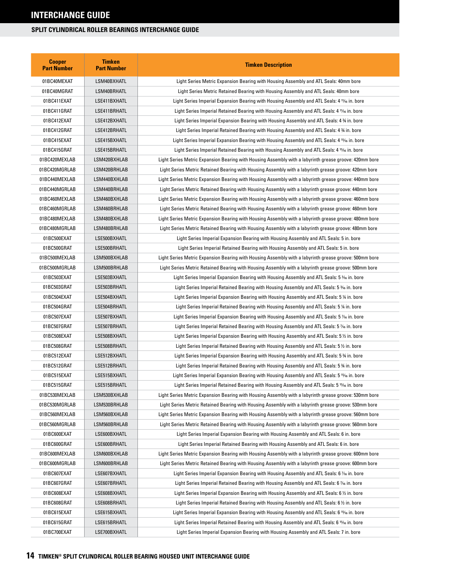| <b>Cooper</b><br><b>Part Number</b> | <b>Timken</b><br><b>Part Number</b> | <b>Timken Description</b>                                                                               |
|-------------------------------------|-------------------------------------|---------------------------------------------------------------------------------------------------------|
| 01BC40MEXAT                         | LSM40BXHATL                         | Light Series Metric Expansion Bearing with Housing Assembly and ATL Seals: 40mm bore                    |
| 01BC40MGRAT                         | LSM40BRHATL                         | Light Series Metric Retained Bearing with Housing Assembly and ATL Seals: 40mm bore                     |
| 01BC411EXAT                         | LSE411BXHATL                        | Light Series Imperial Expansion Bearing with Housing Assembly and ATL Seals: 4 1% in. bore              |
| 01BC411GRAT                         | LSE411BRHATL                        | Light Series Imperial Retained Bearing with Housing Assembly and ATL Seals: 4 1% in. bore               |
| 01BC412EXAT                         | LSE412BXHATL                        | Light Series Imperial Expansion Bearing with Housing Assembly and ATL Seals: 4 34 in. bore              |
| 01BC412GRAT                         | LSE412BRHATL                        | Light Series Imperial Retained Bearing with Housing Assembly and ATL Seals: 4 34 in. bore               |
| 01BC415EXAT                         | LSE415BXHATL                        | Light Series Imperial Expansion Bearing with Housing Assembly and ATL Seals: 4 15/6 in. bore            |
| 01BC415GRAT                         | LSE415BRHATL                        | Light Series Imperial Retained Bearing with Housing Assembly and ATL Seals: 4 15% in. bore              |
| 01BC420MEXLAB                       | LSM420BXHLAB                        | Light Series Metric Expansion Bearing with Housing Assembly with a labyrinth grease groove: 420mm bore  |
| 01BC420MGRLAB                       | LSM420BRHLAB                        | Light Series Metric Retained Bearing with Housing Assembly with a labyrinth grease groove: 420mm bore   |
| 01BC440MEXLAB                       | LSM440BXHLAB                        | Light Series Metric Expansion Bearing with Housing Assembly with a labyrinth grease groove: 440mm bore  |
| 01BC440MGRLAB                       | LSM440BRHLAB                        | Light Series Metric Retained Bearing with Housing Assembly with a labyrinth grease groove: 440mm bore   |
| 01BC460MEXLAB                       | LSM460BXHLAB                        | Light Series Metric Expansion Bearing with Housing Assembly with a labyrinth grease groove: 460mm bore  |
| 01BC460MGRLAB                       | LSM460BRHLAB                        | Light Series Metric Retained Bearing with Housing Assembly with a labyrinth grease groove: 460mm bore   |
| 01BC480MEXLAB                       | LSM480BXHLAB                        | Light Series Metric Expansion Bearing with Housing Assembly with a labyrinth grease groove: 480mm bore  |
| 01BC480MGRLAB                       | LSM480BRHLAB                        | Light Series Metric Retained Bearing with Housing Assembly with a labyrinth grease groove: 480mm bore   |
| 01BC500EXAT                         | LSE500BXHATL                        | Light Series Imperial Expansion Bearing with Housing Assembly and ATL Seals: 5 in. bore                 |
| 01BC500GRAT                         | LSE500BRHATL                        | Light Series Imperial Retained Bearing with Housing Assembly and ATL Seals: 5 in. bore                  |
| 01BC500MEXLAB                       | LSM500BXHLAB                        | Light Series Metric Expansion Bearing with Housing Assembly with a labyrinth grease groove: 500mm bore  |
| 01BC500MGRLAB                       | LSM500BRHLAB                        | Light Series Metric Retained Bearing with Housing Assembly with a labyrinth grease groove: 500mm bore   |
| 01BC503EXAT                         | LSE503BXHATL                        | Light Series Imperial Expansion Bearing with Housing Assembly and ATL Seals: 5 36 in. bore              |
| 01BC503GRAT                         | LSE503BRHATL                        | Light Series Imperial Retained Bearing with Housing Assembly and ATL Seals: 5 36 in. bore               |
| 01BC504EXAT                         | LSE504BXHATL                        | Light Series Imperial Expansion Bearing with Housing Assembly and ATL Seals: 5 ¼ in. bore               |
| 01BC504GRAT                         | LSE504BRHATL                        | Light Series Imperial Retained Bearing with Housing Assembly and ATL Seals: 5 ¼ in. bore                |
| 01BC507EXAT                         | LSE507BXHATL                        | Light Series Imperial Expansion Bearing with Housing Assembly and ATL Seals: 5 ‰ in. bore               |
| 01BC507GRAT                         | LSE507BRHATL                        | Light Series Imperial Retained Bearing with Housing Assembly and ATL Seals: 5 ‰ in. bore                |
| 01BC508EXAT                         | LSE508BXHATL                        | Light Series Imperial Expansion Bearing with Housing Assembly and ATL Seals: 5 $\%$ in. bore            |
| 01BC508GRAT                         | LSE508BRHATL                        | Light Series Imperial Retained Bearing with Housing Assembly and ATL Seals: 5 % in. bore                |
| 01BC512EXAT                         | LSE512BXHATL                        | Light Series Imperial Expansion Bearing with Housing Assembly and ATL Seals: 5 % in. bore               |
| 01BC512GRAT                         | LSE512BRHATL                        | Light Series Imperial Retained Bearing with Housing Assembly and ATL Seals: 5 % in. bore                |
| 01BC515EXAT                         | LSE515BXHATL                        | Light Series Imperial Expansion Bearing with Housing Assembly and ATL Seals: 5 15% in. bore             |
| 01BC515GRAT                         | LSE515BRHATL                        | Light Series Imperial Retained Bearing with Housing Assembly and ATL Seals: 5 <sup>15</sup> /6 in. bore |
| 01BC530MEXLAB                       | LSM530BXHLAB                        | Light Series Metric Expansion Bearing with Housing Assembly with a labyrinth grease groove: 530mm bore  |
| 01BC530MGRLAB                       | LSM530BRHLAB                        | Light Series Metric Retained Bearing with Housing Assembly with a labyrinth grease groove: 530mm bore   |
| 01BC560MEXLAB                       | LSM560BXHLAB                        | Light Series Metric Expansion Bearing with Housing Assembly with a labyrinth grease groove: 560mm bore  |
| 01BC560MGRLAB                       | LSM560BRHLAB                        | Light Series Metric Retained Bearing with Housing Assembly with a labyrinth grease groove: 560mm bore   |
| 01BC600EXAT                         | LSE600BXHATL                        | Light Series Imperial Expansion Bearing with Housing Assembly and ATL Seals: 6 in. bore                 |
| 01BC600GRAT                         | LSE600BRHATL                        | Light Series Imperial Retained Bearing with Housing Assembly and ATL Seals: 6 in. bore                  |
| 01BC600MEXLAB                       | LSM600BXHLAB                        | Light Series Metric Expansion Bearing with Housing Assembly with a labyrinth grease groove: 600mm bore  |
| 01BC600MGRLAB                       | LSM600BRHLAB                        | Light Series Metric Retained Bearing with Housing Assembly with a labyrinth grease groove: 600mm bore   |
| 01BC607EXAT                         | LSE607BXHATL                        | Light Series Imperial Expansion Bearing with Housing Assembly and ATL Seals: 6 1⁄16 in. bore            |
| 01BC607GRAT                         | LSE607BRHATL                        | Light Series Imperial Retained Bearing with Housing Assembly and ATL Seals: 6 1/16 in. bore             |
| 01BC608EXAT                         | LSE608BXHATL                        | Light Series Imperial Expansion Bearing with Housing Assembly and ATL Seals: 6 % in. bore               |
| 01BC608GRAT                         | LSE608BRHATL                        | Light Series Imperial Retained Bearing with Housing Assembly and ATL Seals: 6 $\frac{1}{2}$ in. bore    |
| 01BC615EXAT                         | LSE615BXHATL                        | Light Series Imperial Expansion Bearing with Housing Assembly and ATL Seals: 6 15% in. bore             |
| 01BC615GRAT                         | LSE615BRHATL                        | Light Series Imperial Retained Bearing with Housing Assembly and ATL Seals: 6 <sup>15</sup> /6 in. bore |
| 01BC700EXAT                         | LSE700BXHATL                        | Light Series Imperial Expansion Bearing with Housing Assembly and ATL Seals: 7 in. bore                 |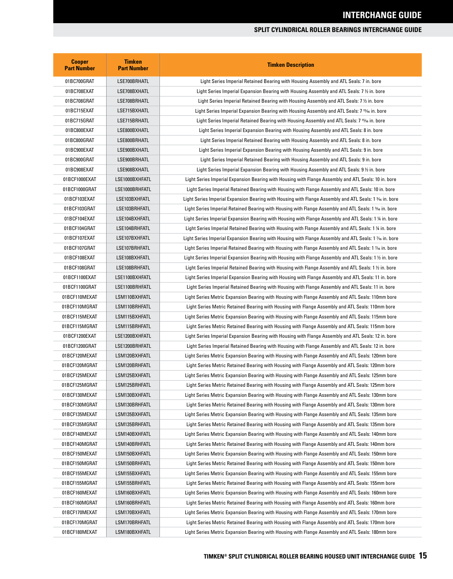| <b>Cooper</b><br><b>Part Number</b> | <b>Timken</b><br><b>Part Number</b> | <b>Timken Description</b>                                                                               |
|-------------------------------------|-------------------------------------|---------------------------------------------------------------------------------------------------------|
| 01BC700GRAT                         | LSE700BRHATL                        | Light Series Imperial Retained Bearing with Housing Assembly and ATL Seals: 7 in. bore                  |
| 01BC708EXAT                         | LSE708BXHATL                        | Light Series Imperial Expansion Bearing with Housing Assembly and ATL Seals: 7 $\%$ in. bore            |
| 01BC708GRAT                         | LSE708BRHATL                        | Light Series Imperial Retained Bearing with Housing Assembly and ATL Seals: 7 1/2 in. bore              |
| 01BC715EXAT                         | LSE715BXHATL                        | Light Series Imperial Expansion Bearing with Housing Assembly and ATL Seals: 7 15/6 in. bore            |
| 01BC715GRAT                         | LSE715BRHATL                        | Light Series Imperial Retained Bearing with Housing Assembly and ATL Seals: 7 <sup>15</sup> /6 in. bore |
| 01BC800EXAT                         | LSE800BXHATL                        | Light Series Imperial Expansion Bearing with Housing Assembly and ATL Seals: 8 in. bore                 |
| 01BC800GRAT                         | LSE800BRHATL                        | Light Series Imperial Retained Bearing with Housing Assembly and ATL Seals: 8 in. bore                  |
| 01BC900EXAT                         | LSE900BXHATL                        | Light Series Imperial Expansion Bearing with Housing Assembly and ATL Seals: 9 in. bore                 |
| 01BC900GRAT                         | LSE900BRHATL                        | Light Series Imperial Retained Bearing with Housing Assembly and ATL Seals: 9 in. bore                  |
| 01BC908EXAT                         | LSE908BXHATL                        | Light Series Imperial Expansion Bearing with Housing Assembly and ATL Seals: 9 ½ in. bore               |
| 01BCF1000EXAT                       | LSE1000BXHFATL                      | Light Series Imperial Expansion Bearing with Housing with Flange Assembly and ATL Seals: 10 in. bore    |
| 01BCF1000GRAT                       | LSE1000BRHFATL                      | Light Series Imperial Retained Bearing with Housing with Flange Assembly and ATL Seals: 10 in. bore     |
| 01BCF103EXAT                        | LSE103BXHFATL                       | Light Series Imperial Expansion Bearing with Housing with Flange Assembly and ATL Seals: 1 ¾ in. bore   |
| 01BCF103GRAT                        | LSE103BRHFATL                       | Light Series Imperial Retained Bearing with Housing with Flange Assembly and ATL Seals: 1 36 in. bore   |
| 01BCF104EXAT                        | LSE104BXHFATL                       | Light Series Imperial Expansion Bearing with Housing with Flange Assembly and ATL Seals: 1 ¼ in. bore   |
| 01BCF104GRAT                        | LSE104BRHFATL                       | Light Series Imperial Retained Bearing with Housing with Flange Assembly and ATL Seals: 1 1/4 in. bore  |
| 01BCF107EXAT                        | LSE107BXHFATL                       | Light Series Imperial Expansion Bearing with Housing with Flange Assembly and ATL Seals: 1 % in. bore   |
| 01BCF107GRAT                        | LSE107BRHFATL                       | Light Series Imperial Retained Bearing with Housing with Flange Assembly and ATL Seals: 1 % in. bore    |
| 01BCF108EXAT                        | LSE108BXHFATL                       | Light Series Imperial Expansion Bearing with Housing with Flange Assembly and ATL Seals: 1 1/2 in. bore |
| 01BCF108GRAT                        | LSE108BRHFATL                       | Light Series Imperial Retained Bearing with Housing with Flange Assembly and ATL Seals: 1 1/2 in. bore  |
| 01BCF1100EXAT                       | LSE1100BXHFATL                      | Light Series Imperial Expansion Bearing with Housing with Flange Assembly and ATL Seals: 11 in. bore    |
| 01BCF1100GRAT                       | LSE1100BRHFATL                      | Light Series Imperial Retained Bearing with Housing with Flange Assembly and ATL Seals: 11 in. bore     |
| 01BCF110MEXAT                       | LSM110BXHFATL                       | Light Series Metric Expansion Bearing with Housing with Flange Assembly and ATL Seals: 110mm bore       |
| 01BCF110MGRAT                       | LSM110BRHFATL                       | Light Series Metric Retained Bearing with Housing with Flange Assembly and ATL Seals: 110mm bore        |
| 01BCF115MEXAT                       | LSM115BXHFATL                       | Light Series Metric Expansion Bearing with Housing with Flange Assembly and ATL Seals: 115mm bore       |
| 01BCF115MGRAT                       | LSM115BRHFATL                       | Light Series Metric Retained Bearing with Housing with Flange Assembly and ATL Seals: 115mm bore        |
| 01BCF1200EXAT                       | LSE1200BXHFATL                      | Light Series Imperial Expansion Bearing with Housing with Flange Assembly and ATL Seals: 12 in. bore    |
| 01BCF1200GRAT                       | LSE1200BRHFATL                      | Light Series Imperial Retained Bearing with Housing with Flange Assembly and ATL Seals: 12 in. bore     |
| 01BCF120MEXAT                       | LSM120BXHFATL                       | Light Series Metric Expansion Bearing with Housing with Flange Assembly and ATL Seals: 120mm bore       |
| 01BCF120MGRAT                       | LSM120BRHFATL                       | Light Series Metric Retained Bearing with Housing with Flange Assembly and ATL Seals: 120mm bore        |
| 01BCF125MEXAT                       | LSM125BXHFATL                       | Light Series Metric Expansion Bearing with Housing with Flange Assembly and ATL Seals: 125mm bore       |
| 01BCF125MGRAT                       | LSM125BRHFATL                       | Light Series Metric Retained Bearing with Housing with Flange Assembly and ATL Seals: 125mm bore        |
| 01BCF130MEXAT                       | LSM130BXHFATL                       | Light Series Metric Expansion Bearing with Housing with Flange Assembly and ATL Seals: 130mm bore       |
| 01BCF130MGRAT                       | LSM130BRHFATL                       | Light Series Metric Retained Bearing with Housing with Flange Assembly and ATL Seals: 130mm bore        |
| 01BCF135MEXAT                       | LSM135BXHFATL                       | Light Series Metric Expansion Bearing with Housing with Flange Assembly and ATL Seals: 135mm bore       |
| 01BCF135MGRAT                       | LSM135BRHFATL                       | Light Series Metric Retained Bearing with Housing with Flange Assembly and ATL Seals: 135mm bore        |
| 01BCF140MEXAT                       | LSM140BXHFATL                       | Light Series Metric Expansion Bearing with Housing with Flange Assembly and ATL Seals: 140mm bore       |
| 01BCF140MGRAT                       | LSM140BRHFATL                       | Light Series Metric Retained Bearing with Housing with Flange Assembly and ATL Seals: 140mm bore        |
| 01BCF150MEXAT                       | LSM150BXHFATL                       | Light Series Metric Expansion Bearing with Housing with Flange Assembly and ATL Seals: 150mm bore       |
| 01BCF150MGRAT                       | LSM150BRHFATL                       | Light Series Metric Retained Bearing with Housing with Flange Assembly and ATL Seals: 150mm bore        |
| 01BCF155MEXAT                       | LSM155BXHFATL                       | Light Series Metric Expansion Bearing with Housing with Flange Assembly and ATL Seals: 155mm bore       |
| 01BCF155MGRAT                       | LSM155BRHFATL                       | Light Series Metric Retained Bearing with Housing with Flange Assembly and ATL Seals: 155mm bore        |
| 01BCF160MEXAT                       | LSM160BXHFATL                       | Light Series Metric Expansion Bearing with Housing with Flange Assembly and ATL Seals: 160mm bore       |
| 01BCF160MGRAT                       | LSM160BRHFATL                       | Light Series Metric Retained Bearing with Housing with Flange Assembly and ATL Seals: 160mm bore        |
| 01BCF170MEXAT                       | LSM170BXHFATL                       | Light Series Metric Expansion Bearing with Housing with Flange Assembly and ATL Seals: 170mm bore       |
| 01BCF170MGRAT                       | LSM170BRHFATL                       | Light Series Metric Retained Bearing with Housing with Flange Assembly and ATL Seals: 170mm bore        |
| 01BCF180MEXAT                       | LSM180BXHFATL                       | Light Series Metric Expansion Bearing with Housing with Flange Assembly and ATL Seals: 180mm bore       |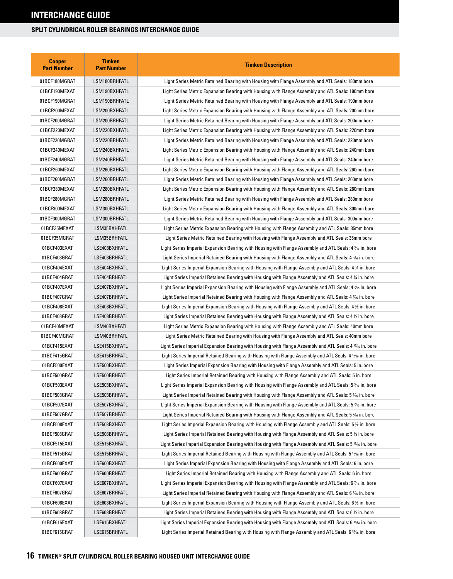| <b>Cooper</b><br><b>Part Number</b> | <b>Timken</b><br><b>Part Number</b> | <b>Timken Description</b>                                                                                         |
|-------------------------------------|-------------------------------------|-------------------------------------------------------------------------------------------------------------------|
| 01BCF180MGRAT                       | LSM180BRHFATL                       | Light Series Metric Retained Bearing with Housing with Flange Assembly and ATL Seals: 180mm bore                  |
| 01BCF190MEXAT                       | LSM190BXHFATL                       | Light Series Metric Expansion Bearing with Housing with Flange Assembly and ATL Seals: 190mm bore                 |
| 01BCF190MGRAT                       | LSM190BRHFATL                       | Light Series Metric Retained Bearing with Housing with Flange Assembly and ATL Seals: 190mm bore                  |
| 01BCF200MEXAT                       | LSM200BXHFATL                       | Light Series Metric Expansion Bearing with Housing with Flange Assembly and ATL Seals: 200mm bore                 |
| 01BCF200MGRAT                       | LSM200BRHFATL                       | Light Series Metric Retained Bearing with Housing with Flange Assembly and ATL Seals: 200mm bore                  |
| 01BCF220MEXAT                       | LSM220BXHFATL                       | Light Series Metric Expansion Bearing with Housing with Flange Assembly and ATL Seals: 220mm bore                 |
| 01BCF220MGRAT                       | LSM220BRHFATL                       | Light Series Metric Retained Bearing with Housing with Flange Assembly and ATL Seals: 220mm bore                  |
| 01BCF240MEXAT                       | LSM240BXHFATL                       | Light Series Metric Expansion Bearing with Housing with Flange Assembly and ATL Seals: 240mm bore                 |
| 01BCF240MGRAT                       | LSM240BRHFATL                       | Light Series Metric Retained Bearing with Housing with Flange Assembly and ATL Seals: 240mm bore                  |
| 01BCF260MEXAT                       | LSM260BXHFATL                       | Light Series Metric Expansion Bearing with Housing with Flange Assembly and ATL Seals: 260mm bore                 |
| 01BCF260MGRAT                       | LSM260BRHFATL                       | Light Series Metric Retained Bearing with Housing with Flange Assembly and ATL Seals: 260mm bore                  |
| 01BCF280MEXAT                       | LSM280BXHFATL                       | Light Series Metric Expansion Bearing with Housing with Flange Assembly and ATL Seals: 280mm bore                 |
| 01BCF280MGRAT                       | LSM280BRHFATL                       | Light Series Metric Retained Bearing with Housing with Flange Assembly and ATL Seals: 280mm bore                  |
| 01BCF300MEXAT                       | LSM300BXHFATL                       | Light Series Metric Expansion Bearing with Housing with Flange Assembly and ATL Seals: 300mm bore                 |
| 01BCF300MGRAT                       | LSM300BRHFATL                       | Light Series Metric Retained Bearing with Housing with Flange Assembly and ATL Seals: 300mm bore                  |
| 01BCF35MEXAT                        | LSM35BXHFATL                        | Light Series Metric Expansion Bearing with Housing with Flange Assembly and ATL Seals: 35mm bore                  |
| 01BCF35MGRAT                        | LSM35BRHFATL                        | Light Series Metric Retained Bearing with Housing with Flange Assembly and ATL Seals: 35mm bore                   |
| 01BCF403EXAT                        | LSE403BXHFATL                       | Light Series Imperial Expansion Bearing with Housing with Flange Assembly and ATL Seals: 4 36 in. bore            |
| 01BCF403GRAT                        | LSE403BRHFATL                       | Light Series Imperial Retained Bearing with Housing with Flange Assembly and ATL Seals: 4 <sup>3</sup> % in. bore |
| 01BCF404EXAT                        | LSE404BXHFATL                       | Light Series Imperial Expansion Bearing with Housing with Flange Assembly and ATL Seals: 4 1/4 in. bore           |
| 01BCF404GRAT                        | LSE404BRHFATL                       | Light Series Imperial Retained Bearing with Housing with Flange Assembly and ATL Seals: 4 1/4 in. bore            |
| 01BCF407EXAT                        | LSE407BXHFATL                       | Light Series Imperial Expansion Bearing with Housing with Flange Assembly and ATL Seals: 4 % in. bore             |
| 01BCF407GRAT                        | LSE407BRHFATL                       | Light Series Imperial Retained Bearing with Housing with Flange Assembly and ATL Seals: 4 % in. bore              |
| 01BCF408EXAT                        | LSE408BXHFATL                       | Light Series Imperial Expansion Bearing with Housing with Flange Assembly and ATL Seals: 4 $\%$ in. bore          |
| 01BCF408GRAT                        | LSE408BRHFATL                       | Light Series Imperial Retained Bearing with Housing with Flange Assembly and ATL Seals: 4 1/2 in. bore            |
| 01BCF40MEXAT                        | LSM40BXHFATL                        | Light Series Metric Expansion Bearing with Housing with Flange Assembly and ATL Seals: 40mm bore                  |
| 01BCF40MGRAT                        | LSM40BRHFATL                        | Light Series Metric Retained Bearing with Housing with Flange Assembly and ATL Seals: 40mm bore                   |
| 01BCF415EXAT                        | LSE415BXHFATL                       | Light Series Imperial Expansion Bearing with Housing with Flange Assembly and ATL Seals: 4 15/16 in. bore         |
| 01BCF415GRAT                        | LSE415BRHFATL                       | Light Series Imperial Retained Bearing with Housing with Flange Assembly and ATL Seals: 4 15% in. bore            |
| 01BCF500EXAT                        | LSE500BXHFATL                       | Light Series Imperial Expansion Bearing with Housing with Flange Assembly and ATL Seals: 5 in. bore               |
| 01BCF500GRAT                        | LSE500BRHFATL                       | Light Series Imperial Retained Bearing with Housing with Flange Assembly and ATL Seals: 5 in. bore                |
| 01BCF503EXAT                        | LSE503BXHFATL                       | Light Series Imperial Expansion Bearing with Housing with Flange Assembly and ATL Seals: 5 3/6 in. bore           |
| 01BCF503GRAT                        | LSE503BRHFATL                       | Light Series Imperial Retained Bearing with Housing with Flange Assembly and ATL Seals: 5 % in. bore              |
| 01BCF507EXAT                        | LSE507BXHFATL                       | Light Series Imperial Expansion Bearing with Housing with Flange Assembly and ATL Seals: 5 % in. bore             |
| 01BCF507GRAT                        | LSE507BRHFATL                       | Light Series Imperial Retained Bearing with Housing with Flange Assembly and ATL Seals: 5 % in. bore              |
| 01BCF508EXAT                        | LSE508BXHFATL                       | Light Series Imperial Expansion Bearing with Housing with Flange Assembly and ATL Seals: 5 % in. bore             |
| 01BCF508GRAT                        | LSE508BRHFATL                       | Light Series Imperial Retained Bearing with Housing with Flange Assembly and ATL Seals: 5 1/2 in. bore            |
| 01BCF515EXAT                        | LSE515BXHFATL                       | Light Series Imperial Expansion Bearing with Housing with Flange Assembly and ATL Seals: 5 15/6 in. bore          |
| 01BCF515GRAT                        | LSE515BRHFATL                       | Light Series Imperial Retained Bearing with Housing with Flange Assembly and ATL Seals: 5 15/16 in. bore          |
| 01BCF600EXAT                        | LSE600BXHFATL                       | Light Series Imperial Expansion Bearing with Housing with Flange Assembly and ATL Seals: 6 in. bore               |
| 01BCF600GRAT                        | LSE600BRHFATL                       | Light Series Imperial Retained Bearing with Housing with Flange Assembly and ATL Seals: 6 in. bore                |
| 01BCF607EXAT                        | LSE607BXHFATL                       | Light Series Imperial Expansion Bearing with Housing with Flange Assembly and ATL Seals: 6 % in. bore             |
| 01BCF607GRAT                        | LSE607BRHFATL                       | Light Series Imperial Retained Bearing with Housing with Flange Assembly and ATL Seals: 6 % in. bore              |
| 01BCF608EXAT                        | LSE608BXHFATL                       | Light Series Imperial Expansion Bearing with Housing with Flange Assembly and ATL Seals: 6 % in. bore             |
| 01BCF608GRAT                        | LSE608BRHFATL                       | Light Series Imperial Retained Bearing with Housing with Flange Assembly and ATL Seals: 6 $\frac{1}{2}$ in. bore  |
| 01BCF615EXAT                        | LSE615BXHFATL                       | Light Series Imperial Expansion Bearing with Housing with Flange Assembly and ATL Seals: 6 15/16 in. bore         |
| 01BCF615GRAT                        | LSE615BRHFATL                       | Light Series Imperial Retained Bearing with Housing with Flange Assembly and ATL Seals: 6 15% in. bore            |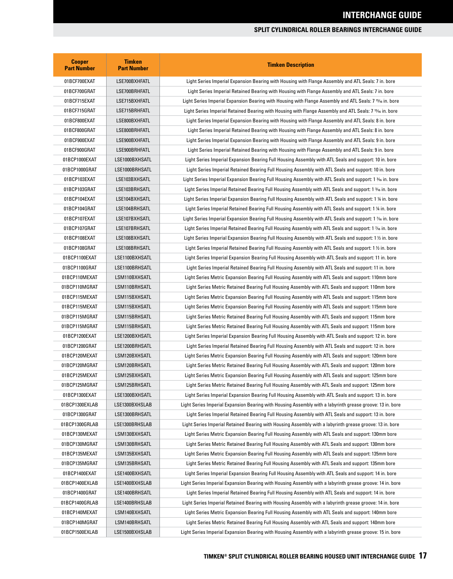| <b>Cooper</b><br><b>Part Number</b> | <b>Timken</b><br><b>Part Number</b> | <b>Timken Description</b>                                                                                           |
|-------------------------------------|-------------------------------------|---------------------------------------------------------------------------------------------------------------------|
| 01BCF700EXAT                        | LSE700BXHFATL                       | Light Series Imperial Expansion Bearing with Housing with Flange Assembly and ATL Seals: 7 in. bore                 |
| 01BCF700GRAT                        | LSE700BRHFATL                       | Light Series Imperial Retained Bearing with Housing with Flange Assembly and ATL Seals: 7 in. bore                  |
| 01BCF715EXAT                        | LSE715BXHFATL                       | Light Series Imperial Expansion Bearing with Housing with Flange Assembly and ATL Seals: 7 15% in. bore             |
| 01BCF715GRAT                        | LSE715BRHFATL                       | Light Series Imperial Retained Bearing with Housing with Flange Assembly and ATL Seals: 7 15⁄16 in. bore            |
| 01BCF800EXAT                        | LSE800BXHFATL                       | Light Series Imperial Expansion Bearing with Housing with Flange Assembly and ATL Seals: 8 in. bore                 |
| 01BCF800GRAT                        | LSE800BRHFATL                       | Light Series Imperial Retained Bearing with Housing with Flange Assembly and ATL Seals: 8 in. bore                  |
| 01BCF900EXAT                        | LSE900BXHFATL                       | Light Series Imperial Expansion Bearing with Housing with Flange Assembly and ATL Seals: 9 in. bore                 |
| 01BCF900GRAT                        | LSE900BRHFATL                       | Light Series Imperial Retained Bearing with Housing with Flange Assembly and ATL Seals: 9 in. bore                  |
| 01BCP1000EXAT                       | LSE1000BXHSATL                      | Light Series Imperial Expansion Bearing Full Housing Assembly with ATL Seals and support: 10 in. bore               |
| 01BCP1000GRAT                       | LSE1000BRHSATL                      | Light Series Imperial Retained Bearing Full Housing Assembly with ATL Seals and support: 10 in. bore                |
| 01BCP103EXAT                        | LSE103BXHSATL                       | Light Series Imperial Expansion Bearing Full Housing Assembly with ATL Seals and support: 1 <sup>3</sup> % in. bore |
| 01BCP103GRAT                        | LSE103BRHSATL                       | Light Series Imperial Retained Bearing Full Housing Assembly with ATL Seals and support: 1 3% in. bore              |
| 01BCP104EXAT                        | LSE104BXHSATL                       | Light Series Imperial Expansion Bearing Full Housing Assembly with ATL Seals and support: 1 % in. bore              |
| 01BCP104GRAT                        | LSE104BRHSATL                       | Light Series Imperial Retained Bearing Full Housing Assembly with ATL Seals and support: 1 ¼ in. bore               |
| 01BCP107EXAT                        | LSE107BXHSATL                       | Light Series Imperial Expansion Bearing Full Housing Assembly with ATL Seals and support: 1 1⁄16 in. bore           |
| 01BCP107GRAT                        | LSE107BRHSATL                       | Light Series Imperial Retained Bearing Full Housing Assembly with ATL Seals and support: 1 % in. bore               |
| 01BCP108EXAT                        | LSE108BXHSATL                       | Light Series Imperial Expansion Bearing Full Housing Assembly with ATL Seals and support: 1 1/2 in. bore            |
| 01BCP108GRAT                        | LSE108BRHSATL                       | Light Series Imperial Retained Bearing Full Housing Assembly with ATL Seals and support: 1 1/2 in. bore             |
| 01BCP1100EXAT                       | LSE1100BXHSATL                      | Light Series Imperial Expansion Bearing Full Housing Assembly with ATL Seals and support: 11 in. bore               |
| 01BCP1100GRAT                       | LSE1100BRHSATL                      | Light Series Imperial Retained Bearing Full Housing Assembly with ATL Seals and support: 11 in. bore                |
| 01BCP110MEXAT                       | LSM110BXHSATL                       | Light Series Metric Expansion Bearing Full Housing Assembly with ATL Seals and support: 110mm bore                  |
| 01BCP110MGRAT                       | LSM110BRHSATL                       | Light Series Metric Retained Bearing Full Housing Assembly with ATL Seals and support: 110mm bore                   |
| 01BCP115MEXAT                       | LSM115BXHSATL                       | Light Series Metric Expansion Bearing Full Housing Assembly with ATL Seals and support: 115mm bore                  |
| 01BCP115MEXAT                       | LSM115BXHSATL                       | Light Series Metric Expansion Bearing Full Housing Assembly with ATL Seals and support: 115mm bore                  |
| 01BCP115MGRAT                       | LSM115BRHSATL                       | Light Series Metric Retained Bearing Full Housing Assembly with ATL Seals and support: 115mm bore                   |
| 01BCP115MGRAT                       | LSM115BRHSATL                       | Light Series Metric Retained Bearing Full Housing Assembly with ATL Seals and support: 115mm bore                   |
| 01BCP1200EXAT                       | LSE1200BXHSATL                      | Light Series Imperial Expansion Bearing Full Housing Assembly with ATL Seals and support: 12 in. bore               |
| 01BCP1200GRAT                       | LSE1200BRHSATL                      | Light Series Imperial Retained Bearing Full Housing Assembly with ATL Seals and support: 12 in. bore                |
| 01BCP120MEXAT                       | LSM120BXHSATL                       | Light Series Metric Expansion Bearing Full Housing Assembly with ATL Seals and support: 120mm bore                  |
| 01BCP120MGRAT                       | LSM120BRHSATL                       | Light Series Metric Retained Bearing Full Housing Assembly with ATL Seals and support: 120mm bore                   |
| 01BCP125MEXAT                       | LSM125BXHSATL                       | Light Series Metric Expansion Bearing Full Housing Assembly with ATL Seals and support: 125mm bore                  |
| 01BCP125MGRAT                       | LSM125BRHSATL                       | Light Series Metric Retained Bearing Full Housing Assembly with ATL Seals and support: 125mm bore                   |
| 01BCP1300EXAT                       | LSE1300BXHSATL                      | Light Series Imperial Expansion Bearing Full Housing Assembly with ATL Seals and support: 13 in. bore               |
| 01BCP1300EXLAB                      | LSE1300BXHSLAB                      | Light Series Imperial Expansion Bearing with Housing Assembly with a labyrinth grease groove: 13 in. bore           |
| 01BCP1300GRAT                       | LSE1300BRHSATL                      | Light Series Imperial Retained Bearing Full Housing Assembly with ATL Seals and support: 13 in. bore                |
| 01BCP1300GRLAB                      | LSE1300BRHSLAB                      | Light Series Imperial Retained Bearing with Housing Assembly with a labyrinth grease groove: 13 in. bore            |
| 01BCP130MEXAT                       | LSM130BXHSATL                       | Light Series Metric Expansion Bearing Full Housing Assembly with ATL Seals and support: 130mm bore                  |
| 01BCP130MGRAT                       | LSM130BRHSATL                       | Light Series Metric Retained Bearing Full Housing Assembly with ATL Seals and support: 130mm bore                   |
| 01BCP135MEXAT                       | LSM135BXHSATL                       | Light Series Metric Expansion Bearing Full Housing Assembly with ATL Seals and support: 135mm bore                  |
| 01BCP135MGRAT                       | LSM135BRHSATL                       | Light Series Metric Retained Bearing Full Housing Assembly with ATL Seals and support: 135mm bore                   |
| 01BCP1400EXAT                       | LSE1400BXHSATL                      | Light Series Imperial Expansion Bearing Full Housing Assembly with ATL Seals and support: 14 in. bore               |
| 01BCP1400EXLAB                      | LSE1400BXHSLAB                      | Light Series Imperial Expansion Bearing with Housing Assembly with a labyrinth grease groove: 14 in. bore           |
| 01BCP1400GRAT                       | LSE1400BRHSATL                      | Light Series Imperial Retained Bearing Full Housing Assembly with ATL Seals and support: 14 in. bore                |
| 01BCP1400GRLAB                      | LSE1400BRHSLAB                      | Light Series Imperial Retained Bearing with Housing Assembly with a labyrinth grease groove: 14 in. bore            |
| 01BCP140MEXAT                       | LSM140BXHSATL                       | Light Series Metric Expansion Bearing Full Housing Assembly with ATL Seals and support: 140mm bore                  |
| 01BCP140MGRAT                       | LSM140BRHSATL                       | Light Series Metric Retained Bearing Full Housing Assembly with ATL Seals and support: 140mm bore                   |
| 01BCP1500EXLAB                      | LSE1500BXHSLAB                      | Light Series Imperial Expansion Bearing with Housing Assembly with a labyrinth grease groove: 15 in. bore           |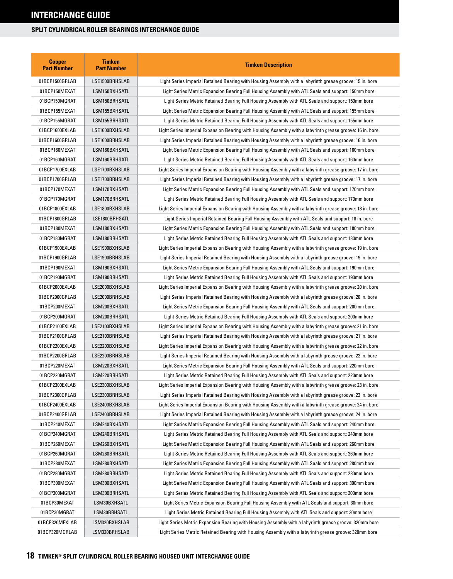| <b>Cooper</b><br><b>Part Number</b> | <b>Timken</b><br><b>Part Number</b> | <b>Timken Description</b>                                                                                 |
|-------------------------------------|-------------------------------------|-----------------------------------------------------------------------------------------------------------|
| 01BCP1500GRLAB                      | LSE1500BRHSLAB                      | Light Series Imperial Retained Bearing with Housing Assembly with a labyrinth grease groove: 15 in. bore  |
| 01BCP150MEXAT                       | LSM150BXHSATL                       | Light Series Metric Expansion Bearing Full Housing Assembly with ATL Seals and support: 150mm bore        |
| 01BCP150MGRAT                       | LSM150BRHSATL                       | Light Series Metric Retained Bearing Full Housing Assembly with ATL Seals and support: 150mm bore         |
| 01BCP155MEXAT                       | LSM155BXHSATL                       | Light Series Metric Expansion Bearing Full Housing Assembly with ATL Seals and support: 155mm bore        |
| 01BCP155MGRAT                       | LSM155BRHSATL                       | Light Series Metric Retained Bearing Full Housing Assembly with ATL Seals and support: 155mm bore         |
| 01BCP1600EXLAB                      | LSE1600BXHSLAB                      | Light Series Imperial Expansion Bearing with Housing Assembly with a labyrinth grease groove: 16 in. bore |
| 01BCP1600GRLAB                      | LSE1600BRHSLAB                      | Light Series Imperial Retained Bearing with Housing Assembly with a labyrinth grease groove: 16 in. bore  |
| 01BCP160MEXAT                       | LSM160BXHSATL                       | Light Series Metric Expansion Bearing Full Housing Assembly with ATL Seals and support: 160mm bore        |
| 01BCP160MGRAT                       | LSM160BRHSATL                       | Light Series Metric Retained Bearing Full Housing Assembly with ATL Seals and support: 160mm bore         |
| 01BCP1700EXLAB                      | LSE1700BXHSLAB                      | Light Series Imperial Expansion Bearing with Housing Assembly with a labyrinth grease groove: 17 in. bore |
| 01BCP1700GRLAB                      | LSE1700BRHSLAB                      | Light Series Imperial Retained Bearing with Housing Assembly with a labyrinth grease groove: 17 in. bore  |
| 01BCP170MEXAT                       | LSM170BXHSATL                       | Light Series Metric Expansion Bearing Full Housing Assembly with ATL Seals and support: 170mm bore        |
| 01BCP170MGRAT                       | LSM170BRHSATL                       | Light Series Metric Retained Bearing Full Housing Assembly with ATL Seals and support: 170mm bore         |
| 01BCP1800EXLAB                      | LSE1800BXHSLAB                      | Light Series Imperial Expansion Bearing with Housing Assembly with a labyrinth grease groove: 18 in. bore |
| 01BCP1800GRLAB                      | LSE1800BRHSATL                      | Light Series Imperial Retained Bearing Full Housing Assembly with ATL Seals and support: 18 in. bore      |
| 01BCP180MEXAT                       | LSM180BXHSATL                       | Light Series Metric Expansion Bearing Full Housing Assembly with ATL Seals and support: 180mm bore        |
| 01BCP180MGRAT                       | LSM180BRHSATL                       | Light Series Metric Retained Bearing Full Housing Assembly with ATL Seals and support: 180mm bore         |
| 01BCP1900EXLAB                      | LSE1900BXHSLAB                      | Light Series Imperial Expansion Bearing with Housing Assembly with a labyrinth grease groove: 19 in. bore |
| 01BCP1900GRLAB                      | LSE1900BRHSLAB                      | Light Series Imperial Retained Bearing with Housing Assembly with a labyrinth grease groove: 19 in. bore  |
| 01BCP190MEXAT                       | LSM190BXHSATL                       | Light Series Metric Expansion Bearing Full Housing Assembly with ATL Seals and support: 190mm bore        |
| 01BCP190MGRAT                       | LSM190BRHSATL                       | Light Series Metric Retained Bearing Full Housing Assembly with ATL Seals and support: 190mm bore         |
| 01BCP2000EXLAB                      | LSE2000BXHSLAB                      | Light Series Imperial Expansion Bearing with Housing Assembly with a labyrinth grease groove: 20 in. bore |
| 01BCP2000GRLAB                      | LSE2000BRHSLAB                      | Light Series Imperial Retained Bearing with Housing Assembly with a labyrinth grease groove: 20 in. bore  |
| 01BCP200MEXAT                       | LSM200BXHSATL                       | Light Series Metric Expansion Bearing Full Housing Assembly with ATL Seals and support: 200mm bore        |
| 01BCP200MGRAT                       | LSM200BRHSATL                       | Light Series Metric Retained Bearing Full Housing Assembly with ATL Seals and support: 200mm bore         |
| 01BCP2100EXLAB                      | LSE2100BXHSLAB                      | Light Series Imperial Expansion Bearing with Housing Assembly with a labyrinth grease groove: 21 in. bore |
| 01BCP2100GRLAB                      | LSE2100BRHSLAB                      | Light Series Imperial Retained Bearing with Housing Assembly with a labyrinth grease groove: 21 in. bore  |
| 01BCP2200EXLAB                      | LSE2200BXHSLAB                      | Light Series Imperial Expansion Bearing with Housing Assembly with a labyrinth grease groove: 22 in. bore |
| 01BCP2200GRLAB                      | LSE2200BRHSLAB                      | Light Series Imperial Retained Bearing with Housing Assembly with a labyrinth grease groove: 22 in. bore  |
| 01BCP220MEXAT                       | LSM220BXHSATL                       | Light Series Metric Expansion Bearing Full Housing Assembly with ATL Seals and support: 220mm bore        |
| 01BCP220MGRAT                       | LSM220BRHSATL                       | Light Series Metric Retained Bearing Full Housing Assembly with ATL Seals and support: 220mm bore         |
| 01BCP2300EXLAB                      | LSE2300BXHSLAB                      | Light Series Imperial Expansion Bearing with Housing Assembly with a labyrinth grease groove: 23 in. bore |
| 01BCP2300GRLAB                      | LSE2300BRHSLAB                      | Light Series Imperial Retained Bearing with Housing Assembly with a labyrinth grease groove: 23 in. bore  |
| 01BCP2400EXLAB                      | LSE2400BXHSLAB                      | Light Series Imperial Expansion Bearing with Housing Assembly with a labyrinth grease groove: 24 in. bore |
| 01BCP2400GRLAB                      | LSE2400BRHSLAB                      | Light Series Imperial Retained Bearing with Housing Assembly with a labyrinth grease groove: 24 in. bore  |
| 01BCP240MEXAT                       | LSM240BXHSATL                       | Light Series Metric Expansion Bearing Full Housing Assembly with ATL Seals and support: 240mm bore        |
| 01BCP240MGRAT                       | LSM240BRHSATL                       | Light Series Metric Retained Bearing Full Housing Assembly with ATL Seals and support: 240mm bore         |
| 01BCP260MEXAT                       | LSM260BXHSATL                       | Light Series Metric Expansion Bearing Full Housing Assembly with ATL Seals and support: 260mm bore        |
| 01BCP260MGRAT                       | LSM260BRHSATL                       | Light Series Metric Retained Bearing Full Housing Assembly with ATL Seals and support: 260mm bore         |
| 01BCP280MEXAT                       | LSM280BXHSATL                       | Light Series Metric Expansion Bearing Full Housing Assembly with ATL Seals and support: 280mm bore        |
| 01BCP280MGRAT                       | LSM280BRHSATL                       | Light Series Metric Retained Bearing Full Housing Assembly with ATL Seals and support: 280mm bore         |
| 01BCP300MEXAT                       | LSM300BXHSATL                       | Light Series Metric Expansion Bearing Full Housing Assembly with ATL Seals and support: 300mm bore        |
| 01BCP300MGRAT                       | LSM300BRHSATL                       | Light Series Metric Retained Bearing Full Housing Assembly with ATL Seals and support: 300mm bore         |
| 01BCP30MEXAT                        | LSM30BXHSATL                        | Light Series Metric Expansion Bearing Full Housing Assembly with ATL Seals and support: 30mm bore         |
| 01BCP30MGRAT                        | LSM30BRHSATL                        | Light Series Metric Retained Bearing Full Housing Assembly with ATL Seals and support: 30mm bore          |
| 01BCP320MEXLAB                      | LSM320BXHSLAB                       | Light Series Metric Expansion Bearing with Housing Assembly with a labyrinth grease groove: 320mm bore    |
| 01BCP320MGRLAB                      | LSM320BRHSLAB                       | Light Series Metric Retained Bearing with Housing Assembly with a labyrinth grease groove: 320mm bore     |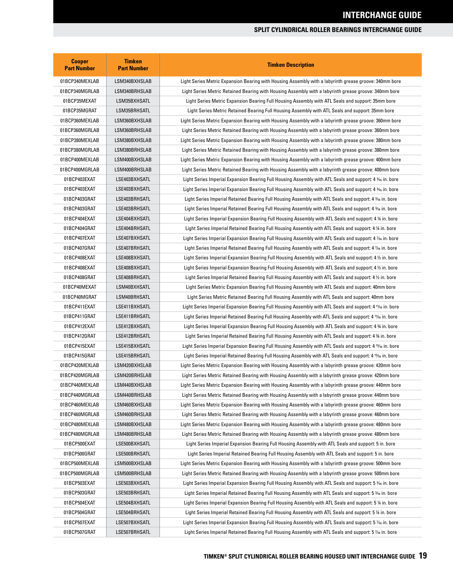| <b>Cooper</b><br><b>Part Number</b> | <b>Timken</b><br><b>Part Number</b> | <b>Timken Description</b>                                                                                          |
|-------------------------------------|-------------------------------------|--------------------------------------------------------------------------------------------------------------------|
| 01BCP340MEXLAB                      | LSM340BXHSLAB                       | Light Series Metric Expansion Bearing with Housing Assembly with a labyrinth grease groove: 340mm bore             |
| 01BCP340MGRLAB                      | LSM340BRHSLAB                       | Light Series Metric Retained Bearing with Housing Assembly with a labyrinth grease groove: 340mm bore              |
| 01BCP35MEXAT                        | LSM35BXHSATL                        | Light Series Metric Expansion Bearing Full Housing Assembly with ATL Seals and support: 35mm bore                  |
| 01BCP35MGRAT                        | LSM35BRHSATL                        | Light Series Metric Retained Bearing Full Housing Assembly with ATL Seals and support: 35mm bore                   |
| 01BCP360MEXLAB                      | LSM360BXHSLAB                       | Light Series Metric Expansion Bearing with Housing Assembly with a labyrinth grease groove: 360mm bore             |
| 01BCP360MGRLAB                      | LSM360BRHSLAB                       | Light Series Metric Retained Bearing with Housing Assembly with a labyrinth grease groove: 360mm bore              |
| 01BCP380MEXLAB                      | LSM380BXHSLAB                       | Light Series Metric Expansion Bearing with Housing Assembly with a labyrinth grease groove: 380mm bore             |
| 01BCP380MGRLAB                      | LSM380BRHSLAB                       | Light Series Metric Retained Bearing with Housing Assembly with a labyrinth grease groove: 380mm bore              |
| 01BCP400MEXLAB                      | LSM400BXHSLAB                       | Light Series Metric Expansion Bearing with Housing Assembly with a labyrinth grease groove: 400mm bore             |
| 01BCP400MGRLAB                      | LSM400BRHSLAB                       | Light Series Metric Retained Bearing with Housing Assembly with a labyrinth grease groove: 400mm bore              |
| 01BCP403EXAT                        | LSE403BXHSATL                       | Light Series Imperial Expansion Bearing Full Housing Assembly with ATL Seals and support: 4 3% in. bore            |
| 01BCP403EXAT                        | LSE403BXHSATL                       | Light Series Imperial Expansion Bearing Full Housing Assembly with ATL Seals and support: 4 3% in. bore            |
| 01BCP403GRAT                        | LSE403BRHSATL                       | Light Series Imperial Retained Bearing Full Housing Assembly with ATL Seals and support: 4 3% in. bore             |
| 01BCP403GRAT                        | LSE403BRHSATL                       | Light Series Imperial Retained Bearing Full Housing Assembly with ATL Seals and support: 4 % in. bore              |
| 01BCP404EXAT                        | LSE404BXHSATL                       | Light Series Imperial Expansion Bearing Full Housing Assembly with ATL Seals and support: 4 % in. bore             |
| 01BCP404GRAT                        | LSE404BRHSATL                       | Light Series Imperial Retained Bearing Full Housing Assembly with ATL Seals and support: 4 ¼ in. bore              |
| 01BCP407EXAT                        | LSE407BXHSATL                       | Light Series Imperial Expansion Bearing Full Housing Assembly with ATL Seals and support: 4 % in. bore             |
| 01BCP407GRAT                        | LSE407BRHSATL                       | Light Series Imperial Retained Bearing Full Housing Assembly with ATL Seals and support: 4 % in. bore              |
| 01BCP408EXAT                        | LSE408BXHSATL                       | Light Series Imperial Expansion Bearing Full Housing Assembly with ATL Seals and support: 4 $\%$ in. bore          |
| 01BCP408EXAT                        | LSE408BXHSATL                       | Light Series Imperial Expansion Bearing Full Housing Assembly with ATL Seals and support: 4 ½ in. bore             |
| 01BCP408GRAT                        | LSE408BRHSATL                       | Light Series Imperial Retained Bearing Full Housing Assembly with ATL Seals and support: 4 1/2 in. bore            |
| 01BCP40MEXAT                        | LSM40BXHSATL                        | Light Series Metric Expansion Bearing Full Housing Assembly with ATL Seals and support: 40mm bore                  |
| 01BCP40MGRAT                        | LSM40BRHSATL                        | Light Series Metric Retained Bearing Full Housing Assembly with ATL Seals and support: 40mm bore                   |
| 01BCP411EXAT                        | LSE411BXHSATL                       | Light Series Imperial Expansion Bearing Full Housing Assembly with ATL Seals and support: 4 11% in. bore           |
| 01BCP411GRAT                        | LSE411BRHSATL                       | Light Series Imperial Retained Bearing Full Housing Assembly with ATL Seals and support: 4 11/16 in. bore          |
| 01BCP412EXAT                        | LSE412BXHSATL                       | Light Series Imperial Expansion Bearing Full Housing Assembly with ATL Seals and support: 4 % in. bore             |
| 01BCP412GRAT                        | LSE412BRHSATL                       | Light Series Imperial Retained Bearing Full Housing Assembly with ATL Seals and support: 4 % in. bore              |
| 01BCP415EXAT                        | LSE415BXHSATL                       | Light Series Imperial Expansion Bearing Full Housing Assembly with ATL Seals and support: 4 15% in. bore           |
| 01BCP415GRAT                        | LSE415BRHSATL                       | Light Series Imperial Retained Bearing Full Housing Assembly with ATL Seals and support: 4 15% in. bore            |
| 01BCP420MEXLAB                      | LSM420BXHSLAB                       | Light Series Metric Expansion Bearing with Housing Assembly with a labyrinth grease groove: 420mm bore             |
| 01BCP420MGRLAB                      | LSM420BRHSLAB                       | Light Series Metric Retained Bearing with Housing Assembly with a labyrinth grease groove: 420mm bore              |
| 01BCP440MEXLAB                      | LSM440BXHSLAB                       | Light Series Metric Expansion Bearing with Housing Assembly with a labyrinth grease groove: 440mm bore             |
| 01BCP440MGRLAB                      | LSM440BRHSLAB                       | Light Series Metric Retained Bearing with Housing Assembly with a labyrinth grease groove: 440mm bore              |
| 01BCP460MEXLAB                      | LSM460BXHSLAB                       | Light Series Metric Expansion Bearing with Housing Assembly with a labyrinth grease groove: 460mm bore             |
| 01BCP460MGRLAB                      | LSM460BRHSLAB                       | Light Series Metric Retained Bearing with Housing Assembly with a labyrinth grease groove: 460mm bore              |
| 01BCP480MEXLAB                      | LSM480BXHSLAB                       | Light Series Metric Expansion Bearing with Housing Assembly with a labyrinth grease groove: 480mm bore             |
| 01BCP480MGRLAB                      | LSM480BRHSLAB                       | Light Series Metric Retained Bearing with Housing Assembly with a labyrinth grease groove: 480mm bore              |
| 01BCP500EXAT                        | LSE500BXHSATL                       | Light Series Imperial Expansion Bearing Full Housing Assembly with ATL Seals and support: 5 in. bore               |
| 01BCP500GRAT                        | LSE500BRHSATL                       | Light Series Imperial Retained Bearing Full Housing Assembly with ATL Seals and support: 5 in. bore                |
| 01BCP500MEXLAB                      | LSM500BXHSLAB                       | Light Series Metric Expansion Bearing with Housing Assembly with a labyrinth grease groove: 500mm bore             |
| 01BCP500MGRLAB                      | LSM500BRHSLAB                       | Light Series Metric Retained Bearing with Housing Assembly with a labyrinth grease groove: 500mm bore              |
| 01BCP503EXAT                        | LSE503BXHSATL                       | Light Series Imperial Expansion Bearing Full Housing Assembly with ATL Seals and support: 5 % in. bore             |
| 01BCP503GRAT                        | LSE503BRHSATL                       | Light Series Imperial Retained Bearing Full Housing Assembly with ATL Seals and support: 5 <sup>3</sup> % in. bore |
| 01BCP504EXAT                        | LSE504BXHSATL                       | Light Series Imperial Expansion Bearing Full Housing Assembly with ATL Seals and support: 5 1/4 in. bore           |
| 01BCP504GRAT                        | LSE504BRHSATL                       | Light Series Imperial Retained Bearing Full Housing Assembly with ATL Seals and support: 5 ¼ in. bore              |
| 01BCP507EXAT                        | LSE507BXHSATL                       | Light Series Imperial Expansion Bearing Full Housing Assembly with ATL Seals and support: 5 % in. bore             |
| 01BCP507GRAT                        | LSE507BRHSATL                       | Light Series Imperial Retained Bearing Full Housing Assembly with ATL Seals and support: 5 % in. bore              |
|                                     |                                     |                                                                                                                    |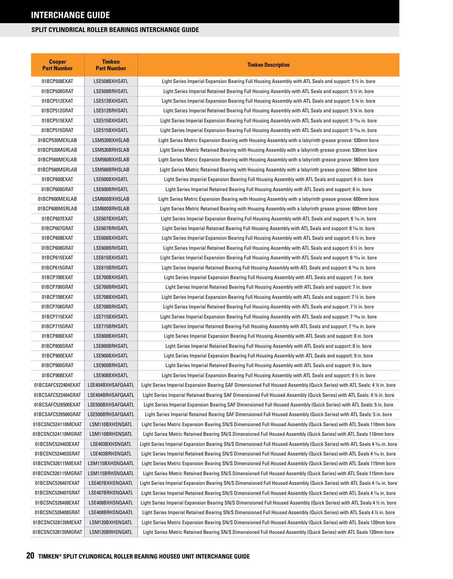| <b>Cooper</b><br><b>Part Number</b> | <b>Timken</b><br><b>Part Number</b> | <b>Timken Description</b>                                                                                                |
|-------------------------------------|-------------------------------------|--------------------------------------------------------------------------------------------------------------------------|
| 01BCP508EXAT                        | LSE508BXHSATL                       | Light Series Imperial Expansion Bearing Full Housing Assembly with ATL Seals and support: $5\%$ in. bore                 |
| 01BCP508GRAT                        | LSE508BRHSATL                       | Light Series Imperial Retained Bearing Full Housing Assembly with ATL Seals and support: 5 ½ in. bore                    |
| 01BCP512EXAT                        | LSE512BXHSATL                       | Light Series Imperial Expansion Bearing Full Housing Assembly with ATL Seals and support: 5 % in. bore                   |
| 01BCP512GRAT                        | LSE512BRHSATL                       | Light Series Imperial Retained Bearing Full Housing Assembly with ATL Seals and support: 5 % in. bore                    |
| 01BCP515EXAT                        | LSE515BXHSATL                       | Light Series Imperial Expansion Bearing Full Housing Assembly with ATL Seals and support: 5 15/6 in. bore                |
| 01BCP515GRAT                        | LSE515BXHSATL                       | Light Series Imperial Expansion Bearing Full Housing Assembly with ATL Seals and support: 5 15/16 in. bore               |
| 01BCP530MEXLAB                      | LSM530BXHSLAB                       | Light Series Metric Expansion Bearing with Housing Assembly with a labyrinth grease groove: 530mm bore                   |
| 01BCP530MGRLAB                      | LSM530BRHSLAB                       | Light Series Metric Retained Bearing with Housing Assembly with a labyrinth grease groove: 530mm bore                    |
| 01BCP560MEXLAB                      | LSM560BXHSLAB                       | Light Series Metric Expansion Bearing with Housing Assembly with a labyrinth grease groove: 560mm bore                   |
| 01BCP560MGRLAB                      | LSM560BRHSLAB                       | Light Series Metric Retained Bearing with Housing Assembly with a labyrinth grease groove: 560mm bore                    |
| 01BCP600EXAT                        | LSE600BXHSATL                       | Light Series Imperial Expansion Bearing Full Housing Assembly with ATL Seals and support: 6 in. bore                     |
| 01BCP600GRAT                        | LSE600BRHSATL                       | Light Series Imperial Retained Bearing Full Housing Assembly with ATL Seals and support: 6 in. bore                      |
| 01BCP600MEXLAB                      | LSM600BXHSLAB                       | Light Series Metric Expansion Bearing with Housing Assembly with a labyrinth grease groove: 600mm bore                   |
| 01BCP600MGRLAB                      | LSM600BRHSLAB                       | Light Series Metric Retained Bearing with Housing Assembly with a labyrinth grease groove: 600mm bore                    |
| 01BCP607EXAT                        | LSE607BXHSATL                       | Light Series Imperial Expansion Bearing Full Housing Assembly with ATL Seals and support: 6 % in. bore                   |
| 01BCP607GRAT                        | LSE607BRHSATL                       | Light Series Imperial Retained Bearing Full Housing Assembly with ATL Seals and support: 6 % in. bore                    |
| 01BCP608EXAT                        | LSE608BXHSATL                       | Light Series Imperial Expansion Bearing Full Housing Assembly with ATL Seals and support: 6 $\%$ in. bore                |
| 01BCP608GRAT                        | LSE608BRHSATL                       | Light Series Imperial Retained Bearing Full Housing Assembly with ATL Seals and support: 6 ½ in. bore                    |
| 01BCP615EXAT                        | LSE615BXHSATL                       | Light Series Imperial Expansion Bearing Full Housing Assembly with ATL Seals and support: 6 <sup>15</sup> /16 in. bore   |
| 01BCP615GRAT                        | LSE615BRHSATL                       | Light Series Imperial Retained Bearing Full Housing Assembly with ATL Seals and support: 6 15% in. bore                  |
| 01BCP700EXAT                        | LSE700BXHSATL                       | Light Series Imperial Expansion Bearing Full Housing Assembly with ATL Seals and support: 7 in. bore                     |
| 01BCP700GRAT                        | LSE700BRHSATL                       | Light Series Imperial Retained Bearing Full Housing Assembly with ATL Seals and support: 7 in. bore                      |
| 01BCP708EXAT                        | LSE708BXHSATL                       | Light Series Imperial Expansion Bearing Full Housing Assembly with ATL Seals and support: 7 $\%$ in. bore                |
| 01BCP708GRAT                        | LSE708BRHSATL                       | Light Series Imperial Retained Bearing Full Housing Assembly with ATL Seals and support: 7 ½ in. bore                    |
| 01BCP715EXAT                        | LSE715BXHSATL                       | Light Series Imperial Expansion Bearing Full Housing Assembly with ATL Seals and support: 7 15⁄16 in. bore               |
| 01BCP715GRAT                        | LSE715BRHSATL                       | Light Series Imperial Retained Bearing Full Housing Assembly with ATL Seals and support: 7 قاءة 1.5 kin. bore            |
| 01BCP800EXAT                        | LSE800BXHSATL                       | Light Series Imperial Expansion Bearing Full Housing Assembly with ATL Seals and support: 8 in. bore                     |
| 01BCP800GRAT                        | LSE800BRHSATL                       | Light Series Imperial Retained Bearing Full Housing Assembly with ATL Seals and support: 8 in. bore                      |
| 01BCP900EXAT                        | LSE900BXHSATL                       | Light Series Imperial Expansion Bearing Full Housing Assembly with ATL Seals and support: 9 in. bore                     |
| 01BCP900GRAT                        | LSE900BRHSATL                       | Light Series Imperial Retained Bearing Full Housing Assembly with ATL Seals and support: 9 in. bore                      |
| 01BCP908EXAT                        | LSE908BXHSATL                       | Light Series Imperial Expansion Bearing Full Housing Assembly with ATL Seals and support: $9\frac{1}{2}$ in. bore        |
| 01BCSAFC522404EXAT                  | LSE404BXHSAFQAATL                   | Light Series Imperial Expansion Bearing SAF Dimensioned Full Housed Assembly (Quick Series) with ATL Seals: 4 % in. bore |
| 01BCSAFC522404GRAT                  | LSE404BRHSAFQAATL                   | Light Series Imperial Retained Bearing SAF Dimensioned Full Housed Assembly (Quick Series) with ATL Seals: 4 ¼ in. bore  |
| 01BCSAFC526500EXAT                  | LSE500BXHSAFQAATL                   | Light Series Imperial Expansion Bearing SAF Dimensioned Full Housed Assembly (Quick Series) with ATL Seals: 5 in. bore   |
| 01BCSAFC526500GRAT                  | LSE500BRHSAFQAATL                   | Light Series Imperial Retained Bearing SAF Dimensioned Full Housed Assembly (Quick Series) with ATL Seals: 5 in. bore    |
| 01BCSNC524110MEXAT                  | LSM110BXHSNQATL                     | Light Series Metric Expansion Bearing SN/S Dimensioned Full Housed Assembly (Quick Series) with ATL Seals 110mm bore     |
| 01BCSNC524110MGRAT                  | LSM110BRHSNQATL                     | Light Series Metric Retained Bearing SN/S Dimensioned Full Housed Assembly (Quick Series) with ATL Seals 110mm bore      |
| 01BCSNC524403EXAT                   | LSE403BXHSNQATL                     | Light Series Imperial Expansion Bearing SN/S Dimensioned Full Housed Assembly (Quick Series) with ATL Seals 4 % in. bore |
| 01BCSNC524403GRAT                   | LSE403BRHSNQATL                     | Light Series Imperial Retained Bearing SN/S Dimensioned Full Housed Assembly (Quick Series) with ATL Seals 4 % in. bore  |
| 01BCSNC526115MEXAT                  | LSM115BXHSNQAATL                    | Light Series Metric Expansion Bearing SN/S Dimensioned Full Housed Assembly (Quick Series) with ATL Seals 115mm bore     |
| 01BCSNC526115MGRAT                  | LSM115BRHSNQAATL                    | Light Series Metric Retained Bearing SN/S Dimensioned Full Housed Assembly (Quick Series) with ATL Seals 115mm bore      |
| 01BCSNC526407EXAT                   | LSE407BXHSNQAATL                    | Light Series Imperial Expansion Bearing SN/S Dimensioned Full Housed Assembly (Quick Series) with ATL Seals 4 % in. bore |
| 01BCSNC526407GRAT                   | LSE407BRHSNQAATL                    | Light Series Imperial Retained Bearing SN/S Dimensioned Full Housed Assembly (Quick Series) with ATL Seals 4 % in. bore  |
| 01BCSNC526408EXAT                   | LSE408BXHSNQAATL                    | Light Series Imperial Expansion Bearing SN/S Dimensioned Full Housed Assembly (Quick Series) with ATL Seals 4 ½ in. bore |
| 01BCSNC526408GRAT                   | LSE408BRHSNQAATL                    | Light Series Imperial Retained Bearing SN/S Dimensioned Full Housed Assembly (Quick Series) with ATL Seals 4½ in. bore   |
| 01BCSNC528120MEXAT                  | LSM120BXHSNQATL                     | Light Series Metric Expansion Bearing SN/S Dimensioned Full Housed Assembly (Quick Series) with ATL Seals 120mm bore     |
| 01BCSNC528120MGRAT                  | LSM120BRHSNQATL                     | Light Series Metric Retained Bearing SN/S Dimensioned Full Housed Assembly (Quick Series) with ATL Seals 120mm bore      |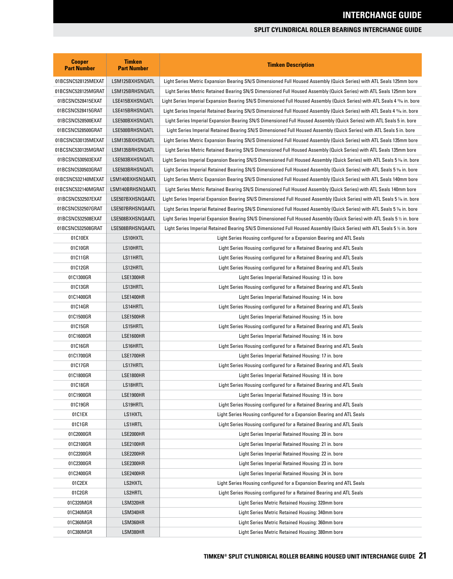| <b>Cooper</b><br><b>Part Number</b> | <b>Timken</b><br><b>Part Number</b> | <b>Timken Description</b>                                                                                                  |
|-------------------------------------|-------------------------------------|----------------------------------------------------------------------------------------------------------------------------|
| 01BCSNC528125MEXAT                  | LSM125BXHSNQATL                     | Light Series Metric Expansion Bearing SN/S Dimensioned Full Housed Assembly (Quick Series) with ATL Seals 125mm bore       |
| 01BCSNC528125MGRAT                  | LSM125BRHSNQATL                     | Light Series Metric Retained Bearing SN/S Dimensioned Full Housed Assembly (Quick Series) with ATL Seals 125mm bore        |
| 01BCSNC528415EXAT                   | LSE415BXHSNQATL                     | Light Series Imperial Expansion Bearing SN/S Dimensioned Full Housed Assembly (Quick Series) with ATL Seals 4 15% in. bore |
| 01BCSNC528415GRAT                   | LSE415BRHSNQATL                     | Light Series Imperial Retained Bearing SN/S Dimensioned Full Housed Assembly (Quick Series) with ATL Seals 4 1% in. bore   |
| 01BCSNC528500EXAT                   | LSE500BXHSNQATL                     | Light Series Imperial Expansion Bearing SN/S Dimensioned Full Housed Assembly (Quick Series) with ATL Seals 5 in. bore     |
| 01BCSNC528500GRAT                   | LSE500BRHSNQATL                     | Light Series Imperial Retained Bearing SN/S Dimensioned Full Housed Assembly (Quick Series) with ATL Seals 5 in. bore      |
| 01BCSNC530135MEXAT                  | LSM135BXHSNQATL                     | Light Series Metric Expansion Bearing SN/S Dimensioned Full Housed Assembly (Quick Series) with ATL Seals 135mm bore       |
| 01BCSNC530135MGRAT                  | LSM135BRHSNQATL                     | Light Series Metric Retained Bearing SN/S Dimensioned Full Housed Assembly (Quick Series) with ATL Seals 135mm bore        |
| 01BCSNC530503EXAT                   | LSE503BXHSNQATL                     | Light Series Imperial Expansion Bearing SN/S Dimensioned Full Housed Assembly (Quick Series) with ATL Seals 5 ¾ in. bore   |
| 01BCSNC530503GRAT                   | LSE503BRHSNQATL                     | Light Series Imperial Retained Bearing SN/S Dimensioned Full Housed Assembly (Quick Series) with ATL Seals 5 % in. bore    |
| 01BCSNC532140MEXAT                  | LSM140BXHSNQAATL                    | Light Series Metric Expansion Bearing SN/S Dimensioned Full Housed Assembly (Quick Series) with ATL Seals 140mm bore       |
| 01BCSNC532140MGRAT                  | LSM140BRHSNQAATL                    | Light Series Metric Retained Bearing SN/S Dimensioned Full Housed Assembly (Quick Series) with ATL Seals 140mm bore        |
| 01BCSNC532507EXAT                   | LSE507BXHSNQAATL                    | Light Series Imperial Expansion Bearing SN/S Dimensioned Full Housed Assembly (Quick Series) with ATL Seals 5 % in. bore   |
| 01BCSNC532507GRAT                   | LSE507BRHSNQAATL                    | Light Series Imperial Retained Bearing SN/S Dimensioned Full Housed Assembly (Quick Series) with ATL Seals 5 % in. bore    |
| 01BCSNC532508EXAT                   | LSE508BXHSNQAATL                    | Light Series Imperial Expansion Bearing SN/S Dimensioned Full Housed Assembly (Quick Series) with ATL Seals 5 ½ in. bore   |
| 01BCSNC532508GRAT                   | LSE508BRHSNQAATL                    | Light Series Imperial Retained Bearing SN/S Dimensioned Full Housed Assembly (Quick Series) with ATL Seals 5 % in. bore    |
| 01C10EX                             | LS10HXTL                            | Light Series Housing configured for a Expansion Bearing and ATL Seals                                                      |
| 01C10GR                             | LS10HRTL                            | Light Series Housing configured for a Retained Bearing and ATL Seals                                                       |
| 01C11GR                             | LS11HRTL                            | Light Series Housing configured for a Retained Bearing and ATL Seals                                                       |
| 01C12GR                             | LS12HRTL                            | Light Series Housing configured for a Retained Bearing and ATL Seals                                                       |
| 01C1300GR                           | <b>LSE1300HR</b>                    | Light Series Imperial Retained Housing: 13 in. bore                                                                        |
| 01C13GR                             | LS13HRTL                            | Light Series Housing configured for a Retained Bearing and ATL Seals                                                       |
| 01C1400GR                           | LSE1400HR                           | Light Series Imperial Retained Housing: 14 in. bore                                                                        |
| 01C14GR                             | LS14HRTL                            | Light Series Housing configured for a Retained Bearing and ATL Seals                                                       |
| 01C1500GR                           | <b>LSE1500HR</b>                    | Light Series Imperial Retained Housing: 15 in. bore                                                                        |
| 01C15GR                             | LS15HRTL                            | Light Series Housing configured for a Retained Bearing and ATL Seals                                                       |
| 01C1600GR                           | <b>LSE1600HR</b>                    | Light Series Imperial Retained Housing: 16 in. bore                                                                        |
| 01C16GR                             | LS16HRTL                            | Light Series Housing configured for a Retained Bearing and ATL Seals                                                       |
| 01C1700GR                           | <b>LSE1700HR</b>                    | Light Series Imperial Retained Housing: 17 in. bore                                                                        |
| 01C17GR                             | LS17HRTL                            | Light Series Housing configured for a Retained Bearing and ATL Seals                                                       |
| 01C1800GR                           | <b>LSE1800HR</b>                    | Light Series Imperial Retained Housing: 18 in. bore                                                                        |
| 01C18GR                             | LS18HRTL                            | Light Series Housing configured for a Retained Bearing and ATL Seals                                                       |
| 01C1900GR                           | LSE1900HR                           | Light Series Imperial Retained Housing: 19 in. bore                                                                        |
| 01C19GR                             | LS19HRTL                            | Light Series Housing configured for a Retained Bearing and ATL Seals                                                       |
| 01C1EX                              | LS1HXTL                             | Light Series Housing configured for a Expansion Bearing and ATL Seals                                                      |
| 01C1GR                              | LS1HRTL                             | Light Series Housing configured for a Retained Bearing and ATL Seals                                                       |
| 01C2000GR                           | LSE2000HR                           | Light Series Imperial Retained Housing: 20 in. bore                                                                        |
| 01C2100GR                           | LSE2100HR                           | Light Series Imperial Retained Housing: 21 in. bore                                                                        |
| 01C2200GR                           | LSE2200HR                           | Light Series Imperial Retained Housing: 22 in. bore                                                                        |
| 01C2300GR                           | LSE2300HR                           | Light Series Imperial Retained Housing: 23 in. bore                                                                        |
| 01C2400GR                           | LSE2400HR                           | Light Series Imperial Retained Housing: 24 in. bore                                                                        |
| 01C2EX                              | LS2HXTL                             | Light Series Housing configured for a Expansion Bearing and ATL Seals                                                      |
| 01C2GR                              | LS2HRTL                             | Light Series Housing configured for a Retained Bearing and ATL Seals                                                       |
| 01C320MGR                           | LSM320HR                            | Light Series Metric Retained Housing: 320mm bore                                                                           |
| 01C340MGR                           | LSM340HR                            | Light Series Metric Retained Housing: 340mm bore                                                                           |
| 01C360MGR                           | LSM360HR                            | Light Series Metric Retained Housing: 360mm bore                                                                           |
| 01C380MGR                           | LSM380HR                            | Light Series Metric Retained Housing: 380mm bore                                                                           |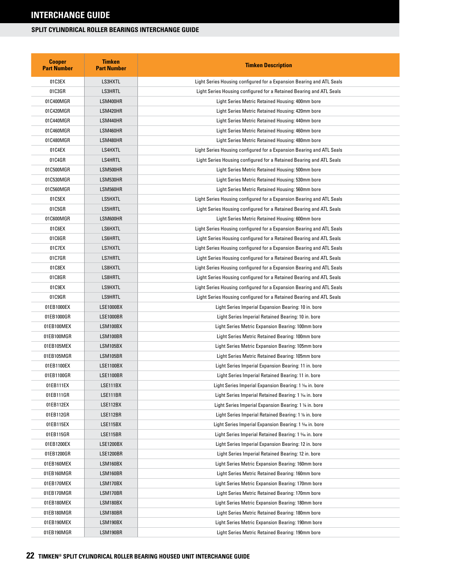| <b>Cooper</b><br><b>Part Number</b> | <b>Timken</b><br><b>Part Number</b> | <b>Timken Description</b>                                             |
|-------------------------------------|-------------------------------------|-----------------------------------------------------------------------|
| 01C3EX                              | LS3HXTL                             | Light Series Housing configured for a Expansion Bearing and ATL Seals |
| 01C3GR                              | LS3HRTL                             | Light Series Housing configured for a Retained Bearing and ATL Seals  |
| 01C400MGR                           | LSM400HR                            | Light Series Metric Retained Housing: 400mm bore                      |
| 01C420MGR                           | LSM420HR                            | Light Series Metric Retained Housing: 420mm bore                      |
| 01C440MGR                           | LSM440HR                            | Light Series Metric Retained Housing: 440mm bore                      |
| 01C460MGR                           | LSM460HR                            | Light Series Metric Retained Housing: 460mm bore                      |
| 01C480MGR                           | LSM480HR                            | Light Series Metric Retained Housing: 480mm bore                      |
| 01C4EX                              | LS4HXTL                             | Light Series Housing configured for a Expansion Bearing and ATL Seals |
| 01C4GR                              | LS4HRTL                             | Light Series Housing configured for a Retained Bearing and ATL Seals  |
| 01C500MGR                           | LSM500HR                            | Light Series Metric Retained Housing: 500mm bore                      |
| 01C530MGR                           | LSM530HR                            | Light Series Metric Retained Housing: 530mm bore                      |
| 01C560MGR                           | LSM560HR                            | Light Series Metric Retained Housing: 560mm bore                      |
| 01C5EX                              | LS5HXTL                             | Light Series Housing configured for a Expansion Bearing and ATL Seals |
| 01C5GR                              | LS5HRTL                             | Light Series Housing configured for a Retained Bearing and ATL Seals  |
| 01C600MGR                           | LSM600HR                            | Light Series Metric Retained Housing: 600mm bore                      |
| 01C6EX                              | LS6HXTL                             | Light Series Housing configured for a Expansion Bearing and ATL Seals |
| 01C6GR                              | LS6HRTL                             | Light Series Housing configured for a Retained Bearing and ATL Seals  |
| 01C7EX                              | LS7HXTL                             | Light Series Housing configured for a Expansion Bearing and ATL Seals |
| 01C7GR                              | LS7HRTL                             | Light Series Housing configured for a Retained Bearing and ATL Seals  |
| 01C8EX                              | LS8HXTL                             | Light Series Housing configured for a Expansion Bearing and ATL Seals |
| 01C8GR                              | LS8HRTL                             | Light Series Housing configured for a Retained Bearing and ATL Seals  |
| 01C9EX                              | LS9HXTL                             | Light Series Housing configured for a Expansion Bearing and ATL Seals |
| 01C9GR                              | LS9HRTL                             | Light Series Housing configured for a Retained Bearing and ATL Seals  |
| 01EB1000EX                          | <b>LSE1000BX</b>                    | Light Series Imperial Expansion Bearing: 10 in. bore                  |
| 01EB1000GR                          | <b>LSE1000BR</b>                    | Light Series Imperial Retained Bearing: 10 in. bore                   |
| 01EB100MEX                          | LSM100BX                            | Light Series Metric Expansion Bearing: 100mm bore                     |
| 01EB100MGR                          | LSM100BR                            | Light Series Metric Retained Bearing: 100mm bore                      |
| 01EB105MEX                          | LSM105BX                            | Light Series Metric Expansion Bearing: 105mm bore                     |
| 01EB105MGR                          | LSM105BR                            | Light Series Metric Retained Bearing: 105mm bore                      |
| 01EB1100EX                          | <b>LSE1100BX</b>                    | Light Series Imperial Expansion Bearing: 11 in. bore                  |
| 01EB1100GR                          | <b>LSE1100BR</b>                    | Light Series Imperial Retained Bearing: 11 in. bore                   |
| 01EB111EX                           | LSE111BX                            | Light Series Imperial Expansion Bearing: 1 1/16 in. bore              |
| 01EB111GR                           | LSE111BR                            | Light Series Imperial Retained Bearing: 1 1/6 in. bore                |
| 01EB112EX                           | LSE112BX                            | Light Series Imperial Expansion Bearing: 1 1/8 in. bore               |
| 01EB112GR                           | LSE112BR                            | Light Series Imperial Retained Bearing: 1 % in. bore                  |
| 01EB115EX                           | LSE115BX                            | Light Series Imperial Expansion Bearing: 1 % in. bore                 |
| 01EB115GR                           | <b>LSE115BR</b>                     | Light Series Imperial Retained Bearing: 1 % in. bore                  |
| 01EB1200EX                          | <b>LSE1200BX</b>                    | Light Series Imperial Expansion Bearing: 12 in. bore                  |
| 01EB1200GR                          | <b>LSE1200BR</b>                    | Light Series Imperial Retained Bearing: 12 in. bore                   |
| 01EB160MEX                          | LSM160BX                            | Light Series Metric Expansion Bearing: 160mm bore                     |
| 01EB160MGR                          | LSM160BR                            | Light Series Metric Retained Bearing: 160mm bore                      |
| 01EB170MEX                          | LSM170BX                            | Light Series Metric Expansion Bearing: 170mm bore                     |
| 01EB170MGR                          | LSM170BR                            | Light Series Metric Retained Bearing: 170mm bore                      |
| 01EB180MEX                          | LSM180BX                            | Light Series Metric Expansion Bearing: 180mm bore                     |
| 01EB180MGR                          | LSM180BR                            | Light Series Metric Retained Bearing: 180mm bore                      |
| 01EB190MEX                          | LSM190BX                            | Light Series Metric Expansion Bearing: 190mm bore                     |
| 01EB190MGR                          | LSM190BR                            | Light Series Metric Retained Bearing: 190mm bore                      |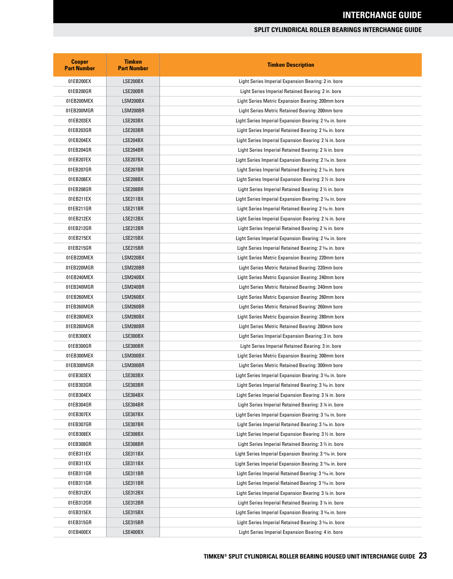| <b>Cooper</b><br><b>Part Number</b> | <b>Timken</b><br><b>Part Number</b> | <b>Timken Description</b>                                                         |
|-------------------------------------|-------------------------------------|-----------------------------------------------------------------------------------|
| 01EB200EX                           | LSE200BX                            | Light Series Imperial Expansion Bearing: 2 in. bore                               |
| 01EB200GR                           | LSE200BR                            | Light Series Imperial Retained Bearing: 2 in. bore                                |
| 01EB200MEX                          | LSM200BX                            | Light Series Metric Expansion Bearing: 200mm bore                                 |
| 01EB200MGR                          | LSM200BR                            | Light Series Metric Retained Bearing: 200mm bore                                  |
| 01EB203EX                           | LSE203BX                            | Light Series Imperial Expansion Bearing: 2 <sup>3</sup> % in. bore                |
| 01EB203GR                           | LSE203BR                            | Light Series Imperial Retained Bearing: 2 3/6 in. bore                            |
| 01EB204EX                           | LSE204BX                            | Light Series Imperial Expansion Bearing: 2 % in. bore                             |
| 01EB204GR                           | LSE204BR                            | Light Series Imperial Retained Bearing: 2 % in. bore                              |
| 01EB207EX                           | LSE207BX                            | Light Series Imperial Expansion Bearing: 2 1/6 in. bore                           |
| 01EB207GR                           | LSE207BR                            | Light Series Imperial Retained Bearing: 2 % in. bore                              |
| 01EB208EX                           | LSE208BX                            | Light Series Imperial Expansion Bearing: 2 1/2 in. bore                           |
| 01EB208GR                           | LSE208BR                            | Light Series Imperial Retained Bearing: 2 1/2 in. bore                            |
| 01EB211EX                           | LSE211BX                            | Light Series Imperial Expansion Bearing: 2 1/16 in. bore                          |
| 01EB211GR                           | LSE211BR                            | Light Series Imperial Retained Bearing: 2 1/16 in. bore                           |
| 01EB212EX                           | LSE212BX                            | Light Series Imperial Expansion Bearing: 2 % in. bore                             |
| 01EB212GR                           | LSE212BR                            | Light Series Imperial Retained Bearing: 2 % in. bore                              |
| 01EB215EX                           | LSE215BX                            | Light Series Imperial Expansion Bearing: 2 % in. bore                             |
| 01EB215GR                           | LSE215BR                            | Light Series Imperial Retained Bearing: 2 % in. bore                              |
| 01EB220MEX                          | LSM220BX                            | Light Series Metric Expansion Bearing: 220mm bore                                 |
| 01EB220MGR                          | LSM220BR                            | Light Series Metric Retained Bearing: 220mm bore                                  |
| 01EB240MEX                          | LSM240BX                            | Light Series Metric Expansion Bearing: 240mm bore                                 |
| 01EB240MGR                          | LSM240BR                            | Light Series Metric Retained Bearing: 240mm bore                                  |
| 01EB260MEX                          | LSM260BX                            | Light Series Metric Expansion Bearing: 260mm bore                                 |
| 01EB260MGR                          | LSM260BR                            | Light Series Metric Retained Bearing: 260mm bore                                  |
| 01EB280MEX                          | LSM280BX                            | Light Series Metric Expansion Bearing: 280mm bore                                 |
| 01EB280MGR                          | LSM280BR                            | Light Series Metric Retained Bearing: 280mm bore                                  |
| 01EB300EX                           | LSE300BX                            | Light Series Imperial Expansion Bearing: 3 in. bore                               |
| 01EB300GR                           | LSE300BR                            | Light Series Imperial Retained Bearing: 3 in. bore                                |
| 01EB300MEX                          | LSM300BX                            | Light Series Metric Expansion Bearing: 300mm bore                                 |
| 01EB300MGR                          | LSM300BR                            | Light Series Metric Retained Bearing: 300mm bore                                  |
| 01EB303EX                           | LSE303BX                            | Light Series Imperial Expansion Bearing: 3 3/6 in. bore                           |
| 01EB303GR                           | LSE303BR                            | Light Series Imperial Retained Bearing: 3 % in. bore                              |
| 01EB304EX                           | LSE304BX                            | Light Series Imperial Expansion Bearing: 3 ¼ in. bore                             |
| 01EB304GR                           | LSE304BR                            | Light Series Imperial Retained Bearing: 3 ¼ in. bore                              |
| 01EB307EX                           | LSE307BX                            | Light Series Imperial Expansion Bearing: 3 % in. bore                             |
| 01EB307GR                           | LSE307BR                            | Light Series Imperial Retained Bearing: 3 % in. bore                              |
| 01EB308EX                           | LSE308BX                            | Light Series Imperial Expansion Bearing: 3 ½ in. bore                             |
| 01EB308GR                           | LSE308BR                            | Light Series Imperial Retained Bearing: 3 1/2 in. bore                            |
| 01EB311EX                           | LSE311BX                            | Light Series Imperial Expansion Bearing: 3 <sup>1</sup> 1/ <sub>16</sub> in. bore |
| 01EB311EX                           | LSE311BX                            | Light Series Imperial Expansion Bearing: 3 11/6 in. bore                          |
| 01EB311GR                           | LSE311BR                            | Light Series Imperial Retained Bearing: 3 <sup>11</sup> /16 in. bore              |
| 01EB311GR                           | LSE311BR                            | Light Series Imperial Retained Bearing: 3 11/16 in. bore                          |
| 01EB312EX                           | LSE312BX                            | Light Series Imperial Expansion Bearing: 3 % in. bore                             |
| 01EB312GR                           | LSE312BR                            | Light Series Imperial Retained Bearing: 3 % in. bore                              |
| 01EB315EX                           | LSE315BX                            | Light Series Imperial Expansion Bearing: 3 % in. bore                             |
| 01EB315GR                           | LSE315BR                            | Light Series Imperial Retained Bearing: 3 % in. bore                              |
| 01EB400EX                           | LSE400BX                            | Light Series Imperial Expansion Bearing: 4 in. bore                               |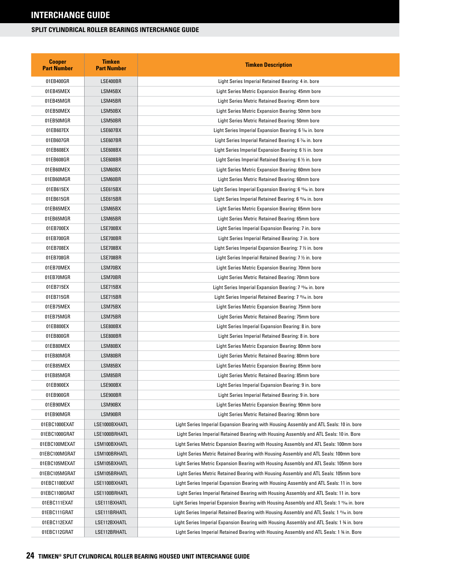| <b>Cooper</b><br><b>Part Number</b> | <b>Timken</b><br><b>Part Number</b> | <b>Timken Description</b>                                                                   |
|-------------------------------------|-------------------------------------|---------------------------------------------------------------------------------------------|
| 01EB400GR                           | LSE400BR                            | Light Series Imperial Retained Bearing: 4 in. bore                                          |
| 01EB45MEX                           | LSM45BX                             | Light Series Metric Expansion Bearing: 45mm bore                                            |
| 01EB45MGR                           | LSM45BR                             | Light Series Metric Retained Bearing: 45mm bore                                             |
| 01EB50MEX                           | LSM50BX                             | Light Series Metric Expansion Bearing: 50mm bore                                            |
| 01EB50MGR                           | LSM50BR                             | Light Series Metric Retained Bearing: 50mm bore                                             |
| 01EB607EX                           | LSE607BX                            | Light Series Imperial Expansion Bearing: 6 1/6 in. bore                                     |
| 01EB607GR                           | LSE607BR                            | Light Series Imperial Retained Bearing: 6 % in. bore                                        |
| 01EB608EX                           | LSE608BX                            | Light Series Imperial Expansion Bearing: 6 1/2 in. bore                                     |
| 01EB608GR                           | LSE608BR                            | Light Series Imperial Retained Bearing: 6 1/2 in. bore                                      |
| 01EB60MEX                           | LSM60BX                             | Light Series Metric Expansion Bearing: 60mm bore                                            |
| 01EB60MGR                           | LSM60BR                             | Light Series Metric Retained Bearing: 60mm bore                                             |
| 01EB615EX                           | LSE615BX                            | Light Series Imperial Expansion Bearing: 6 <sup>15</sup> % in. bore                         |
| 01EB615GR                           | LSE615BR                            | Light Series Imperial Retained Bearing: 6 <sup>15</sup> % in. bore                          |
| 01EB65MEX                           | LSM65BX                             | Light Series Metric Expansion Bearing: 65mm bore                                            |
| 01EB65MGR                           | LSM65BR                             | Light Series Metric Retained Bearing: 65mm bore                                             |
| 01EB700EX                           | LSE700BX                            | Light Series Imperial Expansion Bearing: 7 in. bore                                         |
| 01EB700GR                           | LSE700BR                            | Light Series Imperial Retained Bearing: 7 in. bore                                          |
| 01EB708EX                           | LSE708BX                            | Light Series Imperial Expansion Bearing: 7 % in. bore                                       |
| 01EB708GR                           | LSE708BR                            | Light Series Imperial Retained Bearing: 7 1/2 in. bore                                      |
| 01EB70MEX                           | LSM70BX                             | Light Series Metric Expansion Bearing: 70mm bore                                            |
| 01EB70MGR                           | LSM70BR                             | Light Series Metric Retained Bearing: 70mm bore                                             |
| 01EB715EX                           | LSE715BX                            | Light Series Imperial Expansion Bearing: 7 <sup>15</sup> % in. bore                         |
| 01EB715GR                           | LSE715BR                            | Light Series Imperial Retained Bearing: 7 <sup>15</sup> % in. bore                          |
| 01EB75MEX                           | LSM75BX                             | Light Series Metric Expansion Bearing: 75mm bore                                            |
| 01EB75MGR                           | LSM75BR                             | Light Series Metric Retained Bearing: 75mm bore                                             |
| 01EB800EX                           | LSE800BX                            | Light Series Imperial Expansion Bearing: 8 in. bore                                         |
| 01EB800GR                           | LSE800BR                            | Light Series Imperial Retained Bearing: 8 in. bore                                          |
| 01EB80MEX                           | LSM80BX                             | Light Series Metric Expansion Bearing: 80mm bore                                            |
| 01EB80MGR                           | LSM80BR                             | Light Series Metric Retained Bearing: 80mm bore                                             |
| 01EB85MEX                           | LSM85BX                             | Light Series Metric Expansion Bearing: 85mm bore                                            |
| 01EB85MGR                           | LSM85BR                             | Light Series Metric Retained Bearing: 85mm bore                                             |
| 01EB900EX                           | LSE900BX                            | Light Series Imperial Expansion Bearing: 9 in. bore                                         |
| 01EB900GR                           | LSE900BR                            | Light Series Imperial Retained Bearing: 9 in. bore                                          |
| 01EB90MEX                           | LSM90BX                             | Light Series Metric Expansion Bearing: 90mm bore                                            |
| 01EB90MGR                           | LSM90BR                             | Light Series Metric Retained Bearing: 90mm bore                                             |
| 01EBC1000EXAT                       | LSE1000BXHATL                       | Light Series Imperial Expansion Bearing with Housing Assembly and ATL Seals: 10 in. bore    |
| 01EBC1000GRAT                       | LSE1000BRHATL                       | Light Series Imperial Retained Bearing with Housing Assembly and ATL Seals: 10 in. Bore     |
| 01EBC100MEXAT                       | LSM100BXHATL                        | Light Series Metric Expansion Bearing with Housing Assembly and ATL Seals: 100mm bore       |
| 01EBC100MGRAT                       | LSM100BRHATL                        | Light Series Metric Retained Bearing with Housing Assembly and ATL Seals: 100mm bore        |
| 01EBC105MEXAT                       | LSM105BXHATL                        | Light Series Metric Expansion Bearing with Housing Assembly and ATL Seals: 105mm bore       |
| 01EBC105MGRAT                       | LSM105BRHATL                        | Light Series Metric Retained Bearing with Housing Assembly and ATL Seals: 105mm bore        |
| 01EBC1100EXAT                       | LSE1100BXHATL                       | Light Series Imperial Expansion Bearing with Housing Assembly and ATL Seals: 11 in. bore    |
| 01EBC1100GRAT                       | LSE1100BRHATL                       | Light Series Imperial Retained Bearing with Housing Assembly and ATL Seals: 11 in. bore     |
| 01EBC111EXAT                        | LSE111BXHATL                        | Light Series Imperial Expansion Bearing with Housing Assembly and ATL Seals: 1 1¼6 in. bore |
| 01EBC111GRAT                        | LSE111BRHATL                        | Light Series Imperial Retained Bearing with Housing Assembly and ATL Seals: 1 1/16 in. bore |
| 01EBC112EXAT                        | LSE112BXHATL                        | Light Series Imperial Expansion Bearing with Housing Assembly and ATL Seals: 1 % in. bore   |
| 01EBC112GRAT                        | LSE112BRHATL                        | Light Series Imperial Retained Bearing with Housing Assembly and ATL Seals: 1 34 in. Bore   |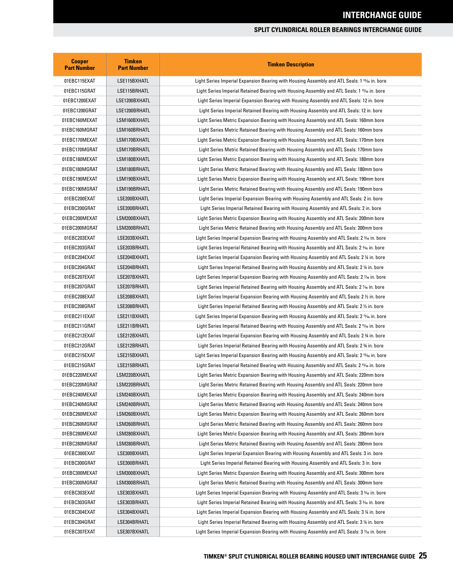| <b>Cooper</b><br><b>Part Number</b> | <b>Timken</b><br><b>Part Number</b> | <b>Timken Description</b>                                                                                |
|-------------------------------------|-------------------------------------|----------------------------------------------------------------------------------------------------------|
| 01EBC115EXAT                        | LSE115BXHATL                        | Light Series Imperial Expansion Bearing with Housing Assembly and ATL Seals: 1 15/16 in. bore            |
| 01EBC115GRAT                        | LSE115BRHATL                        | Light Series Imperial Retained Bearing with Housing Assembly and ATL Seals: 1 15% in. bore               |
| 01EBC1200EXAT                       | LSE1200BXHATL                       | Light Series Imperial Expansion Bearing with Housing Assembly and ATL Seals: 12 in. bore                 |
| 01EBC1200GRAT                       | LSE1200BRHATL                       | Light Series Imperial Retained Bearing with Housing Assembly and ATL Seals: 12 in. bore                  |
| 01EBC160MEXAT                       | LSM160BXHATL                        | Light Series Metric Expansion Bearing with Housing Assembly and ATL Seals: 160mm bore                    |
| 01EBC160MGRAT                       | LSM160BRHATL                        | Light Series Metric Retained Bearing with Housing Assembly and ATL Seals: 160mm bore                     |
| 01EBC170MEXAT                       | LSM170BXHATL                        | Light Series Metric Expansion Bearing with Housing Assembly and ATL Seals: 170mm bore                    |
| 01EBC170MGRAT                       | LSM170BRHATL                        | Light Series Metric Retained Bearing with Housing Assembly and ATL Seals: 170mm bore                     |
| 01EBC180MEXAT                       | LSM180BXHATL                        | Light Series Metric Expansion Bearing with Housing Assembly and ATL Seals: 180mm bore                    |
| 01EBC180MGRAT                       | LSM180BRHATL                        | Light Series Metric Retained Bearing with Housing Assembly and ATL Seals: 180mm bore                     |
| 01EBC190MEXAT                       | LSM190BXHATL                        | Light Series Metric Expansion Bearing with Housing Assembly and ATL Seals: 190mm bore                    |
| 01EBC190MGRAT                       | LSM190BRHATL                        | Light Series Metric Retained Bearing with Housing Assembly and ATL Seals: 190mm bore                     |
| 01EBC200EXAT                        | LSE200BXHATL                        | Light Series Imperial Expansion Bearing with Housing Assembly and ATL Seals: 2 in. bore                  |
| 01EBC200GRAT                        | LSE200BRHATL                        | Light Series Imperial Retained Bearing with Housing Assembly and ATL Seals: 2 in. bore                   |
| 01EBC200MEXAT                       | LSM200BXHATL                        | Light Series Metric Expansion Bearing with Housing Assembly and ATL Seals: 200mm bore                    |
| 01EBC200MGRAT                       | LSM200BRHATL                        | Light Series Metric Retained Bearing with Housing Assembly and ATL Seals: 200mm bore                     |
| 01EBC203EXAT                        | LSE203BXHATL                        | Light Series Imperial Expansion Bearing with Housing Assembly and ATL Seals: 2 3/6 in. bore              |
| 01EBC203GRAT                        | LSE203BRHATL                        | Light Series Imperial Retained Bearing with Housing Assembly and ATL Seals: 2 3/6 in. bore               |
| 01EBC204EXAT                        | LSE204BXHATL                        | Light Series Imperial Expansion Bearing with Housing Assembly and ATL Seals: 2 ¼ in. bore                |
| 01EBC204GRAT                        | LSE204BRHATL                        | Light Series Imperial Retained Bearing with Housing Assembly and ATL Seals: 2 ¼ in. bore                 |
| 01EBC207EXAT                        | LSE207BXHATL                        | Light Series Imperial Expansion Bearing with Housing Assembly and ATL Seals: 2 % in. bore                |
| 01EBC207GRAT                        | LSE207BRHATL                        | Light Series Imperial Retained Bearing with Housing Assembly and ATL Seals: 2 % in. bore                 |
| 01EBC208EXAT                        | LSE208BXHATL                        | Light Series Imperial Expansion Bearing with Housing Assembly and ATL Seals: 2 $\%$ in. bore             |
| 01EBC208GRAT                        | LSE208BRHATL                        | Light Series Imperial Retained Bearing with Housing Assembly and ATL Seals: 2 1/2 in. bore               |
| 01EBC211EXAT                        | LSE211BXHATL                        | Light Series Imperial Expansion Bearing with Housing Assembly and ATL Seals: 2 11/16 in. bore            |
| 01EBC211GRAT                        | LSE211BRHATL                        | Light Series Imperial Retained Bearing with Housing Assembly and ATL Seals: 2 11/6 in. bore              |
| 01EBC212EXAT                        | LSE212BXHATL                        | Light Series Imperial Expansion Bearing with Housing Assembly and ATL Seals: 2 ¾ in. bore                |
| 01EBC212GRAT                        | LSE212BRHATL                        | Light Series Imperial Retained Bearing with Housing Assembly and ATL Seals: 2 34 in. bore                |
| 01EBC215EXAT                        | LSE215BXHATL                        | Light Series Imperial Expansion Bearing with Housing Assembly and ATL Seals: 2 <sup>15</sup> /6 in. bore |
| 01EBC215GRAT                        | LSE215BRHATL                        | Light Series Imperial Retained Bearing with Housing Assembly and ATL Seals: 2 15% in. bore               |
| 01EBC220MEXAT                       | LSM220BXHATL                        | Light Series Metric Expansion Bearing with Housing Assembly and ATL Seals: 220mm bore                    |
| 01EBC220MGRAT                       | LSM220BRHATL                        | Light Series Metric Retained Bearing with Housing Assembly and ATL Seals: 220mm bore                     |
| 01EBC240MEXAT                       | LSM240BXHATL                        | Light Series Metric Expansion Bearing with Housing Assembly and ATL Seals: 240mm bore                    |
| 01EBC240MGRAT                       | LSM240BRHATL                        | Light Series Metric Retained Bearing with Housing Assembly and ATL Seals: 240mm bore                     |
| 01EBC260MEXAT                       | LSM260BXHATL                        | Light Series Metric Expansion Bearing with Housing Assembly and ATL Seals: 260mm bore                    |
| 01EBC260MGRAT                       | LSM260BRHATL                        | Light Series Metric Retained Bearing with Housing Assembly and ATL Seals: 260mm bore                     |
| 01EBC280MEXAT                       | LSM280BXHATL                        | Light Series Metric Expansion Bearing with Housing Assembly and ATL Seals: 280mm bore                    |
| 01EBC280MGRAT                       | LSM280BRHATL                        | Light Series Metric Retained Bearing with Housing Assembly and ATL Seals: 280mm bore                     |
| 01EBC300EXAT                        | LSE300BXHATL                        | Light Series Imperial Expansion Bearing with Housing Assembly and ATL Seals: 3 in. bore                  |
| 01EBC300GRAT                        | LSE300BRHATL                        | Light Series Imperial Retained Bearing with Housing Assembly and ATL Seals: 3 in. bore                   |
| 01EBC300MEXAT                       | LSM300BXHATL                        | Light Series Metric Expansion Bearing with Housing Assembly and ATL Seals: 300mm bore                    |
| 01EBC300MGRAT                       | LSM300BRHATL                        | Light Series Metric Retained Bearing with Housing Assembly and ATL Seals: 300mm bore                     |
| 01EBC303EXAT                        | LSE303BXHATL                        | Light Series Imperial Expansion Bearing with Housing Assembly and ATL Seals: 3 36 in. bore               |
| 01EBC303GRAT                        | LSE303BRHATL                        | Light Series Imperial Retained Bearing with Housing Assembly and ATL Seals: 3 3/16 in. bore              |
| 01EBC304EXAT                        | LSE304BXHATL                        | Light Series Imperial Expansion Bearing with Housing Assembly and ATL Seals: 3 ¼ in. bore                |
| 01EBC304GRAT                        | LSE304BRHATL                        | Light Series Imperial Retained Bearing with Housing Assembly and ATL Seals: 3 ¼ in. bore                 |
| 01EBC307EXAT                        | LSE307BXHATL                        | Light Series Imperial Expansion Bearing with Housing Assembly and ATL Seals: 3 % in. bore                |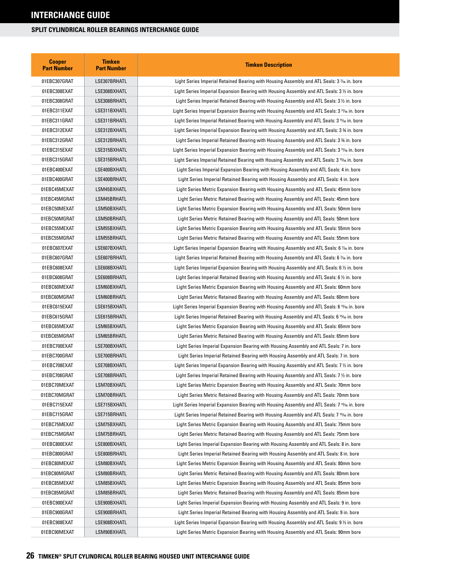| <b>Cooper</b><br><b>Part Number</b> | <b>Timken</b><br><b>Part Number</b> | <b>Timken Description</b>                                                                               |
|-------------------------------------|-------------------------------------|---------------------------------------------------------------------------------------------------------|
| 01EBC307GRAT                        | LSE307BRHATL                        | Light Series Imperial Retained Bearing with Housing Assembly and ATL Seals: 3 $\%$ in. bore             |
| 01EBC308EXAT                        | LSE308BXHATL                        | Light Series Imperial Expansion Bearing with Housing Assembly and ATL Seals: $3\%$ in. bore             |
| 01EBC308GRAT                        | LSE308BRHATL                        | Light Series Imperial Retained Bearing with Housing Assembly and ATL Seals: 3 1/2 in. bore              |
| 01EBC311EXAT                        | LSE311BXHATL                        | Light Series Imperial Expansion Bearing with Housing Assembly and ATL Seals: 3 11/6 in. bore            |
| 01EBC311GRAT                        | LSE311BRHATL                        | Light Series Imperial Retained Bearing with Housing Assembly and ATL Seals: 3 11/6 in. bore             |
| 01EBC312EXAT                        | LSE312BXHATL                        | Light Series Imperial Expansion Bearing with Housing Assembly and ATL Seals: 3 34 in. bore              |
| 01EBC312GRAT                        | LSE312BRHATL                        | Light Series Imperial Retained Bearing with Housing Assembly and ATL Seals: 3 34 in. bore               |
| 01EBC315EXAT                        | LSE315BXHATL                        | Light Series Imperial Expansion Bearing with Housing Assembly and ATL Seals: 3 11/16 in. bore           |
| 01EBC315GRAT                        | LSE315BRHATL                        | Light Series Imperial Retained Bearing with Housing Assembly and ATL Seals: 3 1% in. bore               |
| 01EBC400EXAT                        | LSE400BXHATL                        | Light Series Imperial Expansion Bearing with Housing Assembly and ATL Seals: 4 in. bore                 |
| 01EBC400GRAT                        | LSE400BRHATL                        | Light Series Imperial Retained Bearing with Housing Assembly and ATL Seals: 4 in. bore                  |
| 01EBC45MEXAT                        | LSM45BXHATL                         | Light Series Metric Expansion Bearing with Housing Assembly and ATL Seals: 45mm bore                    |
| 01EBC45MGRAT                        | LSM45BRHATL                         | Light Series Metric Retained Bearing with Housing Assembly and ATL Seals: 45mm bore                     |
| 01EBC50MEXAT                        | LSM50BXHATL                         | Light Series Metric Expansion Bearing with Housing Assembly and ATL Seals: 50mm bore                    |
| 01EBC50MGRAT                        | LSM50BRHATL                         | Light Series Metric Retained Bearing with Housing Assembly and ATL Seals: 50mm bore                     |
| 01EBC55MEXAT                        | LSM55BXHATL                         | Light Series Metric Expansion Bearing with Housing Assembly and ATL Seals: 55mm bore                    |
| 01EBC55MGRAT                        | LSM55BRHATL                         | Light Series Metric Retained Bearing with Housing Assembly and ATL Seals: 55mm bore                     |
| 01EBC607EXAT                        | LSE607BXHATL                        | Light Series Imperial Expansion Bearing with Housing Assembly and ATL Seals: 6 % in. bore               |
| 01EBC607GRAT                        | LSE607BRHATL                        | Light Series Imperial Retained Bearing with Housing Assembly and ATL Seals: 6 % in. bore                |
| 01EBC608EXAT                        | LSE608BXHATL                        | Light Series Imperial Expansion Bearing with Housing Assembly and ATL Seals: 6 $\frac{1}{2}$ in. bore   |
| 01EBC608GRAT                        | LSE608BRHATL                        | Light Series Imperial Retained Bearing with Housing Assembly and ATL Seals: 6 $\frac{1}{2}$ in. bore    |
| 01EBC60MEXAT                        | LSM60BXHATL                         | Light Series Metric Expansion Bearing with Housing Assembly and ATL Seals: 60mm bore                    |
| 01EBC60MGRAT                        | LSM60BRHATL                         | Light Series Metric Retained Bearing with Housing Assembly and ATL Seals: 60mm bore                     |
| 01EBC615EXAT                        | LSE615BXHATL                        | Light Series Imperial Expansion Bearing with Housing Assembly and ATL Seals: 6 1546 in. bore            |
| 01EBC615GRAT                        | LSE615BRHATL                        | Light Series Imperial Retained Bearing with Housing Assembly and ATL Seals: 6 15/6 in. bore             |
| 01EBC65MEXAT                        | LSM65BXHATL                         | Light Series Metric Expansion Bearing with Housing Assembly and ATL Seals: 65mm bore                    |
| 01EBC65MGRAT                        | LSM65BRHATL                         | Light Series Metric Retained Bearing with Housing Assembly and ATL Seals: 65mm bore                     |
| 01EBC700EXAT                        | LSE700BXHATL                        | Light Series Imperial Expansion Bearing with Housing Assembly and ATL Seals: 7 in. bore                 |
| 01EBC700GRAT                        | LSE700BRHATL                        | Light Series Imperial Retained Bearing with Housing Assembly and ATL Seals: 7 in. bore                  |
| 01EBC708EXAT                        | LSE708BXHATL                        | Light Series Imperial Expansion Bearing with Housing Assembly and ATL Seals: 7 $\%$ in. bore            |
| 01EBC708GRAT                        | LSE708BRHATL                        | Light Series Imperial Retained Bearing with Housing Assembly and ATL Seals: 7 % in. bore                |
| 01EBC70MEXAT                        | LSM70BXHATL                         | Light Series Metric Expansion Bearing with Housing Assembly and ATL Seals: 70mm bore                    |
| 01EBC70MGRAT                        | LSM70BRHATL                         | Light Series Metric Retained Bearing with Housing Assembly and ATL Seals: 70mm bore                     |
| 01EBC715EXAT                        | LSE715BXHATL                        | Light Series Imperial Expansion Bearing with Housing Assembly and ATL Seals: 7 15% in. bore             |
| 01EBC715GRAT                        | LSE715BRHATL                        | Light Series Imperial Retained Bearing with Housing Assembly and ATL Seals: 7 <sup>15</sup> /6 in. bore |
| 01EBC75MEXAT                        | LSM75BXHATL                         | Light Series Metric Expansion Bearing with Housing Assembly and ATL Seals: 75mm bore                    |
| 01EBC75MGRAT                        | LSM75BRHATL                         | Light Series Metric Retained Bearing with Housing Assembly and ATL Seals: 75mm bore                     |
| 01EBC800EXAT                        | LSE800BXHATL                        | Light Series Imperial Expansion Bearing with Housing Assembly and ATL Seals: 8 in. bore                 |
| 01EBC800GRAT                        | LSE800BRHATL                        | Light Series Imperial Retained Bearing with Housing Assembly and ATL Seals: 8 in. bore                  |
| 01EBC80MEXAT                        | LSM80BXHATL                         | Light Series Metric Expansion Bearing with Housing Assembly and ATL Seals: 80mm bore                    |
| 01EBC80MGRAT                        | LSM80BRHATL                         | Light Series Metric Retained Bearing with Housing Assembly and ATL Seals: 80mm bore                     |
| 01EBC85MEXAT                        | LSM85BXHATL                         | Light Series Metric Expansion Bearing with Housing Assembly and ATL Seals: 85mm bore                    |
| 01EBC85MGRAT                        | LSM85BRHATL                         | Light Series Metric Retained Bearing with Housing Assembly and ATL Seals: 85mm bore                     |
| 01EBC900EXAT                        | LSE900BXHATL                        | Light Series Imperial Expansion Bearing with Housing Assembly and ATL Seals: 9 in. bore                 |
| 01EBC900GRAT                        | LSE900BRHATL                        | Light Series Imperial Retained Bearing with Housing Assembly and ATL Seals: 9 in. bore                  |
| 01EBC908EXAT                        | LSE908BXHATL                        | Light Series Imperial Expansion Bearing with Housing Assembly and ATL Seals: 9 1/2 in. bore             |
| 01EBC90MEXAT                        | LSM90BXHATL                         | Light Series Metric Expansion Bearing with Housing Assembly and ATL Seals: 90mm bore                    |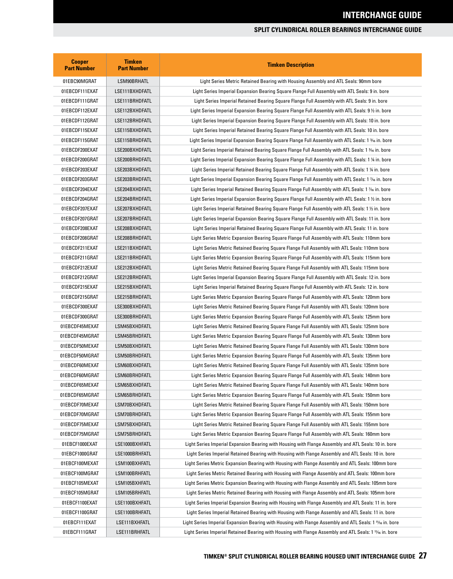| <b>Cooper</b><br><b>Part Number</b> | <b>Timken</b><br><b>Part Number</b> | <b>Timken Description</b>                                                                              |
|-------------------------------------|-------------------------------------|--------------------------------------------------------------------------------------------------------|
| 01EBC90MGRAT                        | LSM90BRHATL                         | Light Series Metric Retained Bearing with Housing Assembly and ATL Seals: 90mm bore                    |
| 01EBCDF111EXAT                      | LSE111BXHDFATL                      | Light Series Imperial Expansion Bearing Square Flange Full Assembly with ATL Seals: 9 in. bore         |
| 01EBCDF111GRAT                      | LSE111BRHDFATL                      | Light Series Imperial Retained Bearing Square Flange Full Assembly with ATL Seals: 9 in. bore          |
| 01EBCDF112EXAT                      | LSE112BXHDFATL                      | Light Series Imperial Expansion Bearing Square Flange Full Assembly with ATL Seals: 9 ½ in. bore       |
| 01EBCDF112GRAT                      | LSE112BRHDFATL                      | Light Series Imperial Expansion Bearing Square Flange Full Assembly with ATL Seals: 10 in. bore        |
| 01EBCDF115EXAT                      | LSE115BXHDFATL                      | Light Series Imperial Retained Bearing Square Flange Full Assembly with ATL Seals: 10 in. bore         |
| 01EBCDF115GRAT                      | LSE115BRHDFATL                      | Light Series Imperial Expansion Bearing Square Flange Full Assembly with ATL Seals: 1 3/6 in. bore     |
| 01EBCDF200EXAT                      | LSE200BXHDFATL                      | Light Series Imperial Retained Bearing Square Flange Full Assembly with ATL Seals: 1 3% in. bore       |
| 01EBCDF200GRAT                      | LSE200BRHDFATL                      | Light Series Imperial Expansion Bearing Square Flange Full Assembly with ATL Seals: 1 % in. bore       |
| 01EBCDF203EXAT                      | LSE203BXHDFATL                      | Light Series Imperial Retained Bearing Square Flange Full Assembly with ATL Seals: 1 1/4 in. bore      |
| 01EBCDF203GRAT                      | LSE203BRHDFATL                      | Light Series Imperial Expansion Bearing Square Flange Full Assembly with ATL Seals: 1 % in. bore       |
| 01EBCDF204EXAT                      | LSE204BXHDFATL                      | Light Series Imperial Retained Bearing Square Flange Full Assembly with ATL Seals: 1 % in. bore        |
| 01EBCDF204GRAT                      | LSE204BRHDFATL                      | Light Series Imperial Expansion Bearing Square Flange Full Assembly with ATL Seals: 1 1/2 in. bore     |
| 01EBCDF207EXAT                      | LSE207BXHDFATL                      | Light Series Imperial Retained Bearing Square Flange Full Assembly with ATL Seals: 1 1/2 in. bore      |
| 01EBCDF207GRAT                      | LSE207BRHDFATL                      | Light Series Imperial Expansion Bearing Square Flange Full Assembly with ATL Seals: 11 in. bore        |
| 01EBCDF208EXAT                      | LSE208BXHDFATL                      | Light Series Imperial Retained Bearing Square Flange Full Assembly with ATL Seals: 11 in. bore         |
| 01EBCDF208GRAT                      | LSE208BRHDFATL                      | Light Series Metric Expansion Bearing Square Flange Full Assembly with ATL Seals: 110mm bore           |
| 01EBCDF211EXAT                      | LSE211BXHDFATL                      | Light Series Metric Retained Bearing Square Flange Full Assembly with ATL Seals: 110mm bore            |
| 01EBCDF211GRAT                      | LSE211BRHDFATL                      | Light Series Metric Expansion Bearing Square Flange Full Assembly with ATL Seals: 115mm bore           |
| 01EBCDF212EXAT                      | LSE212BXHDFATL                      | Light Series Metric Retained Bearing Square Flange Full Assembly with ATL Seals: 115mm bore            |
| 01EBCDF212GRAT                      | LSE212BRHDFATL                      | Light Series Imperial Expansion Bearing Square Flange Full Assembly with ATL Seals: 12 in. bore        |
| 01EBCDF215EXAT                      | LSE215BXHDFATL                      | Light Series Imperial Retained Bearing Square Flange Full Assembly with ATL Seals: 12 in. bore         |
| 01EBCDF215GRAT                      | LSE215BRHDFATL                      | Light Series Metric Expansion Bearing Square Flange Full Assembly with ATL Seals: 120mm bore           |
| 01EBCDF300EXAT                      | LSE300BXHDFATL                      | Light Series Metric Retained Bearing Square Flange Full Assembly with ATL Seals: 120mm bore            |
| 01EBCDF300GRAT                      | LSE300BRHDFATL                      | Light Series Metric Expansion Bearing Square Flange Full Assembly with ATL Seals: 125mm bore           |
| 01EBCDF45MEXAT                      | LSM45BXHDFATL                       | Light Series Metric Retained Bearing Square Flange Full Assembly with ATL Seals: 125mm bore            |
| 01EBCDF45MGRAT                      | LSM45BRHDFATL                       | Light Series Metric Expansion Bearing Square Flange Full Assembly with ATL Seals: 130mm bore           |
| 01EBCDF50MEXAT                      | LSM50BXHDFATL                       | Light Series Metric Retained Bearing Square Flange Full Assembly with ATL Seals: 130mm bore            |
| 01EBCDF50MGRAT                      | LSM50BRHDFATL                       | Light Series Metric Expansion Bearing Square Flange Full Assembly with ATL Seals: 135mm bore           |
| 01EBCDF60MEXAT                      | LSM60BXHDFATL                       | Light Series Metric Retained Bearing Square Flange Full Assembly with ATL Seals: 135mm bore            |
| 01EBCDF60MGRAT                      | LSM60BRHDFATL                       | Light Series Metric Expansion Bearing Square Flange Full Assembly with ATL Seals: 140mm bore           |
| 01EBCDF65MEXAT                      | LSM65BXHDFATL                       | Light Series Metric Retained Bearing Square Flange Full Assembly with ATL Seals: 140mm bore            |
| 01EBCDF65MGRAT                      | LSM65BRHDFATL                       | Light Series Metric Expansion Bearing Square Flange Full Assembly with ATL Seals: 150mm bore           |
| 01EBCDF70MEXAT                      | LSM70BXHDFATL                       | Light Series Metric Retained Bearing Square Flange Full Assembly with ATL Seals: 150mm bore            |
| 01EBCDF70MGRAT                      | LSM70BRHDFATL                       | Light Series Metric Expansion Bearing Square Flange Full Assembly with ATL Seals: 155mm bore           |
| 01EBCDF75MEXAT                      | LSM75BXHDFATL                       | Light Series Metric Retained Bearing Square Flange Full Assembly with ATL Seals: 155mm bore            |
| 01EBCDF75MGRAT                      | LSM75BRHDFATL                       | Light Series Metric Expansion Bearing Square Flange Full Assembly with ATL Seals: 160mm bore           |
| 01EBCF1000EXAT                      | LSE1000BXHFATL                      | Light Series Imperial Expansion Bearing with Housing with Flange Assembly and ATL Seals: 10 in. bore   |
| 01EBCF1000GRAT                      | LSE1000BRHFATL                      | Light Series Imperial Retained Bearing with Housing with Flange Assembly and ATL Seals: 10 in. bore    |
| 01EBCF100MEXAT                      | LSM100BXHFATL                       | Light Series Metric Expansion Bearing with Housing with Flange Assembly and ATL Seals: 100mm bore      |
| 01EBCF100MGRAT                      | LSM100BRHFATL                       | Light Series Metric Retained Bearing with Housing with Flange Assembly and ATL Seals: 100mm bore       |
| 01EBCF105MEXAT                      | LSM105BXHFATL                       | Light Series Metric Expansion Bearing with Housing with Flange Assembly and ATL Seals: 105mm bore      |
| 01EBCF105MGRAT                      | LSM105BRHFATL                       | Light Series Metric Retained Bearing with Housing with Flange Assembly and ATL Seals: 105mm bore       |
| 01EBCF1100EXAT                      | LSE1100BXHFATL                      | Light Series Imperial Expansion Bearing with Housing with Flange Assembly and ATL Seals: 11 in. bore   |
| 01EBCF1100GRAT                      | LSE1100BRHFATL                      | Light Series Imperial Retained Bearing with Housing with Flange Assembly and ATL Seals: 11 in. bore    |
| 01EBCF111EXAT                       | LSE111BXHFATL                       | Light Series Imperial Expansion Bearing with Housing with Flange Assembly and ATL Seals: 1 1% in. bore |
| 01EBCF111GRAT                       | LSE111BRHFATL                       | Light Series Imperial Retained Bearing with Housing with Flange Assembly and ATL Seals: 1 1% in. bore  |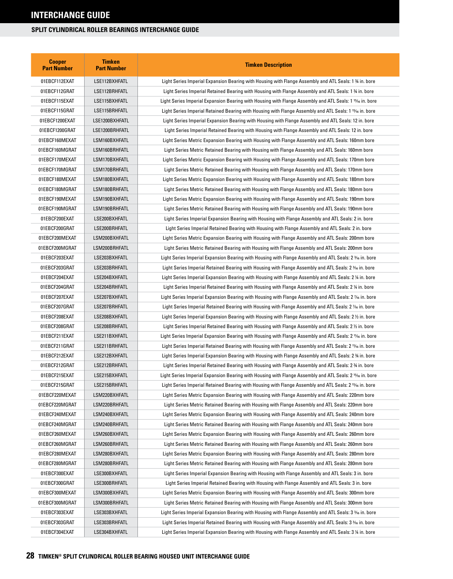| <b>Cooper</b><br><b>Part Number</b> | <b>Timken</b><br><b>Part Number</b> | <b>Timken Description</b>                                                                                         |
|-------------------------------------|-------------------------------------|-------------------------------------------------------------------------------------------------------------------|
| 01EBCF112EXAT                       | LSE112BXHFATL                       | Light Series Imperial Expansion Bearing with Housing with Flange Assembly and ATL Seals: 1 % in. bore             |
| 01EBCF112GRAT                       | LSE112BRHFATL                       | Light Series Imperial Retained Bearing with Housing with Flange Assembly and ATL Seals: 1 % in. bore              |
| 01EBCF115EXAT                       | LSE115BXHFATL                       | Light Series Imperial Expansion Bearing with Housing with Flange Assembly and ATL Seals: 1 15/16 in. bore         |
| 01EBCF115GRAT                       | LSE115BRHFATL                       | Light Series Imperial Retained Bearing with Housing with Flange Assembly and ATL Seals: 1 1546 in. bore           |
| 01EBCF1200EXAT                      | LSE1200BXHFATL                      | Light Series Imperial Expansion Bearing with Housing with Flange Assembly and ATL Seals: 12 in. bore              |
| 01EBCF1200GRAT                      | LSE1200BRHFATL                      | Light Series Imperial Retained Bearing with Housing with Flange Assembly and ATL Seals: 12 in. bore               |
| 01EBCF160MEXAT                      | LSM160BXHFATL                       | Light Series Metric Expansion Bearing with Housing with Flange Assembly and ATL Seals: 160mm bore                 |
| 01EBCF160MGRAT                      | LSM160BRHFATL                       | Light Series Metric Retained Bearing with Housing with Flange Assembly and ATL Seals: 160mm bore                  |
| 01EBCF170MEXAT                      | LSM170BXHFATL                       | Light Series Metric Expansion Bearing with Housing with Flange Assembly and ATL Seals: 170mm bore                 |
| 01EBCF170MGRAT                      | LSM170BRHFATL                       | Light Series Metric Retained Bearing with Housing with Flange Assembly and ATL Seals: 170mm bore                  |
| 01EBCF180MEXAT                      | LSM180BXHFATL                       | Light Series Metric Expansion Bearing with Housing with Flange Assembly and ATL Seals: 180mm bore                 |
| 01EBCF180MGRAT                      | LSM180BRHFATL                       | Light Series Metric Retained Bearing with Housing with Flange Assembly and ATL Seals: 180mm bore                  |
| 01EBCF190MEXAT                      | LSM190BXHFATL                       | Light Series Metric Expansion Bearing with Housing with Flange Assembly and ATL Seals: 190mm bore                 |
| 01EBCF190MGRAT                      | LSM190BRHFATL                       | Light Series Metric Retained Bearing with Housing with Flange Assembly and ATL Seals: 190mm bore                  |
| 01EBCF200EXAT                       | LSE200BXHFATL                       | Light Series Imperial Expansion Bearing with Housing with Flange Assembly and ATL Seals: 2 in. bore               |
| 01EBCF200GRAT                       | LSE200BRHFATL                       | Light Series Imperial Retained Bearing with Housing with Flange Assembly and ATL Seals: 2 in. bore                |
| 01EBCF200MEXAT                      | LSM200BXHFATL                       | Light Series Metric Expansion Bearing with Housing with Flange Assembly and ATL Seals: 200mm bore                 |
| 01EBCF200MGRAT                      | LSM200BRHFATL                       | Light Series Metric Retained Bearing with Housing with Flange Assembly and ATL Seals: 200mm bore                  |
| 01EBCF203EXAT                       | LSE203BXHFATL                       | Light Series Imperial Expansion Bearing with Housing with Flange Assembly and ATL Seals: 2 3/6 in. bore           |
| 01EBCF203GRAT                       | LSE203BRHFATL                       | Light Series Imperial Retained Bearing with Housing with Flange Assembly and ATL Seals: 2 <sup>3</sup> % in. bore |
| 01EBCF204EXAT                       | LSE204BXHFATL                       | Light Series Imperial Expansion Bearing with Housing with Flange Assembly and ATL Seals: 2 ¼ in. bore             |
| 01EBCF204GRAT                       | LSE204BRHFATL                       | Light Series Imperial Retained Bearing with Housing with Flange Assembly and ATL Seals: 2 ¼ in. bore              |
| 01EBCF207EXAT                       | LSE207BXHFATL                       | Light Series Imperial Expansion Bearing with Housing with Flange Assembly and ATL Seals: 2 % in. bore             |
| 01EBCF207GRAT                       | LSE207BRHFATL                       | Light Series Imperial Retained Bearing with Housing with Flange Assembly and ATL Seals: 2 % in. bore              |
| 01EBCF208EXAT                       | LSE208BXHFATL                       | Light Series Imperial Expansion Bearing with Housing with Flange Assembly and ATL Seals: 2 1/2 in. bore           |
| 01EBCF208GRAT                       | LSE208BRHFATL                       | Light Series Imperial Retained Bearing with Housing with Flange Assembly and ATL Seals: 2 1/2 in. bore            |
| 01EBCF211EXAT                       | LSE211BXHFATL                       | Light Series Imperial Expansion Bearing with Housing with Flange Assembly and ATL Seals: 2 11% in. bore           |
| 01EBCF211GRAT                       | LSE211BRHFATL                       | Light Series Imperial Retained Bearing with Housing with Flange Assembly and ATL Seals: 2 11/6 in. bore           |
| 01EBCF212EXAT                       | LSE212BXHFATL                       | Light Series Imperial Expansion Bearing with Housing with Flange Assembly and ATL Seals: 2 % in. bore             |
| 01EBCF212GRAT                       | LSE212BRHFATL                       | Light Series Imperial Retained Bearing with Housing with Flange Assembly and ATL Seals: 2 % in. bore              |
| 01EBCF215EXAT                       | LSE215BXHFATL                       | Light Series Imperial Expansion Bearing with Housing with Flange Assembly and ATL Seals: 2 15% in. bore           |
| 01EBCF215GRAT                       | LSE215BRHFATL                       | Light Series Imperial Retained Bearing with Housing with Flange Assembly and ATL Seals: 2 15% in. bore            |
| 01EBCF220MEXAT                      | LSM220BXHFATL                       | Light Series Metric Expansion Bearing with Housing with Flange Assembly and ATL Seals: 220mm bore                 |
| 01EBCF220MGRAT                      | LSM220BRHFATL                       | Light Series Metric Retained Bearing with Housing with Flange Assembly and ATL Seals: 220mm bore                  |
| 01EBCF240MEXAT                      | LSM240BXHFATL                       | Light Series Metric Expansion Bearing with Housing with Flange Assembly and ATL Seals: 240mm bore                 |
| 01EBCF240MGRAT                      | LSM240BRHFATL                       | Light Series Metric Retained Bearing with Housing with Flange Assembly and ATL Seals: 240mm bore                  |
| 01EBCF260MEXAT                      | LSM260BXHFATL                       | Light Series Metric Expansion Bearing with Housing with Flange Assembly and ATL Seals: 260mm bore                 |
| 01EBCF260MGRAT                      | LSM260BRHFATL                       | Light Series Metric Retained Bearing with Housing with Flange Assembly and ATL Seals: 260mm bore                  |
| 01EBCF280MEXAT                      | LSM280BXHFATL                       | Light Series Metric Expansion Bearing with Housing with Flange Assembly and ATL Seals: 280mm bore                 |
| 01EBCF280MGRAT                      | LSM280BRHFATL                       | Light Series Metric Retained Bearing with Housing with Flange Assembly and ATL Seals: 280mm bore                  |
| 01EBCF300EXAT                       | LSE300BXHFATL                       | Light Series Imperial Expansion Bearing with Housing with Flange Assembly and ATL Seals: 3 in. bore               |
| 01EBCF300GRAT                       | LSE300BRHFATL                       | Light Series Imperial Retained Bearing with Housing with Flange Assembly and ATL Seals: 3 in. bore                |
| 01EBCF300MEXAT                      | LSM300BXHFATL                       | Light Series Metric Expansion Bearing with Housing with Flange Assembly and ATL Seals: 300mm bore                 |
| 01EBCF300MGRAT                      | LSM300BRHFATL                       | Light Series Metric Retained Bearing with Housing with Flange Assembly and ATL Seals: 300mm bore                  |
| 01EBCF303EXAT                       | LSE303BXHFATL                       | Light Series Imperial Expansion Bearing with Housing with Flange Assembly and ATL Seals: 3 3/6 in. bore           |
| 01EBCF303GRAT                       | LSE303BRHFATL                       | Light Series Imperial Retained Bearing with Housing with Flange Assembly and ATL Seals: 3 3/16 in. bore           |
| 01EBCF304EXAT                       | LSE304BXHFATL                       | Light Series Imperial Expansion Bearing with Housing with Flange Assembly and ATL Seals: 3 1⁄4 in. bore           |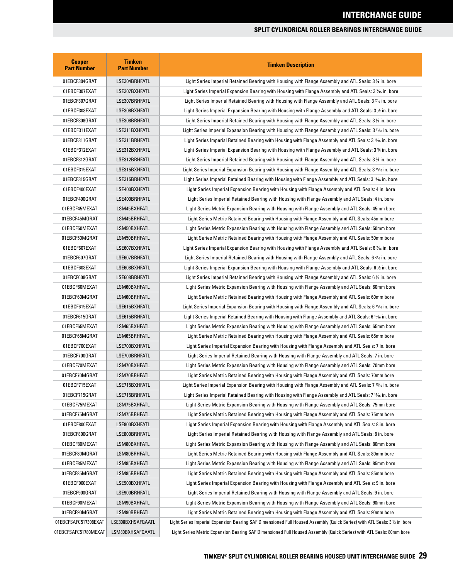| <b>Cooper</b><br><b>Part Number</b> | <b>Timken</b><br><b>Part Number</b> | <b>Timken Description</b>                                                                                               |
|-------------------------------------|-------------------------------------|-------------------------------------------------------------------------------------------------------------------------|
| 01EBCF304GRAT                       | LSE304BRHFATL                       | Light Series Imperial Retained Bearing with Housing with Flange Assembly and ATL Seals: 3 1/4 in. bore                  |
| 01EBCF307EXAT                       | LSE307BXHFATL                       | Light Series Imperial Expansion Bearing with Housing with Flange Assembly and ATL Seals: 3 % in. bore                   |
| 01EBCF307GRAT                       | LSE307BRHFATL                       | Light Series Imperial Retained Bearing with Housing with Flange Assembly and ATL Seals: 3 % in. bore                    |
| 01EBCF308EXAT                       | LSE308BXHFATL                       | Light Series Imperial Expansion Bearing with Housing with Flange Assembly and ATL Seals: 3 1/2 in. bore                 |
| 01EBCF308GRAT                       | LSE308BRHFATL                       | Light Series Imperial Retained Bearing with Housing with Flange Assembly and ATL Seals: 3 1/2 in. bore                  |
| 01EBCF311EXAT                       | LSE311BXHFATL                       | Light Series Imperial Expansion Bearing with Housing with Flange Assembly and ATL Seals: 3 11/6 in. bore                |
| 01EBCF311GRAT                       | LSE311BRHFATL                       | Light Series Imperial Retained Bearing with Housing with Flange Assembly and ATL Seals: 3 11/6 in. bore                 |
| 01EBCF312EXAT                       | LSE312BXHFATL                       | Light Series Imperial Expansion Bearing with Housing with Flange Assembly and ATL Seals: 3 % in. bore                   |
| 01EBCF312GRAT                       | LSE312BRHFATL                       | Light Series Imperial Retained Bearing with Housing with Flange Assembly and ATL Seals: 3 % in. bore                    |
| 01EBCF315EXAT                       | LSE315BXHFATL                       | Light Series Imperial Expansion Bearing with Housing with Flange Assembly and ATL Seals: 3 <sup>15</sup> /6 in. bore    |
| 01EBCF315GRAT                       | LSE315BRHFATL                       | Light Series Imperial Retained Bearing with Housing with Flange Assembly and ATL Seals: 3 1546 in. bore                 |
| 01EBCF400EXAT                       | LSE400BXHFATL                       | Light Series Imperial Expansion Bearing with Housing with Flange Assembly and ATL Seals: 4 in. bore                     |
| 01EBCF400GRAT                       | LSE400BRHFATL                       | Light Series Imperial Retained Bearing with Housing with Flange Assembly and ATL Seals: 4 in. bore                      |
| 01EBCF45MEXAT                       | LSM45BXHFATL                        | Light Series Metric Expansion Bearing with Housing with Flange Assembly and ATL Seals: 45mm bore                        |
| 01EBCF45MGRAT                       | LSM45BRHFATL                        | Light Series Metric Retained Bearing with Housing with Flange Assembly and ATL Seals: 45mm bore                         |
| 01EBCF50MEXAT                       | LSM50BXHFATL                        | Light Series Metric Expansion Bearing with Housing with Flange Assembly and ATL Seals: 50mm bore                        |
| 01EBCF50MGRAT                       | LSM50BRHFATL                        | Light Series Metric Retained Bearing with Housing with Flange Assembly and ATL Seals: 50mm bore                         |
| 01EBCF607EXAT                       | LSE607BXHFATL                       | Light Series Imperial Expansion Bearing with Housing with Flange Assembly and ATL Seals: 6 % in. bore                   |
| 01EBCF607GRAT                       | LSE607BRHFATL                       | Light Series Imperial Retained Bearing with Housing with Flange Assembly and ATL Seals: 6 % in. bore                    |
| 01EBCF608EXAT                       | LSE608BXHFATL                       | Light Series Imperial Expansion Bearing with Housing with Flange Assembly and ATL Seals: 6 % in. bore                   |
| 01EBCF608GRAT                       | LSE608BRHFATL                       | Light Series Imperial Retained Bearing with Housing with Flange Assembly and ATL Seals: 6 $\frac{1}{2}$ in. bore        |
| 01EBCF60MEXAT                       | LSM60BXHFATL                        | Light Series Metric Expansion Bearing with Housing with Flange Assembly and ATL Seals: 60mm bore                        |
| 01EBCF60MGRAT                       | LSM60BRHFATL                        | Light Series Metric Retained Bearing with Housing with Flange Assembly and ATL Seals: 60mm bore                         |
| 01EBCF615EXAT                       | LSE615BXHFATL                       | Light Series Imperial Expansion Bearing with Housing with Flange Assembly and ATL Seals: 6 15/16 in. bore               |
| 01EBCF615GRAT                       | LSE615BRHFATL                       | Light Series Imperial Retained Bearing with Housing with Flange Assembly and ATL Seals: 6 15% in. bore                  |
| 01EBCF65MEXAT                       | LSM65BXHFATL                        | Light Series Metric Expansion Bearing with Housing with Flange Assembly and ATL Seals: 65mm bore                        |
| 01EBCF65MGRAT                       | LSM65BRHFATL                        | Light Series Metric Retained Bearing with Housing with Flange Assembly and ATL Seals: 65mm bore                         |
| 01EBCF700EXAT                       | LSE700BXHFATL                       | Light Series Imperial Expansion Bearing with Housing with Flange Assembly and ATL Seals: 7 in. bore                     |
| 01EBCF700GRAT                       | LSE700BRHFATL                       | Light Series Imperial Retained Bearing with Housing with Flange Assembly and ATL Seals: 7 in. bore                      |
| 01EBCF70MEXAT                       | LSM70BXHFATL                        | Light Series Metric Expansion Bearing with Housing with Flange Assembly and ATL Seals: 70mm bore                        |
| 01EBCF70MGRAT                       | LSM70BRHFATL                        | Light Series Metric Retained Bearing with Housing with Flange Assembly and ATL Seals: 70mm bore                         |
| 01EBCF715EXAT                       | LSE715BXHFATL                       | Light Series Imperial Expansion Bearing with Housing with Flange Assembly and ATL Seals: 7 15% in. bore                 |
| 01EBCF715GRAT                       | LSE715BRHFATL                       | Light Series Imperial Retained Bearing with Housing with Flange Assembly and ATL Seals: 7 15/16 in. bore                |
| 01EBCF75MEXAT                       | LSM75BXHFATL                        | Light Series Metric Expansion Bearing with Housing with Flange Assembly and ATL Seals: 75mm bore                        |
| 01EBCF75MGRAT                       | LSM75BRHFATL                        | Light Series Metric Retained Bearing with Housing with Flange Assembly and ATL Seals: 75mm bore                         |
| 01EBCF800EXAT                       | LSE800BXHFATL                       | Light Series Imperial Expansion Bearing with Housing with Flange Assembly and ATL Seals: 8 in. bore                     |
| 01EBCF800GRAT                       | LSE800BRHFATL                       | Light Series Imperial Retained Bearing with Housing with Flange Assembly and ATL Seals: 8 in. bore                      |
| 01EBCF80MEXAT                       | LSM80BXHFATL                        | Light Series Metric Expansion Bearing with Housing with Flange Assembly and ATL Seals: 80mm bore                        |
| 01EBCF80MGRAT                       | LSM80BRHFATL                        | Light Series Metric Retained Bearing with Housing with Flange Assembly and ATL Seals: 80mm bore                         |
| 01EBCF85MEXAT                       | LSM85BXHFATL                        | Light Series Metric Expansion Bearing with Housing with Flange Assembly and ATL Seals: 85mm bore                        |
| 01EBCF85MGRAT                       | LSM85BRHFATL                        | Light Series Metric Retained Bearing with Housing with Flange Assembly and ATL Seals: 85mm bore                         |
| 01EBCF900EXAT                       | LSE900BXHFATL                       | Light Series Imperial Expansion Bearing with Housing with Flange Assembly and ATL Seals: 9 in. bore                     |
| 01EBCF900GRAT                       | LSE900BRHFATL                       | Light Series Imperial Retained Bearing with Housing with Flange Assembly and ATL Seals: 9 in. bore                      |
| 01EBCF90MEXAT                       | LSM90BXHFATL                        | Light Series Metric Expansion Bearing with Housing with Flange Assembly and ATL Seals: 90mm bore                        |
| 01EBCF90MGRAT                       | LSM90BRHFATL                        | Light Series Metric Retained Bearing with Housing with Flange Assembly and ATL Seals: 90mm bore                         |
| 01EBCFSAFC517308EXAT                | LSE308BXHSAFQAATL                   | Light Series Imperial Expansion Bearing SAF Dimensioned Full Housed Assembly (Quick Series) with ATL Seals: 3½ in. bore |
| 01EBCFSAFC51780MEXAT                | LSM80BXHSAFQAATL                    | Light Series Metric Expansion Bearing SAF Dimensioned Full Housed Assembly (Quick Series) with ATL Seals: 80mm bore     |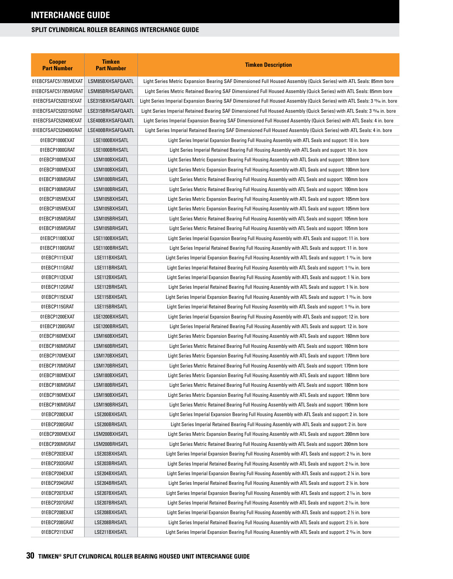| <b>Cooper</b><br><b>Part Number</b> | Timken<br><b>Part Number</b> | <b>Timken Description</b>                                                                                                    |
|-------------------------------------|------------------------------|------------------------------------------------------------------------------------------------------------------------------|
| 01EBCFSAFC51785MEXAT                | LSM85BXHSAFQAATL             | Light Series Metric Expansion Bearing SAF Dimensioned Full Housed Assembly (Quick Series) with ATL Seals: 85mm bore          |
| 01EBCFSAFC51785MGRAT                | LSM85BRHSAFQAATL             | Light Series Metric Retained Bearing SAF Dimensioned Full Housed Assembly (Quick Series) with ATL Seals: 85mm bore           |
| 01EBCFSAFC520315EXAT                | LSE315BXHSAFQAATL            | Light Series Imperial Expansion Bearing SAF Dimensioned Full Housed Assembly (Quick Series) with ATL Seals: 3 15⁄16 in. bore |
| 01EBCFSAFC520315GRAT                | LSE315BRHSAFQAATL            | Light Series Imperial Retained Bearing SAF Dimensioned Full Housed Assembly (Quick Series) with ATL Seals: 3 15⁄16 in. bore  |
| 01EBCFSAFC520400EXAT                | LSE400BXHSAFQAATL            | Light Series Imperial Expansion Bearing SAF Dimensioned Full Housed Assembly (Quick Series) with ATL Seals: 4 in. bore       |
| 01EBCFSAFC520400GRAT                | LSE400BRHSAFQAATL            | Light Series Imperial Retained Bearing SAF Dimensioned Full Housed Assembly (Quick Series) with ATL Seals: 4 in. bore        |
| 01EBCP1000EXAT                      | LSE1000BXHSATL               | Light Series Imperial Expansion Bearing Full Housing Assembly with ATL Seals and support: 10 in. bore                        |
| 01EBCP1000GRAT                      | LSE1000BRHSATL               | Light Series Imperial Retained Bearing Full Housing Assembly with ATL Seals and support: 10 in. bore                         |
| 01EBCP100MEXAT                      | LSM100BXHSATL                | Light Series Metric Expansion Bearing Full Housing Assembly with ATL Seals and support: 100mm bore                           |
| 01EBCP100MEXAT                      | LSM100BXHSATL                | Light Series Metric Expansion Bearing Full Housing Assembly with ATL Seals and support: 100mm bore                           |
| 01EBCP100MGRAT                      | LSM100BRHSATL                | Light Series Metric Retained Bearing Full Housing Assembly with ATL Seals and support: 100mm bore                            |
| 01EBCP100MGRAT                      | LSM100BRHSATL                | Light Series Metric Retained Bearing Full Housing Assembly with ATL Seals and support: 100mm bore                            |
| 01EBCP105MEXAT                      | LSM105BXHSATL                | Light Series Metric Expansion Bearing Full Housing Assembly with ATL Seals and support: 105mm bore                           |
| 01EBCP105MEXAT                      | LSM105BXHSATL                | Light Series Metric Expansion Bearing Full Housing Assembly with ATL Seals and support: 105mm bore                           |
| 01EBCP105MGRAT                      | LSM105BRHSATL                | Light Series Metric Retained Bearing Full Housing Assembly with ATL Seals and support: 105mm bore                            |
| 01EBCP105MGRAT                      | LSM105BRHSATL                | Light Series Metric Retained Bearing Full Housing Assembly with ATL Seals and support: 105mm bore                            |
| 01EBCP1100EXAT                      | LSE1100BXHSATL               | Light Series Imperial Expansion Bearing Full Housing Assembly with ATL Seals and support: 11 in. bore                        |
| 01EBCP1100GRAT                      | LSE1100BRHSATL               | Light Series Imperial Retained Bearing Full Housing Assembly with ATL Seals and support: 11 in. bore                         |
| 01EBCP111EXAT                       | LSE111BXHSATL                | Light Series Imperial Expansion Bearing Full Housing Assembly with ATL Seals and support: 1 1% in. bore                      |
| 01EBCP111GRAT                       | LSE111BRHSATL                | Light Series Imperial Retained Bearing Full Housing Assembly with ATL Seals and support: 1 11/16 in. bore                    |
| 01EBCP112EXAT                       | LSE112BXHSATL                | Light Series Imperial Expansion Bearing Full Housing Assembly with ATL Seals and support: 1 ¾ in. bore                       |
| 01EBCP112GRAT                       | LSE112BRHSATL                | Light Series Imperial Retained Bearing Full Housing Assembly with ATL Seals and support: 1 % in. bore                        |
| 01EBCP115EXAT                       | LSE115BXHSATL                | Light Series Imperial Expansion Bearing Full Housing Assembly with ATL Seals and support: 1 15% in. bore                     |
| 01EBCP115GRAT                       | LSE115BRHSATL                | Light Series Imperial Retained Bearing Full Housing Assembly with ATL Seals and support: 1 15% in. bore                      |
| 01EBCP1200EXAT                      | LSE1200BXHSATL               | Light Series Imperial Expansion Bearing Full Housing Assembly with ATL Seals and support: 12 in. bore                        |
| 01EBCP1200GRAT                      | LSE1200BRHSATL               | Light Series Imperial Retained Bearing Full Housing Assembly with ATL Seals and support: 12 in. bore                         |
| 01EBCP160MEXAT                      | LSM160BXHSATL                | Light Series Metric Expansion Bearing Full Housing Assembly with ATL Seals and support: 160mm bore                           |
| 01EBCP160MGRAT                      | LSM160BRHSATL                | Light Series Metric Retained Bearing Full Housing Assembly with ATL Seals and support: 160mm bore                            |
| 01EBCP170MEXAT                      | LSM170BXHSATL                | Light Series Metric Expansion Bearing Full Housing Assembly with ATL Seals and support: 170mm bore                           |
| 01EBCP170MGRAT                      | LSM170BRHSATL                | Light Series Metric Retained Bearing Full Housing Assembly with ATL Seals and support: 170mm bore                            |
| 01EBCP180MEXAT                      | LSM180BXHSATL                | Light Series Metric Expansion Bearing Full Housing Assembly with ATL Seals and support: 180mm bore                           |
| 01EBCP180MGRAT                      | LSM180BRHSATL                | Light Series Metric Retained Bearing Full Housing Assembly with ATL Seals and support: 180mm bore                            |
| 01EBCP190MEXAT                      | LSM190BXHSATL                | Light Series Metric Expansion Bearing Full Housing Assembly with ATL Seals and support: 190mm bore                           |
| 01EBCP190MGRAT                      | LSM190BRHSATL                | Light Series Metric Retained Bearing Full Housing Assembly with ATL Seals and support: 190mm bore                            |
| 01EBCP200EXAT                       | LSE200BXHSATL                | Light Series Imperial Expansion Bearing Full Housing Assembly with ATL Seals and support: 2 in. bore                         |
| 01EBCP200GRAT                       | LSE200BRHSATL                | Light Series Imperial Retained Bearing Full Housing Assembly with ATL Seals and support: 2 in. bore                          |
| 01EBCP200MEXAT                      | LSM200BXHSATL                | Light Series Metric Expansion Bearing Full Housing Assembly with ATL Seals and support: 200mm bore                           |
| 01EBCP200MGRAT                      | LSM200BRHSATL                | Light Series Metric Retained Bearing Full Housing Assembly with ATL Seals and support: 200mm bore                            |
| 01EBCP203EXAT                       | LSE203BXHSATL                | Light Series Imperial Expansion Bearing Full Housing Assembly with ATL Seals and support: 2 % in. bore                       |
| 01EBCP203GRAT                       | LSE203BRHSATL                | Light Series Imperial Retained Bearing Full Housing Assembly with ATL Seals and support: 2 % in. bore                        |
| 01EBCP204EXAT                       | LSE204BXHSATL                | Light Series Imperial Expansion Bearing Full Housing Assembly with ATL Seals and support: 2 ¼ in. bore                       |
| 01EBCP204GRAT                       | LSE204BRHSATL                | Light Series Imperial Retained Bearing Full Housing Assembly with ATL Seals and support: 2 ¼ in. bore                        |
| 01EBCP207EXAT                       | LSE207BXHSATL                | Light Series Imperial Expansion Bearing Full Housing Assembly with ATL Seals and support: 2 % in. bore                       |
| 01EBCP207GRAT                       | LSE207BRHSATL                | Light Series Imperial Retained Bearing Full Housing Assembly with ATL Seals and support: 2 % in. bore                        |
| 01EBCP208EXAT                       | LSE208BXHSATL                | Light Series Imperial Expansion Bearing Full Housing Assembly with ATL Seals and support: 2 ½ in. bore                       |
| 01EBCP208GRAT                       | LSE208BRHSATL                | Light Series Imperial Retained Bearing Full Housing Assembly with ATL Seals and support: 2 $\frac{1}{2}$ in. bore            |
| 01EBCP211EXAT                       | LSE211BXHSATL                | Light Series Imperial Expansion Bearing Full Housing Assembly with ATL Seals and support: 2 1% in. bore                      |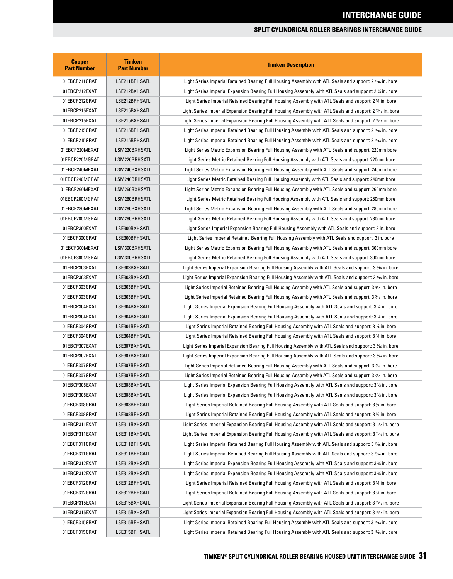| <b>Cooper</b><br><b>Part Number</b> | <b>Timken</b><br><b>Part Number</b> | <b>Timken Description</b>                                                                                            |
|-------------------------------------|-------------------------------------|----------------------------------------------------------------------------------------------------------------------|
| 01EBCP211GRAT                       | LSE211BRHSATL                       | Light Series Imperial Retained Bearing Full Housing Assembly with ATL Seals and support: 2 11/6 in. bore             |
| 01EBCP212EXAT                       | LSE212BXHSATL                       | Light Series Imperial Expansion Bearing Full Housing Assembly with ATL Seals and support: 2 % in. bore               |
| 01EBCP212GRAT                       | LSE212BRHSATL                       | Light Series Imperial Retained Bearing Full Housing Assembly with ATL Seals and support: 2 % in. bore                |
| 01EBCP215EXAT                       | LSE215BXHSATL                       | Light Series Imperial Expansion Bearing Full Housing Assembly with ATL Seals and support: 2 15% in. bore             |
| 01EBCP215EXAT                       | LSE215BXHSATL                       | Light Series Imperial Expansion Bearing Full Housing Assembly with ATL Seals and support: 2 15% in. bore             |
| 01EBCP215GRAT                       | LSE215BRHSATL                       | Light Series Imperial Retained Bearing Full Housing Assembly with ATL Seals and support: 2 15% in. bore              |
| 01EBCP215GRAT                       | LSE215BRHSATL                       | Light Series Imperial Retained Bearing Full Housing Assembly with ATL Seals and support: 2 15% in. bore              |
| 01EBCP220MEXAT                      | LSM220BXHSATL                       | Light Series Metric Expansion Bearing Full Housing Assembly with ATL Seals and support: 220mm bore                   |
| 01EBCP220MGRAT                      | LSM220BRHSATL                       | Light Series Metric Retained Bearing Full Housing Assembly with ATL Seals and support: 220mm bore                    |
| 01EBCP240MEXAT                      | LSM240BXHSATL                       | Light Series Metric Expansion Bearing Full Housing Assembly with ATL Seals and support: 240mm bore                   |
| 01EBCP240MGRAT                      | LSM240BRHSATL                       | Light Series Metric Retained Bearing Full Housing Assembly with ATL Seals and support: 240mm bore                    |
| 01EBCP260MEXAT                      | LSM260BXHSATL                       | Light Series Metric Expansion Bearing Full Housing Assembly with ATL Seals and support: 260mm bore                   |
| 01EBCP260MGRAT                      | LSM260BRHSATL                       | Light Series Metric Retained Bearing Full Housing Assembly with ATL Seals and support: 260mm bore                    |
| 01EBCP280MEXAT                      | LSM280BXHSATL                       | Light Series Metric Expansion Bearing Full Housing Assembly with ATL Seals and support: 280mm bore                   |
| 01EBCP280MGRAT                      | LSM280BRHSATL                       | Light Series Metric Retained Bearing Full Housing Assembly with ATL Seals and support: 280mm bore                    |
| 01EBCP300EXAT                       | LSE300BXHSATL                       | Light Series Imperial Expansion Bearing Full Housing Assembly with ATL Seals and support: 3 in. bore                 |
| 01EBCP300GRAT                       | LSE300BRHSATL                       | Light Series Imperial Retained Bearing Full Housing Assembly with ATL Seals and support: 3 in. bore                  |
| 01EBCP300MEXAT                      | LSM300BXHSATL                       | Light Series Metric Expansion Bearing Full Housing Assembly with ATL Seals and support: 300mm bore                   |
| 01EBCP300MGRAT                      | LSM300BRHSATL                       | Light Series Metric Retained Bearing Full Housing Assembly with ATL Seals and support: 300mm bore                    |
| 01EBCP303EXAT                       | LSE303BXHSATL                       | Light Series Imperial Expansion Bearing Full Housing Assembly with ATL Seals and support: 3 3/6 in. bore             |
| 01EBCP303EXAT                       | LSE303BXHSATL                       | Light Series Imperial Expansion Bearing Full Housing Assembly with ATL Seals and support: 3 3/6 in. bore             |
| 01EBCP303GRAT                       | LSE303BRHSATL                       | Light Series Imperial Retained Bearing Full Housing Assembly with ATL Seals and support: 3 366 in. bore              |
| 01EBCP303GRAT                       | LSE303BRHSATL                       | Light Series Imperial Retained Bearing Full Housing Assembly with ATL Seals and support: 3 3% in. bore               |
| 01EBCP304EXAT                       | LSE304BXHSATL                       | Light Series Imperial Expansion Bearing Full Housing Assembly with ATL Seals and support: 3 1/4 in. bore             |
| 01EBCP304EXAT                       | LSE304BXHSATL                       | Light Series Imperial Expansion Bearing Full Housing Assembly with ATL Seals and support: 3 1/4 in. bore             |
| 01EBCP304GRAT                       | LSE304BRHSATL                       | Light Series Imperial Retained Bearing Full Housing Assembly with ATL Seals and support: 3 1/4 in. bore              |
| 01EBCP304GRAT                       | LSE304BRHSATL                       | Light Series Imperial Retained Bearing Full Housing Assembly with ATL Seals and support: 3 ¼ in. bore                |
| 01EBCP307EXAT                       | LSE307BXHSATL                       | Light Series Imperial Expansion Bearing Full Housing Assembly with ATL Seals and support: 3 % in. bore               |
| 01EBCP307EXAT                       | LSE307BXHSATL                       | Light Series Imperial Expansion Bearing Full Housing Assembly with ATL Seals and support: 3 % in. bore               |
| 01EBCP307GRAT                       | LSE307BRHSATL                       | Light Series Imperial Retained Bearing Full Housing Assembly with ATL Seals and support: 3 % in. bore                |
| 01EBCP307GRAT                       | LSE307BRHSATL                       | Light Series Imperial Retained Bearing Full Housing Assembly with ATL Seals and support: 3 % in. bore                |
| 01EBCP308EXAT                       | LSE308BXHSATL                       | Light Series Imperial Expansion Bearing Full Housing Assembly with ATL Seals and support: 3 1/2 in. bore             |
| 01EBCP308EXAT                       | LSE308BXHSATL                       | Light Series Imperial Expansion Bearing Full Housing Assembly with ATL Seals and support: 3 $\frac{1}{2}$ in. bore   |
| 01EBCP308GRAT                       | LSE308BRHSATL                       | Light Series Imperial Retained Bearing Full Housing Assembly with ATL Seals and support: 3 1/2 in. bore              |
| 01EBCP308GRAT                       | LSE308BRHSATL                       | Light Series Imperial Retained Bearing Full Housing Assembly with ATL Seals and support: 3 1/2 in. bore              |
| 01EBCP311EXAT                       | LSE311BXHSATL                       | Light Series Imperial Expansion Bearing Full Housing Assembly with ATL Seals and support: 3 11/6 in. bore            |
| 01EBCP311EXAT                       | LSE311BXHSATL                       | Light Series Imperial Expansion Bearing Full Housing Assembly with ATL Seals and support: 3 11/6 in. bore            |
| 01EBCP311GRAT                       | LSE311BRHSATL                       | Light Series Imperial Retained Bearing Full Housing Assembly with ATL Seals and support: 3 11/6 in. bore             |
| 01EBCP311GRAT                       | LSE311BRHSATL                       | Light Series Imperial Retained Bearing Full Housing Assembly with ATL Seals and support: 3 11/6 in. bore             |
| 01EBCP312EXAT                       | LSE312BXHSATL                       | Light Series Imperial Expansion Bearing Full Housing Assembly with ATL Seals and support: 3 % in. bore               |
| 01EBCP312EXAT                       | LSE312BXHSATL                       | Light Series Imperial Expansion Bearing Full Housing Assembly with ATL Seals and support: 3 % in. bore               |
| 01EBCP312GRAT                       | LSE312BRHSATL                       | Light Series Imperial Retained Bearing Full Housing Assembly with ATL Seals and support: 3 % in. bore                |
| 01EBCP312GRAT                       | LSE312BRHSATL                       | Light Series Imperial Retained Bearing Full Housing Assembly with ATL Seals and support: 3 % in. bore                |
| 01EBCP315EXAT                       | LSE315BXHSATL                       | Light Series Imperial Expansion Bearing Full Housing Assembly with ATL Seals and support: 3 15% in. bore             |
| 01EBCP315EXAT                       | LSE315BXHSATL                       | Light Series Imperial Expansion Bearing Full Housing Assembly with ATL Seals and support: 3 15% in. bore             |
| 01EBCP315GRAT                       | LSE315BRHSATL                       | Light Series Imperial Retained Bearing Full Housing Assembly with ATL Seals and support: 3 <sup>15</sup> /6 in. bore |
| 01EBCP315GRAT                       | LSE315BRHSATL                       | Light Series Imperial Retained Bearing Full Housing Assembly with ATL Seals and support: 3 <sup>15</sup> /6 in. bore |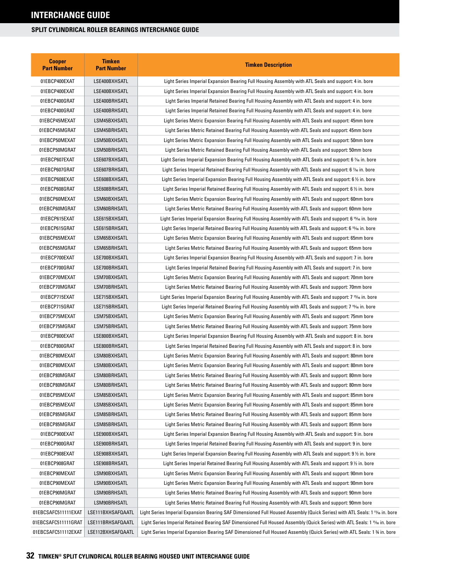| <b>Cooper</b><br><b>Part Number</b> | <b>Timken</b><br><b>Part Number</b> | <b>Timken Description</b>                                                                                                  |
|-------------------------------------|-------------------------------------|----------------------------------------------------------------------------------------------------------------------------|
| 01EBCP400EXAT                       | LSE400BXHSATL                       | Light Series Imperial Expansion Bearing Full Housing Assembly with ATL Seals and support: 4 in. bore                       |
| 01EBCP400EXAT                       | LSE400BXHSATL                       | Light Series Imperial Expansion Bearing Full Housing Assembly with ATL Seals and support: 4 in. bore                       |
| 01EBCP400GRAT                       | LSE400BRHSATL                       | Light Series Imperial Retained Bearing Full Housing Assembly with ATL Seals and support: 4 in. bore                        |
| 01EBCP400GRAT                       | LSE400BRHSATL                       | Light Series Imperial Retained Bearing Full Housing Assembly with ATL Seals and support: 4 in. bore                        |
| 01EBCP45MEXAT                       | LSM45BXHSATL                        | Light Series Metric Expansion Bearing Full Housing Assembly with ATL Seals and support: 45mm bore                          |
| 01EBCP45MGRAT                       | LSM45BRHSATL                        | Light Series Metric Retained Bearing Full Housing Assembly with ATL Seals and support: 45mm bore                           |
| 01EBCP50MEXAT                       | LSM50BXHSATL                        | Light Series Metric Expansion Bearing Full Housing Assembly with ATL Seals and support: 50mm bore                          |
| 01EBCP50MGRAT                       | LSM50BRHSATL                        | Light Series Metric Retained Bearing Full Housing Assembly with ATL Seals and support: 50mm bore                           |
| 01EBCP607EXAT                       | LSE607BXHSATL                       | Light Series Imperial Expansion Bearing Full Housing Assembly with ATL Seals and support: 6 % in. bore                     |
| 01EBCP607GRAT                       | LSE607BRHSATL                       | Light Series Imperial Retained Bearing Full Housing Assembly with ATL Seals and support: 6 % in. bore                      |
| 01EBCP608EXAT                       | LSE608BXHSATL                       | Light Series Imperial Expansion Bearing Full Housing Assembly with ATL Seals and support: 6 $\%$ in. bore                  |
| 01EBCP608GRAT                       | LSE608BRHSATL                       | Light Series Imperial Retained Bearing Full Housing Assembly with ATL Seals and support: 6 1/2 in. bore                    |
| 01EBCP60MEXAT                       | LSM60BXHSATL                        | Light Series Metric Expansion Bearing Full Housing Assembly with ATL Seals and support: 60mm bore                          |
| 01EBCP60MGRAT                       | LSM60BRHSATL                        | Light Series Metric Retained Bearing Full Housing Assembly with ATL Seals and support: 60mm bore                           |
| 01EBCP615EXAT                       | LSE615BXHSATL                       | Light Series Imperial Expansion Bearing Full Housing Assembly with ATL Seals and support: 6 15⁄16 in. bore                 |
| 01EBCP615GRAT                       | LSE615BRHSATL                       | Light Series Imperial Retained Bearing Full Housing Assembly with ATL Seals and support: 6 15⁄16 in. bore                  |
| 01EBCP65MEXAT                       | LSM65BXHSATL                        | Light Series Metric Expansion Bearing Full Housing Assembly with ATL Seals and support: 65mm bore                          |
| 01EBCP65MGRAT                       | LSM65BRHSATL                        | Light Series Metric Retained Bearing Full Housing Assembly with ATL Seals and support: 65mm bore                           |
| 01EBCP700EXAT                       | LSE700BXHSATL                       | Light Series Imperial Expansion Bearing Full Housing Assembly with ATL Seals and support: 7 in. bore                       |
| 01EBCP700GRAT                       | LSE700BRHSATL                       | Light Series Imperial Retained Bearing Full Housing Assembly with ATL Seals and support: 7 in. bore                        |
| 01EBCP70MEXAT                       | LSM70BXHSATL                        | Light Series Metric Expansion Bearing Full Housing Assembly with ATL Seals and support: 70mm bore                          |
| 01EBCP70MGRAT                       | LSM70BRHSATL                        | Light Series Metric Retained Bearing Full Housing Assembly with ATL Seals and support: 70mm bore                           |
| 01EBCP715EXAT                       | LSE715BXHSATL                       | Light Series Imperial Expansion Bearing Full Housing Assembly with ATL Seals and support: 7 15⁄16 in. bore                 |
| 01EBCP715GRAT                       | LSE715BRHSATL                       | Light Series Imperial Retained Bearing Full Housing Assembly with ATL Seals and support: 7 قاءة 1.5 kin. bore              |
| 01EBCP75MEXAT                       | LSM75BXHSATL                        | Light Series Metric Expansion Bearing Full Housing Assembly with ATL Seals and support: 75mm bore                          |
| 01EBCP75MGRAT                       | LSM75BRHSATL                        | Light Series Metric Retained Bearing Full Housing Assembly with ATL Seals and support: 75mm bore                           |
| 01EBCP800EXAT                       | LSE800BXHSATL                       | Light Series Imperial Expansion Bearing Full Housing Assembly with ATL Seals and support: 8 in. bore                       |
| 01EBCP800GRAT                       | LSE800BRHSATL                       | Light Series Imperial Retained Bearing Full Housing Assembly with ATL Seals and support: 8 in. bore                        |
| 01EBCP80MEXAT                       | LSM80BXHSATL                        | Light Series Metric Expansion Bearing Full Housing Assembly with ATL Seals and support: 80mm bore                          |
| 01EBCP80MEXAT                       | LSM80BXHSATL                        | Light Series Metric Expansion Bearing Full Housing Assembly with ATL Seals and support: 80mm bore                          |
| 01EBCP80MGRAT                       | LSM80BRHSATL                        | Light Series Metric Retained Bearing Full Housing Assembly with ATL Seals and support: 80mm bore                           |
| 01EBCP80MGRAT                       | LSM80BRHSATL                        | Light Series Metric Retained Bearing Full Housing Assembly with ATL Seals and support: 80mm bore                           |
| 01EBCP85MEXAT                       | LSM85BXHSATL                        | Light Series Metric Expansion Bearing Full Housing Assembly with ATL Seals and support: 85mm bore                          |
| 01EBCP85MEXAT                       | LSM85BXHSATL                        | Light Series Metric Expansion Bearing Full Housing Assembly with ATL Seals and support: 85mm bore                          |
| 01EBCP85MGRAT                       | LSM85BRHSATL                        | Light Series Metric Retained Bearing Full Housing Assembly with ATL Seals and support: 85mm bore                           |
| 01EBCP85MGRAT                       | LSM85BRHSATL                        | Light Series Metric Retained Bearing Full Housing Assembly with ATL Seals and support: 85mm bore                           |
| 01EBCP900EXAT                       | LSE900BXHSATL                       | Light Series Imperial Expansion Bearing Full Housing Assembly with ATL Seals and support: 9 in. bore                       |
| 01EBCP900GRAT                       | LSE900BRHSATL                       | Light Series Imperial Retained Bearing Full Housing Assembly with ATL Seals and support: 9 in. bore                        |
| 01EBCP908EXAT                       | LSE908BXHSATL                       | Light Series Imperial Expansion Bearing Full Housing Assembly with ATL Seals and support: 9 ½ in. bore                     |
| 01EBCP908GRAT                       | LSE908BRHSATL                       | Light Series Imperial Retained Bearing Full Housing Assembly with ATL Seals and support: 9 1/2 in. bore                    |
| 01EBCP90MEXAT                       | LSM90BXHSATL                        | Light Series Metric Expansion Bearing Full Housing Assembly with ATL Seals and support: 90mm bore                          |
| 01EBCP90MEXAT                       | LSM90BXHSATL                        | Light Series Metric Expansion Bearing Full Housing Assembly with ATL Seals and support: 90mm bore                          |
| 01EBCP90MGRAT                       | LSM90BRHSATL                        | Light Series Metric Retained Bearing Full Housing Assembly with ATL Seals and support: 90mm bore                           |
| 01EBCP90MGRAT                       | LSM90BRHSATL                        | Light Series Metric Retained Bearing Full Housing Assembly with ATL Seals and support: 90mm bore                           |
| 01EBCSAFC511111EXAT                 | LSE111BXHSAFQAATL                   | Light Series Imperial Expansion Bearing SAF Dimensioned Full Housed Assembly (Quick Series) with ATL Seals: 1 1% in. bore  |
| 01EBCSAFC511111GRAT                 | LSE111BRHSAFQAATL                   | Light Series Imperial Retained Bearing SAF Dimensioned Full Housed Assembly (Quick Series) with ATL Seals: 1 11/6 in. bore |
| 01EBCSAFC511112EXAT                 | LSE112BXHSAFQAATL                   | Light Series Imperial Expansion Bearing SAF Dimensioned Full Housed Assembly (Quick Series) with ATL Seals: 1 % in. bore   |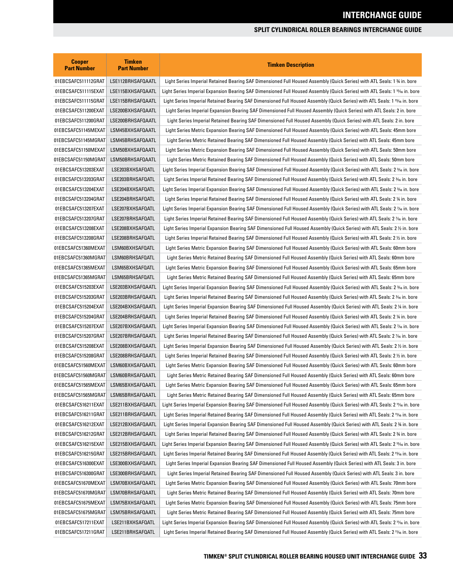| <b>Cooper</b><br><b>Part Number</b> | <b>Timken</b><br><b>Part Number</b> | <b>Timken Description</b>                                                                                                   |
|-------------------------------------|-------------------------------------|-----------------------------------------------------------------------------------------------------------------------------|
| 01EBCSAFC511112GRAT                 | LSE112BRHSAFQAATL                   | Light Series Imperial Retained Bearing SAF Dimensioned Full Housed Assembly (Quick Series) with ATL Seals: 1 % in. bore     |
| 01EBCSAFC511115EXAT                 | LSE115BXHSAFQAATL                   | Light Series Imperial Expansion Bearing SAF Dimensioned Full Housed Assembly (Quick Series) with ATL Seals: 1 15% in. bore  |
| 01EBCSAFC511115GRAT                 | LSE115BRHSAFQAATL                   | Light Series Imperial Retained Bearing SAF Dimensioned Full Housed Assembly (Quick Series) with ATL Seals: 1 1566 in. bore  |
| 01EBCSAFC511200EXAT                 | LSE200BXHSAFQAATL                   | Light Series Imperial Expansion Bearing SAF Dimensioned Full Housed Assembly (Quick Series) with ATL Seals: 2 in. bore      |
| 01EBCSAFC511200GRAT                 | LSE200BRHSAFQAATL                   | Light Series Imperial Retained Bearing SAF Dimensioned Full Housed Assembly (Quick Series) with ATL Seals: 2 in. bore       |
| 01EBCSAFC51145MEXAT                 | LSM45BXHSAFQAATL                    | Light Series Metric Expansion Bearing SAF Dimensioned Full Housed Assembly (Quick Series) with ATL Seals: 45mm bore         |
| 01EBCSAFC51145MGRAT                 | LSM45BRHSAFQAATL                    | Light Series Metric Retained Bearing SAF Dimensioned Full Housed Assembly (Quick Series) with ATL Seals: 45mm bore          |
| 01EBCSAFC51150MEXAT                 | LSM50BXHSAFQAATL                    | Light Series Metric Expansion Bearing SAF Dimensioned Full Housed Assembly (Quick Series) with ATL Seals: 50mm bore         |
| 01EBCSAFC51150MGRAT                 | LSM50BRHSAFQAATL                    | Light Series Metric Retained Bearing SAF Dimensioned Full Housed Assembly (Quick Series) with ATL Seals: 50mm bore          |
| 01EBCSAFC513203EXAT                 | LSE203BXHSAFQATL                    | Light Series Imperial Expansion Bearing SAF Dimensioned Full Housed Assembly (Quick Series) with ATL Seals: 2 366 in. bore  |
| 01EBCSAFC513203GRAT                 | LSE203BRHSAFQATL                    | Light Series Imperial Retained Bearing SAF Dimensioned Full Housed Assembly (Quick Series) with ATL Seals: 2 366 in. bore   |
| 01EBCSAFC513204EXAT                 | LSE204BXHSAFQATL                    | Light Series Imperial Expansion Bearing SAF Dimensioned Full Housed Assembly (Quick Series) with ATL Seals: 2 ¾ in. bore    |
| 01EBCSAFC513204GRAT                 | LSE204BRHSAFQATL                    | Light Series Imperial Retained Bearing SAF Dimensioned Full Housed Assembly (Quick Series) with ATL Seals: 2 ¼ in. bore     |
| 01EBCSAFC513207EXAT                 | LSE207BXHSAFQATL                    | Light Series Imperial Expansion Bearing SAF Dimensioned Full Housed Assembly (Quick Series) with ATL Seals: 2 % in. bore    |
| 01EBCSAFC513207GRAT                 | LSE207BRHSAFQATL                    | Light Series Imperial Retained Bearing SAF Dimensioned Full Housed Assembly (Quick Series) with ATL Seals: 2 % in. bore     |
| 01EBCSAFC513208EXAT                 | LSE208BXHSAFQATL                    | Light Series Imperial Expansion Bearing SAF Dimensioned Full Housed Assembly (Quick Series) with ATL Seals: 2½ in. bore     |
| 01EBCSAFC513208GRAT                 | LSE208BRHSAFQATL                    | Light Series Imperial Retained Bearing SAF Dimensioned Full Housed Assembly (Quick Series) with ATL Seals: 2 ½ in. bore     |
| 01EBCSAFC51360MEXAT                 | LSM60BXHSAFQATL                     | Light Series Metric Expansion Bearing SAF Dimensioned Full Housed Assembly (Quick Series) with ATL Seals: 60mm bore         |
| 01EBCSAFC51360MGRAT                 | LSM60BRHSAFQATL                     | Light Series Metric Retained Bearing SAF Dimensioned Full Housed Assembly (Quick Series) with ATL Seals: 60mm bore          |
| 01EBCSAFC51365MEXAT                 | LSM65BXHSAFQATL                     | Light Series Metric Expansion Bearing SAF Dimensioned Full Housed Assembly (Quick Series) with ATL Seals: 65mm bore         |
| 01EBCSAFC51365MGRAT                 | LSM65BRHSAFQATL                     | Light Series Metric Retained Bearing SAF Dimensioned Full Housed Assembly (Quick Series) with ATL Seals: 65mm bore          |
| 01EBCSAFC515203EXAT                 | LSE203BXHSAFQAATL                   | Light Series Imperial Expansion Bearing SAF Dimensioned Full Housed Assembly (Quick Series) with ATL Seals: 2 ¾ in. bore    |
| 01EBCSAFC515203GRAT                 | LSE203BRHSAFQAATL                   | Light Series Imperial Retained Bearing SAF Dimensioned Full Housed Assembly (Quick Series) with ATL Seals: 2 366 in. bore   |
| 01EBCSAFC515204EXAT                 | LSE204BXHSAFQAATL                   | Light Series Imperial Expansion Bearing SAF Dimensioned Full Housed Assembly (Quick Series) with ATL Seals: 2 ¼ in. bore    |
| 01EBCSAFC515204GRAT                 | LSE204BRHSAFQAATL                   | Light Series Imperial Retained Bearing SAF Dimensioned Full Housed Assembly (Quick Series) with ATL Seals: 2 ¼ in. bore     |
| 01EBCSAFC515207EXAT                 | LSE207BXHSAFQAATL                   | Light Series Imperial Expansion Bearing SAF Dimensioned Full Housed Assembly (Quick Series) with ATL Seals: 2 % in. bore    |
| 01EBCSAFC515207GRAT                 | LSE207BRHSAFQAATL                   | Light Series Imperial Retained Bearing SAF Dimensioned Full Housed Assembly (Quick Series) with ATL Seals: 2 % in. bore     |
| 01EBCSAFC515208EXAT                 | LSE208BXHSAFQAATL                   | Light Series Imperial Expansion Bearing SAF Dimensioned Full Housed Assembly (Quick Series) with ATL Seals: 2½ in. bore     |
| 01EBCSAFC515208GRAT                 | LSE208BRHSAFQAATL                   | Light Series Imperial Retained Bearing SAF Dimensioned Full Housed Assembly (Quick Series) with ATL Seals: 2 ½ in. bore     |
| 01EBCSAFC51560MEXAT                 | LSM60BXHSAFQAATL                    | Light Series Metric Expansion Bearing SAF Dimensioned Full Housed Assembly (Quick Series) with ATL Seals: 60mm bore         |
| 01EBCSAFC51560MGRAT                 | LSM60BRHSAFQAATL                    | Light Series Metric Retained Bearing SAF Dimensioned Full Housed Assembly (Quick Series) with ATL Seals: 60mm bore          |
| 01EBCSAFC51565MEXAT                 | LSM65BXHSAFQAATL                    | Light Series Metric Expansion Bearing SAF Dimensioned Full Housed Assembly (Quick Series) with ATL Seals: 65mm bore         |
| 01EBCSAFC51565MGRAT                 | LSM65BRHSAFQAATL                    | Light Series Metric Retained Bearing SAF Dimensioned Full Housed Assembly (Quick Series) with ATL Seals: 65mm bore          |
| 01EBCSAFC516211EXAT                 | LSE211BXHSAFQAATL                   | Light Series Imperial Expansion Bearing SAF Dimensioned Full Housed Assembly (Quick Series) with ATL Seals: 2 1½ in. bore   |
| 01EBCSAFC516211GRAT                 | LSE211BRHSAFQAATL                   | Light Series Imperial Retained Bearing SAF Dimensioned Full Housed Assembly (Quick Series) with ATL Seals: 2 1½ in. bore    |
| 01EBCSAFC516212EXAT                 | LSE212BXHSAFQAATL                   | Light Series Imperial Expansion Bearing SAF Dimensioned Full Housed Assembly (Quick Series) with ATL Seals: 2 % in. bore    |
| 01EBCSAFC516212GRAT                 | LSE212BRHSAFQAATL                   | Light Series Imperial Retained Bearing SAF Dimensioned Full Housed Assembly (Quick Series) with ATL Seals: 2 % in. bore     |
| 01EBCSAFC516215EXAT                 | LSE215BXHSAFQAATL                   | Light Series Imperial Expansion Bearing SAF Dimensioned Full Housed Assembly (Quick Series) with ATL Seals: 2 15/6 in. bore |
| 01EBCSAFC516215GRAT                 | LSE215BRHSAFQAATL                   | Light Series Imperial Retained Bearing SAF Dimensioned Full Housed Assembly (Quick Series) with ATL Seals: 2 15⁄16 in. bore |
| 01EBCSAFC516300EXAT                 | LSE300BXHSAFQAATL                   | Light Series Imperial Expansion Bearing SAF Dimensioned Full Housed Assembly (Quick Series) with ATL Seals: 3 in. bore      |
| 01EBCSAFC516300GRAT                 | LSE300BRHSAFQAATL                   | Light Series Imperial Retained Bearing SAF Dimensioned Full Housed Assembly (Quick Series) with ATL Seals: 3 in. bore       |
| 01EBCSAFC51670MEXAT                 | LSM70BXHSAFQAATL                    | Light Series Metric Expansion Bearing SAF Dimensioned Full Housed Assembly (Quick Series) with ATL Seals: 70mm bore         |
| 01EBCSAFC51670MGRAT                 | LSM70BRHSAFQAATL                    | Light Series Metric Retained Bearing SAF Dimensioned Full Housed Assembly (Quick Series) with ATL Seals: 70mm bore          |
| 01EBCSAFC51675MEXAT                 | LSM75BXHSAFQAATL                    | Light Series Metric Expansion Bearing SAF Dimensioned Full Housed Assembly (Quick Series) with ATL Seals: 75mm bore         |
| 01EBCSAFC51675MGRAT                 | LSM75BRHSAFQAATL                    | Light Series Metric Retained Bearing SAF Dimensioned Full Housed Assembly (Quick Series) with ATL Seals: 75mm bore          |
| 01EBCSAFC517211EXAT                 | LSE211BXHSAFQATL                    | Light Series Imperial Expansion Bearing SAF Dimensioned Full Housed Assembly (Quick Series) with ATL Seals: 2 1½ in. bore   |
| 01EBCSAFC517211GRAT                 | LSE211BRHSAFQATL                    | Light Series Imperial Retained Bearing SAF Dimensioned Full Housed Assembly (Quick Series) with ATL Seals: 2 1% in. bore    |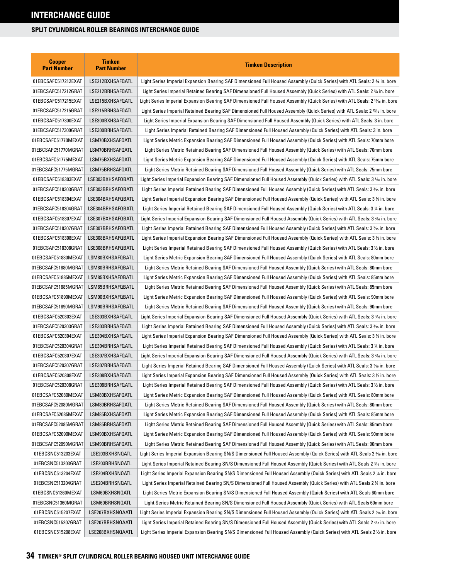| <b>Cooper</b><br><b>Part Number</b> | <b>Timken</b><br><b>Part Number</b> | <b>Timken Description</b>                                                                                                   |
|-------------------------------------|-------------------------------------|-----------------------------------------------------------------------------------------------------------------------------|
| 01EBCSAFC517212EXAT                 | LSE212BXHSAFQATL                    | Light Series Imperial Expansion Bearing SAF Dimensioned Full Housed Assembly (Quick Series) with ATL Seals: 2 ¾ in. bore    |
| 01EBCSAFC517212GRAT                 | LSE212BRHSAFQATL                    | Light Series Imperial Retained Bearing SAF Dimensioned Full Housed Assembly (Quick Series) with ATL Seals: 2 34 in. bore    |
| 01EBCSAFC517215EXAT                 | LSE215BXHSAFQATL                    | Light Series Imperial Expansion Bearing SAF Dimensioned Full Housed Assembly (Quick Series) with ATL Seals: 2 15/6 in. bore |
| 01EBCSAFC517215GRAT                 | LSE215BRHSAFQATL                    | Light Series Imperial Retained Bearing SAF Dimensioned Full Housed Assembly (Quick Series) with ATL Seals: 2 15/6 in. bore  |
| 01EBCSAFC517300EXAT                 | LSE300BXHSAFQATL                    | Light Series Imperial Expansion Bearing SAF Dimensioned Full Housed Assembly (Quick Series) with ATL Seals: 3 in. bore      |
| 01EBCSAFC517300GRAT                 | LSE300BRHSAFQATL                    | Light Series Imperial Retained Bearing SAF Dimensioned Full Housed Assembly (Quick Series) with ATL Seals: 3 in. bore       |
| 01EBCSAFC51770MEXAT                 | LSM70BXHSAFQATL                     | Light Series Metric Expansion Bearing SAF Dimensioned Full Housed Assembly (Quick Series) with ATL Seals: 70mm bore         |
| 01EBCSAFC51770MGRAT                 | LSM70BRHSAFQATL                     | Light Series Metric Retained Bearing SAF Dimensioned Full Housed Assembly (Quick Series) with ATL Seals: 70mm bore          |
| 01EBCSAFC51775MEXAT                 | LSM75BXHSAFQATL                     | Light Series Metric Expansion Bearing SAF Dimensioned Full Housed Assembly (Quick Series) with ATL Seals: 75mm bore         |
| 01EBCSAFC51775MGRAT                 | LSM75BRHSAFQATL                     | Light Series Metric Retained Bearing SAF Dimensioned Full Housed Assembly (Quick Series) with ATL Seals: 75mm bore          |
| 01EBCSAFC518303EXAT                 | LSE303BXHSAFQBATL                   | Light Series Imperial Expansion Bearing SAF Dimensioned Full Housed Assembly (Quick Series) with ATL Seals: 3 % in. bore    |
| 01EBCSAFC518303GRAT                 | LSE303BRHSAFQBATL                   | Light Series Imperial Retained Bearing SAF Dimensioned Full Housed Assembly (Quick Series) with ATL Seals: 3 366 in. bore   |
| 01EBCSAFC518304EXAT                 | LSE304BXHSAFQBATL                   | Light Series Imperial Expansion Bearing SAF Dimensioned Full Housed Assembly (Quick Series) with ATL Seals: 3 ¼ in. bore    |
| 01EBCSAFC518304GRAT                 | LSE304BRHSAFQBATL                   | Light Series Imperial Retained Bearing SAF Dimensioned Full Housed Assembly (Quick Series) with ATL Seals: 3 ¼ in. bore     |
| 01EBCSAFC518307EXAT                 | LSE307BXHSAFQBATL                   | Light Series Imperial Expansion Bearing SAF Dimensioned Full Housed Assembly (Quick Series) with ATL Seals: 3 % in. bore    |
| 01EBCSAFC518307GRAT                 | LSE307BRHSAFQBATL                   | Light Series Imperial Retained Bearing SAF Dimensioned Full Housed Assembly (Quick Series) with ATL Seals: 3 % in. bore     |
| 01EBCSAFC518308EXAT                 | LSE308BXHSAFQBATL                   | Light Series Imperial Expansion Bearing SAF Dimensioned Full Housed Assembly (Quick Series) with ATL Seals: 3 ½ in. bore    |
| 01EBCSAFC518308GRAT                 | LSE308BRHSAFQBATL                   | Light Series Imperial Retained Bearing SAF Dimensioned Full Housed Assembly (Quick Series) with ATL Seals: 3 ½ in. bore     |
| 01EBCSAFC51880MEXAT                 | LSM80BXHSAFQBATL                    | Light Series Metric Expansion Bearing SAF Dimensioned Full Housed Assembly (Quick Series) with ATL Seals: 80mm bore         |
| 01EBCSAFC51880MGRAT                 | LSM80BRHSAFQBATL                    | Light Series Metric Retained Bearing SAF Dimensioned Full Housed Assembly (Quick Series) with ATL Seals: 80mm bore          |
| 01EBCSAFC51885MEXAT                 | LSM85BXHSAFQBATL                    | Light Series Metric Expansion Bearing SAF Dimensioned Full Housed Assembly (Quick Series) with ATL Seals: 85mm bore         |
| 01EBCSAFC51885MGRAT                 | LSM85BRHSAFQBATL                    | Light Series Metric Retained Bearing SAF Dimensioned Full Housed Assembly (Quick Series) with ATL Seals: 85mm bore          |
| 01EBCSAFC51890MEXAT                 | LSM90BXHSAFQBATL                    | Light Series Metric Expansion Bearing SAF Dimensioned Full Housed Assembly (Quick Series) with ATL Seals: 90mm bore         |
| 01EBCSAFC51890MGRAT                 | LSM90BRHSAFQBATL                    | Light Series Metric Retained Bearing SAF Dimensioned Full Housed Assembly (Quick Series) with ATL Seals: 90mm bore          |
| 01EBCSAFC520303EXAT                 | LSE303BXHSAFQATL                    | Light Series Imperial Expansion Bearing SAF Dimensioned Full Housed Assembly (Quick Series) with ATL Seals: 3 % in. bore    |
| 01EBCSAFC520303GRAT                 | LSE303BRHSAFQATL                    | Light Series Imperial Retained Bearing SAF Dimensioned Full Housed Assembly (Quick Series) with ATL Seals: 3 36 in. bore    |
| 01EBCSAFC520304EXAT                 | LSE304BXHSAFQATL                    | Light Series Imperial Expansion Bearing SAF Dimensioned Full Housed Assembly (Quick Series) with ATL Seals: 3 ¼ in. bore    |
| 01EBCSAFC520304GRAT                 | LSE304BRHSAFQATL                    | Light Series Imperial Retained Bearing SAF Dimensioned Full Housed Assembly (Quick Series) with ATL Seals: 3 ¼ in. bore     |
| 01EBCSAFC520307EXAT                 | LSE307BXHSAFQATL                    | Light Series Imperial Expansion Bearing SAF Dimensioned Full Housed Assembly (Quick Series) with ATL Seals: 3 % in. bore    |
| 01EBCSAFC520307GRAT                 | LSE307BRHSAFQATL                    | Light Series Imperial Retained Bearing SAF Dimensioned Full Housed Assembly (Quick Series) with ATL Seals: 3 % in. bore     |
| 01EBCSAFC520308EXAT                 | LSE308BXHSAFQATL                    | Light Series Imperial Expansion Bearing SAF Dimensioned Full Housed Assembly (Quick Series) with ATL Seals: 3 ½ in. bore    |
| 01EBCSAFC520308GRAT                 | LSE308BRHSAFQATL                    | Light Series Imperial Retained Bearing SAF Dimensioned Full Housed Assembly (Quick Series) with ATL Seals: 3 1/2 in. bore   |
| 01EBCSAFC52080MEXAT                 | LSM80BXHSAFQATL                     | Light Series Metric Expansion Bearing SAF Dimensioned Full Housed Assembly (Quick Series) with ATL Seals: 80mm bore         |
| 01EBCSAFC52080MGRAT                 | LSM80BRHSAFQATL                     | Light Series Metric Retained Bearing SAF Dimensioned Full Housed Assembly (Quick Series) with ATL Seals: 80mm bore          |
| 01EBCSAFC52085MEXAT                 | LSM85BXHSAFQATL                     | Light Series Metric Expansion Bearing SAF Dimensioned Full Housed Assembly (Quick Series) with ATL Seals: 85mm bore         |
| 01EBCSAFC52085MGRAT                 | LSM85BRHSAFQATL                     | Light Series Metric Retained Bearing SAF Dimensioned Full Housed Assembly (Quick Series) with ATL Seals: 85mm bore          |
| 01EBCSAFC52090MEXAT                 | LSM90BXHSAFQATL                     | Light Series Metric Expansion Bearing SAF Dimensioned Full Housed Assembly (Quick Series) with ATL Seals: 90mm bore         |
| 01EBCSAFC52090MGRAT                 | LSM90BRHSAFQATL                     | Light Series Metric Retained Bearing SAF Dimensioned Full Housed Assembly (Quick Series) with ATL Seals: 90mm bore          |
| 01EBCSNC513203EXAT                  | LSE203BXHSNQATL                     | Light Series Imperial Expansion Bearing SN/S Dimensioned Full Housed Assembly (Quick Series) with ATL Seals 2 ¾ in. bore    |
| 01EBCSNC513203GRAT                  | LSE203BRHSNQATL                     | Light Series Imperial Retained Bearing SN/S Dimensioned Full Housed Assembly (Quick Series) with ATL Seals 2 ¾ in. bore     |
| 01EBCSNC513204EXAT                  | LSE204BXHSNQATL                     | Light Series Imperial Expansion Bearing SN/S Dimensioned Full Housed Assembly (Quick Series) with ATL Seals 2 ¼ in. bore    |
| 01EBCSNC513204GRAT                  | LSE204BRHSNQATL                     | Light Series Imperial Retained Bearing SN/S Dimensioned Full Housed Assembly (Quick Series) with ATL Seals 2 ¼ in. bore     |
| 01EBCSNC51360MEXAT                  | LSM60BXHSNQATL                      | Light Series Metric Expansion Bearing SN/S Dimensioned Full Housed Assembly (Quick Series) with ATL Seals 60mm bore         |
| 01EBCSNC51360MGRAT                  | LSM60BRHSNQATL                      | Light Series Metric Retained Bearing SN/S Dimensioned Full Housed Assembly (Quick Series) with ATL Seals 60mm bore          |
| 01EBCSNC515207EXAT                  | LSE207BXHSNQAATL                    | Light Series Imperial Expansion Bearing SN/S Dimensioned Full Housed Assembly (Quick Series) with ATL Seals 2 % in. bore    |
| 01EBCSNC515207GRAT                  | LSE207BRHSNQAATL                    | Light Series Imperial Retained Bearing SN/S Dimensioned Full Housed Assembly (Quick Series) with ATL Seals 2 % in. bore     |
| 01EBCSNC515208EXAT                  | LSE208BXHSNQAATL                    | Light Series Imperial Expansion Bearing SN/S Dimensioned Full Housed Assembly (Quick Series) with ATL Seals 2½ in. bore     |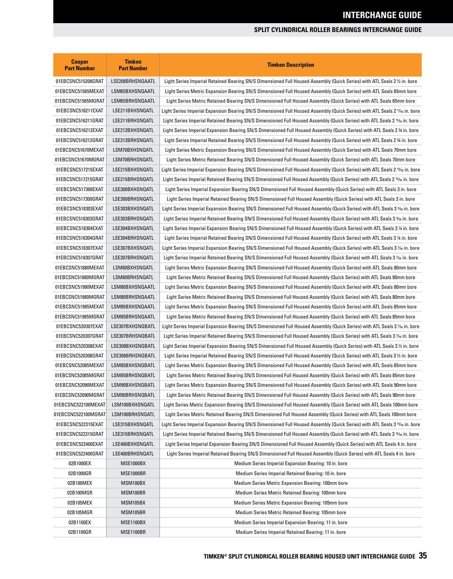| <b>Cooper</b><br><b>Part Number</b> | <b>Timken</b><br><b>Part Number</b> | <b>Timken Description</b>                                                                                                              |
|-------------------------------------|-------------------------------------|----------------------------------------------------------------------------------------------------------------------------------------|
| 01EBCSNC515208GRAT                  | LSE208BRHSNQAATL                    | Light Series Imperial Retained Bearing SN/S Dimensioned Full Housed Assembly (Quick Series) with ATL Seals 2 ½ in. bore                |
| 01EBCSNC51565MEXAT                  | LSM65BXHSNQAATL                     | Light Series Metric Expansion Bearing SN/S Dimensioned Full Housed Assembly (Quick Series) with ATL Seals 65mm bore                    |
| 01EBCSNC51565MGRAT                  | LSM65BRHSNQAATL                     | Light Series Metric Retained Bearing SN/S Dimensioned Full Housed Assembly (Quick Series) with ATL Seals 65mm bore                     |
| 01EBCSNC516211EXAT                  | LSE211BXHSNQATL                     | Light Series Imperial Expansion Bearing SN/S Dimensioned Full Housed Assembly (Quick Series) with ATL Seals 2 1¼ in. bore              |
| 01EBCSNC516211GRAT                  | LSE211BRHSNQATL                     | Light Series Imperial Retained Bearing SN/S Dimensioned Full Housed Assembly (Quick Series) with ATL Seals 2 1% in. bore               |
| 01EBCSNC516212EXAT                  | LSE212BXHSNQATL                     | Light Series Imperial Expansion Bearing SN/S Dimensioned Full Housed Assembly (Quick Series) with ATL Seals 2 % in. bore               |
| 01EBCSNC516212GRAT                  | LSE212BRHSNQATL                     | Light Series Imperial Retained Bearing SN/S Dimensioned Full Housed Assembly (Quick Series) with ATL Seals 2 % in. bore                |
| 01EBCSNC51670MEXAT                  | LSM70BXHSNQATL                      | Light Series Metric Expansion Bearing SN/S Dimensioned Full Housed Assembly (Quick Series) with ATL Seals 70mm bore                    |
| 01EBCSNC51670MGRAT                  | LSM70BRHSNQATL                      | Light Series Metric Retained Bearing SN/S Dimensioned Full Housed Assembly (Quick Series) with ATL Seals 70mm bore                     |
| 01EBCSNC517215EXAT                  | LSE215BXHSNQATL                     | Light Series Imperial Expansion Bearing SN/S Dimensioned Full Housed Assembly (Quick Series) with ATL Seals 2 15/6 in. bore            |
| 01EBCSNC517215GRAT                  | LSE215BRHSNQATL                     | Light Series Imperial Retained Bearing SN/S Dimensioned Full Housed Assembly (Quick Series) with ATL Seals 2 1566 in. bore             |
| 01EBCSNC517300EXAT                  | LSE300BXHSNQATL                     | Light Series Imperial Expansion Bearing SN/S Dimensioned Full Housed Assembly (Quick Series) with ATL Seals 3 in. bore                 |
| 01EBCSNC517300GRAT                  | LSE300BRHSNQATL                     | Light Series Imperial Retained Bearing SN/S Dimensioned Full Housed Assembly (Quick Series) with ATL Seals 3 in. bore                  |
| 01EBCSNC518303EXAT                  | LSE303BXHSNQATL                     | Light Series Imperial Expansion Bearing SN/S Dimensioned Full Housed Assembly (Quick Series) with ATL Seals 3 36 in. bore              |
| 01EBCSNC518303GRAT                  | LSE303BRHSNQATL                     | Light Series Imperial Retained Bearing SN/S Dimensioned Full Housed Assembly (Quick Series) with ATL Seals 3 366 in. bore              |
| 01EBCSNC518304EXAT                  | LSE304BXHSNQATL                     | Light Series Imperial Expansion Bearing SN/S Dimensioned Full Housed Assembly (Quick Series) with ATL Seals 3 ¼ in. bore               |
| 01EBCSNC518304GRAT                  | LSE304BRHSNQATL                     | Light Series Imperial Retained Bearing SN/S Dimensioned Full Housed Assembly (Quick Series) with ATL Seals 3 1/4 in. bore              |
| 01EBCSNC518307EXAT                  | LSE307BXHSNQATL                     | Light Series Imperial Expansion Bearing SN/S Dimensioned Full Housed Assembly (Quick Series) with ATL Seals 3 % in. bore               |
| 01EBCSNC518307GRAT                  | LSE307BRHSNQATL                     | Light Series Imperial Retained Bearing SN/S Dimensioned Full Housed Assembly (Quick Series) with ATL Seals 3 % in. bore                |
| 01EBCSNC51880MEXAT                  | LSM80BXHSNQATL                      | Light Series Metric Expansion Bearing SN/S Dimensioned Full Housed Assembly (Quick Series) with ATL Seals 80mm bore                    |
| 01EBCSNC51880MGRAT                  | LSM80BRHSNQATL                      | Light Series Metric Retained Bearing SN/S Dimensioned Full Housed Assembly (Quick Series) with ATL Seals 80mm bore                     |
| 01EBCSNC51980MEXAT                  | LSM80BXHSNQAATL                     | Light Series Metric Expansion Bearing SN/S Dimensioned Full Housed Assembly (Quick Series) with ATL Seals 80mm bore                    |
| 01EBCSNC51980MGRAT                  | LSM80BRHSNQAATL                     | Light Series Metric Retained Bearing SN/S Dimensioned Full Housed Assembly (Quick Series) with ATL Seals 80mm bore                     |
| 01EBCSNC51985MEXAT                  | LSM85BXHSNQAATL                     | Light Series Metric Expansion Bearing SN/S Dimensioned Full Housed Assembly (Quick Series) with ATL Seals 85mm bore                    |
| 01EBCSNC51985MGRAT                  | LSM85BRHSNQAATL                     | Light Series Metric Retained Bearing SN/S Dimensioned Full Housed Assembly (Quick Series) with ATL Seals 85mm bore                     |
| 01EBCSNC520307EXAT                  | LSE307BXHSNQBATL                    | Light Series Imperial Expansion Bearing SN/S Dimensioned Full Housed Assembly (Quick Series) with ATL Seals 3 % in. bore               |
| 01EBCSNC520307GRAT                  | LSE307BRHSNQBATL                    | Light Series Imperial Retained Bearing SN/S Dimensioned Full Housed Assembly (Quick Series) with ATL Seals 3 % in. bore                |
| 01EBCSNC520308EXAT                  | LSE308BXHSNQBATL                    | Light Series Imperial Expansion Bearing SN/S Dimensioned Full Housed Assembly (Quick Series) with ATL Seals 3½ in. bore                |
| 01EBCSNC520308GRAT                  | LSE308BRHSNQBATL                    | Light Series Imperial Retained Bearing SN/S Dimensioned Full Housed Assembly (Quick Series) with ATL Seals 3 1/2 in. bore              |
| 01EBCSNC52085MEXAT                  | LSM85BXHSNQBATL                     | Light Series Metric Expansion Bearing SN/S Dimensioned Full Housed Assembly (Quick Series) with ATL Seals 85mm bore                    |
| 01EBCSNC52085MGRAT                  | LSM85BRHSNQBATL                     | Light Series Metric Retained Bearing SN/S Dimensioned Full Housed Assembly (Quick Series) with ATL Seals 85mm bore                     |
| 01EBCSNC52090MEXAT                  | LSM90BXHSNQBATL                     | Light Series Metric Expansion Bearing SN/S Dimensioned Full Housed Assembly (Quick Series) with ATL Seals 90mm bore                    |
| 01EBCSNC52090MGRAT                  | LSM90BRHSNQBATL                     | Light Series Metric Retained Bearing SN/S Dimensioned Full Housed Assembly (Quick Series) with ATL Seals 90mm bore                     |
| 01EBCSNC522100MEXAT                 | LSM100BXHSNQATL                     | Light Series Metric Expansion Bearing SN/S Dimensioned Full Housed Assembly (Quick Series) with ATL Seals 100mm bore                   |
| 01EBCSNC522100MGRAT                 | LSM100BRHSNQATL                     | Light Series Metric Retained Bearing SN/S Dimensioned Full Housed Assembly (Quick Series) with ATL Seals 100mm bore                    |
| 01EBCSNC522315EXAT                  | LSE315BXHSNQATL                     | Light Series Imperial Expansion Bearing SN/S Dimensioned Full Housed Assembly (Quick Series) with ATL Seals 3 1546 in. bore            |
| 01EBCSNC522315GRAT                  | LSE315BRHSNQATL                     | Light Series Imperial Retained Bearing SN/S Dimensioned Full Housed Assembly (Quick Series) with ATL Seals 3 <sup>15</sup> /6 in. bore |
| 01EBCSNC522400EXAT                  | LSE400BXHSNQATL                     | Light Series Imperial Expansion Bearing SN/S Dimensioned Full Housed Assembly (Quick Series) with ATL Seals 4 in. bore                 |
| 01EBCSNC522400GRAT                  | LSE400BRHSNQATL                     | Light Series Imperial Retained Bearing SN/S Dimensioned Full Housed Assembly (Quick Series) with ATL Seals 4 in. bore                  |
| 02B1000EX                           | <b>MSE1000BX</b>                    | Medium Series Imperial Expansion Bearing: 10 in. bore                                                                                  |
| 02B1000GR                           | MSE1000BR                           | Medium Series Imperial Retained Bearing: 10 in. bore                                                                                   |
| 02B100MEX                           | MSM100BX                            | Medium Series Metric Expansion Bearing: 100mm bore                                                                                     |
| 02B100MGR                           | MSM100BR                            | Medium Series Metric Retained Bearing: 100mm bore                                                                                      |
| 02B105MEX                           | MSM105BX                            | Medium Series Metric Expansion Bearing: 105mm bore                                                                                     |
| 02B105MGR                           | MSM105BR                            | Medium Series Metric Retained Bearing: 105mm bore                                                                                      |
| 02B1100EX                           | <b>MSE1100BX</b>                    | Medium Series Imperial Expansion Bearing: 11 in. bore                                                                                  |
| 02B1100GR                           | MSE1100BR                           | Medium Series Imperial Retained Bearing: 11 in. bore                                                                                   |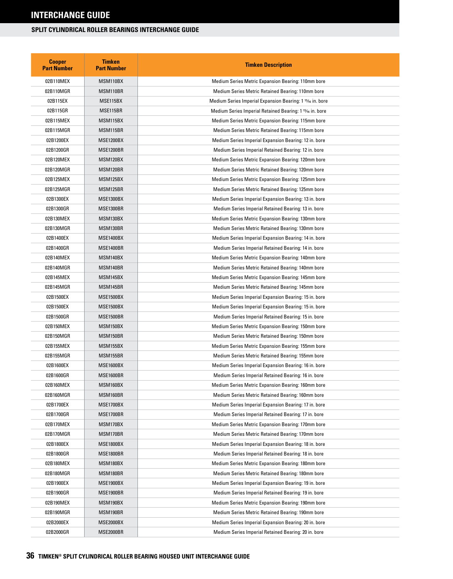| <b>Cooper</b><br><b>Part Number</b> | <b>Timken</b><br><b>Part Number</b> | <b>Timken Description</b>                                             |
|-------------------------------------|-------------------------------------|-----------------------------------------------------------------------|
| 02B110MEX                           | MSM110BX                            | Medium Series Metric Expansion Bearing: 110mm bore                    |
| 02B110MGR                           | MSM110BR                            | Medium Series Metric Retained Bearing: 110mm bore                     |
| 02B115EX                            | MSE115BX                            | Medium Series Imperial Expansion Bearing: 1 15⁄16 in. bore            |
| 02B115GR                            | MSE115BR                            | Medium Series Imperial Retained Bearing: 1 <sup>15</sup> /16 in. bore |
| 02B115MEX                           | MSM115BX                            | Medium Series Metric Expansion Bearing: 115mm bore                    |
| 02B115MGR                           | MSM115BR                            | Medium Series Metric Retained Bearing: 115mm bore                     |
| 02B1200EX                           | <b>MSE1200BX</b>                    | Medium Series Imperial Expansion Bearing: 12 in. bore                 |
| 02B1200GR                           | <b>MSE1200BR</b>                    | Medium Series Imperial Retained Bearing: 12 in. bore                  |
| 02B120MEX                           | MSM120BX                            | Medium Series Metric Expansion Bearing: 120mm bore                    |
| 02B120MGR                           | MSM120BR                            | Medium Series Metric Retained Bearing: 120mm bore                     |
| 02B125MEX                           | MSM125BX                            | Medium Series Metric Expansion Bearing: 125mm bore                    |
| 02B125MGR                           | MSM125BR                            | Medium Series Metric Retained Bearing: 125mm bore                     |
| 02B1300EX                           | <b>MSE1300BX</b>                    | Medium Series Imperial Expansion Bearing: 13 in. bore                 |
| 02B1300GR                           | MSE1300BR                           | Medium Series Imperial Retained Bearing: 13 in. bore                  |
| 02B130MEX                           | MSM130BX                            | Medium Series Metric Expansion Bearing: 130mm bore                    |
| 02B130MGR                           | MSM130BR                            | Medium Series Metric Retained Bearing: 130mm bore                     |
| 02B1400EX                           | <b>MSE1400BX</b>                    | Medium Series Imperial Expansion Bearing: 14 in. bore                 |
| 02B1400GR                           | <b>MSE1400BR</b>                    | Medium Series Imperial Retained Bearing: 14 in. bore                  |
| 02B140MEX                           | MSM140BX                            | Medium Series Metric Expansion Bearing: 140mm bore                    |
| 02B140MGR                           | MSM140BR                            | Medium Series Metric Retained Bearing: 140mm bore                     |
| 02B145MEX                           | MSM145BX                            | Medium Series Metric Expansion Bearing: 145mm bore                    |
| 02B145MGR                           | MSM145BR                            | Medium Series Metric Retained Bearing: 145mm bore                     |
| 02B1500EX                           | <b>MSE1500BX</b>                    | Medium Series Imperial Expansion Bearing: 15 in. bore                 |
| 02B1500EX                           | <b>MSE1500BX</b>                    | Medium Series Imperial Expansion Bearing: 15 in. bore                 |
| 02B1500GR                           | <b>MSE1500BR</b>                    | Medium Series Imperial Retained Bearing: 15 in. bore                  |
| 02B150MEX                           | MSM150BX                            | Medium Series Metric Expansion Bearing: 150mm bore                    |
| 02B150MGR                           | MSM150BR                            | Medium Series Metric Retained Bearing: 150mm bore                     |
| 02B155MEX                           | MSM155BX                            | Medium Series Metric Expansion Bearing: 155mm bore                    |
| 02B155MGR                           | MSM155BR                            | Medium Series Metric Retained Bearing: 155mm bore                     |
| 02B1600EX                           | MSE1600BX                           | Medium Series Imperial Expansion Bearing: 16 in. bore                 |
| 02B1600GR                           | MSE1600BR                           | Medium Series Imperial Retained Bearing: 16 in. bore                  |
| 02B160MEX                           | MSM160BX                            | Medium Series Metric Expansion Bearing: 160mm bore                    |
| 02B160MGR                           | MSM160BR                            | Medium Series Metric Retained Bearing: 160mm bore                     |
| 02B1700EX                           | <b>MSE1700BX</b>                    | Medium Series Imperial Expansion Bearing: 17 in. bore                 |
| 02B1700GR                           | <b>MSE1700BR</b>                    | Medium Series Imperial Retained Bearing: 17 in. bore                  |
| 02B170MEX                           | MSM170BX                            | Medium Series Metric Expansion Bearing: 170mm bore                    |
| 02B170MGR                           | MSM170BR                            | Medium Series Metric Retained Bearing: 170mm bore                     |
| 02B1800EX                           | <b>MSE1800BX</b>                    | Medium Series Imperial Expansion Bearing: 18 in. bore                 |
| 02B1800GR                           | MSE1800BR                           | Medium Series Imperial Retained Bearing: 18 in. bore                  |
| 02B180MEX                           | MSM180BX                            | Medium Series Metric Expansion Bearing: 180mm bore                    |
| 02B180MGR                           | MSM180BR                            | Medium Series Metric Retained Bearing: 180mm bore                     |
| 02B1900EX                           | <b>MSE1900BX</b>                    | Medium Series Imperial Expansion Bearing: 19 in. bore                 |
| 02B1900GR                           | MSE1900BR                           | Medium Series Imperial Retained Bearing: 19 in. bore                  |
| 02B190MEX                           | MSM190BX                            | Medium Series Metric Expansion Bearing: 190mm bore                    |
| 02B190MGR                           | MSM190BR                            | Medium Series Metric Retained Bearing: 190mm bore                     |
| 02B2000EX                           | MSE2000BX                           | Medium Series Imperial Expansion Bearing: 20 in. bore                 |
| 02B2000GR                           | MSE2000BR                           | Medium Series Imperial Retained Bearing: 20 in. bore                  |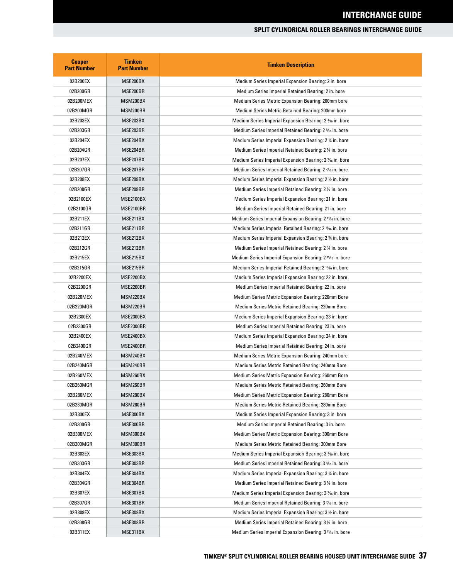| <b>Cooper</b><br><b>Part Number</b> | <b>Timken</b><br><b>Part Number</b> | <b>Timken Description</b>                                                        |
|-------------------------------------|-------------------------------------|----------------------------------------------------------------------------------|
| 02B200EX                            | MSE200BX                            | Medium Series Imperial Expansion Bearing: 2 in. bore                             |
| 02B200GR                            | MSE200BR                            | Medium Series Imperial Retained Bearing: 2 in. bore                              |
| 02B200MEX                           | MSM200BX                            | Medium Series Metric Expansion Bearing: 200mm bore                               |
| 02B200MGR                           | MSM200BR                            | Medium Series Metric Retained Bearing: 200mm bore                                |
| 02B203EX                            | MSE203BX                            | Medium Series Imperial Expansion Bearing: 2 <sup>3</sup> / <sub>6</sub> in. bore |
| 02B203GR                            | MSE203BR                            | Medium Series Imperial Retained Bearing: 2 <sup>3</sup> % in. bore               |
| 02B204EX                            | MSE204BX                            | Medium Series Imperial Expansion Bearing: 2 ¼ in. bore                           |
| 02B204GR                            | MSE204BR                            | Medium Series Imperial Retained Bearing: 2 ¼ in. bore                            |
| 02B207EX                            | MSE207BX                            | Medium Series Imperial Expansion Bearing: 2 1/16 in. bore                        |
| 02B207GR                            | MSE207BR                            | Medium Series Imperial Retained Bearing: 2 % in. bore                            |
| 02B208EX                            | MSE208BX                            | Medium Series Imperial Expansion Bearing: 2 1/2 in. bore                         |
| 02B208GR                            | MSE208BR                            | Medium Series Imperial Retained Bearing: 2 1/2 in. bore                          |
| 02B2100EX                           | MSE2100BX                           | Medium Series Imperial Expansion Bearing: 21 in. bore                            |
| 02B2100GR                           | MSE2100BR                           | Medium Series Imperial Retained Bearing: 21 in. bore                             |
| 02B211EX                            | MSE211BX                            | Medium Series Imperial Expansion Bearing: 2 <sup>11</sup> /16 in. bore           |
| 02B211GR                            | MSE211BR                            | Medium Series Imperial Retained Bearing: 2 11/16 in. bore                        |
| 02B212EX                            | MSE212BX                            | Medium Series Imperial Expansion Bearing: 2 34 in. bore                          |
| 02B212GR                            | MSE212BR                            | Medium Series Imperial Retained Bearing: 2 34 in. bore                           |
| 02B215EX                            | MSE215BX                            | Medium Series Imperial Expansion Bearing: 2 <sup>15</sup> /16 in. bore           |
| 02B215GR                            | MSE215BR                            | Medium Series Imperial Retained Bearing: 2 <sup>15</sup> / <sub>6</sub> in. bore |
| 02B2200EX                           | <b>MSE2200BX</b>                    | Medium Series Imperial Expansion Bearing: 22 in. bore                            |
| 02B2200GR                           | MSE2200BR                           | Medium Series Imperial Retained Bearing: 22 in. bore                             |
| 02B220MEX                           | MSM220BX                            | Medium Series Metric Expansion Bearing: 220mm Bore                               |
| 02B220MGR                           | MSM220BR                            | Medium Series Metric Retained Bearing: 220mm Bore                                |
| 02B2300EX                           | <b>MSE2300BX</b>                    | Medium Series Imperial Expansion Bearing: 23 in. bore                            |
| 02B2300GR                           | MSE2300BR                           | Medium Series Imperial Retained Bearing: 23 in. bore                             |
| 02B2400EX                           | MSE2400BX                           | Medium Series Imperial Expansion Bearing: 24 in. bore                            |
| 02B2400GR                           | MSE2400BR                           | Medium Series Imperial Retained Bearing: 24 in. bore                             |
| 02B240MEX                           | MSM240BX                            | Medium Series Metric Expansion Bearing: 240mm bore                               |
| 02B240MGR                           | MSM240BR                            | Medium Series Metric Retained Bearing: 240mm Bore                                |
| 02B260MEX                           | MSM260BX                            | Medium Series Metric Expansion Bearing: 260mm Bore                               |
| 02B260MGR                           | MSM260BR                            | Medium Series Metric Retained Bearing: 260mm Bore                                |
| 02B280MEX                           | MSM280BX                            | Medium Series Metric Expansion Bearing: 280mm Bore                               |
| 02B280MGR                           | MSM280BR                            | Medium Series Metric Retained Bearing: 280mm Bore                                |
| 02B300EX                            | MSE300BX                            | Medium Series Imperial Expansion Bearing: 3 in. bore                             |
| 02B300GR                            | MSE300BR                            | Medium Series Imperial Retained Bearing: 3 in. bore                              |
| 02B300MEX                           | MSM300BX                            | Medium Series Metric Expansion Bearing: 300mm Bore                               |
| 02B300MGR                           | MSM300BR                            | Medium Series Metric Retained Bearing: 300mm Bore                                |
| 02B303EX                            | MSE303BX                            | Medium Series Imperial Expansion Bearing: 3 3/6 in. bore                         |
| 02B303GR                            | MSE303BR                            | Medium Series Imperial Retained Bearing: 3 <sup>3</sup> % in. bore               |
| 02B304EX                            | MSE304BX                            | Medium Series Imperial Expansion Bearing: 3 ¼ in. bore                           |
| 02B304GR                            | MSE304BR                            | Medium Series Imperial Retained Bearing: 3 ¼ in. bore                            |
| 02B307EX                            | MSE307BX                            | Medium Series Imperial Expansion Bearing: 3 % in. bore                           |
| 02B307GR                            | MSE307BR                            | Medium Series Imperial Retained Bearing: 3 1/16 in. bore                         |
| 02B308EX                            | MSE308BX                            | Medium Series Imperial Expansion Bearing: 3 1/2 in. bore                         |
| 02B308GR                            | MSE308BR                            | Medium Series Imperial Retained Bearing: 3 1/2 in. bore                          |
| 02B311EX                            | MSE311BX                            | Medium Series Imperial Expansion Bearing: 3 <sup>11</sup> % in. bore             |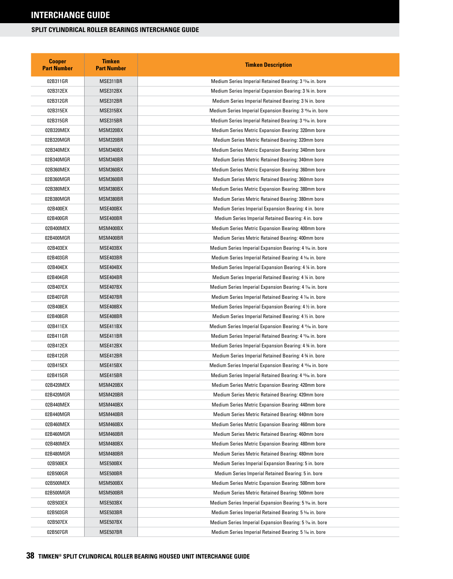| <b>Cooper</b><br><b>Part Number</b> | <b>Timken</b><br><b>Part Number</b> | <b>Timken Description</b>                                              |
|-------------------------------------|-------------------------------------|------------------------------------------------------------------------|
| 02B311GR                            | MSE311BR                            | Medium Series Imperial Retained Bearing: 3 <sup>11</sup> /16 in. bore  |
| 02B312EX                            | MSE312BX                            | Medium Series Imperial Expansion Bearing: 3 34 in. bore                |
| 02B312GR                            | MSE312BR                            | Medium Series Imperial Retained Bearing: 3 34 in. bore                 |
| 02B315EX                            | MSE315BX                            | Medium Series Imperial Expansion Bearing: 3 <sup>15</sup> /6 in. bore  |
| 02B315GR                            | MSE315BR                            | Medium Series Imperial Retained Bearing: 3 <sup>15</sup> % in. bore    |
| 02B320MEX                           | MSM320BX                            | Medium Series Metric Expansion Bearing: 320mm bore                     |
| 02B320MGR                           | MSM320BR                            | Medium Series Metric Retained Bearing: 320mm bore                      |
| 02B340MEX                           | MSM340BX                            | Medium Series Metric Expansion Bearing: 340mm bore                     |
| 02B340MGR                           | MSM340BR                            | Medium Series Metric Retained Bearing: 340mm bore                      |
| 02B360MEX                           | MSM360BX                            | Medium Series Metric Expansion Bearing: 360mm bore                     |
| 02B360MGR                           | MSM360BR                            | Medium Series Metric Retained Bearing: 360mm bore                      |
| 02B380MEX                           | MSM380BX                            | Medium Series Metric Expansion Bearing: 380mm bore                     |
| 02B380MGR                           | MSM380BR                            | Medium Series Metric Retained Bearing: 380mm bore                      |
| 02B400EX                            | MSE400BX                            | Medium Series Imperial Expansion Bearing: 4 in. bore                   |
| 02B400GR                            | MSE400BR                            | Medium Series Imperial Retained Bearing: 4 in. bore                    |
| 02B400MEX                           | MSM400BX                            | Medium Series Metric Expansion Bearing: 400mm bore                     |
| 02B400MGR                           | MSM400BR                            | Medium Series Metric Retained Bearing: 400mm bore                      |
| 02B403EX                            | MSE403BX                            | Medium Series Imperial Expansion Bearing: 4 3/6 in. bore               |
| 02B403GR                            | MSE403BR                            | Medium Series Imperial Retained Bearing: 4 % in. bore                  |
| 02B404EX                            | MSE404BX                            | Medium Series Imperial Expansion Bearing: 4 ¼ in. bore                 |
| 02B404GR                            | MSE404BR                            | Medium Series Imperial Retained Bearing: 4 ¼ in. bore                  |
| 02B407EX                            | MSE407BX                            | Medium Series Imperial Expansion Bearing: 4 % in. bore                 |
| 02B407GR                            | MSE407BR                            | Medium Series Imperial Retained Bearing: 4 % in. bore                  |
| 02B408EX                            | MSE408BX                            | Medium Series Imperial Expansion Bearing: 4 ½ in. bore                 |
| 02B408GR                            | MSE408BR                            | Medium Series Imperial Retained Bearing: 4 1/2 in. bore                |
| 02B411EX                            | MSE411BX                            | Medium Series Imperial Expansion Bearing: 4 11/16 in. bore             |
| 02B411GR                            | MSE411BR                            | Medium Series Imperial Retained Bearing: 4 1% in. bore                 |
| 02B412EX                            | MSE412BX                            | Medium Series Imperial Expansion Bearing: 4 34 in. bore                |
| 02B412GR                            | MSE412BR                            | Medium Series Imperial Retained Bearing: 4 34 in. bore                 |
| 02B415EX                            | MSE415BX                            | Medium Series Imperial Expansion Bearing: 4 <sup>15</sup> /16 in. bore |
| 02B415GR                            | MSE415BR                            | Medium Series Imperial Retained Bearing: 4 <sup>15</sup> % in. bore    |
| 02B420MEX                           | MSM420BX                            | Medium Series Metric Expansion Bearing: 420mm bore                     |
| 02B420MGR                           | MSM420BR                            | Medium Series Metric Retained Bearing: 420mm bore                      |
| 02B440MEX                           | MSM440BX                            | Medium Series Metric Expansion Bearing: 440mm bore                     |
| 02B440MGR                           | MSM440BR                            | Medium Series Metric Retained Bearing: 440mm bore                      |
| 02B460MEX                           | MSM460BX                            | Medium Series Metric Expansion Bearing: 460mm bore                     |
| 02B460MGR                           | MSM460BR                            | Medium Series Metric Retained Bearing: 460mm bore                      |
| 02B480MEX                           | MSM480BX                            | Medium Series Metric Expansion Bearing: 480mm bore                     |
| 02B480MGR                           | MSM480BR                            | Medium Series Metric Retained Bearing: 480mm bore                      |
| 02B500EX                            | MSE500BX                            | Medium Series Imperial Expansion Bearing: 5 in. bore                   |
| 02B500GR                            | MSE500BR                            | Medium Series Imperial Retained Bearing: 5 in. bore                    |
| 02B500MEX                           | MSM500BX                            | Medium Series Metric Expansion Bearing: 500mm bore                     |
| 02B500MGR                           | MSM500BR                            | Medium Series Metric Retained Bearing: 500mm bore                      |
| 02B503EX                            | MSE503BX                            | Medium Series Imperial Expansion Bearing: 5 3/16 in. bore              |
| 02B503GR                            | MSE503BR                            | Medium Series Imperial Retained Bearing: 5 % in. bore                  |
| 02B507EX                            | MSE507BX                            | Medium Series Imperial Expansion Bearing: 5 1/16 in. bore              |
| 02B507GR                            | MSE507BR                            | Medium Series Imperial Retained Bearing: 5 % in. bore                  |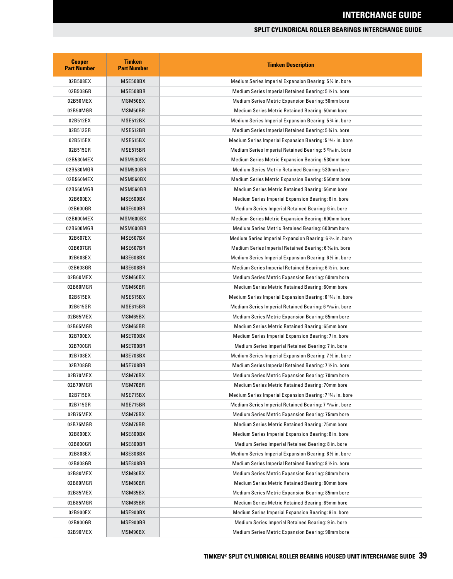| <b>Cooper</b><br><b>Part Number</b> | <b>Timken</b><br><b>Part Number</b> | <b>Timken Description</b>                                              |
|-------------------------------------|-------------------------------------|------------------------------------------------------------------------|
| 02B508EX                            | MSE508BX                            | Medium Series Imperial Expansion Bearing: 5 % in. bore                 |
| 02B508GR                            | MSE508BR                            | Medium Series Imperial Retained Bearing: 5 1/2 in. bore                |
| 02B50MEX                            | MSM50BX                             | Medium Series Metric Expansion Bearing: 50mm bore                      |
| 02B50MGR                            | MSM50BR                             | Medium Series Metric Retained Bearing: 50mm bore                       |
| 02B512EX                            | MSE512BX                            | Medium Series Imperial Expansion Bearing: 5 % in. bore                 |
| 02B512GR                            | MSE512BR                            | Medium Series Imperial Retained Bearing: 5 % in. bore                  |
| 02B515EX                            | MSE515BX                            | Medium Series Imperial Expansion Bearing: 5 <sup>15</sup> /16 in. bore |
| 02B515GR                            | MSE515BR                            | Medium Series Imperial Retained Bearing: 5 15/16 in. bore              |
| 02B530MEX                           | MSM530BX                            | Medium Series Metric Expansion Bearing: 530mm bore                     |
| 02B530MGR                           | MSM530BR                            | Medium Series Metric Retained Bearing: 530mm bore                      |
| 02B560MEX                           | MSM560BX                            | Medium Series Metric Expansion Bearing: 560mm bore                     |
| 02B560MGR                           | MSM560BR                            | Medium Series Metric Retained Bearing: 56mm bore                       |
| 02B600EX                            | MSE600BX                            | Medium Series Imperial Expansion Bearing: 6 in. bore                   |
| 02B600GR                            | MSE600BR                            | Medium Series Imperial Retained Bearing: 6 in. bore                    |
| 02B600MEX                           | MSM600BX                            | Medium Series Metric Expansion Bearing: 600mm bore                     |
| 02B600MGR                           | MSM600BR                            | Medium Series Metric Retained Bearing: 600mm bore                      |
| 02B607EX                            | MSE607BX                            | Medium Series Imperial Expansion Bearing: 6 % in. bore                 |
| 02B607GR                            | MSE607BR                            | Medium Series Imperial Retained Bearing: 6 1/16 in. bore               |
| 02B608EX                            | MSE608BX                            | Medium Series Imperial Expansion Bearing: 6 ½ in. bore                 |
| 02B608GR                            | MSE608BR                            | Medium Series Imperial Retained Bearing: 6 1/2 in. bore                |
| 02B60MEX                            | MSM60BX                             | Medium Series Metric Expansion Bearing: 60mm bore                      |
| 02B60MGR                            | MSM60BR                             | Medium Series Metric Retained Bearing: 60mm bore                       |
| 02B615EX                            | MSE615BX                            | Medium Series Imperial Expansion Bearing: 6 <sup>15</sup> /16 in. bore |
| 02B615GR                            | MSE615BR                            | Medium Series Imperial Retained Bearing: 6 15⁄16 in. bore              |
| 02B65MEX                            | MSM65BX                             | Medium Series Metric Expansion Bearing: 65mm bore                      |
| 02B65MGR                            | MSM65BR                             | Medium Series Metric Retained Bearing: 65mm bore                       |
| 02B700EX                            | MSE700BX                            | Medium Series Imperial Expansion Bearing: 7 in. bore                   |
| 02B700GR                            | MSE700BR                            | Medium Series Imperial Retained Bearing: 7 in. bore                    |
| 02B708EX                            | MSE708BX                            | Medium Series Imperial Expansion Bearing: 7 1/2 in. bore               |
| 02B708GR                            | MSE708BR                            | Medium Series Imperial Retained Bearing: 7 1/2 in. bore                |
| 02B70MEX                            | MSM70BX                             | Medium Series Metric Expansion Bearing: 70mm bore                      |
| 02B70MGR                            | MSM70BR                             | Medium Series Metric Retained Bearing: 70mm bore                       |
| 02B715EX                            | MSE715BX                            | Medium Series Imperial Expansion Bearing: 7 <sup>15</sup> /16 in. bore |
| 02B715GR                            | MSE715BR                            | Medium Series Imperial Retained Bearing: 7 <sup>15</sup> /16 in. bore  |
| 02B75MEX                            | MSM75BX                             | Medium Series Metric Expansion Bearing: 75mm bore                      |
| 02B75MGR                            | MSM75BR                             | Medium Series Metric Retained Bearing: 75mm bore                       |
| 02B800EX                            | MSE800BX                            | Medium Series Imperial Expansion Bearing: 8 in. bore                   |
| 02B800GR                            | MSE800BR                            | Medium Series Imperial Retained Bearing: 8 in. bore                    |
| 02B808EX                            | MSE808BX                            | Medium Series Imperial Expansion Bearing: 8 1/2 in. bore               |
| 02B808GR                            | MSE808BR                            | Medium Series Imperial Retained Bearing: 8 1/2 in. bore                |
| 02B80MEX                            | MSM80BX                             | Medium Series Metric Expansion Bearing: 80mm bore                      |
| 02B80MGR                            | MSM80BR                             | Medium Series Metric Retained Bearing: 80mm bore                       |
| 02B85MEX                            | MSM85BX                             | Medium Series Metric Expansion Bearing: 85mm bore                      |
| 02B85MGR                            | MSM85BR                             | Medium Series Metric Retained Bearing: 85mm bore                       |
| 02B900EX                            | MSE900BX                            | Medium Series Imperial Expansion Bearing: 9 in. bore                   |
| 02B900GR                            | MSE900BR                            | Medium Series Imperial Retained Bearing: 9 in. bore                    |
| 02B90MEX                            | MSM90BX                             | Medium Series Metric Expansion Bearing: 90mm bore                      |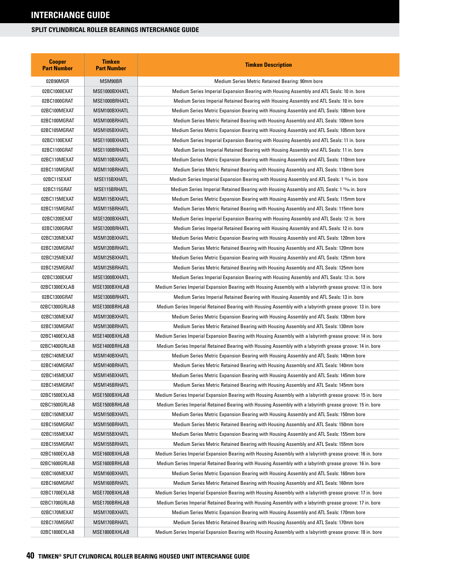| <b>Cooper</b><br><b>Part Number</b> | <b>Timken</b><br><b>Part Number</b> | <b>Timken Description</b>                                                                                  |
|-------------------------------------|-------------------------------------|------------------------------------------------------------------------------------------------------------|
| 02B90MGR                            | MSM90BR                             | Medium Series Metric Retained Bearing: 90mm bore                                                           |
| 02BC1000EXAT                        | MSE1000BXHATL                       | Medium Series Imperial Expansion Bearing with Housing Assembly and ATL Seals: 10 in. bore                  |
| 02BC1000GRAT                        | MSE1000BRHATL                       | Medium Series Imperial Retained Bearing with Housing Assembly and ATL Seals: 10 in. bore                   |
| 02BC100MEXAT                        | MSM100BXHATL                        | Medium Series Metric Expansion Bearing with Housing Assembly and ATL Seals: 100mm bore                     |
| 02BC100MGRAT                        | MSM100BRHATL                        | Medium Series Metric Retained Bearing with Housing Assembly and ATL Seals: 100mm bore                      |
| 02BC105MGRAT                        | MSM105BXHATL                        | Medium Series Metric Expansion Bearing with Housing Assembly and ATL Seals: 105mm bore                     |
| 02BC1100EXAT                        | MSE1100BXHATL                       | Medium Series Imperial Expansion Bearing with Housing Assembly and ATL Seals: 11 in. bore                  |
| 02BC1100GRAT                        | MSE1100BRHATL                       | Medium Series Imperial Retained Bearing with Housing Assembly and ATL Seals: 11 in. bore                   |
| 02BC110MEXAT                        | MSM110BXHATL                        | Medium Series Metric Expansion Bearing with Housing Assembly and ATL Seals: 110mm bore                     |
| 02BC110MGRAT                        | MSM110BRHATL                        | Medium Series Metric Retained Bearing with Housing Assembly and ATL Seals: 110mm bore                      |
| 02BC115EXAT                         | MSE115BXHATL                        | Medium Series Imperial Expansion Bearing with Housing Assembly and ATL Seals: 1 15/6 in. bore              |
| 02BC115GRAT                         | MSE115BRHATL                        | Medium Series Imperial Retained Bearing with Housing Assembly and ATL Seals: 1 15% in. bore                |
| 02BC115MEXAT                        | MSM115BXHATL                        | Medium Series Metric Expansion Bearing with Housing Assembly and ATL Seals: 115mm bore                     |
| 02BC115MGRAT                        | MSM115BRHATL                        | Medium Series Metric Retained Bearing with Housing Assembly and ATL Seals: 115mm bore                      |
| 02BC1200EXAT                        | MSE1200BXHATL                       | Medium Series Imperial Expansion Bearing with Housing Assembly and ATL Seals: 12 in. bore                  |
| 02BC1200GRAT                        | MSE1200BRHATL                       | Medium Series Imperial Retained Bearing with Housing Assembly and ATL Seals: 12 in. bore                   |
| 02BC120MEXAT                        | MSM120BXHATL                        | Medium Series Metric Expansion Bearing with Housing Assembly and ATL Seals: 120mm bore                     |
| 02BC120MGRAT                        | MSM120BRHATL                        | Medium Series Metric Retained Bearing with Housing Assembly and ATL Seals: 120mm bore                      |
| 02BC125MEXAT                        | MSM125BXHATL                        | Medium Series Metric Expansion Bearing with Housing Assembly and ATL Seals: 125mm bore                     |
| 02BC125MGRAT                        | MSM125BRHATL                        | Medium Series Metric Retained Bearing with Housing Assembly and ATL Seals: 125mm bore                      |
| 02BC1300EXAT                        | MSE1300BXHATL                       | Medium Series Imperial Expansion Bearing with Housing Assembly and ATL Seals: 13 in. bore                  |
| 02BC1300EXLAB                       | MSE1300BXHLAB                       | Medium Series Imperial Expansion Bearing with Housing Assembly with a labyrinth grease groove: 13 in. bore |
| 02BC1300GRAT                        | MSE1300BRHATL                       | Medium Series Imperial Retained Bearing with Housing Assembly and ATL Seals: 13 in. bore                   |
| 02BC1300GRLAB                       | MSE1300BRHLAB                       | Medium Series Imperial Retained Bearing with Housing Assembly with a labyrinth grease groove: 13 in. bore  |
| 02BC130MEXAT                        | MSM130BXHATL                        | Medium Series Metric Expansion Bearing with Housing Assembly and ATL Seals: 130mm bore                     |
| 02BC130MGRAT                        | MSM130BRHATL                        | Medium Series Metric Retained Bearing with Housing Assembly and ATL Seals: 130mm bore                      |
| 02BC1400EXLAB                       | MSE1400BXHLAB                       | Medium Series Imperial Expansion Bearing with Housing Assembly with a labyrinth grease groove: 14 in. bore |
| 02BC1400GRLAB                       | MSE1400BRHLAB                       | Medium Series Imperial Retained Bearing with Housing Assembly with a labyrinth grease groove: 14 in. bore  |
| 02BC140MEXAT                        | MSM140BXHATL                        | Medium Series Metric Expansion Bearing with Housing Assembly and ATL Seals: 140mm bore                     |
| 02BC140MGRAT                        | MSM140BRHATL                        | Medium Series Metric Retained Bearing with Housing Assembly and ATL Seals: 140mm bore                      |
| 02BC145MEXAT                        | MSM145BXHATL                        | Medium Series Metric Expansion Bearing with Housing Assembly and ATL Seals: 145mm bore                     |
| 02BC145MGRAT                        | MSM145BRHATL                        | Medium Series Metric Retained Bearing with Housing Assembly and ATL Seals: 145mm bore                      |
| 02BC1500EXLAB                       | MSE1500BXHLAB                       | Medium Series Imperial Expansion Bearing with Housing Assembly with a labyrinth grease groove: 15 in. bore |
| 02BC1500GRLAB                       | MSE1500BRHLAB                       | Medium Series Imperial Retained Bearing with Housing Assembly with a labyrinth grease groove: 15 in. bore  |
| 02BC150MEXAT                        | MSM150BXHATL                        | Medium Series Metric Expansion Bearing with Housing Assembly and ATL Seals: 150mm bore                     |
| 02BC150MGRAT                        | MSM150BRHATL                        | Medium Series Metric Retained Bearing with Housing Assembly and ATL Seals: 150mm bore                      |
| 02BC155MEXAT                        | MSM155BXHATL                        | Medium Series Metric Expansion Bearing with Housing Assembly and ATL Seals: 155mm bore                     |
| 02BC155MGRAT                        | MSM155BRHATL                        | Medium Series Metric Retained Bearing with Housing Assembly and ATL Seals: 155mm bore                      |
| 02BC1600EXLAB                       | MSE1600BXHLAB                       | Medium Series Imperial Expansion Bearing with Housing Assembly with a labyrinth grease groove: 16 in. bore |
| 02BC1600GRLAB                       | MSE1600BRHLAB                       | Medium Series Imperial Retained Bearing with Housing Assembly with a labyrinth grease groove: 16 in. bore  |
| 02BC160MEXAT                        | MSM160BXHATL                        | Medium Series Metric Expansion Bearing with Housing Assembly and ATL Seals: 160mm bore                     |
| 02BC160MGRAT                        | MSM160BRHATL                        | Medium Series Metric Retained Bearing with Housing Assembly and ATL Seals: 160mm bore                      |
| 02BC1700EXLAB                       | MSE1700BXHLAB                       | Medium Series Imperial Expansion Bearing with Housing Assembly with a labyrinth grease groove: 17 in. bore |
| 02BC1700GRLAB                       | MSE1700BRHLAB                       | Medium Series Imperial Retained Bearing with Housing Assembly with a labyrinth grease groove: 17 in. bore  |
| 02BC170MEXAT                        | MSM170BXHATL                        | Medium Series Metric Expansion Bearing with Housing Assembly and ATL Seals: 170mm bore                     |
| 02BC170MGRAT                        | MSM170BRHATL                        | Medium Series Metric Retained Bearing with Housing Assembly and ATL Seals: 170mm bore                      |
| 02BC1800EXLAB                       | MSE1800BXHLAB                       | Medium Series Imperial Expansion Bearing with Housing Assembly with a labyrinth grease groove: 18 in. bore |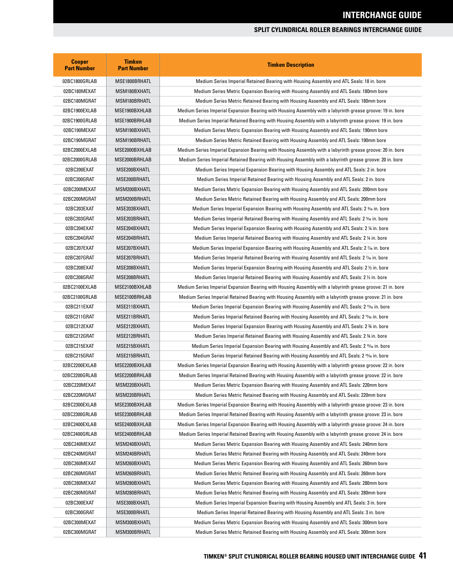| <b>Cooper</b><br><b>Part Number</b> | <b>Timken</b><br><b>Part Number</b> | <b>Timken Description</b>                                                                                                                                                       |
|-------------------------------------|-------------------------------------|---------------------------------------------------------------------------------------------------------------------------------------------------------------------------------|
| 02BC1800GRLAB                       | MSE1800BRHATL                       | Medium Series Imperial Retained Bearing with Housing Assembly and ATL Seals: 18 in. bore                                                                                        |
| 02BC180MEXAT                        | MSM180BXHATL                        | Medium Series Metric Expansion Bearing with Housing Assembly and ATL Seals: 180mm bore                                                                                          |
| 02BC180MGRAT                        | MSM180BRHATL                        | Medium Series Metric Retained Bearing with Housing Assembly and ATL Seals: 180mm bore                                                                                           |
| 02BC1900EXLAB                       | MSE1900BXHLAB                       | Medium Series Imperial Expansion Bearing with Housing Assembly with a labyrinth grease groove: 19 in. bore                                                                      |
| 02BC1900GRLAB                       | MSE1900BRHLAB                       | Medium Series Imperial Retained Bearing with Housing Assembly with a labyrinth grease groove: 19 in. bore                                                                       |
| 02BC190MEXAT                        | MSM190BXHATL                        | Medium Series Metric Expansion Bearing with Housing Assembly and ATL Seals: 190mm bore                                                                                          |
| 02BC190MGRAT                        | MSM190BRHATL                        | Medium Series Metric Retained Bearing with Housing Assembly and ATL Seals: 190mm bore                                                                                           |
| 02BC2000EXLAB                       | MSE2000BXHLAB                       | Medium Series Imperial Expansion Bearing with Housing Assembly with a labyrinth grease groove: 20 in. bore                                                                      |
| 02BC2000GRLAB                       | MSE2000BRHLAB                       | Medium Series Imperial Retained Bearing with Housing Assembly with a labyrinth grease groove: 20 in. bore                                                                       |
| 02BC200EXAT                         | MSE200BXHATL                        | Medium Series Imperial Expansion Bearing with Housing Assembly and ATL Seals: 2 in. bore                                                                                        |
| 02BC200GRAT                         | MSE200BRHATL                        | Medium Series Imperial Retained Bearing with Housing Assembly and ATL Seals: 2 in. bore                                                                                         |
| 02BC200MEXAT                        | MSM200BXHATL                        | Medium Series Metric Expansion Bearing with Housing Assembly and ATL Seals: 200mm bore                                                                                          |
| 02BC200MGRAT                        | MSM200BRHATL                        | Medium Series Metric Retained Bearing with Housing Assembly and ATL Seals: 200mm bore                                                                                           |
| 02BC203EXAT                         | MSE203BXHATL                        | Medium Series Imperial Expansion Bearing with Housing Assembly and ATL Seals: 2 ¾ in. bore                                                                                      |
| 02BC203GRAT                         | MSE203BRHATL                        | Medium Series Imperial Retained Bearing with Housing Assembly and ATL Seals: 2 36 in. bore                                                                                      |
| 02BC204EXAT                         | MSE204BXHATL                        | Medium Series Imperial Expansion Bearing with Housing Assembly and ATL Seals: 2 ¼ in. bore                                                                                      |
| 02BC204GRAT                         | MSE204BRHATL                        | Medium Series Imperial Retained Bearing with Housing Assembly and ATL Seals: 2 ¼ in. bore                                                                                       |
| 02BC207EXAT                         | MSE207BXHATL                        | Medium Series Imperial Expansion Bearing with Housing Assembly and ATL Seals: 2 % in. bore                                                                                      |
| 02BC207GRAT                         | MSE207BRHATL                        | Medium Series Imperial Retained Bearing with Housing Assembly and ATL Seals: 2 1% in. bore                                                                                      |
| 02BC208EXAT                         | MSE208BXHATL                        | Medium Series Imperial Expansion Bearing with Housing Assembly and ATL Seals: 2 1/2 in. bore                                                                                    |
| 02BC208GRAT                         | MSE208BRHATL                        | Medium Series Imperial Retained Bearing with Housing Assembly and ATL Seals: 2 1/2 in. bore                                                                                     |
| 02BC2100EXLAB                       | MSE2100BXHLAB                       | Medium Series Imperial Expansion Bearing with Housing Assembly with a labyrinth grease groove: 21 in. bore                                                                      |
| 02BC2100GRLAB                       | MSE2100BRHLAB                       | Medium Series Imperial Retained Bearing with Housing Assembly with a labyrinth grease groove: 21 in. bore                                                                       |
| 02BC211EXAT                         | MSE211BXHATL                        | Medium Series Imperial Expansion Bearing with Housing Assembly and ATL Seals: 2 ملاية الملكة Medium Series Imperial Expansion Bearing with Housing Assembly and ATL Seals: 2    |
| 02BC211GRAT                         | MSE211BRHATL                        | Medium Series Imperial Retained Bearing with Housing Assembly and ATL Seals: 2 11/6 in. bore                                                                                    |
| 02BC212EXAT                         | MSE212BXHATL                        | Medium Series Imperial Expansion Bearing with Housing Assembly and ATL Seals: 2 % in. bore                                                                                      |
| 02BC212GRAT                         | MSE212BRHATL                        | Medium Series Imperial Retained Bearing with Housing Assembly and ATL Seals: 2 34 in. bore                                                                                      |
| 02BC215EXAT                         | MSE215BXHATL                        | Medium Series Imperial Expansion Bearing with Housing Assembly and ATL Seals: 2 1546 in. bore                                                                                   |
| 02BC215GRAT                         | MSE215BRHATL                        | Medium Series Imperial Retained Bearing with Housing Assembly and ATL Seals: 2 <sup>15</sup> /6 in. bore                                                                        |
| 02BC2200EXLAB                       | MSE2200BXHLAB                       | Medium Series Imperial Expansion Bearing with Housing Assembly with a labyrinth grease groove: 22 in. bore                                                                      |
| 02BC2200GRLAB                       | MSE2200BRHLAB                       | Medium Series Imperial Retained Bearing with Housing Assembly with a labyrinth grease groove: 22 in. bore                                                                       |
| 02BC220MEXAT                        | MSM220BXHATL                        | Medium Series Metric Expansion Bearing with Housing Assembly and ATL Seals: 220mm bore                                                                                          |
| 02BC220MGRAT                        | MSM220BRHATL                        | Medium Series Metric Retained Bearing with Housing Assembly and ATL Seals: 220mm bore                                                                                           |
| 02BC2300EXLAB                       | MSE2300BXHLAB                       | Medium Series Imperial Expansion Bearing with Housing Assembly with a labyrinth grease groove: 23 in. bore                                                                      |
| 02BC2300GRLAB                       | MSE2300BRHLAB                       | Medium Series Imperial Retained Bearing with Housing Assembly with a labyrinth grease groove: 23 in. bore                                                                       |
| 02BC2400EXLAB                       | MSE2400BXHLAB                       | Medium Series Imperial Expansion Bearing with Housing Assembly with a labyrinth grease groove: 24 in. bore                                                                      |
| 02BC2400GRLAB                       | MSE2400BRHLAB                       | Medium Series Imperial Retained Bearing with Housing Assembly with a labyrinth grease groove: 24 in. bore                                                                       |
|                                     |                                     |                                                                                                                                                                                 |
| 02BC240MEXAT                        | MSM240BXHATL                        | Medium Series Metric Expansion Bearing with Housing Assembly and ATL Seals: 240mm bore                                                                                          |
| 02BC240MGRAT                        | MSM240BRHATL                        | Medium Series Metric Retained Bearing with Housing Assembly and ATL Seals: 240mm bore                                                                                           |
| 02BC260MEXAT                        | MSM260BXHATL                        | Medium Series Metric Expansion Bearing with Housing Assembly and ATL Seals: 260mm bore<br>Medium Series Metric Retained Bearing with Housing Assembly and ATL Seals: 260mm bore |
| 02BC260MGRAT                        | MSM260BRHATL                        |                                                                                                                                                                                 |
| 02BC280MEXAT                        | MSM280BXHATL                        | Medium Series Metric Expansion Bearing with Housing Assembly and ATL Seals: 280mm bore                                                                                          |
| 02BC280MGRAT                        | MSM280BRHATL                        | Medium Series Metric Retained Bearing with Housing Assembly and ATL Seals: 280mm bore                                                                                           |
| 02BC300EXAT                         | MSE300BXHATL                        | Medium Series Imperial Expansion Bearing with Housing Assembly and ATL Seals: 3 in. bore                                                                                        |
| 02BC300GRAT                         | MSE300BRHATL                        | Medium Series Imperial Retained Bearing with Housing Assembly and ATL Seals: 3 in. bore                                                                                         |
| 02BC300MEXAT                        | MSM300BXHATL                        | Medium Series Metric Expansion Bearing with Housing Assembly and ATL Seals: 300mm bore                                                                                          |
| 02BC300MGRAT                        | MSM300BRHATL                        | Medium Series Metric Retained Bearing with Housing Assembly and ATL Seals: 300mm bore                                                                                           |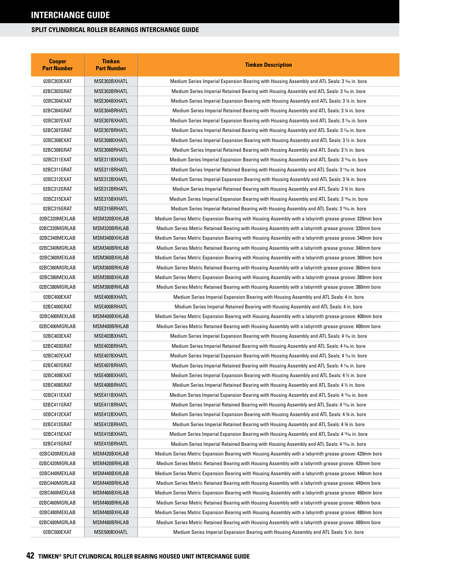| <b>Cooper</b><br><b>Part Number</b> | <b>Timken</b><br><b>Part Number</b> | <b>Timken Description</b>                                                                                 |
|-------------------------------------|-------------------------------------|-----------------------------------------------------------------------------------------------------------|
| 02BC303EXAT                         | MSE303BXHATL                        | Medium Series Imperial Expansion Bearing with Housing Assembly and ATL Seals: 3 <sup>3</sup> % in. bore   |
| 02BC303GRAT                         | MSE303BRHATL                        | Medium Series Imperial Retained Bearing with Housing Assembly and ATL Seals: 3 36 in. bore                |
| 02BC304EXAT                         | MSE304BXHATL                        | Medium Series Imperial Expansion Bearing with Housing Assembly and ATL Seals: 3 ¼ in. bore                |
| 02BC304GRAT                         | MSE304BRHATL                        | Medium Series Imperial Retained Bearing with Housing Assembly and ATL Seals: 3 ¼ in. bore                 |
| 02BC307EXAT                         | MSE307BXHATL                        | Medium Series Imperial Expansion Bearing with Housing Assembly and ATL Seals: 3 1/16 in. bore             |
| 02BC307GRAT                         | MSE307BRHATL                        | Medium Series Imperial Retained Bearing with Housing Assembly and ATL Seals: 3 1⁄16 in. bore              |
| 02BC308EXAT                         | MSE308BXHATL                        | Medium Series Imperial Expansion Bearing with Housing Assembly and ATL Seals: 3 $\%$ in. bore             |
| 02BC308GRAT                         | MSE308BRHATL                        | Medium Series Imperial Retained Bearing with Housing Assembly and ATL Seals: 3 1/2 in. bore               |
| 02BC311EXAT                         | MSE311BXHATL                        | Medium Series Imperial Expansion Bearing with Housing Assembly and ATL Seals: 3 11/6 in. bore             |
| 02BC311GRAT                         | MSE311BRHATL                        | Medium Series Imperial Retained Bearing with Housing Assembly and ATL Seals: 3 11/16 in. bore             |
| 02BC312EXAT                         | MSE312BXHATL                        | Medium Series Imperial Expansion Bearing with Housing Assembly and ATL Seals: 3 34 in. bore               |
| 02BC312GRAT                         | MSE312BRHATL                        | Medium Series Imperial Retained Bearing with Housing Assembly and ATL Seals: 3 34 in. bore                |
| 02BC315EXAT                         | MSE315BXHATL                        | Medium Series Imperial Expansion Bearing with Housing Assembly and ATL Seals: 3 <sup>15</sup> /6 in. bore |
| 02BC315GRAT                         | MSE315BRHATL                        | Medium Series Imperial Retained Bearing with Housing Assembly and ATL Seals: 3 15% in. bore               |
| 02BC320MEXLAB                       | MSM320BXHLAB                        | Medium Series Metric Expansion Bearing with Housing Assembly with a labyrinth grease groove: 320mm bore   |
| 02BC320MGRLAB                       | MSM320BRHLAB                        | Medium Series Metric Retained Bearing with Housing Assembly with a labyrinth grease groove: 320mm bore    |
| 02BC340MEXLAB                       | MSM340BXHLAB                        | Medium Series Metric Expansion Bearing with Housing Assembly with a labyrinth grease groove: 340mm bore   |
| 02BC340MGRLAB                       | MSM340BRHLAB                        | Medium Series Metric Retained Bearing with Housing Assembly with a labyrinth grease groove: 340mm bore    |
| 02BC360MEXLAB                       | MSM360BXHLAB                        | Medium Series Metric Expansion Bearing with Housing Assembly with a labyrinth grease groove: 360mm bore   |
| 02BC360MGRLAB                       | MSM360BRHLAB                        | Medium Series Metric Retained Bearing with Housing Assembly with a labyrinth grease groove: 360mm bore    |
| 02BC380MEXLAB                       | MSM380BXHLAB                        | Medium Series Metric Expansion Bearing with Housing Assembly with a labyrinth grease groove: 380mm bore   |
| 02BC380MGRLAB                       | MSM380BRHLAB                        | Medium Series Metric Retained Bearing with Housing Assembly with a labyrinth grease groove: 380mm bore    |
| 02BC400EXAT                         | MSE400BXHATL                        | Medium Series Imperial Expansion Bearing with Housing Assembly and ATL Seals: 4 in. bore                  |
| 02BC400GRAT                         | MSE400BRHATL                        | Medium Series Imperial Retained Bearing with Housing Assembly and ATL Seals: 4 in. bore                   |
| 02BC400MEXLAB                       | MSM400BXHLAB                        | Medium Series Metric Expansion Bearing with Housing Assembly with a labyrinth grease groove: 400mm bore   |
| 02BC400MGRLAB                       | MSM400BRHLAB                        | Medium Series Metric Retained Bearing with Housing Assembly with a labyrinth grease groove: 400mm bore    |
| 02BC403EXAT                         | MSE403BXHATL                        | Medium Series Imperial Expansion Bearing with Housing Assembly and ATL Seals: 4 3% in. bore               |
| 02BC403GRAT                         | MSE403BRHATL                        | Medium Series Imperial Retained Bearing with Housing Assembly and ATL Seals: 4 3⁄16 in. bore              |
| 02BC407EXAT                         | MSE407BXHATL                        | Medium Series Imperial Expansion Bearing with Housing Assembly and ATL Seals: 4 % in. bore                |
| 02BC407GRAT                         | MSE407BRHATL                        | Medium Series Imperial Retained Bearing with Housing Assembly and ATL Seals: 4 1⁄16 in. bore              |
| 02BC408EXAT                         | MSE408BXHATL                        | Medium Series Imperial Expansion Bearing with Housing Assembly and ATL Seals: 4 1/2 in. bore              |
| 02BC408GRAT                         | MSE408BRHATL                        | Medium Series Imperial Retained Bearing with Housing Assembly and ATL Seals: 4 1/2 in. bore               |
| 02BC411EXAT                         | MSE411BXHATL                        | Medium Series Imperial Expansion Bearing with Housing Assembly and ATL Seals: 4 11/6 in. bore             |
| 02BC411GRAT                         | MSE411BRHATL                        | Medium Series Imperial Retained Bearing with Housing Assembly and ATL Seals: 4 11/16 in. bore             |
| 02BC412EXAT                         | MSE412BXHATL                        | Medium Series Imperial Expansion Bearing with Housing Assembly and ATL Seals: 4 34 in. bore               |
| 02BC412GRAT                         | MSE412BRHATL                        | Medium Series Imperial Retained Bearing with Housing Assembly and ATL Seals: 4 % in. bore                 |
| 02BC415EXAT                         | MSE415BXHATL                        | Medium Series Imperial Expansion Bearing with Housing Assembly and ATL Seals: 4 15% in. bore              |
| 02BC415GRAT                         | MSE415BRHATL                        | Medium Series Imperial Retained Bearing with Housing Assembly and ATL Seals: 4 <sup>15</sup> /16 in. bore |
| 02BC420MEXLAB                       | MSM420BXHLAB                        | Medium Series Metric Expansion Bearing with Housing Assembly with a labyrinth grease groove: 420mm bore   |
| 02BC420MGRLAB                       | MSM420BRHLAB                        | Medium Series Metric Retained Bearing with Housing Assembly with a labyrinth grease groove: 420mm bore    |
| 02BC440MEXLAB                       | MSM440BXHLAB                        | Medium Series Metric Expansion Bearing with Housing Assembly with a labyrinth grease groove: 440mm bore   |
| 02BC440MGRLAB                       | MSM440BRHLAB                        | Medium Series Metric Retained Bearing with Housing Assembly with a labyrinth grease groove: 440mm bore    |
| 02BC460MEXLAB                       | MSM460BXHLAB                        | Medium Series Metric Expansion Bearing with Housing Assembly with a labyrinth grease groove: 460mm bore   |
| 02BC460MGRLAB                       | MSM460BRHLAB                        | Medium Series Metric Retained Bearing with Housing Assembly with a labyrinth grease groove: 460mm bore    |
| 02BC480MEXLAB                       | MSM480BXHLAB                        | Medium Series Metric Expansion Bearing with Housing Assembly with a labyrinth grease groove: 480mm bore   |
| 02BC480MGRLAB                       | MSM480BRHLAB                        | Medium Series Metric Retained Bearing with Housing Assembly with a labyrinth grease groove: 480mm bore    |
| 02BC500EXAT                         | MSE500BXHATL                        | Medium Series Imperial Expansion Bearing with Housing Assembly and ATL Seals: 5 in. bore                  |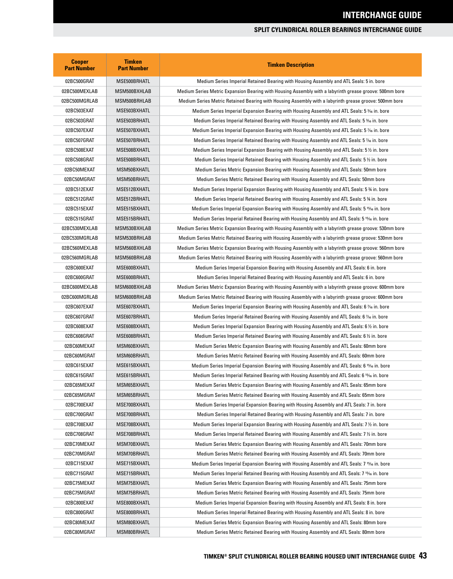| <b>Cooper</b><br><b>Part Number</b> | <b>Timken</b><br><b>Part Number</b> | <b>Timken Description</b>                                                                                            |
|-------------------------------------|-------------------------------------|----------------------------------------------------------------------------------------------------------------------|
| 02BC500GRAT                         | MSE500BRHATL                        | Medium Series Imperial Retained Bearing with Housing Assembly and ATL Seals: 5 in. bore                              |
| 02BC500MEXLAB                       | MSM500BXHLAB                        | Medium Series Metric Expansion Bearing with Housing Assembly with a labyrinth grease groove: 500mm bore              |
| 02BC500MGRLAB                       | MSM500BRHLAB                        | Medium Series Metric Retained Bearing with Housing Assembly with a labyrinth grease groove: 500mm bore               |
| 02BC503EXAT                         | MSE503BXHATL                        | Medium Series Imperial Expansion Bearing with Housing Assembly and ATL Seals: 5 % in. bore                           |
| 02BC503GRAT                         | MSE503BRHATL                        | Medium Series Imperial Retained Bearing with Housing Assembly and ATL Seals: 5 36 in. bore                           |
| 02BC507EXAT                         | MSE507BXHATL                        | Medium Series Imperial Expansion Bearing with Housing Assembly and ATL Seals: 5 % in. bore                           |
| 02BC507GRAT                         | MSE507BRHATL                        | Medium Series Imperial Retained Bearing with Housing Assembly and ATL Seals: 5 % in. bore                            |
| 02BC508EXAT                         | MSE508BXHATL                        | Medium Series Imperial Expansion Bearing with Housing Assembly and ATL Seals: 5 $\%$ in. bore                        |
| 02BC508GRAT                         | MSE508BRHATL                        | Medium Series Imperial Retained Bearing with Housing Assembly and ATL Seals: 5 ½ in. bore                            |
| 02BC50MEXAT                         | MSM50BXHATL                         | Medium Series Metric Expansion Bearing with Housing Assembly and ATL Seals: 50mm bore                                |
| 02BC50MGRAT                         | MSM50BRHATL                         | Medium Series Metric Retained Bearing with Housing Assembly and ATL Seals: 50mm bore                                 |
| 02BC512EXAT                         | MSE512BXHATL                        | Medium Series Imperial Expansion Bearing with Housing Assembly and ATL Seals: 5 ¾ in. bore                           |
| 02BC512GRAT                         | MSE512BRHATL                        | Medium Series Imperial Retained Bearing with Housing Assembly and ATL Seals: 5 % in. bore                            |
| 02BC515EXAT                         | MSE515BXHATL                        | Medium Series Imperial Expansion Bearing with Housing Assembly and ATL Seals: 5 15⁄16 in. bore                       |
| 02BC515GRAT                         | MSE515BRHATL                        | Medium Series Imperial Retained Bearing with Housing Assembly and ATL Seals: 5 1546 in. bore                         |
| 02BC530MEXLAB                       | MSM530BXHLAB                        | Medium Series Metric Expansion Bearing with Housing Assembly with a labyrinth grease groove: 530mm bore              |
| 02BC530MGRLAB                       | MSM530BRHLAB                        | Medium Series Metric Retained Bearing with Housing Assembly with a labyrinth grease groove: 530mm bore               |
| 02BC560MEXLAB                       | MSM560BXHLAB                        | Medium Series Metric Expansion Bearing with Housing Assembly with a labyrinth grease groove: 560mm bore              |
| 02BC560MGRLAB                       | MSM560BRHLAB                        | Medium Series Metric Retained Bearing with Housing Assembly with a labyrinth grease groove: 560mm bore               |
| 02BC600EXAT                         | MSE600BXHATL                        | Medium Series Imperial Expansion Bearing with Housing Assembly and ATL Seals: 6 in. bore                             |
| 02BC600GRAT                         | MSE600BRHATL                        | Medium Series Imperial Retained Bearing with Housing Assembly and ATL Seals: 6 in. bore                              |
| 02BC600MEXLAB                       | MSM600BXHLAB                        | Medium Series Metric Expansion Bearing with Housing Assembly with a labyrinth grease groove: 600mm bore              |
| 02BC600MGRLAB                       | MSM600BRHLAB                        | Medium Series Metric Retained Bearing with Housing Assembly with a labyrinth grease groove: 600mm bore               |
| 02BC607EXAT                         | MSE607BXHATL                        | Medium Series Imperial Expansion Bearing with Housing Assembly and ATL Seals: 6 % in. bore                           |
| 02BC607GRAT                         | MSE607BRHATL                        | Medium Series Imperial Retained Bearing with Housing Assembly and ATL Seals: 6 1% in. bore                           |
| 02BC608EXAT                         | MSE608BXHATL                        | Medium Series Imperial Expansion Bearing with Housing Assembly and ATL Seals: 6 $\%$ in. bore                        |
| 02BC608GRAT                         | MSE608BRHATL                        | Medium Series Imperial Retained Bearing with Housing Assembly and ATL Seals: 6 $\frac{1}{2}$ in. bore                |
| 02BC60MEXAT                         | MSM60BXHATL                         | Medium Series Metric Expansion Bearing with Housing Assembly and ATL Seals: 60mm bore                                |
| 02BC60MGRAT                         | MSM60BRHATL                         | Medium Series Metric Retained Bearing with Housing Assembly and ATL Seals: 60mm bore                                 |
| 02BC615EXAT                         | MSE615BXHATL                        | Medium Series Imperial Expansion Bearing with Housing Assembly and ATL Seals: 6 15/16 in. bore                       |
| 02BC615GRAT                         | MSE615BRHATL                        | Medium Series Imperial Retained Bearing with Housing Assembly and ATL Seals: 6 <sup>15</sup> / <sub>6</sub> in. bore |
| 02BC65MEXAT                         | MSM65BXHATL                         | Medium Series Metric Expansion Bearing with Housing Assembly and ATL Seals: 65mm bore                                |
| 02BC65MGRAT                         | MSM65BRHATL                         | Medium Series Metric Retained Bearing with Housing Assembly and ATL Seals: 65mm bore                                 |
| 02BC700EXAT                         | MSE700BXHATL                        | Medium Series Imperial Expansion Bearing with Housing Assembly and ATL Seals: 7 in. bore                             |
| 02BC700GRAT                         | MSE700BRHATL                        | Medium Series Imperial Retained Bearing with Housing Assembly and ATL Seals: 7 in. bore                              |
| 02BC708EXAT                         | MSE708BXHATL                        | Medium Series Imperial Expansion Bearing with Housing Assembly and ATL Seals: 7 1/2 in. bore                         |
| 02BC708GRAT                         | MSE708BRHATL                        | Medium Series Imperial Retained Bearing with Housing Assembly and ATL Seals: 7 $\%$ in. bore                         |
| 02BC70MEXAT                         | MSM70BXHATL                         | Medium Series Metric Expansion Bearing with Housing Assembly and ATL Seals: 70mm bore                                |
| 02BC70MGRAT                         | MSM70BRHATL                         | Medium Series Metric Retained Bearing with Housing Assembly and ATL Seals: 70mm bore                                 |
| 02BC715EXAT                         | MSE715BXHATL                        | Medium Series Imperial Expansion Bearing with Housing Assembly and ATL Seals: 7 <sup>15</sup> /6 in. bore            |
| 02BC715GRAT                         | MSE715BRHATL                        | Medium Series Imperial Retained Bearing with Housing Assembly and ATL Seals: 7 <sup>15</sup> /16 in. bore            |
| 02BC75MEXAT                         | MSM75BXHATL                         | Medium Series Metric Expansion Bearing with Housing Assembly and ATL Seals: 75mm bore                                |
| 02BC75MGRAT                         | MSM75BRHATL                         | Medium Series Metric Retained Bearing with Housing Assembly and ATL Seals: 75mm bore                                 |
| 02BC800EXAT                         | MSE800BXHATL                        | Medium Series Imperial Expansion Bearing with Housing Assembly and ATL Seals: 8 in. bore                             |
| 02BC800GRAT                         | MSE800BRHATL                        | Medium Series Imperial Retained Bearing with Housing Assembly and ATL Seals: 8 in. bore                              |
| 02BC80MEXAT                         | MSM80BXHATL                         | Medium Series Metric Expansion Bearing with Housing Assembly and ATL Seals: 80mm bore                                |
| 02BC80MGRAT                         | MSM80BRHATL                         | Medium Series Metric Retained Bearing with Housing Assembly and ATL Seals: 80mm bore                                 |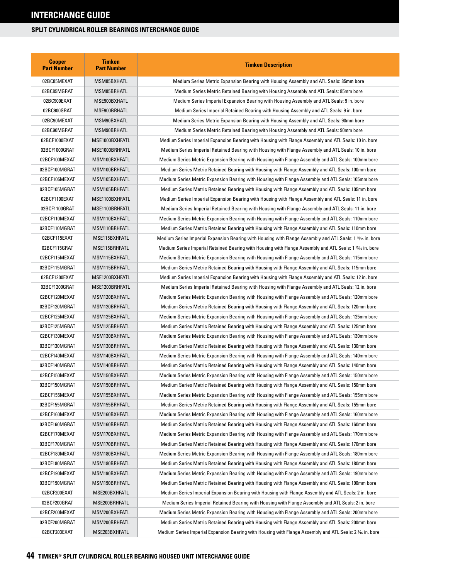| <b>Cooper</b><br><b>Part Number</b> | <b>Timken</b><br><b>Part Number</b> | <b>Timken Description</b>                                                                                |
|-------------------------------------|-------------------------------------|----------------------------------------------------------------------------------------------------------|
| 02BC85MEXAT                         | MSM85BXHATL                         | Medium Series Metric Expansion Bearing with Housing Assembly and ATL Seals: 85mm bore                    |
| 02BC85MGRAT                         | MSM85BRHATL                         | Medium Series Metric Retained Bearing with Housing Assembly and ATL Seals: 85mm bore                     |
| 02BC900EXAT                         | MSE900BXHATL                        | Medium Series Imperial Expansion Bearing with Housing Assembly and ATL Seals: 9 in. bore                 |
| 02BC900GRAT                         | MSE900BRHATL                        | Medium Series Imperial Retained Bearing with Housing Assembly and ATL Seals: 9 in. bore                  |
| 02BC90MEXAT                         | MSM90BXHATL                         | Medium Series Metric Expansion Bearing with Housing Assembly and ATL Seals: 90mm bore                    |
| 02BC90MGRAT                         | MSM90BRHATL                         | Medium Series Metric Retained Bearing with Housing Assembly and ATL Seals: 90mm bore                     |
| 02BCF1000EXAT                       | MSE1000BXHFATL                      | Medium Series Imperial Expansion Bearing with Housing with Flange Assembly and ATL Seals: 10 in. bore    |
| 02BCF1000GRAT                       | MSE1000BRHFATL                      | Medium Series Imperial Retained Bearing with Housing with Flange Assembly and ATL Seals: 10 in. bore     |
| 02BCF100MEXAT                       | MSM100BXHFATL                       | Medium Series Metric Expansion Bearing with Housing with Flange Assembly and ATL Seals: 100mm bore       |
| 02BCF100MGRAT                       | MSM100BRHFATL                       | Medium Series Metric Retained Bearing with Housing with Flange Assembly and ATL Seals: 100mm bore        |
| 02BCF105MEXAT                       | MSM105BXHFATL                       | Medium Series Metric Expansion Bearing with Housing with Flange Assembly and ATL Seals: 105mm bore       |
| 02BCF105MGRAT                       | MSM105BRHFATL                       | Medium Series Metric Retained Bearing with Housing with Flange Assembly and ATL Seals: 105mm bore        |
| 02BCF1100EXAT                       | MSE1100BXHFATL                      | Medium Series Imperial Expansion Bearing with Housing with Flange Assembly and ATL Seals: 11 in. bore    |
| 02BCF1100GRAT                       | MSE1100BRHFATL                      | Medium Series Imperial Retained Bearing with Housing with Flange Assembly and ATL Seals: 11 in. bore     |
| 02BCF110MEXAT                       | MSM110BXHFATL                       | Medium Series Metric Expansion Bearing with Housing with Flange Assembly and ATL Seals: 110mm bore       |
| 02BCF110MGRAT                       | MSM110BRHFATL                       | Medium Series Metric Retained Bearing with Housing with Flange Assembly and ATL Seals: 110mm bore        |
| 02BCF115EXAT                        | MSE115BXHFATL                       | Medium Series Imperial Expansion Bearing with Housing with Flange Assembly and ATL Seals: 1 15% in. bore |
| 02BCF115GRAT                        | MSE115BRHFATL                       | Medium Series Imperial Retained Bearing with Housing with Flange Assembly and ATL Seals: 1 15% in. bore  |
| 02BCF115MEXAT                       | MSM115BXHFATL                       | Medium Series Metric Expansion Bearing with Housing with Flange Assembly and ATL Seals: 115mm bore       |
| 02BCF115MGRAT                       | MSM115BRHFATL                       | Medium Series Metric Retained Bearing with Housing with Flange Assembly and ATL Seals: 115mm bore        |
| 02BCF1200EXAT                       | MSE1200BXHFATL                      | Medium Series Imperial Expansion Bearing with Housing with Flange Assembly and ATL Seals: 12 in. bore    |
| 02BCF1200GRAT                       | MSE1200BRHFATL                      | Medium Series Imperial Retained Bearing with Housing with Flange Assembly and ATL Seals: 12 in. bore     |
| 02BCF120MEXAT                       | MSM120BXHFATL                       | Medium Series Metric Expansion Bearing with Housing with Flange Assembly and ATL Seals: 120mm bore       |
| 02BCF120MGRAT                       | MSM120BRHFATL                       | Medium Series Metric Retained Bearing with Housing with Flange Assembly and ATL Seals: 120mm bore        |
| 02BCF125MEXAT                       | MSM125BXHFATL                       | Medium Series Metric Expansion Bearing with Housing with Flange Assembly and ATL Seals: 125mm bore       |
| 02BCF125MGRAT                       | MSM125BRHFATL                       | Medium Series Metric Retained Bearing with Housing with Flange Assembly and ATL Seals: 125mm bore        |
| 02BCF130MEXAT                       | MSM130BXHFATL                       | Medium Series Metric Expansion Bearing with Housing with Flange Assembly and ATL Seals: 130mm bore       |
| 02BCF130MGRAT                       | MSM130BRHFATL                       | Medium Series Metric Retained Bearing with Housing with Flange Assembly and ATL Seals: 130mm bore        |
| 02BCF140MEXAT                       | MSM140BXHFATL                       | Medium Series Metric Expansion Bearing with Housing with Flange Assembly and ATL Seals: 140mm bore       |
| 02BCF140MGRAT                       | MSM140BRHFATL                       | Medium Series Metric Retained Bearing with Housing with Flange Assembly and ATL Seals: 140mm bore        |
| 02BCF150MEXAT                       | MSM150BXHFATL                       | Medium Series Metric Expansion Bearing with Housing with Flange Assembly and ATL Seals: 150mm bore       |
| 02BCF150MGRAT                       | MSM150BRHFATL                       | Medium Series Metric Retained Bearing with Housing with Flange Assembly and ATL Seals: 150mm bore        |
| 02BCF155MEXAT                       | MSM155BXHFATL                       | Medium Series Metric Expansion Bearing with Housing with Flange Assembly and ATL Seals: 155mm bore       |
| 02BCF155MGRAT                       | MSM155BRHFATL                       | Medium Series Metric Retained Bearing with Housing with Flange Assembly and ATL Seals: 155mm bore        |
| 02BCF160MEXAT                       | MSM160BXHFATL                       | Medium Series Metric Expansion Bearing with Housing with Flange Assembly and ATL Seals: 160mm bore       |
| 02BCF160MGRAT                       | MSM160BRHFATL                       | Medium Series Metric Retained Bearing with Housing with Flange Assembly and ATL Seals: 160mm bore        |
| 02BCF170MEXAT                       | MSM170BXHFATL                       | Medium Series Metric Expansion Bearing with Housing with Flange Assembly and ATL Seals: 170mm bore       |
| 02BCF170MGRAT                       | MSM170BRHFATL                       | Medium Series Metric Retained Bearing with Housing with Flange Assembly and ATL Seals: 170mm bore        |
| 02BCF180MEXAT                       | MSM180BXHFATL                       | Medium Series Metric Expansion Bearing with Housing with Flange Assembly and ATL Seals: 180mm bore       |
| 02BCF180MGRAT                       | MSM180BRHFATL                       | Medium Series Metric Retained Bearing with Housing with Flange Assembly and ATL Seals: 180mm bore        |
| 02BCF190MEXAT                       | MSM190BXHFATL                       | Medium Series Metric Expansion Bearing with Housing with Flange Assembly and ATL Seals: 190mm bore       |
| 02BCF190MGRAT                       | MSM190BRHFATL                       | Medium Series Metric Retained Bearing with Housing with Flange Assembly and ATL Seals: 190mm bore        |
| 02BCF200EXAT                        | MSE200BXHFATL                       | Medium Series Imperial Expansion Bearing with Housing with Flange Assembly and ATL Seals: 2 in. bore     |
| 02BCF200GRAT                        | MSE200BRHFATL                       | Medium Series Imperial Retained Bearing with Housing with Flange Assembly and ATL Seals: 2 in. bore      |
| 02BCF200MEXAT                       | MSM200BXHFATL                       | Medium Series Metric Expansion Bearing with Housing with Flange Assembly and ATL Seals: 200mm bore       |
| 02BCF200MGRAT                       | MSM200BRHFATL                       | Medium Series Metric Retained Bearing with Housing with Flange Assembly and ATL Seals: 200mm bore        |
| 02BCF203EXAT                        | MSE203BXHFATL                       | Medium Series Imperial Expansion Bearing with Housing with Flange Assembly and ATL Seals: 2 346 in. bore |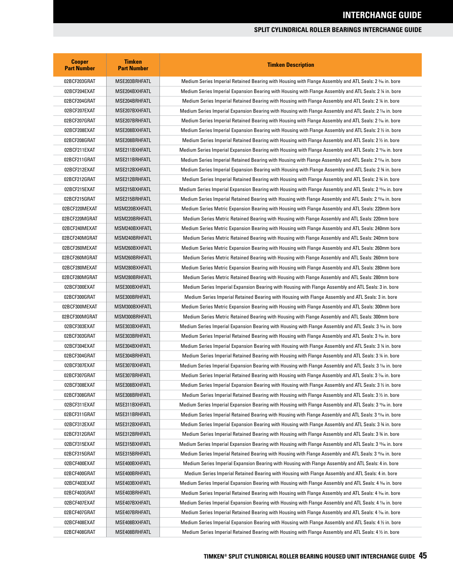| <b>Cooper</b><br><b>Part Number</b> | <b>Timken</b><br><b>Part Number</b> | <b>Timken Description</b>                                                                                             |
|-------------------------------------|-------------------------------------|-----------------------------------------------------------------------------------------------------------------------|
| 02BCF203GRAT                        | MSE203BRHFATL                       | Medium Series Imperial Retained Bearing with Housing with Flange Assembly and ATL Seals: 2 <sup>3</sup> % in. bore    |
| 02BCF204EXAT                        | MSE204BXHFATL                       | Medium Series Imperial Expansion Bearing with Housing with Flange Assembly and ATL Seals: 2 ¼ in. bore                |
| 02BCF204GRAT                        | MSE204BRHFATL                       | Medium Series Imperial Retained Bearing with Housing with Flange Assembly and ATL Seals: 2 1/4 in. bore               |
| 02BCF207EXAT                        | MSE207BXHFATL                       | Medium Series Imperial Expansion Bearing with Housing with Flange Assembly and ATL Seals: 2 1⁄16 in. bore             |
| 02BCF207GRAT                        | MSE207BRHFATL                       | Medium Series Imperial Retained Bearing with Housing with Flange Assembly and ATL Seals: 2 % in. bore                 |
| 02BCF208EXAT                        | MSE208BXHFATL                       | Medium Series Imperial Expansion Bearing with Housing with Flange Assembly and ATL Seals: 2 1/2 in. bore              |
| 02BCF208GRAT                        | MSE208BRHFATL                       | Medium Series Imperial Retained Bearing with Housing with Flange Assembly and ATL Seals: 2 ½ in. bore                 |
| 02BCF211EXAT                        | MSE211BXHFATL                       | Medium Series Imperial Expansion Bearing with Housing with Flange Assembly and ATL Seals: 2 11/6 in. bore             |
| 02BCF211GRAT                        | MSE211BRHFATL                       | Medium Series Imperial Retained Bearing with Housing with Flange Assembly and ATL Seals: 2 11/6 in. bore              |
| 02BCF212EXAT                        | MSE212BXHFATL                       | Medium Series Imperial Expansion Bearing with Housing with Flange Assembly and ATL Seals: 2 % in. bore                |
| 02BCF212GRAT                        | MSE212BRHFATL                       | Medium Series Imperial Retained Bearing with Housing with Flange Assembly and ATL Seals: 2 % in. bore                 |
| 02BCF215EXAT                        | MSE215BXHFATL                       | Medium Series Imperial Expansion Bearing with Housing with Flange Assembly and ATL Seals: 2 <sup>15</sup> /6 in. bore |
| 02BCF215GRAT                        | MSE215BRHFATL                       | Medium Series Imperial Retained Bearing with Housing with Flange Assembly and ATL Seals: 2 15% in. bore               |
| 02BCF220MEXAT                       | MSM220BXHFATL                       | Medium Series Metric Expansion Bearing with Housing with Flange Assembly and ATL Seals: 220mm bore                    |
| 02BCF220MGRAT                       | MSM220BRHFATL                       | Medium Series Metric Retained Bearing with Housing with Flange Assembly and ATL Seals: 220mm bore                     |
| 02BCF240MEXAT                       | MSM240BXHFATL                       | Medium Series Metric Expansion Bearing with Housing with Flange Assembly and ATL Seals: 240mm bore                    |
| 02BCF240MGRAT                       | MSM240BRHFATL                       | Medium Series Metric Retained Bearing with Housing with Flange Assembly and ATL Seals: 240mm bore                     |
| 02BCF260MEXAT                       | MSM260BXHFATL                       | Medium Series Metric Expansion Bearing with Housing with Flange Assembly and ATL Seals: 260mm bore                    |
| 02BCF260MGRAT                       | MSM260BRHFATL                       | Medium Series Metric Retained Bearing with Housing with Flange Assembly and ATL Seals: 260mm bore                     |
| 02BCF280MEXAT                       | MSM280BXHFATL                       | Medium Series Metric Expansion Bearing with Housing with Flange Assembly and ATL Seals: 280mm bore                    |
| 02BCF280MGRAT                       | MSM280BRHFATL                       | Medium Series Metric Retained Bearing with Housing with Flange Assembly and ATL Seals: 280mm bore                     |
| 02BCF300EXAT                        | MSE300BXHFATL                       | Medium Series Imperial Expansion Bearing with Housing with Flange Assembly and ATL Seals: 3 in. bore                  |
| 02BCF300GRAT                        | MSE300BRHFATL                       | Medium Series Imperial Retained Bearing with Housing with Flange Assembly and ATL Seals: 3 in. bore                   |
| 02BCF300MEXAT                       | MSM300BXHFATL                       | Medium Series Metric Expansion Bearing with Housing with Flange Assembly and ATL Seals: 300mm bore                    |
| 02BCF300MGRAT                       | MSM300BRHFATL                       | Medium Series Metric Retained Bearing with Housing with Flange Assembly and ATL Seals: 300mm bore                     |
| 02BCF303EXAT                        | MSE303BXHFATL                       | Medium Series Imperial Expansion Bearing with Housing with Flange Assembly and ATL Seals: 3 <sup>3</sup> % in. bore   |
| 02BCF303GRAT                        | MSE303BRHFATL                       | Medium Series Imperial Retained Bearing with Housing with Flange Assembly and ATL Seals: 3 % in. bore                 |
| 02BCF304EXAT                        | MSE304BXHFATL                       | Medium Series Imperial Expansion Bearing with Housing with Flange Assembly and ATL Seals: 3 1/4 in. bore              |
| 02BCF304GRAT                        | MSE304BRHFATL                       | Medium Series Imperial Retained Bearing with Housing with Flange Assembly and ATL Seals: 3 1/4 in. bore               |
| 02BCF307EXAT                        | MSE307BXHFATL                       | Medium Series Imperial Expansion Bearing with Housing with Flange Assembly and ATL Seals: 3 % in. bore                |
| 02BCF307GRAT                        | MSE307BRHFATL                       | Medium Series Imperial Retained Bearing with Housing with Flange Assembly and ATL Seals: 3 % in. bore                 |
| 02BCF308EXAT                        | MSE308BXHFATL                       | Medium Series Imperial Expansion Bearing with Housing with Flange Assembly and ATL Seals: 3 1/2 in. bore              |
| 02BCF308GRAT                        | MSE308BRHFATL                       | Medium Series Imperial Retained Bearing with Housing with Flange Assembly and ATL Seals: 3 1/2 in. bore               |
| 02BCF311EXAT                        | MSE311BXHFATL                       | Medium Series Imperial Expansion Bearing with Housing with Flange Assembly and ATL Seals: 3 11/6 in. bore             |
| 02BCF311GRAT                        | MSE311BRHFATL                       | Medium Series Imperial Retained Bearing with Housing with Flange Assembly and ATL Seals: 3 11/6 in. bore              |
| 02BCF312EXAT                        | MSE312BXHFATL                       | Medium Series Imperial Expansion Bearing with Housing with Flange Assembly and ATL Seals: 3 % in. bore                |
| 02BCF312GRAT                        | MSE312BRHFATL                       | Medium Series Imperial Retained Bearing with Housing with Flange Assembly and ATL Seals: 3 % in. bore                 |
| 02BCF315EXAT                        | MSE315BXHFATL                       | Medium Series Imperial Expansion Bearing with Housing with Flange Assembly and ATL Seals: 3 <sup>15</sup> /6 in. bore |
| 02BCF315GRAT                        | MSE315BRHFATL                       | Medium Series Imperial Retained Bearing with Housing with Flange Assembly and ATL Seals: 3 <sup>15</sup> /6 in. bore  |
| 02BCF400EXAT                        | MSE400BXHFATL                       | Medium Series Imperial Expansion Bearing with Housing with Flange Assembly and ATL Seals: 4 in. bore                  |
| 02BCF400GRAT                        | MSE400BRHFATL                       | Medium Series Imperial Retained Bearing with Housing with Flange Assembly and ATL Seals: 4 in. bore                   |
| 02BCF403EXAT                        | MSE403BXHFATL                       | Medium Series Imperial Expansion Bearing with Housing with Flange Assembly and ATL Seals: 4 36 in. bore               |
| 02BCF403GRAT                        | MSE403BRHFATL                       | Medium Series Imperial Retained Bearing with Housing with Flange Assembly and ATL Seals: 4 3⁄16 in. bore              |
| 02BCF407EXAT                        | MSE407BXHFATL                       | Medium Series Imperial Expansion Bearing with Housing with Flange Assembly and ATL Seals: 4 % in. bore                |
| 02BCF407GRAT                        | MSE407BRHFATL                       | Medium Series Imperial Retained Bearing with Housing with Flange Assembly and ATL Seals: 4 1⁄16 in. bore              |
| 02BCF408EXAT                        | MSE408BXHFATL                       | Medium Series Imperial Expansion Bearing with Housing with Flange Assembly and ATL Seals: 4 1/2 in. bore              |
| 02BCF408GRAT                        | MSE408BRHFATL                       | Medium Series Imperial Retained Bearing with Housing with Flange Assembly and ATL Seals: 4 1/2 in. bore               |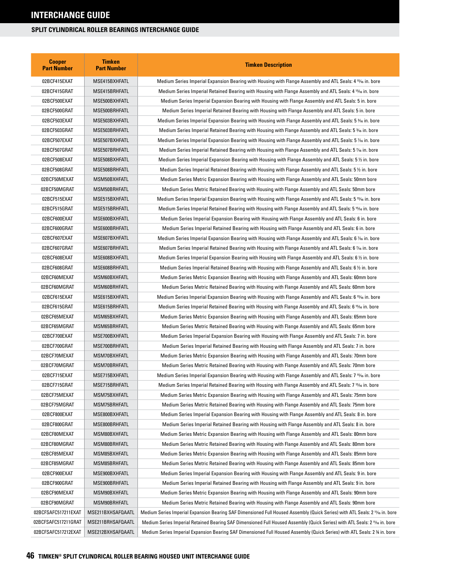| <b>Cooper</b><br><b>Part Number</b> | <b>Timken</b><br><b>Part Number</b> | <b>Timken Description</b>                                                                                                   |
|-------------------------------------|-------------------------------------|-----------------------------------------------------------------------------------------------------------------------------|
| 02BCF415EXAT                        | MSE415BXHFATL                       | Medium Series Imperial Expansion Bearing with Housing with Flange Assembly and ATL Seals: 4 15/6 in. bore                   |
| 02BCF415GRAT                        | MSE415BRHFATL                       | Medium Series Imperial Retained Bearing with Housing with Flange Assembly and ATL Seals: 4 15% in. bore                     |
| 02BCF500EXAT                        | MSE500BXHFATL                       | Medium Series Imperial Expansion Bearing with Housing with Flange Assembly and ATL Seals: 5 in. bore                        |
| 02BCF500GRAT                        | MSE500BRHFATL                       | Medium Series Imperial Retained Bearing with Housing with Flange Assembly and ATL Seals: 5 in. bore                         |
| 02BCF503EXAT                        | MSE503BXHFATL                       | Medium Series Imperial Expansion Bearing with Housing with Flange Assembly and ATL Seals: 5 <sup>3</sup> % in. bore         |
| 02BCF503GRAT                        | MSE503BRHFATL                       | Medium Series Imperial Retained Bearing with Housing with Flange Assembly and ATL Seals: 5 <sup>3</sup> % in. bore          |
| 02BCF507EXAT                        | MSE507BXHFATL                       | Medium Series Imperial Expansion Bearing with Housing with Flange Assembly and ATL Seals: 5 % in. bore                      |
| 02BCF507GRAT                        | MSE507BRHFATL                       | Medium Series Imperial Retained Bearing with Housing with Flange Assembly and ATL Seals: 5 % in. bore                       |
| 02BCF508EXAT                        | MSE508BXHFATL                       | Medium Series Imperial Expansion Bearing with Housing with Flange Assembly and ATL Seals: 5 $\%$ in. bore                   |
| 02BCF508GRAT                        | MSE508BRHFATL                       | Medium Series Imperial Retained Bearing with Housing with Flange Assembly and ATL Seals: 5 1/2 in. bore                     |
| 02BCF50MEXAT                        | MSM50BXHFATL                        | Medium Series Metric Expansion Bearing with Housing with Flange Assembly and ATL Seals: 50mm bore                           |
| 02BCF50MGRAT                        | MSM50BRHFATL                        | Medium Series Metric Retained Bearing with Housing with Flange Assembly and ATL Seals: 50mm bore                            |
| 02BCF515EXAT                        | MSE515BXHFATL                       | Medium Series Imperial Expansion Bearing with Housing with Flange Assembly and ATL Seals: 5 15/16 in. bore                  |
| 02BCF515GRAT                        | MSE515BRHFATL                       | Medium Series Imperial Retained Bearing with Housing with Flange Assembly and ATL Seals: 5 15% in. bore                     |
| 02BCF600EXAT                        | MSE600BXHFATL                       | Medium Series Imperial Expansion Bearing with Housing with Flange Assembly and ATL Seals: 6 in. bore                        |
| 02BCF600GRAT                        | MSE600BRHFATL                       | Medium Series Imperial Retained Bearing with Housing with Flange Assembly and ATL Seals: 6 in. bore                         |
| 02BCF607EXAT                        | MSE607BXHFATL                       | Medium Series Imperial Expansion Bearing with Housing with Flange Assembly and ATL Seals: 6 % in. bore                      |
| 02BCF607GRAT                        | MSE607BRHFATL                       | Medium Series Imperial Retained Bearing with Housing with Flange Assembly and ATL Seals: 6 % in. bore                       |
| 02BCF608EXAT                        | MSE608BXHFATL                       | Medium Series Imperial Expansion Bearing with Housing with Flange Assembly and ATL Seals: 6 1/2 in. bore                    |
| 02BCF608GRAT                        | MSE608BRHFATL                       | Medium Series Imperial Retained Bearing with Housing with Flange Assembly and ATL Seals: 6 1/2 in. bore                     |
| 02BCF60MEXAT                        | MSM60BXHFATL                        | Medium Series Metric Expansion Bearing with Housing with Flange Assembly and ATL Seals: 60mm bore                           |
| 02BCF60MGRAT                        | MSM60BRHFATL                        | Medium Series Metric Retained Bearing with Housing with Flange Assembly and ATL Seals: 60mm bore                            |
| 02BCF615EXAT                        | MSE615BXHFATL                       | Medium Series Imperial Expansion Bearing with Housing with Flange Assembly and ATL Seals: 6 15/16 in. bore                  |
| 02BCF615GRAT                        | MSE615BRHFATL                       | Medium Series Imperial Retained Bearing with Housing with Flange Assembly and ATL Seals: 6 15% in. bore                     |
| 02BCF65MEXAT                        | MSM65BXHFATL                        | Medium Series Metric Expansion Bearing with Housing with Flange Assembly and ATL Seals: 65mm bore                           |
| 02BCF65MGRAT                        | MSM65BRHFATL                        | Medium Series Metric Retained Bearing with Housing with Flange Assembly and ATL Seals: 65mm bore                            |
| 02BCF700EXAT                        | MSE700BXHFATL                       | Medium Series Imperial Expansion Bearing with Housing with Flange Assembly and ATL Seals: 7 in. bore                        |
| 02BCF700GRAT                        | MSE700BRHFATL                       | Medium Series Imperial Retained Bearing with Housing with Flange Assembly and ATL Seals: 7 in. bore                         |
| 02BCF70MEXAT                        | MSM70BXHFATL                        | Medium Series Metric Expansion Bearing with Housing with Flange Assembly and ATL Seals: 70mm bore                           |
| 02BCF70MGRAT                        | MSM70BRHFATL                        | Medium Series Metric Retained Bearing with Housing with Flange Assembly and ATL Seals: 70mm bore                            |
| 02BCF715EXAT                        | MSE715BXHFATL                       | Medium Series Imperial Expansion Bearing with Housing with Flange Assembly and ATL Seals: 7 15/6 in. bore                   |
| 02BCF715GRAT                        | MSE715BRHFATL                       | Medium Series Imperial Retained Bearing with Housing with Flange Assembly and ATL Seals: 7 15% in. bore                     |
| 02BCF75MEXAT                        | MSM75BXHFATL                        | Medium Series Metric Expansion Bearing with Housing with Flange Assembly and ATL Seals: 75mm bore                           |
| 02BCF75MGRAT                        | MSM75BRHFATL                        | Medium Series Metric Retained Bearing with Housing with Flange Assembly and ATL Seals: 75mm bore                            |
| 02BCF800EXAT                        | MSE800BXHFATL                       | Medium Series Imperial Expansion Bearing with Housing with Flange Assembly and ATL Seals: 8 in. bore                        |
| 02BCF800GRAT                        | MSE800BRHFATL                       | Medium Series Imperial Retained Bearing with Housing with Flange Assembly and ATL Seals: 8 in. bore                         |
| 02BCF80MEXAT                        | MSM80BXHFATL                        | Medium Series Metric Expansion Bearing with Housing with Flange Assembly and ATL Seals: 80mm bore                           |
| 02BCF80MGRAT                        | MSM80BRHFATL                        | Medium Series Metric Retained Bearing with Housing with Flange Assembly and ATL Seals: 80mm bore                            |
| 02BCF85MEXAT                        | MSM85BXHFATL                        | Medium Series Metric Expansion Bearing with Housing with Flange Assembly and ATL Seals: 85mm bore                           |
| 02BCF85MGRAT                        | MSM85BRHFATL                        | Medium Series Metric Retained Bearing with Housing with Flange Assembly and ATL Seals: 85mm bore                            |
| 02BCF900EXAT                        | MSE900BXHFATL                       | Medium Series Imperial Expansion Bearing with Housing with Flange Assembly and ATL Seals: 9 in. bore                        |
| 02BCF900GRAT                        | MSE900BRHFATL                       | Medium Series Imperial Retained Bearing with Housing with Flange Assembly and ATL Seals: 9 in. bore                         |
| 02BCF90MEXAT                        | MSM90BXHFATL                        | Medium Series Metric Expansion Bearing with Housing with Flange Assembly and ATL Seals: 90mm bore                           |
| 02BCF90MGRAT                        | MSM90BRHFATL                        | Medium Series Metric Retained Bearing with Housing with Flange Assembly and ATL Seals: 90mm bore                            |
| 02BCFSAFC517211EXAT                 | MSE211BXHSAFQAATL                   | Medium Series Imperial Expansion Bearing SAF Dimensioned Full Housed Assembly (Quick Series) with ATL Seals: 2 1½ in. bore  |
| 02BCFSAFC517211GRAT                 | MSE211BRHSAFQAATL                   | Medium Series Imperial Retained Bearing SAF Dimensioned Full Housed Assembly (Quick Series) with ATL Seals: 2 11/6 in. bore |
| 02BCFSAFC517212EXAT                 | MSE212BXHSAFQAATL                   | Medium Series Imperial Expansion Bearing SAF Dimensioned Full Housed Assembly (Quick Series) with ATL Seals: 2 % in. bore   |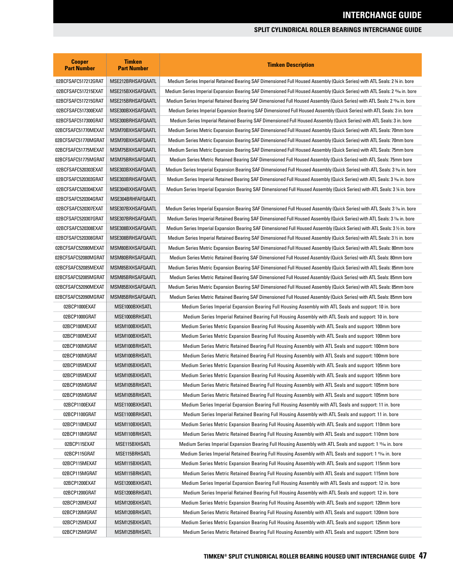| <b>Cooper</b><br><b>Part Number</b> | <b>Timken</b><br><b>Part Number</b> | <b>Timken Description</b>                                                                                                                |
|-------------------------------------|-------------------------------------|------------------------------------------------------------------------------------------------------------------------------------------|
| 02BCFSAFC517212GRAT                 | MSE212BRHSAFQAATL                   | Medium Series Imperial Retained Bearing SAF Dimensioned Full Housed Assembly (Quick Series) with ATL Seals: 2 % in. bore                 |
| 02BCFSAFC517215EXAT                 | MSE215BXHSAFQAATL                   | Medium Series Imperial Expansion Bearing SAF Dimensioned Full Housed Assembly (Quick Series) with ATL Seals: 2 <sup>15</sup> /6 in. bore |
| 02BCFSAFC517215GRAT                 | MSE215BRHSAFQAATL                   | Medium Series Imperial Retained Bearing SAF Dimensioned Full Housed Assembly (Quick Series) with ATL Seals: 2 <sup>15</sup> /6 in. bore  |
| 02BCFSAFC517300EXAT                 | MSE300BXHSAFQAATL                   | Medium Series Imperial Expansion Bearing SAF Dimensioned Full Housed Assembly (Quick Series) with ATL Seals: 3 in. bore                  |
| 02BCFSAFC517300GRAT                 | MSE300BRHSAFQAATL                   | Medium Series Imperial Retained Bearing SAF Dimensioned Full Housed Assembly (Quick Series) with ATL Seals: 3 in. bore                   |
| 02BCFSAFC51770MEXAT                 | MSM70BXHSAFQAATL                    | Medium Series Metric Expansion Bearing SAF Dimensioned Full Housed Assembly (Quick Series) with ATL Seals: 70mm bore                     |
| 02BCFSAFC51770MGRAT                 | MSM70BXHSAFQAATL                    | Medium Series Metric Expansion Bearing SAF Dimensioned Full Housed Assembly (Quick Series) with ATL Seals: 70mm bore                     |
| 02BCFSAFC51775MEXAT                 | MSM75BXHSAFQAATL                    | Medium Series Metric Expansion Bearing SAF Dimensioned Full Housed Assembly (Quick Series) with ATL Seals: 75mm bore                     |
| 02BCFSAFC51775MGRAT                 | MSM75BRHSAFQAATL                    | Medium Series Metric Retained Bearing SAF Dimensioned Full Housed Assembly (Quick Series) with ATL Seals: 75mm bore                      |
| 02BCFSAFC520303EXAT                 | MSE303BXHSAFQAATL                   | Medium Series Imperial Expansion Bearing SAF Dimensioned Full Housed Assembly (Quick Series) with ATL Seals: 3 ‰ in. bore                |
| 02BCFSAFC520303GRAT                 | MSE303BRHSAFQAATL                   | Medium Series Imperial Retained Bearing SAF Dimensioned Full Housed Assembly (Quick Series) with ATL Seals: 3 % in. bore                 |
| 02BCFSAFC520304EXAT                 | MSE304BXHSAFQAATL                   | Medium Series Imperial Expansion Bearing SAF Dimensioned Full Housed Assembly (Quick Series) with ATL Seals: 3 ¼ in. bore                |
| 02BCFSAFC520304GRAT                 | MSE304BRHFAFQAATL                   |                                                                                                                                          |
| 02BCFSAFC520307EXAT                 | MSE307BXHSAFQAATL                   | Medium Series Imperial Expansion Bearing SAF Dimensioned Full Housed Assembly (Quick Series) with ATL Seals: 3 % in. bore                |
| 02BCFSAFC520307GRAT                 | MSE307BRHSAFQAATL                   | Medium Series Imperial Retained Bearing SAF Dimensioned Full Housed Assembly (Quick Series) with ATL Seals: 3 % in. bore                 |
| 02BCFSAFC520308EXAT                 | MSE308BXHSAFQAATL                   | Medium Series Imperial Expansion Bearing SAF Dimensioned Full Housed Assembly (Quick Series) with ATL Seals: 3½ in. bore                 |
| 02BCFSAFC520308GRAT                 | MSE308BRHSAFQAATL                   | Medium Series Imperial Retained Bearing SAF Dimensioned Full Housed Assembly (Quick Series) with ATL Seals: 3 ½ in. bore                 |
| 02BCFSAFC52080MEXAT                 | MSM80BXHSAFQAATL                    | Medium Series Metric Expansion Bearing SAF Dimensioned Full Housed Assembly (Quick Series) with ATL Seals: 80mm bore                     |
| 02BCFSAFC52080MGRAT                 | MSM80BRHSAFQAATL                    | Medium Series Metric Retained Bearing SAF Dimensioned Full Housed Assembly (Quick Series) with ATL Seals: 80mm bore                      |
| 02BCFSAFC52085MEXAT                 | MSM85BXHSAFQAATL                    | Medium Series Metric Expansion Bearing SAF Dimensioned Full Housed Assembly (Quick Series) with ATL Seals: 85mm bore                     |
| 02BCFSAFC52085MGRAT                 | MSM85BRHSAFQAATL                    | Medium Series Metric Retained Bearing SAF Dimensioned Full Housed Assembly (Quick Series) with ATL Seals: 85mm bore                      |
| 02BCFSAFC52090MEXAT                 | MSM85BXHSAFQAATL                    | Medium Series Metric Expansion Bearing SAF Dimensioned Full Housed Assembly (Quick Series) with ATL Seals: 85mm bore                     |
| 02BCFSAFC52090MGRAT                 | MSM85BRHSAFQAATL                    | Medium Series Metric Retained Bearing SAF Dimensioned Full Housed Assembly (Quick Series) with ATL Seals: 85mm bore                      |
| 02BCP1000EXAT                       | MSE1000BXHSATL                      | Medium Series Imperial Expansion Bearing Full Housing Assembly with ATL Seals and support: 10 in. bore                                   |
| 02BCP1000GRAT                       | MSE1000BRHSATL                      | Medium Series Imperial Retained Bearing Full Housing Assembly with ATL Seals and support: 10 in. bore                                    |
| 02BCP100MEXAT                       | MSM100BXHSATL                       | Medium Series Metric Expansion Bearing Full Housing Assembly with ATL Seals and support: 100mm bore                                      |
| 02BCP100MEXAT                       | MSM100BXHSATL                       | Medium Series Metric Expansion Bearing Full Housing Assembly with ATL Seals and support: 100mm bore                                      |
| 02BCP100MGRAT                       | MSM100BRHSATL                       | Medium Series Metric Retained Bearing Full Housing Assembly with ATL Seals and support: 100mm bore                                       |
| 02BCP100MGRAT                       | MSM100BRHSATL                       | Medium Series Metric Retained Bearing Full Housing Assembly with ATL Seals and support: 100mm bore                                       |
| 02BCP105MEXAT                       | MSM105BXHSATL                       | Medium Series Metric Expansion Bearing Full Housing Assembly with ATL Seals and support: 105mm bore                                      |
| 02BCP105MEXAT                       | MSM105BXHSATL                       | Medium Series Metric Expansion Bearing Full Housing Assembly with ATL Seals and support: 105mm bore                                      |
| 02BCP105MGRAT                       | MSM105BRHSATL                       | Medium Series Metric Retained Bearing Full Housing Assembly with ATL Seals and support: 105mm bore                                       |
| 02BCP105MGRAT                       | MSM105BRHSATL                       | Medium Series Metric Retained Bearing Full Housing Assembly with ATL Seals and support: 105mm bore                                       |
| 02BCP1100EXAT                       | MSE1100BXHSATL                      | Medium Series Imperial Expansion Bearing Full Housing Assembly with ATL Seals and support: 11 in. bore                                   |
| 02BCP1100GRAT                       | MSE1100BRHSATL                      | Medium Series Imperial Retained Bearing Full Housing Assembly with ATL Seals and support: 11 in. bore                                    |
| 02BCP110MEXAT                       | MSM110BXHSATL                       | Medium Series Metric Expansion Bearing Full Housing Assembly with ATL Seals and support: 110mm bore                                      |
| 02BCP110MGRAT                       | MSM110BRHSATL                       | Medium Series Metric Retained Bearing Full Housing Assembly with ATL Seals and support: 110mm bore                                       |
| 02BCP115EXAT                        | MSE115BXHSATL                       | Medium Series Imperial Expansion Bearing Full Housing Assembly with ATL Seals and support: 1 15% in. bore                                |
| 02BCP115GRAT                        | MSE115BRHSATL                       | Medium Series Imperial Retained Bearing Full Housing Assembly with ATL Seals and support: 1 15% in. bore                                 |
| 02BCP115MEXAT                       | MSM115BXHSATL                       | Medium Series Metric Expansion Bearing Full Housing Assembly with ATL Seals and support: 115mm bore                                      |
| 02BCP115MGRAT                       | MSM115BRHSATL                       | Medium Series Metric Retained Bearing Full Housing Assembly with ATL Seals and support: 115mm bore                                       |
| 02BCP1200EXAT                       | MSE1200BXHSATL                      | Medium Series Imperial Expansion Bearing Full Housing Assembly with ATL Seals and support: 12 in. bore                                   |
| 02BCP1200GRAT                       | MSE1200BRHSATL                      | Medium Series Imperial Retained Bearing Full Housing Assembly with ATL Seals and support: 12 in. bore                                    |
| 02BCP120MEXAT                       | MSM120BXHSATL                       | Medium Series Metric Expansion Bearing Full Housing Assembly with ATL Seals and support: 120mm bore                                      |
| 02BCP120MGRAT                       | MSM120BRHSATL                       | Medium Series Metric Retained Bearing Full Housing Assembly with ATL Seals and support: 120mm bore                                       |
| 02BCP125MEXAT                       | MSM125BXHSATL                       | Medium Series Metric Expansion Bearing Full Housing Assembly with ATL Seals and support: 125mm bore                                      |
| 02BCP125MGRAT                       | MSM125BRHSATL                       | Medium Series Metric Retained Bearing Full Housing Assembly with ATL Seals and support: 125mm bore                                       |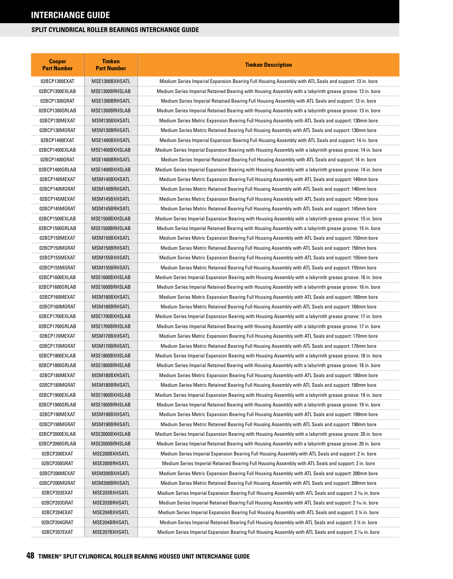| <b>Cooper</b><br><b>Part Number</b> | <b>Timken</b><br><b>Part Number</b> | <b>Timken Description</b>                                                                                  |
|-------------------------------------|-------------------------------------|------------------------------------------------------------------------------------------------------------|
| 02BCP1300EXAT                       | MSE1300BXHSATL                      | Medium Series Imperial Expansion Bearing Full Housing Assembly with ATL Seals and support: 13 in. bore     |
| 02BCP1300EXLAB                      | MSE1300BRHSLAB                      | Medium Series Imperial Retained Bearing with Housing Assembly with a labyrinth grease groove: 13 in. bore  |
| 02BCP1300GRAT                       | MSE1300BRHSATL                      | Medium Series Imperial Retained Bearing Full Housing Assembly with ATL Seals and support: 13 in. bore      |
| 02BCP1300GRLAB                      | MSE1300BRHSLAB                      | Medium Series Imperial Retained Bearing with Housing Assembly with a labyrinth grease groove: 13 in. bore  |
| 02BCP130MEXAT                       | MSM130BXHSATL                       | Medium Series Metric Expansion Bearing Full Housing Assembly with ATL Seals and support: 130mm bore        |
| 02BCP130MGRAT                       | MSM130BRHSATL                       | Medium Series Metric Retained Bearing Full Housing Assembly with ATL Seals and support: 130mm bore         |
| 02BCP1400EXAT                       | MSE1400BXHSATL                      | Medium Series Imperial Expansion Bearing Full Housing Assembly with ATL Seals and support: 14 in. bore     |
| 02BCP1400EXLAB                      | MSE1400BXHSLAB                      | Medium Series Imperial Expansion Bearing with Housing Assembly with a labyrinth grease groove: 14 in. bore |
| 02BCP1400GRAT                       | MSE1400BRHSATL                      | Medium Series Imperial Retained Bearing Full Housing Assembly with ATL Seals and support: 14 in. bore      |
| 02BCP1400GRLAB                      | MSE1400BXHSLAB                      | Medium Series Imperial Expansion Bearing with Housing Assembly with a labyrinth grease groove: 14 in. bore |
| 02BCP140MEXAT                       | MSM140BXHSATL                       | Medium Series Metric Expansion Bearing Full Housing Assembly with ATL Seals and support: 140mm bore        |
| 02BCP140MGRAT                       | MSM140BRHSATL                       | Medium Series Metric Retained Bearing Full Housing Assembly with ATL Seals and support: 140mm bore         |
| 02BCP145MEXAT                       | MSM145BXHSATL                       | Medium Series Metric Expansion Bearing Full Housing Assembly with ATL Seals and support: 145mm bore        |
| 02BCP145MGRAT                       | MSM145BRHSATL                       | Medium Series Metric Retained Bearing Full Housing Assembly with ATL Seals and support: 145mm bore         |
| 02BCP1500EXLAB                      | MSE1500BXHSLAB                      | Medium Series Imperial Expansion Bearing with Housing Assembly with a labyrinth grease groove: 15 in. bore |
| 02BCP1500GRLAB                      | MSE1500BRHSLAB                      | Medium Series Imperial Retained Bearing with Housing Assembly with a labyrinth grease groove: 15 in. bore  |
| 02BCP150MEXAT                       | MSM150BXHSATL                       | Medium Series Metric Expansion Bearing Full Housing Assembly with ATL Seals and support: 150mm bore        |
| 02BCP150MGRAT                       | MSM150BRHSATL                       | Medium Series Metric Retained Bearing Full Housing Assembly with ATL Seals and support: 150mm bore         |
| 02BCP155MEXAT                       | MSM155BXHSATL                       | Medium Series Metric Expansion Bearing Full Housing Assembly with ATL Seals and support: 155mm bore        |
| 02BCP155MGRAT                       | MSM155BRHSATL                       | Medium Series Metric Retained Bearing Full Housing Assembly with ATL Seals and support: 155mm bore         |
| 02BCP1600EXLAB                      | MSE1600BXHSLAB                      | Medium Series Imperial Expansion Bearing with Housing Assembly with a labyrinth grease groove: 16 in. bore |
| 02BCP1600GRLAB                      | MSE1600BRHSLAB                      | Medium Series Imperial Retained Bearing with Housing Assembly with a labyrinth grease groove: 16 in. bore  |
| 02BCP160MEXAT                       | MSM160BXHSATL                       | Medium Series Metric Expansion Bearing Full Housing Assembly with ATL Seals and support: 160mm bore        |
| 02BCP160MGRAT                       | MSM160BRHSATL                       | Medium Series Metric Retained Bearing Full Housing Assembly with ATL Seals and support: 160mm bore         |
| 02BCP1700EXLAB                      | MSE1700BXHSLAB                      | Medium Series Imperial Expansion Bearing with Housing Assembly with a labyrinth grease groove: 17 in. bore |
| 02BCP1700GRLAB                      | MSE1700BRHSLAB                      | Medium Series Imperial Retained Bearing with Housing Assembly with a labyrinth grease groove: 17 in. bore  |
| 02BCP170MEXAT                       | MSM170BXHSATL                       | Medium Series Metric Expansion Bearing Full Housing Assembly with ATL Seals and support: 170mm bore        |
| 02BCP170MGRAT                       | MSM170BRHSATL                       | Medium Series Metric Retained Bearing Full Housing Assembly with ATL Seals and support: 170mm bore         |
| 02BCP1800EXLAB                      | MSE1800BXHSLAB                      | Medium Series Imperial Expansion Bearing with Housing Assembly with a labyrinth grease groove: 18 in. bore |
| 02BCP1800GRLAB                      | MSE1800BRHSLAB                      | Medium Series Imperial Retained Bearing with Housing Assembly with a labyrinth grease groove: 18 in. bore  |
| 02BCP180MEXAT                       | MSM180BXHSATL                       | Medium Series Metric Expansion Bearing Full Housing Assembly with ATL Seals and support: 180mm bore        |
| 02BCP180MGRAT                       | MSM180BRHSATL                       | Medium Series Metric Retained Bearing Full Housing Assembly with ATL Seals and support: 180mm bore         |
| 02BCP1900EXLAB                      | MSE1900BXHSLAB                      | Medium Series Imperial Expansion Bearing with Housing Assembly with a labyrinth grease groove: 19 in. bore |
| 02BCP1900GRLAB                      | MSE1900BRHSLAB                      | Medium Series Imperial Retained Bearing with Housing Assembly with a labyrinth grease groove: 19 in. bore  |
| 02BCP190MEXAT                       | MSM190BXHSATL                       | Medium Series Metric Expansion Bearing Full Housing Assembly with ATL Seals and support: 190mm bore        |
| 02BCP190MGRAT                       | MSM190BRHSATL                       | Medium Series Metric Retained Bearing Full Housing Assembly with ATL Seals and support: 190mm bore         |
| 02BCP2000EXLAB                      | MSE2000BXHSLAB                      | Medium Series Imperial Expansion Bearing with Housing Assembly with a labyrinth grease groove: 20 in. bore |
| 02BCP2000GRLAB                      | MSE2000BRHSLAB                      | Medium Series Imperial Retained Bearing with Housing Assembly with a labyrinth grease groove: 20 in. bore  |
| 02BCP200EXAT                        | MSE200BXHSATL                       | Medium Series Imperial Expansion Bearing Full Housing Assembly with ATL Seals and support: 2 in. bore      |
| 02BCP200GRAT                        | MSE200BRHSATL                       | Medium Series Imperial Retained Bearing Full Housing Assembly with ATL Seals and support: 2 in. bore       |
| 02BCP200MEXAT                       | MSM200BXHSATL                       | Medium Series Metric Expansion Bearing Full Housing Assembly with ATL Seals and support: 200mm bore        |
| 02BCP200MGRAT                       | MSM200BRHSATL                       | Medium Series Metric Retained Bearing Full Housing Assembly with ATL Seals and support: 200mm bore         |
| 02BCP203EXAT                        | MSE203BXHSATL                       | Medium Series Imperial Expansion Bearing Full Housing Assembly with ATL Seals and support: 2 % in. bore    |
| 02BCP203GRAT                        | MSE203BRHSATL                       | Medium Series Imperial Retained Bearing Full Housing Assembly with ATL Seals and support: 2 % in. bore     |
| 02BCP204EXAT                        | MSE204BXHSATL                       | Medium Series Imperial Expansion Bearing Full Housing Assembly with ATL Seals and support: 2 ¼ in. bore    |
| 02BCP204GRAT                        | MSE204BRHSATL                       | Medium Series Imperial Retained Bearing Full Housing Assembly with ATL Seals and support: 2 ¼ in. bore     |
| 02BCP207EXAT                        | MSE207BXHSATL                       | Medium Series Imperial Expansion Bearing Full Housing Assembly with ATL Seals and support: 2 % in. bore    |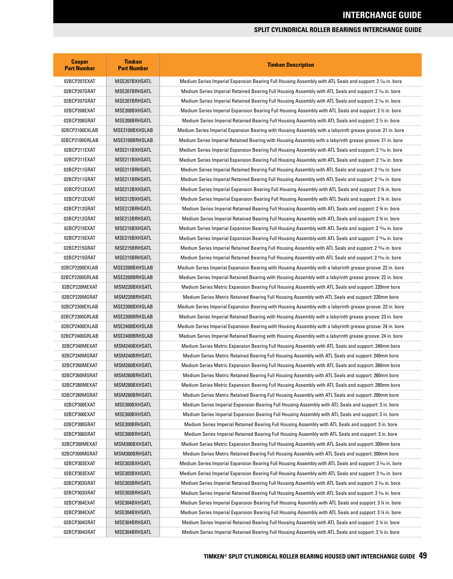| <b>Cooper</b><br><b>Part Number</b> | <b>Timken</b><br><b>Part Number</b> | <b>Timken Description</b>                                                                                              |
|-------------------------------------|-------------------------------------|------------------------------------------------------------------------------------------------------------------------|
| 02BCP207EXAT                        | MSE207BXHSATL                       | Medium Series Imperial Expansion Bearing Full Housing Assembly with ATL Seals and support: 2 % in. bore                |
| 02BCP207GRAT                        | MSE207BRHSATL                       | Medium Series Imperial Retained Bearing Full Housing Assembly with ATL Seals and support: 2 % in. bore                 |
| 02BCP207GRAT                        | MSE207BRHSATL                       | Medium Series Imperial Retained Bearing Full Housing Assembly with ATL Seals and support: 2 1⁄16 in. bore              |
| 02BCP208EXAT                        | MSE208BXHSATL                       | Medium Series Imperial Expansion Bearing Full Housing Assembly with ATL Seals and support: 2 1/2 in. bore              |
| 02BCP208GRAT                        | MSE208BRHSATL                       | Medium Series Imperial Retained Bearing Full Housing Assembly with ATL Seals and support: 2 $\%$ in. bore              |
| 02BCP2100EXLAB                      | MSE2100BXHSLAB                      | Medium Series Imperial Expansion Bearing with Housing Assembly with a labyrinth grease groove: 21 in. bore             |
| 02BCP2100GRLAB                      | MSE2100BRHSLAB                      | Medium Series Imperial Retained Bearing with Housing Assembly with a labyrinth grease groove: 21 in. bore              |
| 02BCP211EXAT                        | MSE211BXHSATL                       | Medium Series Imperial Expansion Bearing Full Housing Assembly with ATL Seals and support: 2 11/6 in. bore             |
| 02BCP211EXAT                        | MSE211BXHSATL                       | Medium Series Imperial Expansion Bearing Full Housing Assembly with ATL Seals and support: 2 11/16 in. bore            |
| 02BCP211GRAT                        | MSE211BRHSATL                       | Medium Series Imperial Retained Bearing Full Housing Assembly with ATL Seals and support: 2 11/6 in. bore              |
| 02BCP211GRAT                        | MSE211BRHSATL                       | Medium Series Imperial Retained Bearing Full Housing Assembly with ATL Seals and support: 2 11/6 in. bore              |
| 02BCP212EXAT                        | MSE212BXHSATL                       | Medium Series Imperial Expansion Bearing Full Housing Assembly with ATL Seals and support: 2 % in. bore                |
| 02BCP212EXAT                        | MSE212BXHSATL                       | Medium Series Imperial Expansion Bearing Full Housing Assembly with ATL Seals and support: 2 % in. bore                |
| 02BCP212GRAT                        | MSE212BRHSATL                       | Medium Series Imperial Retained Bearing Full Housing Assembly with ATL Seals and support: 2 % in. bore                 |
| 02BCP212GRAT                        | MSE212BRHSATL                       | Medium Series Imperial Retained Bearing Full Housing Assembly with ATL Seals and support: 2 % in. bore                 |
| 02BCP215EXAT                        | MSE215BXHSATL                       | Medium Series Imperial Expansion Bearing Full Housing Assembly with ATL Seals and support: 2 <sup>15</sup> /6 in. bore |
| 02BCP215EXAT                        | MSE215BXHSATL                       | Medium Series Imperial Expansion Bearing Full Housing Assembly with ATL Seals and support: 2 15% in. bore              |
| 02BCP215GRAT                        | MSE215BRHSATL                       | Medium Series Imperial Retained Bearing Full Housing Assembly with ATL Seals and support: 2 15% in. bore               |
| 02BCP215GRAT                        | MSE215BRHSATL                       | Medium Series Imperial Retained Bearing Full Housing Assembly with ATL Seals and support: 2 15% in. bore               |
| 02BCP2200EXLAB                      | MSE2200BXHSLAB                      | Medium Series Imperial Expansion Bearing with Housing Assembly with a labyrinth grease groove: 22 in. bore             |
| 02BCP2200GRLAB                      | MSE2200BRHSLAB                      | Medium Series Imperial Retained Bearing with Housing Assembly with a labyrinth grease groove: 22 in. bore              |
| 02BCP220MEXAT                       | MSM220BXHSATL                       | Medium Series Metric Expansion Bearing Full Housing Assembly with ATL Seals and support: 220mm bore                    |
| 02BCP220MGRAT                       | MSM220BRHSATL                       | Medium Series Metric Retained Bearing Full Housing Assembly with ATL Seals and support: 220mm bore                     |
| 02BCP2300EXLAB                      | MSE2300BXHSLAB                      | Medium Series Imperial Expansion Bearing with Housing Assembly with a labyrinth grease groove: 23 in. bore             |
| 02BCP2300GRLAB                      | MSE2300BRHSLAB                      | Medium Series Imperial Retained Bearing with Housing Assembly with a labyrinth grease groove: 23 in. bore              |
| 02BCP2400EXLAB                      | MSE2400BXHSLAB                      | Medium Series Imperial Expansion Bearing with Housing Assembly with a labyrinth grease groove: 24 in. bore             |
| 02BCP2400GRLAB                      | MSE2400BRHSLAB                      | Medium Series Imperial Retained Bearing with Housing Assembly with a labyrinth grease groove: 24 in. bore              |
| 02BCP240MEXAT                       | MSM240BXHSATL                       | Medium Series Metric Expansion Bearing Full Housing Assembly with ATL Seals and support: 240mm bore                    |
| 02BCP240MGRAT                       | MSM240BRHSATL                       | Medium Series Metric Retained Bearing Full Housing Assembly with ATL Seals and support: 240mm bore                     |
| 02BCP260MEXAT                       | MSM260BXHSATL                       | Medium Series Metric Expansion Bearing Full Housing Assembly with ATL Seals and support: 260mm bore                    |
| 02BCP260MGRAT                       | MSM260BRHSATL                       | Medium Series Metric Retained Bearing Full Housing Assembly with ATL Seals and support: 260mm bore                     |
| 02BCP280MEXAT                       | MSM280BXHSATL                       | Medium Series Metric Expansion Bearing Full Housing Assembly with ATL Seals and support: 280mm bore                    |
| 02BCP280MGRAT                       | MSM280BRHSATL                       | Medium Series Metric Retained Bearing Full Housing Assembly with ATL Seals and support: 280mm bore                     |
| 02BCP300EXAT                        | MSE300BXHSATL                       | Medium Series Imperial Expansion Bearing Full Housing Assembly with ATL Seals and support: 3 in. bore                  |
| 02BCP300EXAT                        | MSE300BXHSATL                       | Medium Series Imperial Expansion Bearing Full Housing Assembly with ATL Seals and support: 3 in. bore                  |
|                                     | MSE300BRHSATL                       |                                                                                                                        |
| 02BCP300GRAT<br>02BCP300GRAT        |                                     | Medium Series Imperial Retained Bearing Full Housing Assembly with ATL Seals and support: 3 in. bore                   |
|                                     | MSE300BRHSATL                       | Medium Series Imperial Retained Bearing Full Housing Assembly with ATL Seals and support: 3 in. bore                   |
| 02BCP300MEXAT                       | MSM300BXHSATL                       | Medium Series Metric Expansion Bearing Full Housing Assembly with ATL Seals and support: 300mm bore                    |
| 02BCP300MGRAT                       | MSM300BRHSATL                       | Medium Series Metric Retained Bearing Full Housing Assembly with ATL Seals and support: 300mm bore                     |
| 02BCP303EXAT                        | MSE303BXHSATL                       | Medium Series Imperial Expansion Bearing Full Housing Assembly with ATL Seals and support: 3 %6 in. bore               |
| 02BCP303EXAT                        | MSE303BXHSATL                       | Medium Series Imperial Expansion Bearing Full Housing Assembly with ATL Seals and support: 3 3/6 in. bore              |
| 02BCP303GRAT                        | MSE303BRHSATL                       | Medium Series Imperial Retained Bearing Full Housing Assembly with ATL Seals and support: 3 3% in. bore                |
| 02BCP303GRAT                        | MSE303BRHSATL                       | Medium Series Imperial Retained Bearing Full Housing Assembly with ATL Seals and support: 3 <sup>3</sup> % in. bore    |
| 02BCP304EXAT                        | MSE304BXHSATL                       | Medium Series Imperial Expansion Bearing Full Housing Assembly with ATL Seals and support: 3 1/4 in. bore              |
| 02BCP304EXAT                        | MSE304BXHSATL                       | Medium Series Imperial Expansion Bearing Full Housing Assembly with ATL Seals and support: 3 1/4 in. bore              |
| 02BCP304GRAT                        | MSE304BRHSATL                       | Medium Series Imperial Retained Bearing Full Housing Assembly with ATL Seals and support: 3 1/4 in. bore               |
| 02BCP304GRAT                        | MSE304BRHSATL                       | Medium Series Imperial Retained Bearing Full Housing Assembly with ATL Seals and support: 3 ¼ in. bore                 |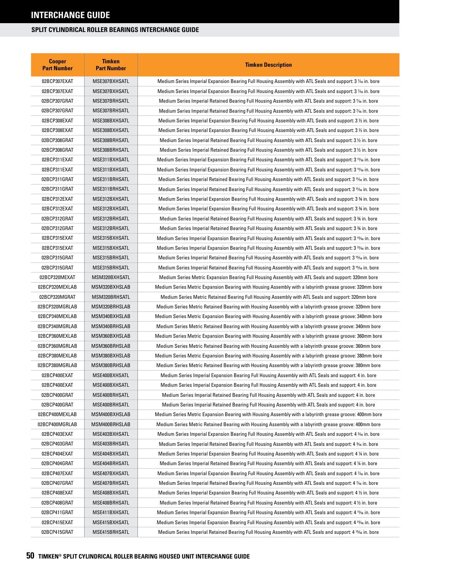| <b>Cooper</b><br><b>Part Number</b> | <b>Timken</b><br><b>Part Number</b> | <b>Timken Description</b>                                                                                             |
|-------------------------------------|-------------------------------------|-----------------------------------------------------------------------------------------------------------------------|
| 02BCP307EXAT                        | MSE307BXHSATL                       | Medium Series Imperial Expansion Bearing Full Housing Assembly with ATL Seals and support: 3 % in. bore               |
| 02BCP307EXAT                        | MSE307BXHSATL                       | Medium Series Imperial Expansion Bearing Full Housing Assembly with ATL Seals and support: 3 % in. bore               |
| 02BCP307GRAT                        | MSE307BRHSATL                       | Medium Series Imperial Retained Bearing Full Housing Assembly with ATL Seals and support: 3 % in. bore                |
| 02BCP307GRAT                        | MSE307BRHSATL                       | Medium Series Imperial Retained Bearing Full Housing Assembly with ATL Seals and support: 3 % in. bore                |
| 02BCP308EXAT                        | MSE308BXHSATL                       | Medium Series Imperial Expansion Bearing Full Housing Assembly with ATL Seals and support: 3 1/2 in. bore             |
| 02BCP308EXAT                        | MSE308BXHSATL                       | Medium Series Imperial Expansion Bearing Full Housing Assembly with ATL Seals and support: 3 $\%$ in. bore            |
| 02BCP308GRAT                        | MSE308BRHSATL                       | Medium Series Imperial Retained Bearing Full Housing Assembly with ATL Seals and support: 3 $\frac{1}{2}$ in. bore    |
| 02BCP308GRAT                        | MSE308BRHSATL                       | Medium Series Imperial Retained Bearing Full Housing Assembly with ATL Seals and support: 3 1/2 in. bore              |
| 02BCP311EXAT                        | MSE311BXHSATL                       | Medium Series Imperial Expansion Bearing Full Housing Assembly with ATL Seals and support: 3 11/6 in. bore            |
| 02BCP311EXAT                        | MSE311BXHSATL                       | Medium Series Imperial Expansion Bearing Full Housing Assembly with ATL Seals and support: 3 11/6 in. bore            |
| 02BCP311GRAT                        | MSE311BRHSATL                       | Medium Series Imperial Retained Bearing Full Housing Assembly with ATL Seals and support: 3 11% in. bore              |
| 02BCP311GRAT                        | MSE311BRHSATL                       | Medium Series Imperial Retained Bearing Full Housing Assembly with ATL Seals and support: 3 11/6 in. bore             |
| 02BCP312EXAT                        | MSE312BXHSATL                       | Medium Series Imperial Expansion Bearing Full Housing Assembly with ATL Seals and support: 3 % in. bore               |
| 02BCP312EXAT                        | MSE312BXHSATL                       | Medium Series Imperial Expansion Bearing Full Housing Assembly with ATL Seals and support: 3 % in. bore               |
| 02BCP312GRAT                        | MSE312BRHSATL                       | Medium Series Imperial Retained Bearing Full Housing Assembly with ATL Seals and support: 3 % in. bore                |
| 02BCP312GRAT                        | MSE312BRHSATL                       | Medium Series Imperial Retained Bearing Full Housing Assembly with ATL Seals and support: 3 % in. bore                |
| 02BCP315EXAT                        | MSE315BXHSATL                       | Medium Series Imperial Expansion Bearing Full Housing Assembly with ATL Seals and support: 3 15% in. bore             |
| 02BCP315EXAT                        | MSE315BXHSATL                       | Medium Series Imperial Expansion Bearing Full Housing Assembly with ATL Seals and support: 3 15% in. bore             |
| 02BCP315GRAT                        | MSE315BRHSATL                       | Medium Series Imperial Retained Bearing Full Housing Assembly with ATL Seals and support: 3 <sup>15</sup> /6 in. bore |
| 02BCP315GRAT                        | MSE315BRHSATL                       | Medium Series Imperial Retained Bearing Full Housing Assembly with ATL Seals and support: 3 <sup>15</sup> /6 in. bore |
| 02BCP320MEXAT                       | MSM320BXHSATL                       | Medium Series Metric Expansion Bearing Full Housing Assembly with ATL Seals and support: 320mm bore                   |
| 02BCP320MEXLAB                      | MSM320BXHSLAB                       | Medium Series Metric Expansion Bearing with Housing Assembly with a labyrinth grease groove: 320mm bore               |
| 02BCP320MGRAT                       | MSM320BRHSATL                       | Medium Series Metric Retained Bearing Full Housing Assembly with ATL Seals and support: 320mm bore                    |
| 02BCP320MGRLAB                      | MSM320BRHSLAB                       | Medium Series Metric Retained Bearing with Housing Assembly with a labyrinth grease groove: 320mm bore                |
| 02BCP340MEXLAB                      | MSM340BXHSLAB                       | Medium Series Metric Expansion Bearing with Housing Assembly with a labyrinth grease groove: 340mm bore               |
| 02BCP340MGRLAB                      | MSM340BRHSLAB                       | Medium Series Metric Retained Bearing with Housing Assembly with a labyrinth grease groove: 340mm bore                |
| 02BCP360MEXLAB                      | MSM360BXHSLAB                       | Medium Series Metric Expansion Bearing with Housing Assembly with a labyrinth grease groove: 360mm bore               |
| 02BCP360MGRLAB                      | MSM360BRHSLAB                       | Medium Series Metric Retained Bearing with Housing Assembly with a labyrinth grease groove: 360mm bore                |
| 02BCP380MEXLAB                      | MSM380BXHSLAB                       | Medium Series Metric Expansion Bearing with Housing Assembly with a labyrinth grease groove: 380mm bore               |
| 02BCP380MGRLAB                      | MSM380BRHSLAB                       | Medium Series Metric Retained Bearing with Housing Assembly with a labyrinth grease groove: 380mm bore                |
| 02BCP400EXAT                        | MSE400BXHSATL                       | Medium Series Imperial Expansion Bearing Full Housing Assembly with ATL Seals and support: 4 in. bore                 |
| 02BCP400EXAT                        | MSE400BXHSATL                       | Medium Series Imperial Expansion Bearing Full Housing Assembly with ATL Seals and support: 4 in. bore                 |
| 02BCP400GRAT                        | MSE400BRHSATL                       | Medium Series Imperial Retained Bearing Full Housing Assembly with ATL Seals and support: 4 in. bore                  |
| 02BCP400GRAT                        | MSE400BRHSATL                       | Medium Series Imperial Retained Bearing Full Housing Assembly with ATL Seals and support: 4 in. bore                  |
| 02BCP400MEXLAB                      | MSM400BXHSLAB                       | Medium Series Metric Expansion Bearing with Housing Assembly with a labyrinth grease groove: 400mm bore               |
| 02BCP400MGRLAB                      | MSM400BRHSLAB                       | Medium Series Metric Retained Bearing with Housing Assembly with a labyrinth grease groove: 400mm bore                |
| 02BCP403EXAT                        | MSE403BXHSATL                       | Medium Series Imperial Expansion Bearing Full Housing Assembly with ATL Seals and support: 4 % in. bore               |
| 02BCP403GRAT                        | MSE403BRHSATL                       | Medium Series Imperial Retained Bearing Full Housing Assembly with ATL Seals and support: 4 $\frac{3}{6}$ in. bore    |
| 02BCP404EXAT                        | MSE404BXHSATL                       | Medium Series Imperial Expansion Bearing Full Housing Assembly with ATL Seals and support: 4 1/4 in. bore             |
| 02BCP404GRAT                        | MSE404BRHSATL                       | Medium Series Imperial Retained Bearing Full Housing Assembly with ATL Seals and support: 4 1/4 in. bore              |
| 02BCP407EXAT                        | MSE407BXHSATL                       | Medium Series Imperial Expansion Bearing Full Housing Assembly with ATL Seals and support: 4 % in. bore               |
| 02BCP407GRAT                        | MSE407BRHSATL                       | Medium Series Imperial Retained Bearing Full Housing Assembly with ATL Seals and support: 4 1/16 in. bore             |
| 02BCP408EXAT                        | MSE408BXHSATL                       | Medium Series Imperial Expansion Bearing Full Housing Assembly with ATL Seals and support: 4 $\%$ in. bore            |
| 02BCP408GRAT                        | MSE408BRHSATL                       | Medium Series Imperial Retained Bearing Full Housing Assembly with ATL Seals and support: 4 1/2 in. bore              |
| 02BCP411GRAT                        | MSE411BXHSATL                       | Medium Series Imperial Expansion Bearing Full Housing Assembly with ATL Seals and support: 4 11% in. bore             |
| 02BCP415EXAT                        | MSE415BXHSATL                       | Medium Series Imperial Expansion Bearing Full Housing Assembly with ATL Seals and support: 4 15% in. bore             |
| 02BCP415GRAT                        | MSE415BRHSATL                       | Medium Series Imperial Retained Bearing Full Housing Assembly with ATL Seals and support: 4 15% in. bore              |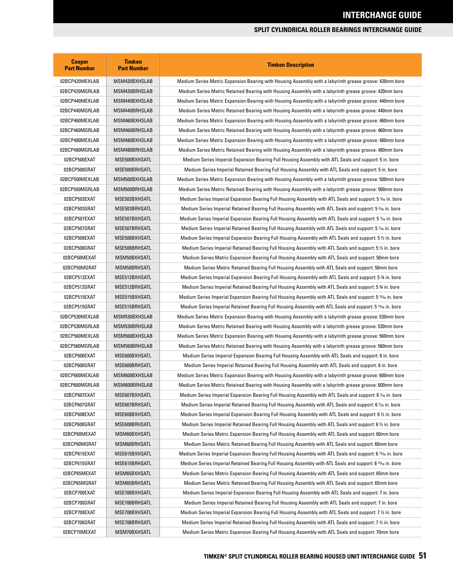| <b>Cooper</b><br><b>Part Number</b> | <b>Timken</b><br><b>Part Number</b> | <b>Timken Description</b>                                                                                   |
|-------------------------------------|-------------------------------------|-------------------------------------------------------------------------------------------------------------|
| 02BCP420MEXLAB                      | MSM420BXHSLAB                       | Medium Series Metric Expansion Bearing with Housing Assembly with a labyrinth grease groove: 420mm bore     |
| 02BCP420MGRLAB                      | MSM420BRHSLAB                       | Medium Series Metric Retained Bearing with Housing Assembly with a labyrinth grease groove: 420mm bore      |
| 02BCP440MEXLAB                      | MSM440BXHSLAB                       | Medium Series Metric Expansion Bearing with Housing Assembly with a labyrinth grease groove: 440mm bore     |
| 02BCP440MGRLAB                      | MSM440BRHSLAB                       | Medium Series Metric Retained Bearing with Housing Assembly with a labyrinth grease groove: 440mm bore      |
| 02BCP460MEXLAB                      | MSM460BXHSLAB                       | Medium Series Metric Expansion Bearing with Housing Assembly with a labyrinth grease groove: 460mm bore     |
| 02BCP460MGRLAB                      | MSM460BRHSLAB                       | Medium Series Metric Retained Bearing with Housing Assembly with a labyrinth grease groove: 460mm bore      |
| 02BCP480MEXLAB                      | MSM480BXHSLAB                       | Medium Series Metric Expansion Bearing with Housing Assembly with a labyrinth grease groove: 480mm bore     |
| 02BCP480MGRLAB                      | MSM480BRHSLAB                       | Medium Series Metric Retained Bearing with Housing Assembly with a labyrinth grease groove: 480mm bore      |
| 02BCP500EXAT                        | MSE500BXHSATL                       | Medium Series Imperial Expansion Bearing Full Housing Assembly with ATL Seals and support: 5 in. bore       |
| 02BCP500GRAT                        | MSE500BRHSATL                       | Medium Series Imperial Retained Bearing Full Housing Assembly with ATL Seals and support: 5 in. bore        |
| 02BCP500MEXLAB                      | MSM500BXHSLAB                       | Medium Series Metric Expansion Bearing with Housing Assembly with a labyrinth grease groove: 500mm bore     |
| 02BCP500MGRLAB                      | MSM500BRHSLAB                       | Medium Series Metric Retained Bearing with Housing Assembly with a labyrinth grease groove: 500mm bore      |
| 02BCP503EXAT                        | MSE503BXHSATL                       | Medium Series Imperial Expansion Bearing Full Housing Assembly with ATL Seals and support: 5 % in. bore     |
| 02BCP503GRAT                        | MSE503BRHSATL                       | Medium Series Imperial Retained Bearing Full Housing Assembly with ATL Seals and support: 5 % in. bore      |
| 02BCP507EXAT                        | MSE507BXHSATL                       | Medium Series Imperial Expansion Bearing Full Housing Assembly with ATL Seals and support: 5 % in. bore     |
| 02BCP507GRAT                        | MSE507BRHSATL                       | Medium Series Imperial Retained Bearing Full Housing Assembly with ATL Seals and support: 5 % in. bore      |
| 02BCP508EXAT                        | MSE508BXHSATL                       | Medium Series Imperial Expansion Bearing Full Housing Assembly with ATL Seals and support: 5 1/2 in. bore   |
| 02BCP508GRAT                        | MSE508BRHSATL                       | Medium Series Imperial Retained Bearing Full Housing Assembly with ATL Seals and support: 5 1/2 in. bore    |
| 02BCP50MEXAT                        | MSM50BXHSATL                        | Medium Series Metric Expansion Bearing Full Housing Assembly with ATL Seals and support: 50mm bore          |
| 02BCP50MGRAT                        | MSM50BRHSATL                        | Medium Series Metric Retained Bearing Full Housing Assembly with ATL Seals and support: 50mm bore           |
| 02BCP512EXAT                        | MSE512BXHSATL                       | Medium Series Imperial Expansion Bearing Full Housing Assembly with ATL Seals and support: 5 % in. bore     |
| 02BCP512GRAT                        | MSE512BRHSATL                       | Medium Series Imperial Retained Bearing Full Housing Assembly with ATL Seals and support: 5 % in. bore      |
| 02BCP515EXAT                        | MSE515BXHSATL                       | Medium Series Imperial Expansion Bearing Full Housing Assembly with ATL Seals and support: 5 15/16 in. bore |
| 02BCP515GRAT                        | MSE515BRHSATL                       | Medium Series Imperial Retained Bearing Full Housing Assembly with ATL Seals and support: 5 15% in. bore    |
| 02BCP530MEXLAB                      | MSM530BXHSLAB                       | Medium Series Metric Expansion Bearing with Housing Assembly with a labyrinth grease groove: 530mm bore     |
| 02BCP530MGRLAB                      | MSM530BRHSLAB                       | Medium Series Metric Retained Bearing with Housing Assembly with a labyrinth grease groove: 530mm bore      |
| 02BCP560MEXLAB                      | MSM560BXHSLAB                       | Medium Series Metric Expansion Bearing with Housing Assembly with a labyrinth grease groove: 560mm bore     |
| 02BCP560MGRLAB                      | MSM560BRHSLAB                       | Medium Series Metric Retained Bearing with Housing Assembly with a labyrinth grease groove: 560mm bore      |
| 02BCP600EXAT                        | MSE600BXHSATL                       | Medium Series Imperial Expansion Bearing Full Housing Assembly with ATL Seals and support: 6 in. bore       |
| 02BCP600GRAT                        | MSE600BRHSATL                       | Medium Series Imperial Retained Bearing Full Housing Assembly with ATL Seals and support: 6 in. bore        |
| 02BCP600MEXLAB                      | MSM600BXHSLAB                       | Medium Series Metric Expansion Bearing with Housing Assembly with a labyrinth grease groove: 600mm bore     |
| 02BCP600MGRLAB                      | MSM600BRHSLAB                       | Medium Series Metric Retained Bearing with Housing Assembly with a labyrinth grease groove: 600mm bore      |
| 02BCP607EXAT                        | MSE607BXHSATL                       | Medium Series Imperial Expansion Bearing Full Housing Assembly with ATL Seals and support: 6 % in. bore     |
| 02BCP607GRAT                        | MSE607BRHSATL                       | Medium Series Imperial Retained Bearing Full Housing Assembly with ATL Seals and support: 6 % in. bore      |
| 02BCP608EXAT                        | MSE608BXHSATL                       | Medium Series Imperial Expansion Bearing Full Housing Assembly with ATL Seals and support: 6 1/2 in. bore   |
| 02BCP608GRAT                        | MSE608BRHSATL                       | Medium Series Imperial Retained Bearing Full Housing Assembly with ATL Seals and support: 6 1/2 in. bore    |
| 02BCP60MEXAT                        | MSM60BXHSATL                        | Medium Series Metric Expansion Bearing Full Housing Assembly with ATL Seals and support: 60mm bore          |
| 02BCP60MGRAT                        | MSM60BRHSATL                        | Medium Series Metric Retained Bearing Full Housing Assembly with ATL Seals and support: 60mm bore           |
| 02BCP615EXAT                        | MSE615BXHSATL                       | Medium Series Imperial Expansion Bearing Full Housing Assembly with ATL Seals and support: 6 15⁄16 in. bore |
| 02BCP615GRAT                        | MSE615BRHSATL                       | Medium Series Imperial Retained Bearing Full Housing Assembly with ATL Seals and support: 6 15/16 in. bore  |
| 02BCP65MEXAT                        | MSM65BXHSATL                        | Medium Series Metric Expansion Bearing Full Housing Assembly with ATL Seals and support: 65mm bore          |
| 02BCP65MGRAT                        | MSM65BRHSATL                        | Medium Series Metric Retained Bearing Full Housing Assembly with ATL Seals and support: 65mm bore           |
| 02BCP700EXAT                        | MSE700BXHSATL                       | Medium Series Imperial Expansion Bearing Full Housing Assembly with ATL Seals and support: 7 in. bore       |
| 02BCP700GRAT                        | MSE700BRHSATL                       | Medium Series Imperial Retained Bearing Full Housing Assembly with ATL Seals and support: 7 in. bore        |
| 02BCP708EXAT                        | MSE708BXHSATL                       | Medium Series Imperial Expansion Bearing Full Housing Assembly with ATL Seals and support: 7 1/2 in. bore   |
| 02BCP708GRAT                        | MSE708BRHSATL                       | Medium Series Imperial Retained Bearing Full Housing Assembly with ATL Seals and support: 7 1/2 in. bore    |
| 02BCP70MEXAT                        | MSM70BXHSATL                        | Medium Series Metric Expansion Bearing Full Housing Assembly with ATL Seals and support: 70mm bore          |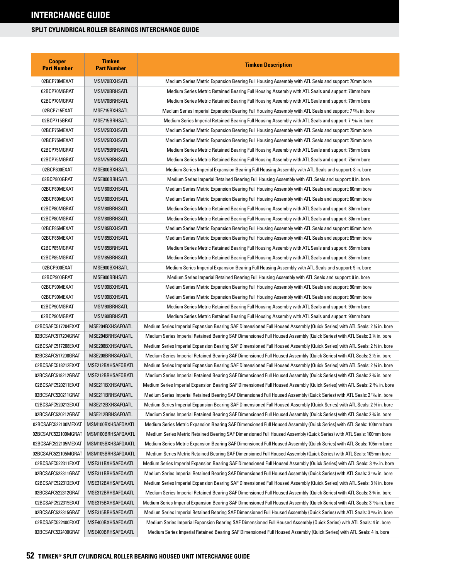| <b>Cooper</b><br><b>Part Number</b> | <b>Timken</b><br><b>Part Number</b> | <b>Timken Description</b>                                                                                                              |
|-------------------------------------|-------------------------------------|----------------------------------------------------------------------------------------------------------------------------------------|
| 02BCP70MEXAT                        | MSM70BXHSATL                        | Medium Series Metric Expansion Bearing Full Housing Assembly with ATL Seals and support: 70mm bore                                     |
| 02BCP70MGRAT                        | MSM70BRHSATL                        | Medium Series Metric Retained Bearing Full Housing Assembly with ATL Seals and support: 70mm bore                                      |
| 02BCP70MGRAT                        | MSM70BRHSATL                        | Medium Series Metric Retained Bearing Full Housing Assembly with ATL Seals and support: 70mm bore                                      |
| 02BCP715EXAT                        | MSE715BXHSATL                       | Medium Series Imperial Expansion Bearing Full Housing Assembly with ATL Seals and support: 7 <sup>15</sup> /6 in. bore                 |
| 02BCP715GRAT                        | MSE715BRHSATL                       | Medium Series Imperial Retained Bearing Full Housing Assembly with ATL Seals and support: 7 <sup>15</sup> /6 in. bore                  |
| 02BCP75MEXAT                        | MSM75BXHSATL                        | Medium Series Metric Expansion Bearing Full Housing Assembly with ATL Seals and support: 75mm bore                                     |
| 02BCP75MEXAT                        | MSM75BXHSATL                        | Medium Series Metric Expansion Bearing Full Housing Assembly with ATL Seals and support: 75mm bore                                     |
| 02BCP75MGRAT                        | MSM75BRHSATL                        | Medium Series Metric Retained Bearing Full Housing Assembly with ATL Seals and support: 75mm bore                                      |
| 02BCP75MGRAT                        | MSM75BRHSATL                        | Medium Series Metric Retained Bearing Full Housing Assembly with ATL Seals and support: 75mm bore                                      |
| 02BCP800EXAT                        | MSE800BXHSATL                       | Medium Series Imperial Expansion Bearing Full Housing Assembly with ATL Seals and support: 8 in. bore                                  |
| 02BCP800GRAT                        | MSE800BRHSATL                       | Medium Series Imperial Retained Bearing Full Housing Assembly with ATL Seals and support: 8 in. bore                                   |
| 02BCP80MEXAT                        | MSM80BXHSATL                        | Medium Series Metric Expansion Bearing Full Housing Assembly with ATL Seals and support: 80mm bore                                     |
| 02BCP80MEXAT                        | MSM80BXHSATL                        | Medium Series Metric Expansion Bearing Full Housing Assembly with ATL Seals and support: 80mm bore                                     |
| 02BCP80MGRAT                        | MSM80BRHSATL                        | Medium Series Metric Retained Bearing Full Housing Assembly with ATL Seals and support: 80mm bore                                      |
| 02BCP80MGRAT                        | MSM80BRHSATL                        | Medium Series Metric Retained Bearing Full Housing Assembly with ATL Seals and support: 80mm bore                                      |
| 02BCP85MEXAT                        | MSM85BXHSATL                        | Medium Series Metric Expansion Bearing Full Housing Assembly with ATL Seals and support: 85mm bore                                     |
| 02BCP85MEXAT                        | MSM85BXHSATL                        | Medium Series Metric Expansion Bearing Full Housing Assembly with ATL Seals and support: 85mm bore                                     |
| 02BCP85MGRAT                        | MSM85BRHSATL                        | Medium Series Metric Retained Bearing Full Housing Assembly with ATL Seals and support: 85mm bore                                      |
| 02BCP85MGRAT                        | MSM85BRHSATL                        | Medium Series Metric Retained Bearing Full Housing Assembly with ATL Seals and support: 85mm bore                                      |
| 02BCP900EXAT                        | MSE900BXHSATL                       | Medium Series Imperial Expansion Bearing Full Housing Assembly with ATL Seals and support: 9 in. bore                                  |
| 02BCP900GRAT                        | MSE900BRHSATL                       | Medium Series Imperial Retained Bearing Full Housing Assembly with ATL Seals and support: 9 in. bore                                   |
| 02BCP90MEXAT                        | MSM90BXHSATL                        | Medium Series Metric Expansion Bearing Full Housing Assembly with ATL Seals and support: 90mm bore                                     |
| 02BCP90MEXAT                        | MSM90BXHSATL                        | Medium Series Metric Expansion Bearing Full Housing Assembly with ATL Seals and support: 90mm bore                                     |
| 02BCP90MGRAT                        | MSM90BRHSATL                        | Medium Series Metric Retained Bearing Full Housing Assembly with ATL Seals and support: 90mm bore                                      |
| 02BCP90MGRAT                        | MSM90BRHSATL                        | Medium Series Metric Retained Bearing Full Housing Assembly with ATL Seals and support: 90mm bore                                      |
| 02BCSAFC517204EXAT                  | MSE204BXHSAFQATL                    | Medium Series Imperial Expansion Bearing SAF Dimensioned Full Housed Assembly (Quick Series) with ATL Seals: 2 ¼ in. bore              |
| 02BCSAFC517204GRAT                  | MSE204BRHSAFQATL                    | Medium Series Imperial Retained Bearing SAF Dimensioned Full Housed Assembly (Quick Series) with ATL Seals: 2 ¼ in. bore               |
| 02BCSAFC517208EXAT                  | MSE208BXHSAFQATL                    | Medium Series Imperial Expansion Bearing SAF Dimensioned Full Housed Assembly (Quick Series) with ATL Seals: 2 ½ in. bore              |
| 02BCSAFC517208GRAT                  | MSE208BRHSAFQATL                    | Medium Series Imperial Retained Bearing SAF Dimensioned Full Housed Assembly (Quick Series) with ATL Seals: 2 1/2 in. bore             |
| 02BCSAFC518212EXAT                  | MSE212BXHSAFQBATL                   | Medium Series Imperial Expansion Bearing SAF Dimensioned Full Housed Assembly (Quick Series) with ATL Seals: 2 % in. bore              |
| 02BCSAFC518212GRAT                  | MSE212BRHSAFQBATL                   | Medium Series Imperial Retained Bearing SAF Dimensioned Full Housed Assembly (Quick Series) with ATL Seals: 2 % in. bore               |
| 02BCSAFC520211EXAT                  | MSE211BXHSAFQATL                    | Medium Series Imperial Expansion Bearing SAF Dimensioned Full Housed Assembly (Quick Series) with ATL Seals: 2 1½ in. bore             |
| 02BCSAFC520211GRAT                  | MSE211BRHSAFQATL                    | Medium Series Imperial Retained Bearing SAF Dimensioned Full Housed Assembly (Quick Series) with ATL Seals: 2 1% in. bore              |
| 02BCSAFC520212EXAT                  | MSE212BXHSAFQATL                    | Medium Series Imperial Expansion Bearing SAF Dimensioned Full Housed Assembly (Quick Series) with ATL Seals: 2 % in. bore              |
| 02BCSAFC520212GRAT                  | MSE212BRHSAFQATL                    | Medium Series Imperial Retained Bearing SAF Dimensioned Full Housed Assembly (Quick Series) with ATL Seals: 2 % in. bore               |
| 02BCSAFC522100MEXAT                 | MSM100BXHSAFQAATL                   | Medium Series Metric Expansion Bearing SAF Dimensioned Full Housed Assembly (Quick Series) with ATL Seals: 100mm bore                  |
| 02BCSAFC522100MGRAT                 | MSM100BRHSAFQAATL                   | Medium Series Metric Retained Bearing SAF Dimensioned Full Housed Assembly (Quick Series) with ATL Seals: 100mm bore                   |
| 02BCSAFC522105MEXAT                 | MSM105BXHSAFQAATL                   | Medium Series Metric Expansion Bearing SAF Dimensioned Full Housed Assembly (Quick Series) with ATL Seals: 105mm bore                  |
| 02BCSAFC522105MGRAT                 | MSM105BRHSAFQAATL                   | Medium Series Metric Retained Bearing SAF Dimensioned Full Housed Assembly (Quick Series) with ATL Seals: 105mm bore                   |
| 02BCSAFC522311EXAT                  | MSE311BXHSAFQAATL                   | Medium Series Imperial Expansion Bearing SAF Dimensioned Full Housed Assembly (Quick Series) with ATL Seals: 3 1% in. bore             |
| 02BCSAFC522311GRAT                  | MSE311BRHSAFQAATL                   | Medium Series Imperial Retained Bearing SAF Dimensioned Full Housed Assembly (Quick Series) with ATL Seals: 3 1% in. bore              |
| 02BCSAFC522312EXAT                  | MSE312BXHSAFQAATL                   | Medium Series Imperial Expansion Bearing SAF Dimensioned Full Housed Assembly (Quick Series) with ATL Seals: 3 % in. bore              |
| 02BCSAFC522312GRAT                  | MSE312BRHSAFQAATL                   | Medium Series Imperial Retained Bearing SAF Dimensioned Full Housed Assembly (Quick Series) with ATL Seals: 3 % in. bore               |
| 02BCSAFC522315EXAT                  | MSE315BXHSAFQAATL                   | Medium Series Imperial Expansion Bearing SAF Dimensioned Full Housed Assembly (Quick Series) with ATL Seals: 3 15% in. bore            |
| 02BCSAFC522315GRAT                  | MSE315BRHSAFQAATL                   | Medium Series Imperial Retained Bearing SAF Dimensioned Full Housed Assembly (Quick Series) with ATL Seals: 3 <sup>15</sup> % in. bore |
| 02BCSAFC522400EXAT                  | MSE400BXHSAFQAATL                   | Medium Series Imperial Expansion Bearing SAF Dimensioned Full Housed Assembly (Quick Series) with ATL Seals: 4 in. bore                |
| 02BCSAFC522400GRAT                  | MSE400BRHSAFQAATL                   | Medium Series Imperial Retained Bearing SAF Dimensioned Full Housed Assembly (Quick Series) with ATL Seals: 4 in. bore                 |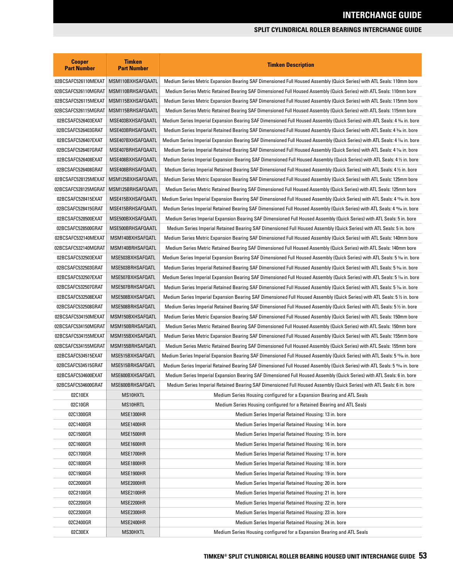| <b>Cooper</b><br><b>Part Number</b> | <b>Timken</b><br><b>Part Number</b> | <b>Timken Description</b>                                                                                                     |
|-------------------------------------|-------------------------------------|-------------------------------------------------------------------------------------------------------------------------------|
| 02BCSAFC526110MEXAT                 | MSM110BXHSAFQAATL                   | Medium Series Metric Expansion Bearing SAF Dimensioned Full Housed Assembly (Quick Series) with ATL Seals: 110mm bore         |
| 02BCSAFC526110MGRAT                 | MSM110BRHSAFQAATL                   | Medium Series Metric Retained Bearing SAF Dimensioned Full Housed Assembly (Quick Series) with ATL Seals: 110mm bore          |
| 02BCSAFC526115MEXAT                 | MSM115BXHSAFQAATL                   | Medium Series Metric Expansion Bearing SAF Dimensioned Full Housed Assembly (Quick Series) with ATL Seals: 115mm bore         |
| 02BCSAFC526115MGRAT                 | MSM115BRHSAFQAATL                   | Medium Series Metric Retained Bearing SAF Dimensioned Full Housed Assembly (Quick Series) with ATL Seals: 115mm bore          |
| 02BCSAFC526403EXAT                  | MSE403BXHSAFQAATL                   | Medium Series Imperial Expansion Bearing SAF Dimensioned Full Housed Assembly (Quick Series) with ATL Seals: 4 % in. bore     |
| 02BCSAFC526403GRAT                  | MSE403BRHSAFQAATL                   | Medium Series Imperial Retained Bearing SAF Dimensioned Full Housed Assembly (Quick Series) with ATL Seals: 4 % in. bore      |
| 02BCSAFC526407EXAT                  | MSE407BXHSAFQAATL                   | Medium Series Imperial Expansion Bearing SAF Dimensioned Full Housed Assembly (Quick Series) with ATL Seals: 4 % in. bore     |
| 02BCSAFC526407GRAT                  | MSE407BRHSAFQAATL                   | Medium Series Imperial Retained Bearing SAF Dimensioned Full Housed Assembly (Quick Series) with ATL Seals: 4 % in. bore      |
| 02BCSAFC526408EXAT                  | MSE408BXHSAFQAATL                   | Medium Series Imperial Expansion Bearing SAF Dimensioned Full Housed Assembly (Quick Series) with ATL Seals: 4 1/2 in. bore   |
| 02BCSAFC526408GRAT                  | MSE408BRHSAFQAATL                   | Medium Series Imperial Retained Bearing SAF Dimensioned Full Housed Assembly (Quick Series) with ATL Seals: 4½ in. bore       |
| 02BCSAFC528125MEXAT                 | MSM125BXHSAFQAATL                   | Medium Series Metric Expansion Bearing SAF Dimensioned Full Housed Assembly (Quick Series) with ATL Seals: 125mm bore         |
| 02BCSAFC528125MGRAT                 | MSM125BRHSAFQAATL                   | Medium Series Metric Retained Bearing SAF Dimensioned Full Housed Assembly (Quick Series) with ATL Seals: 125mm bore          |
| 02BCSAFC528415EXAT                  | MSE415BXHSAFQAATL                   | Medium Series Imperial Expansion Bearing SAF Dimensioned Full Housed Assembly (Quick Series) with ATL Seals: 4 15⁄16 in. bore |
| 02BCSAFC528415GRAT                  | MSE415BRHSAFQAATL                   | Medium Series Imperial Retained Bearing SAF Dimensioned Full Housed Assembly (Quick Series) with ATL Seals: 4 15% in. bore    |
| 02BCSAFC528500EXAT                  | MSE500BXHSAFQAATL                   | Medium Series Imperial Expansion Bearing SAF Dimensioned Full Housed Assembly (Quick Series) with ATL Seals: 5 in. bore       |
| 02BCSAFC528500GRAT                  | MSE500BRHSAFQAATL                   | Medium Series Imperial Retained Bearing SAF Dimensioned Full Housed Assembly (Quick Series) with ATL Seals: 5 in. bore        |
| 02BCSAFC532140MEXAT                 | MSM140BXHSAFQATL                    | Medium Series Metric Expansion Bearing SAF Dimensioned Full Housed Assembly (Quick Series) with ATL Seals: 140mm bore         |
| 02BCSAFC532140MGRAT                 | MSM140BRHSAFQATL                    | Medium Series Metric Retained Bearing SAF Dimensioned Full Housed Assembly (Quick Series) with ATL Seals: 140mm bore          |
| 02BCSAFC532503EXAT                  | MSE503BXHSAFQATL                    | Medium Series Imperial Expansion Bearing SAF Dimensioned Full Housed Assembly (Quick Series) with ATL Seals: 5 % in. bore     |
| 02BCSAFC532503GRAT                  | MSE503BRHSAFQATL                    | Medium Series Imperial Retained Bearing SAF Dimensioned Full Housed Assembly (Quick Series) with ATL Seals: 5 % in. bore      |
| 02BCSAFC532507EXAT                  | MSE507BXHSAFQATL                    | Medium Series Imperial Expansion Bearing SAF Dimensioned Full Housed Assembly (Quick Series) with ATL Seals: 5 % in. bore     |
| 02BCSAFC532507GRAT                  | MSE507BRHSAFQATL                    | Medium Series Imperial Retained Bearing SAF Dimensioned Full Housed Assembly (Quick Series) with ATL Seals: 5 % in. bore      |
| 02BCSAFC532508EXAT                  | MSE508BXHSAFQATL                    | Medium Series Imperial Expansion Bearing SAF Dimensioned Full Housed Assembly (Quick Series) with ATL Seals: 5½ in. bore      |
| 02BCSAFC532508GRAT                  | MSE508BRHSAFQATL                    | Medium Series Imperial Retained Bearing SAF Dimensioned Full Housed Assembly (Quick Series) with ATL Seals: 5 ½ in. bore      |
| 02BCSAFC534150MEXAT                 | MSM150BXHSAFQATL                    | Medium Series Metric Expansion Bearing SAF Dimensioned Full Housed Assembly (Quick Series) with ATL Seals: 150mm bore         |
| 02BCSAFC534150MGRAT                 | MSM150BRHSAFQATL                    | Medium Series Metric Retained Bearing SAF Dimensioned Full Housed Assembly (Quick Series) with ATL Seals: 150mm bore          |
| 02BCSAFC534155MEXAT                 | MSM155BXHSAFQATL                    | Medium Series Metric Expansion Bearing SAF Dimensioned Full Housed Assembly (Quick Series) with ATL Seals: 155mm bore         |
| 02BCSAFC534155MGRAT                 | MSM155BRHSAFQATL                    | Medium Series Metric Retained Bearing SAF Dimensioned Full Housed Assembly (Quick Series) with ATL Seals: 155mm bore          |
| 02BCSAFC534515EXAT                  | MSE515BXHSAFQATL                    | Medium Series Imperial Expansion Bearing SAF Dimensioned Full Housed Assembly (Quick Series) with ATL Seals: 5 1½ in. bore    |
| 02BCSAFC534515GRAT                  | MSE515BRHSAF0ATL                    | Medium Series Imperial Retained Bearing SAF Dimensioned Full Housed Assembly (Quick Series) with ATL Seals: 5 15% in. bore    |
| 02BCSAFC534600EXAT                  | MSE600BXHSAF0ATL                    | Medium Series Imperial Expansion Bearing SAF Dimensioned Full Housed Assembly (Quick Series) with ATL Seals: 6 in. bore       |
| 02BCSAFC534600GRAT                  | MSE600BRHSAFQATL                    | Medium Series Imperial Retained Bearing SAF Dimensioned Full Housed Assembly (Quick Series) with ATL Seals: 6 in. bore        |
| 02C10EX                             | MS10HXTL                            | Medium Series Housing configured for a Expansion Bearing and ATL Seals                                                        |
| 02C10GR                             | MS10HRTL                            | Medium Series Housing configured for a Retained Bearing and ATL Seals                                                         |
| 02C1300GR                           | MSE1300HR                           | Medium Series Imperial Retained Housing: 13 in. bore                                                                          |
| 02C1400GR                           | MSE1400HR                           | Medium Series Imperial Retained Housing: 14 in. bore                                                                          |
| 02C1500GR                           | MSE1500HR                           | Medium Series Imperial Retained Housing: 15 in. bore                                                                          |
| 02C1600GR                           | MSE1600HR                           | Medium Series Imperial Retained Housing: 16 in. bore                                                                          |
| 02C1700GR                           | MSE1700HR                           | Medium Series Imperial Retained Housing: 17 in. bore                                                                          |
| 02C1800GR                           | MSE1800HR                           | Medium Series Imperial Retained Housing: 18 in. bore                                                                          |
| 02C1900GR                           | MSE1900HR                           | Medium Series Imperial Retained Housing: 19 in. bore                                                                          |
| 02C2000GR                           | MSE2000HR                           | Medium Series Imperial Retained Housing: 20 in. bore                                                                          |
| 02C2100GR                           | MSE2100HR                           | Medium Series Imperial Retained Housing: 21 in. bore                                                                          |
| 02C2200GR                           | MSE2200HR                           | Medium Series Imperial Retained Housing: 22 in. bore                                                                          |
| 02C2300GR                           | MSE2300HR                           | Medium Series Imperial Retained Housing: 23 in. bore                                                                          |
| 02C2400GR                           | MSE2400HR                           | Medium Series Imperial Retained Housing: 24 in. bore                                                                          |
| 02C30EX                             | MS30HXTL                            | Medium Series Housing configured for a Expansion Bearing and ATL Seals                                                        |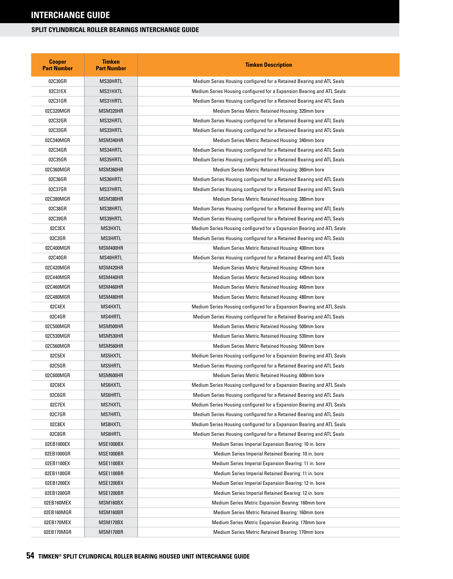| <b>Cooper</b><br><b>Part Number</b> | <b>Timken</b><br><b>Part Number</b> | <b>Timken Description</b>                                              |
|-------------------------------------|-------------------------------------|------------------------------------------------------------------------|
| 02C30GR                             | MS30HRTL                            | Medium Series Housing configured for a Retained Bearing and ATL Seals  |
| 02C31EX                             | MS31HXTL                            | Medium Series Housing configured for a Expansion Bearing and ATL Seals |
| 02C31GR                             | MS31HRTL                            | Medium Series Housing configured for a Retained Bearing and ATL Seals  |
| 02C320MGR                           | MSM320HR                            | Medium Series Metric Retained Housing: 320mm bore                      |
| 02C32GR                             | MS32HRTL                            | Medium Series Housing configured for a Retained Bearing and ATL Seals  |
| 02C33GR                             | MS33HRTL                            | Medium Series Housing configured for a Retained Bearing and ATL Seals  |
| 02C340MGR                           | MSM340HR                            | Medium Series Metric Retained Housing: 340mm bore                      |
| 02C34GR                             | MS34HRTL                            | Medium Series Housing configured for a Retained Bearing and ATL Seals  |
| 02C35GR                             | MS35HRTL                            | Medium Series Housing configured for a Retained Bearing and ATL Seals  |
| 02C360MGR                           | MSM360HR                            | Medium Series Metric Retained Housing: 360mm bore                      |
| 02C36GR                             | MS36HRTL                            | Medium Series Housing configured for a Retained Bearing and ATL Seals  |
| 02C37GR                             | MS37HRTL                            | Medium Series Housing configured for a Retained Bearing and ATL Seals  |
| 02C380MGR                           | MSM380HR                            | Medium Series Metric Retained Housing: 380mm bore                      |
| 02C38GR                             | MS38HRTL                            | Medium Series Housing configured for a Retained Bearing and ATL Seals  |
| 02C39GR                             | MS39HRTL                            | Medium Series Housing configured for a Retained Bearing and ATL Seals  |
| 02C3EX                              | MS3HXTL                             | Medium Series Housing configured for a Expansion Bearing and ATL Seals |
| 02C3GR                              | <b>MS3HRTL</b>                      | Medium Series Housing configured for a Retained Bearing and ATL Seals  |
| 02C400MGR                           | MSM400HR                            | Medium Series Metric Retained Housing: 400mm bore                      |
| 02C40GR                             | MS40HRTL                            | Medium Series Housing configured for a Retained Bearing and ATL Seals  |
| 02C420MGR                           | MSM420HR                            | Medium Series Metric Retained Housing: 420mm bore                      |
| 02C440MGR                           | MSM440HR                            | Medium Series Metric Retained Housing: 440mm bore                      |
| 02C460MGR                           | MSM460HR                            | Medium Series Metric Retained Housing: 460mm bore                      |
| 02C480MGR                           | MSM480HR                            | Medium Series Metric Retained Housing: 480mm bore                      |
| 02C4EX                              | MS4HXTL                             | Medium Series Housing configured for a Expansion Bearing and ATL Seals |
| 02C4GR                              | <b>MS4HRTL</b>                      | Medium Series Housing configured for a Retained Bearing and ATL Seals  |
| 02C500MGR                           | MSM500HR                            | Medium Series Metric Retained Housing: 500mm bore                      |
| 02C530MGR                           | MSM530HR                            | Medium Series Metric Retained Housing: 530mm bore                      |
| 02C560MGR                           | MSM560HR                            | Medium Series Metric Retained Housing: 560mm bore                      |
| 02C5EX                              | MS5HXTL                             | Medium Series Housing configured for a Expansion Bearing and ATL Seals |
| 02C5GR                              | <b>MS5HRTL</b>                      | Medium Series Housing configured for a Retained Bearing and ATL Seals  |
| 02C600MGR                           | MSM600HR                            | Medium Series Metric Retained Housing: 600mm bore                      |
| 02C6EX                              | MS6HXTL                             | Medium Series Housing configured for a Expansion Bearing and ATL Seals |
| 02C6GR                              | MS6HRTL                             | Medium Series Housing configured for a Retained Bearing and ATL Seals  |
| 02C7EX                              | <b>MS7HXTL</b>                      | Medium Series Housing configured for a Expansion Bearing and ATL Seals |
| 02C7GR                              | <b>MS7HRTL</b>                      | Medium Series Housing configured for a Retained Bearing and ATL Seals  |
| 02C8EX                              | MS8HXTL                             | Medium Series Housing configured for a Expansion Bearing and ATL Seals |
| 02C8GR                              | MS8HRTL                             | Medium Series Housing configured for a Retained Bearing and ATL Seals  |
| 02EB1000EX                          | <b>MSE1000BX</b>                    | Medium Series Imperial Expansion Bearing: 10 in. bore                  |
| 02EB1000GR                          | MSE1000BR                           | Medium Series Imperial Retained Bearing: 10 in. bore                   |
| 02EB1100EX                          | <b>MSE1100BX</b>                    | Medium Series Imperial Expansion Bearing: 11 in. bore                  |
| 02EB1100GR                          | MSE1100BR                           | Medium Series Imperial Retained Bearing: 11 in. bore                   |
| 02EB1200EX                          | <b>MSE1200BX</b>                    | Medium Series Imperial Expansion Bearing: 12 in. bore                  |
| 02EB1200GR                          | <b>MSE1200BR</b>                    | Medium Series Imperial Retained Bearing: 12 in. bore                   |
| 02EB160MEX                          | MSM160BX                            | Medium Series Metric Expansion Bearing: 160mm bore                     |
| 02EB160MGR                          | MSM160BR                            | Medium Series Metric Retained Bearing: 160mm bore                      |
| 02EB170MEX                          | MSM170BX                            | Medium Series Metric Expansion Bearing: 170mm bore                     |
| 02EB170MGR                          | MSM170BR                            | Medium Series Metric Retained Bearing: 170mm bore                      |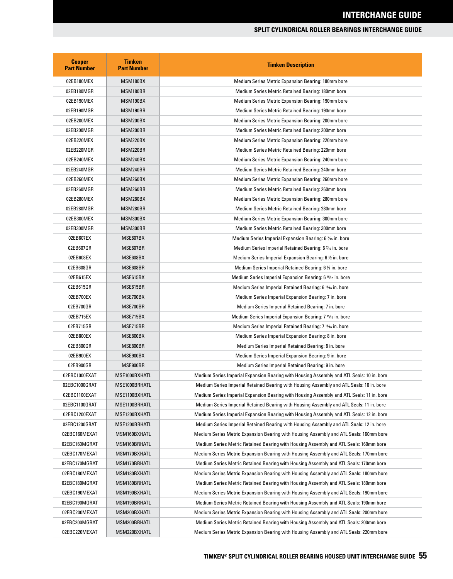| <b>Cooper</b><br><b>Part Number</b> | <b>Timken</b><br><b>Part Number</b> | <b>Timken Description</b>                                                                 |
|-------------------------------------|-------------------------------------|-------------------------------------------------------------------------------------------|
| 02EB180MEX                          | MSM180BX                            | Medium Series Metric Expansion Bearing: 180mm bore                                        |
| 02EB180MGR                          | MSM180BR                            | Medium Series Metric Retained Bearing: 180mm bore                                         |
| 02EB190MEX                          | MSM190BX                            | Medium Series Metric Expansion Bearing: 190mm bore                                        |
| 02EB190MGR                          | MSM190BR                            | Medium Series Metric Retained Bearing: 190mm bore                                         |
| 02EB200MEX                          | MSM200BX                            | Medium Series Metric Expansion Bearing: 200mm bore                                        |
| 02EB200MGR                          | MSM200BR                            | Medium Series Metric Retained Bearing: 200mm bore                                         |
| 02EB220MEX                          | MSM220BX                            | Medium Series Metric Expansion Bearing: 220mm bore                                        |
| 02EB220MGR                          | MSM220BR                            | Medium Series Metric Retained Bearing: 220mm bore                                         |
| 02EB240MEX                          | MSM240BX                            | Medium Series Metric Expansion Bearing: 240mm bore                                        |
| 02EB240MGR                          | MSM240BR                            | Medium Series Metric Retained Bearing: 240mm bore                                         |
| 02EB260MEX                          | MSM260BX                            | Medium Series Metric Expansion Bearing: 260mm bore                                        |
| 02EB260MGR                          | MSM260BR                            | Medium Series Metric Retained Bearing: 260mm bore                                         |
| 02EB280MEX                          | MSM280BX                            | Medium Series Metric Expansion Bearing: 280mm bore                                        |
| 02EB280MGR                          | MSM280BR                            | Medium Series Metric Retained Bearing: 280mm bore                                         |
| 02EB300MEX                          | MSM300BX                            | Medium Series Metric Expansion Bearing: 300mm bore                                        |
| 02EB300MGR                          | MSM300BR                            | Medium Series Metric Retained Bearing: 300mm bore                                         |
| 02EB607EX                           | MSE607BX                            | Medium Series Imperial Expansion Bearing: 6 % in. bore                                    |
| 02EB607GR                           | MSE607BR                            | Medium Series Imperial Retained Bearing: 6 % in. bore                                     |
| 02EB608EX                           | MSE608BX                            | Medium Series Imperial Expansion Bearing: 6 1/2 in. bore                                  |
| 02EB608GR                           | MSE608BR                            | Medium Series Imperial Retained Bearing: 6 1/2 in. bore                                   |
| 02EB615EX                           | MSE615BX                            | Medium Series Imperial Expansion Bearing: 6 15/16 in. bore                                |
| 02EB615GR                           | MSE615BR                            | Medium Series Imperial Retained Bearing: 6 <sup>15</sup> % in. bore                       |
| 02EB700EX                           | MSE700BX                            | Medium Series Imperial Expansion Bearing: 7 in. bore                                      |
| 02EB700GR                           | MSE700BR                            | Medium Series Imperial Retained Bearing: 7 in. bore                                       |
| 02EB715EX                           | MSE715BX                            | Medium Series Imperial Expansion Bearing: 7 <sup>15</sup> % in. bore                      |
| 02EB715GR                           | MSE715BR                            | Medium Series Imperial Retained Bearing: 7 <sup>15</sup> % in. bore                       |
| 02EB800EX                           | MSE800BX                            | Medium Series Imperial Expansion Bearing: 8 in. bore                                      |
| 02EB800GR                           | MSE800BR                            | Medium Series Imperial Retained Bearing: 8 in. bore                                       |
| 02EB900EX                           | MSE900BX                            | Medium Series Imperial Expansion Bearing: 9 in. bore                                      |
| 02EB900GR                           | MSE900BR                            | Medium Series Imperial Retained Bearing: 9 in. bore                                       |
| 02EBC1000EXAT                       | MSE1000BXHATL                       | Medium Series Imperial Expansion Bearing with Housing Assembly and ATL Seals: 10 in. bore |
| 02EBC1000GRAT                       | MSE1000BRHATL                       | Medium Series Imperial Retained Bearing with Housing Assembly and ATL Seals: 10 in. bore  |
| 02EBC1100EXAT                       | MSE1100BXHATL                       | Medium Series Imperial Expansion Bearing with Housing Assembly and ATL Seals: 11 in. bore |
| 02EBC1100GRAT                       | MSE1100BRHATL                       | Medium Series Imperial Retained Bearing with Housing Assembly and ATL Seals: 11 in. bore  |
| 02EBC1200EXAT                       | MSE1200BXHATL                       | Medium Series Imperial Expansion Bearing with Housing Assembly and ATL Seals: 12 in. bore |
| 02EBC1200GRAT                       | MSE1200BRHATL                       | Medium Series Imperial Retained Bearing with Housing Assembly and ATL Seals: 12 in. bore  |
| 02EBC160MEXAT                       | MSM160BXHATL                        | Medium Series Metric Expansion Bearing with Housing Assembly and ATL Seals: 160mm bore    |
| 02EBC160MGRAT                       | MSM160BRHATL                        | Medium Series Metric Retained Bearing with Housing Assembly and ATL Seals: 160mm bore     |
| 02EBC170MEXAT                       | MSM170BXHATL                        | Medium Series Metric Expansion Bearing with Housing Assembly and ATL Seals: 170mm bore    |
| 02EBC170MGRAT                       | MSM170BRHATL                        | Medium Series Metric Retained Bearing with Housing Assembly and ATL Seals: 170mm bore     |
| 02EBC180MEXAT                       | MSM180BXHATL                        | Medium Series Metric Expansion Bearing with Housing Assembly and ATL Seals: 180mm bore    |
| 02EBC180MGRAT                       | MSM180BRHATL                        | Medium Series Metric Retained Bearing with Housing Assembly and ATL Seals: 180mm bore     |
| 02EBC190MEXAT                       | MSM190BXHATL                        | Medium Series Metric Expansion Bearing with Housing Assembly and ATL Seals: 190mm bore    |
| 02EBC190MGRAT                       | MSM190BRHATL                        | Medium Series Metric Retained Bearing with Housing Assembly and ATL Seals: 190mm bore     |
| 02EBC200MEXAT                       | MSM200BXHATL                        | Medium Series Metric Expansion Bearing with Housing Assembly and ATL Seals: 200mm bore    |
| 02EBC200MGRAT                       | MSM200BRHATL                        | Medium Series Metric Retained Bearing with Housing Assembly and ATL Seals: 200mm bore     |
| 02EBC220MEXAT                       | MSM220BXHATL                        | Medium Series Metric Expansion Bearing with Housing Assembly and ATL Seals: 220mm bore    |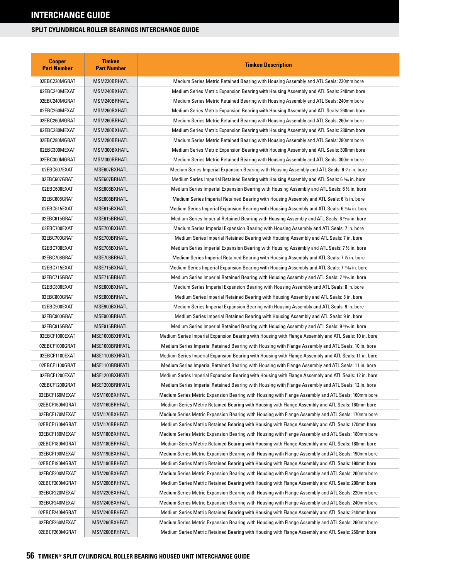| <b>Cooper</b><br><b>Part Number</b> | <b>Timken</b><br><b>Part Number</b> | <b>Timken Description</b>                                                                                 |
|-------------------------------------|-------------------------------------|-----------------------------------------------------------------------------------------------------------|
| 02EBC220MGRAT                       | MSM220BRHATL                        | Medium Series Metric Retained Bearing with Housing Assembly and ATL Seals: 220mm bore                     |
| 02EBC240MEXAT                       | MSM240BXHATL                        | Medium Series Metric Expansion Bearing with Housing Assembly and ATL Seals: 240mm bore                    |
| 02EBC240MGRAT                       | MSM240BRHATL                        | Medium Series Metric Retained Bearing with Housing Assembly and ATL Seals: 240mm bore                     |
| 02EBC260MEXAT                       | MSM260BXHATL                        | Medium Series Metric Expansion Bearing with Housing Assembly and ATL Seals: 260mm bore                    |
| 02EBC260MGRAT                       | MSM260BRHATL                        | Medium Series Metric Retained Bearing with Housing Assembly and ATL Seals: 260mm bore                     |
| 02EBC280MEXAT                       | MSM280BXHATL                        | Medium Series Metric Expansion Bearing with Housing Assembly and ATL Seals: 280mm bore                    |
| 02EBC280MGRAT                       | MSM280BRHATL                        | Medium Series Metric Retained Bearing with Housing Assembly and ATL Seals: 280mm bore                     |
| 02EBC300MEXAT                       | MSM300BXHATL                        | Medium Series Metric Expansion Bearing with Housing Assembly and ATL Seals: 300mm bore                    |
| 02EBC300MGRAT                       | MSM300BRHATL                        | Medium Series Metric Retained Bearing with Housing Assembly and ATL Seals: 300mm bore                     |
| 02EBC607EXAT                        | MSE607BXHATL                        | Medium Series Imperial Expansion Bearing with Housing Assembly and ATL Seals: 6 % in. bore                |
| 02EBC607GRAT                        | MSE607BRHATL                        | Medium Series Imperial Retained Bearing with Housing Assembly and ATL Seals: 6 % in. bore                 |
| 02EBC608EXAT                        | MSE608BXHATL                        | Medium Series Imperial Expansion Bearing with Housing Assembly and ATL Seals: 6 $\%$ in. bore             |
| 02EBC608GRAT                        | MSE608BRHATL                        | Medium Series Imperial Retained Bearing with Housing Assembly and ATL Seals: 6 $\frac{1}{2}$ in. bore     |
| 02EBC615EXAT                        | MSE615BXHATL                        | Medium Series Imperial Expansion Bearing with Housing Assembly and ATL Seals: 6 15% in. bore              |
| 02EBC615GRAT                        | MSE615BRHATL                        | Medium Series Imperial Retained Bearing with Housing Assembly and ATL Seals: 6 15% in. bore               |
| 02EBC700EXAT                        | MSE700BXHATL                        | Medium Series Imperial Expansion Bearing with Housing Assembly and ATL Seals: 7 in. bore                  |
| 02EBC700GRAT                        | MSE700BRHATL                        | Medium Series Imperial Retained Bearing with Housing Assembly and ATL Seals: 7 in. bore                   |
| 02EBC708EXAT                        | MSE708BXHATL                        | Medium Series Imperial Expansion Bearing with Housing Assembly and ATL Seals: 7 1/2 in. bore              |
| 02EBC708GRAT                        | MSE708BRHATL                        | Medium Series Imperial Retained Bearing with Housing Assembly and ATL Seals: 7 1/2 in. bore               |
| 02EBC715EXAT                        | MSE715BXHATL                        | Medium Series Imperial Expansion Bearing with Housing Assembly and ATL Seals: 7 <sup>15</sup> /6 in. bore |
| 02EBC715GRAT                        | MSE715BRHATL                        | Medium Series Imperial Retained Bearing with Housing Assembly and ATL Seals: 7 15⁄16 in. bore             |
| 02EBC800EXAT                        | MSE800BXHATL                        | Medium Series Imperial Expansion Bearing with Housing Assembly and ATL Seals: 8 in. bore                  |
| 02EBC800GRAT                        | MSE800BRHATL                        | Medium Series Imperial Retained Bearing with Housing Assembly and ATL Seals: 8 in. bore                   |
| 02EBC900EXAT                        | MSE900BXHATL                        | Medium Series Imperial Expansion Bearing with Housing Assembly and ATL Seals: 9 in. bore                  |
| 02EBC900GRAT                        | MSE900BRHATL                        | Medium Series Imperial Retained Bearing with Housing Assembly and ATL Seals: 9 in. bore                   |
| 02EBC915GRAT                        | MSE915BRHATL                        | Medium Series Imperial Retained Bearing with Housing Assembly and ATL Seals: 9 15⁄16 in. bore             |
| 02EBCF1000EXAT                      | MSE1000BXHFATL                      | Medium Series Imperial Expansion Bearing with Housing with Flange Assembly and ATL Seals: 10 in. bore     |
| 02EBCF1000GRAT                      | MSE1000BRHFATL                      | Medium Series Imperial Retained Bearing with Housing with Flange Assembly and ATL Seals: 10 in. bore      |
| 02EBCF1100EXAT                      | MSE1100BXHFATL                      | Medium Series Imperial Expansion Bearing with Housing with Flange Assembly and ATL Seals: 11 in. bore     |
| 02EBCF1100GRAT                      | MSE1100BRHFATL                      | Medium Series Imperial Retained Bearing with Housing with Flange Assembly and ATL Seals: 11 in. bore      |
| 02EBCF1200EXAT                      | MSE1200BXHFATL                      | Medium Series Imperial Expansion Bearing with Housing with Flange Assembly and ATL Seals: 12 in. bore     |
| 02EBCF1200GRAT                      | MSE1200BRHFATL                      | Medium Series Imperial Retained Bearing with Housing with Flange Assembly and ATL Seals: 12 in. bore      |
| 02EBCF160MEXAT                      | MSM160BXHFATL                       | Medium Series Metric Expansion Bearing with Housing with Flange Assembly and ATL Seals: 160mm bore        |
| 02EBCF160MGRAT                      | MSM160BRHFATL                       | Medium Series Metric Retained Bearing with Housing with Flange Assembly and ATL Seals: 160mm bore         |
| 02EBCF170MEXAT                      | MSM170BXHFATL                       | Medium Series Metric Expansion Bearing with Housing with Flange Assembly and ATL Seals: 170mm bore        |
| 02EBCF170MGRAT                      | MSM170BRHFATL                       | Medium Series Metric Retained Bearing with Housing with Flange Assembly and ATL Seals: 170mm bore         |
| 02EBCF180MEXAT                      | MSM180BXHFATL                       | Medium Series Metric Expansion Bearing with Housing with Flange Assembly and ATL Seals: 180mm bore        |
| 02EBCF180MGRAT                      | MSM180BRHFATL                       | Medium Series Metric Retained Bearing with Housing with Flange Assembly and ATL Seals: 180mm bore         |
| 02EBCF190MEXAT                      | MSM190BXHFATL                       | Medium Series Metric Expansion Bearing with Housing with Flange Assembly and ATL Seals: 190mm bore        |
| 02EBCF190MGRAT                      | MSM190BRHFATL                       | Medium Series Metric Retained Bearing with Housing with Flange Assembly and ATL Seals: 190mm bore         |
| 02EBCF200MEXAT                      | MSM200BXHFATL                       | Medium Series Metric Expansion Bearing with Housing with Flange Assembly and ATL Seals: 200mm bore        |
| 02EBCF200MGRAT                      | MSM200BRHFATL                       | Medium Series Metric Retained Bearing with Housing with Flange Assembly and ATL Seals: 200mm bore         |
| 02EBCF220MEXAT                      | MSM220BXHFATL                       | Medium Series Metric Expansion Bearing with Housing with Flange Assembly and ATL Seals: 220mm bore        |
| 02EBCF240MEXAT                      | MSM240BXHFATL                       | Medium Series Metric Expansion Bearing with Housing with Flange Assembly and ATL Seals: 240mm bore        |
| 02EBCF240MGRAT                      | MSM240BRHFATL                       | Medium Series Metric Retained Bearing with Housing with Flange Assembly and ATL Seals: 240mm bore         |
| 02EBCF260MEXAT                      | MSM260BXHFATL                       | Medium Series Metric Expansion Bearing with Housing with Flange Assembly and ATL Seals: 260mm bore        |
| 02EBCF260MGRAT                      | MSM260BRHFATL                       | Medium Series Metric Retained Bearing with Housing with Flange Assembly and ATL Seals: 260mm bore         |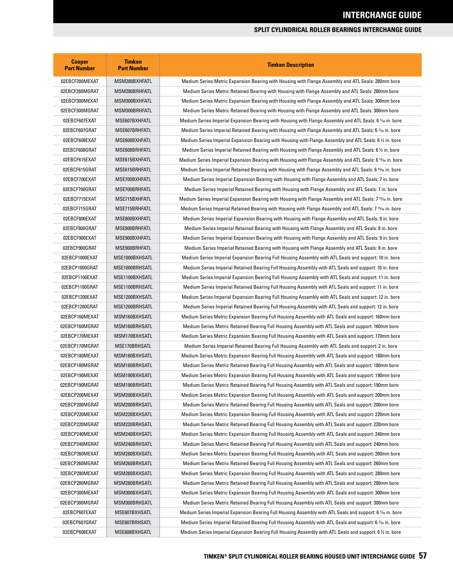| <b>Cooper</b><br><b>Part Number</b> | <b>Timken</b><br><b>Part Number</b> | <b>Timken Description</b>                                                                                  |
|-------------------------------------|-------------------------------------|------------------------------------------------------------------------------------------------------------|
| 02EBCF280MEXAT                      | MSM280BXHFATL                       | Medium Series Metric Expansion Bearing with Housing with Flange Assembly and ATL Seals: 280mm bore         |
| 02EBCF280MGRAT                      | MSM280BRHFATL                       | Medium Series Metric Retained Bearing with Housing with Flange Assembly and ATL Seals: 280mm bore          |
| 02EBCF300MEXAT                      | MSM300BXHFATL                       | Medium Series Metric Expansion Bearing with Housing with Flange Assembly and ATL Seals: 300mm bore         |
| 02EBCF300MGRAT                      | MSM300BRHFATL                       | Medium Series Metric Retained Bearing with Housing with Flange Assembly and ATL Seals: 300mm bore          |
| 02EBCF607EXAT                       | MSE607BXHFATL                       | Medium Series Imperial Expansion Bearing with Housing with Flange Assembly and ATL Seals: 6 % in. bore     |
| 02EBCF607GRAT                       | MSE607BRHFATL                       | Medium Series Imperial Retained Bearing with Housing with Flange Assembly and ATL Seals: 6 % in. bore      |
| 02EBCF608EXAT                       | MSE608BXHFATL                       | Medium Series Imperial Expansion Bearing with Housing with Flange Assembly and ATL Seals: 6 1/2 in. bore   |
| 02EBCF608GRAT                       | MSE608BRHFATL                       | Medium Series Imperial Retained Bearing with Housing with Flange Assembly and ATL Seals: 6 1/2 in. bore    |
| 02EBCF615EXAT                       | MSE615BXHFATL                       | Medium Series Imperial Expansion Bearing with Housing with Flange Assembly and ATL Seals: 6 15/16 in. bore |
| 02EBCF615GRAT                       | MSE615BRHFATL                       | Medium Series Imperial Retained Bearing with Housing with Flange Assembly and ATL Seals: 6 15% in. bore    |
| 02EBCF700EXAT                       | MSE700BXHFATL                       | Medium Series Imperial Expansion Bearing with Housing with Flange Assembly and ATL Seals: 7 in. bore       |
| 02EBCF700GRAT                       | MSE700BRHFATL                       | Medium Series Imperial Retained Bearing with Housing with Flange Assembly and ATL Seals: 7 in. bore        |
| 02EBCF715EXAT                       | MSE715BXHFATL                       | Medium Series Imperial Expansion Bearing with Housing with Flange Assembly and ATL Seals: 7 15/16 in. bore |
| 02EBCF715GRAT                       | MSE715BRHFATL                       | Medium Series Imperial Retained Bearing with Housing with Flange Assembly and ATL Seals: 7 15% in. bore    |
| 02EBCF800EXAT                       | MSE800BXHFATL                       | Medium Series Imperial Expansion Bearing with Housing with Flange Assembly and ATL Seals: 8 in. bore       |
| 02EBCF800GRAT                       | MSE800BRHFATL                       | Medium Series Imperial Retained Bearing with Housing with Flange Assembly and ATL Seals: 8 in. bore        |
| 02EBCF900EXAT                       | MSE900BXHFATL                       | Medium Series Imperial Expansion Bearing with Housing with Flange Assembly and ATL Seals: 9 in. bore       |
| 02EBCF900GRAT                       | MSE900BRHFATL                       | Medium Series Imperial Retained Bearing with Housing with Flange Assembly and ATL Seals: 9 in. bore        |
| 02EBCP1000EXAT                      | MSE1000BXHSATL                      | Medium Series Imperial Expansion Bearing Full Housing Assembly with ATL Seals and support: 10 in. bore     |
| 02EBCP1000GRAT                      | MSE1000BRHSATL                      | Medium Series Imperial Retained Bearing Full Housing Assembly with ATL Seals and support: 10 in. bore      |
| 02EBCP1100EXAT                      | MSE1100BXHSATL                      | Medium Series Imperial Expansion Bearing Full Housing Assembly with ATL Seals and support: 11 in. bore     |
| 02EBCP1100GRAT                      | MSE1100BRHSATL                      | Medium Series Imperial Retained Bearing Full Housing Assembly with ATL Seals and support: 11 in. bore      |
| 02EBCP1200EXAT                      | MSE1200BXHSATL                      | Medium Series Imperial Expansion Bearing Full Housing Assembly with ATL Seals and support: 12 in. bore     |
| 02EBCP1200GRAT                      | MSE1200BRHSATL                      | Medium Series Imperial Retained Bearing Full Housing Assembly with ATL Seals and support: 12 in. bore      |
| 02EBCP160MEXAT                      | MSM160BXHSATL                       | Medium Series Metric Expansion Bearing Full Housing Assembly with ATL Seals and support: 160mm bore        |
| 02EBCP160MGRAT                      | MSM160BRHSATL                       | Medium Series Metric Retained Bearing Full Housing Assembly with ATL Seals and support: 160mm bore         |
| 02EBCP170MEXAT                      | MSM170BXHSATL                       | Medium Series Metric Expansion Bearing Full Housing Assembly with ATL Seals and support: 170mm bore        |
| 02EBCP170MGRAT                      | MSE170BRHSATL                       | Medium Series Imperial Retained Bearing Full Housing Assembly with ATL Seals and support: 2 in. bore       |
| 02EBCP180MEXAT                      | MSM180BXHSATL                       | Medium Series Metric Expansion Bearing Full Housing Assembly with ATL Seals and support: 180mm bore        |
| 02EBCP180MGRAT                      | MSM180BRHSATL                       | Medium Series Metric Retained Bearing Full Housing Assembly with ATL Seals and support: 180mm bore         |
| 02EBCP190MEXAT                      | MSM190BXHSATL                       | Medium Series Metric Expansion Bearing Full Housing Assembly with ATL Seals and support: 190mm bore        |
| 02EBCP190MGRAT                      | MSM190BRHSATL                       | Medium Series Metric Retained Bearing Full Housing Assembly with ATL Seals and support: 190mm bore         |
| 02EBCP200MEXAT                      | MSM200BXHSATL                       | Medium Series Metric Expansion Bearing Full Housing Assembly with ATL Seals and support: 200mm bore        |
| 02EBCP200MGRAT                      | MSM200BRHSATL                       | Medium Series Metric Retained Bearing Full Housing Assembly with ATL Seals and support: 200mm bore         |
| 02EBCP220MEXAT                      | MSM220BXHSATL                       | Medium Series Metric Expansion Bearing Full Housing Assembly with ATL Seals and support: 220mm bore        |
| 02EBCP220MGRAT                      | MSM220BRHSATL                       | Medium Series Metric Retained Bearing Full Housing Assembly with ATL Seals and support: 220mm bore         |
| 02EBCP240MEXAT                      | MSM240BXHSATL                       | Medium Series Metric Expansion Bearing Full Housing Assembly with ATL Seals and support: 240mm bore        |
| 02EBCP240MGRAT                      | MSM240BRHSATL                       | Medium Series Metric Retained Bearing Full Housing Assembly with ATL Seals and support: 240mm bore         |
| 02EBCP260MEXAT                      | MSM260BXHSATL                       | Medium Series Metric Expansion Bearing Full Housing Assembly with ATL Seals and support: 260mm bore        |
| 02EBCP260MGRAT                      | MSM260BRHSATL                       | Medium Series Metric Retained Bearing Full Housing Assembly with ATL Seals and support: 260mm bore         |
| 02EBCP280MEXAT                      | MSM280BXHSATL                       | Medium Series Metric Expansion Bearing Full Housing Assembly with ATL Seals and support: 280mm bore        |
| 02EBCP280MGRAT                      | MSM280BRHSATL                       | Medium Series Metric Retained Bearing Full Housing Assembly with ATL Seals and support: 280mm bore         |
| 02EBCP300MEXAT                      | MSM300BXHSATL                       | Medium Series Metric Expansion Bearing Full Housing Assembly with ATL Seals and support: 300mm bore        |
| 02EBCP300MGRAT                      | MSM300BRHSATL                       | Medium Series Metric Retained Bearing Full Housing Assembly with ATL Seals and support: 300mm bore         |
| 02EBCP607EXAT                       | MSE607BXHSATL                       | Medium Series Imperial Expansion Bearing Full Housing Assembly with ATL Seals and support: 6 % in. bore    |
| 02EBCP607GRAT                       | MSE607BRHSATL                       | Medium Series Imperial Retained Bearing Full Housing Assembly with ATL Seals and support: 6 % in. bore     |
| 02EBCP608EXAT                       | MSE608BXHSATL                       | Medium Series Imperial Expansion Bearing Full Housing Assembly with ATL Seals and support: 6 $\%$ in. bore |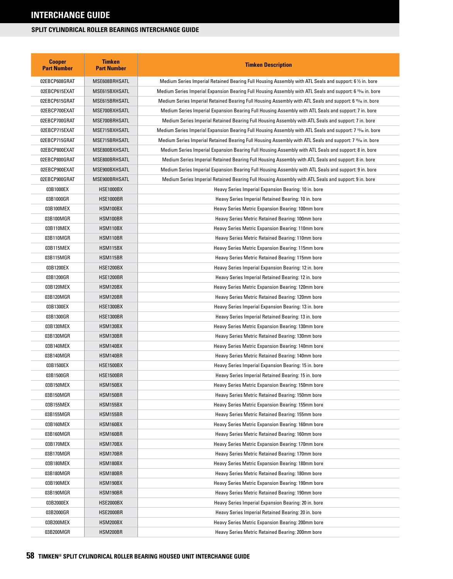| <b>Cooper</b><br><b>Part Number</b> | <b>Timken</b><br><b>Part Number</b> | <b>Timken Description</b>                                                                                  |
|-------------------------------------|-------------------------------------|------------------------------------------------------------------------------------------------------------|
| 02EBCP608GRAT                       | MSE608BRHSATL                       | Medium Series Imperial Retained Bearing Full Housing Assembly with ATL Seals and support: 6 % in. bore     |
| 02EBCP615EXAT                       | MSE615BXHSATL                       | Medium Series Imperial Expansion Bearing Full Housing Assembly with ATL Seals and support: 6 15/6 in. bore |
| 02EBCP615GRAT                       | MSE615BRHSATL                       | Medium Series Imperial Retained Bearing Full Housing Assembly with ATL Seals and support: 6 15⁄16 in. bore |
| 02EBCP700EXAT                       | MSE700BXHSATL                       | Medium Series Imperial Expansion Bearing Full Housing Assembly with ATL Seals and support: 7 in. bore      |
| 02EBCP700GRAT                       | MSE700BRHSATL                       | Medium Series Imperial Retained Bearing Full Housing Assembly with ATL Seals and support: 7 in. bore       |
| 02EBCP715EXAT                       | MSE715BXHSATL                       | Medium Series Imperial Expansion Bearing Full Housing Assembly with ATL Seals and support: 7 15% in. bore  |
| 02EBCP715GRAT                       | MSE715BRHSATL                       | Medium Series Imperial Retained Bearing Full Housing Assembly with ATL Seals and support: 7 15% in. bore   |
| 02EBCP800EXAT                       | MSE800BXHSATL                       | Medium Series Imperial Expansion Bearing Full Housing Assembly with ATL Seals and support: 8 in. bore      |
| 02EBCP800GRAT                       | MSE800BRHSATL                       | Medium Series Imperial Retained Bearing Full Housing Assembly with ATL Seals and support: 8 in. bore       |
| 02EBCP900EXAT                       | MSE900BXHSATL                       | Medium Series Imperial Expansion Bearing Full Housing Assembly with ATL Seals and support: 9 in. bore      |
| 02EBCP900GRAT                       | MSE900BRHSATL                       | Medium Series Imperial Retained Bearing Full Housing Assembly with ATL Seals and support: 9 in. bore       |
| 03B1000EX                           | HSE1000BX                           | Heavy Series Imperial Expansion Bearing: 10 in. bore                                                       |
| 03B1000GR                           | HSE1000BR                           | Heavy Series Imperial Retained Bearing: 10 in. bore                                                        |
| 03B100MEX                           | HSM100BX                            | Heavy Series Metric Expansion Bearing: 100mm bore                                                          |
| 03B100MGR                           | HSM100BR                            | Heavy Series Metric Retained Bearing: 100mm bore                                                           |
| 03B110MEX                           | HSM110BX                            | Heavy Series Metric Expansion Bearing: 110mm bore                                                          |
| 03B110MGR                           | HSM110BR                            | Heavy Series Metric Retained Bearing: 110mm bore                                                           |
| 03B115MEX                           | <b>HSM115BX</b>                     | Heavy Series Metric Expansion Bearing: 115mm bore                                                          |
| 03B115MGR                           | HSM115BR                            | Heavy Series Metric Retained Bearing: 115mm bore                                                           |
| 03B1200EX                           | <b>HSE1200BX</b>                    | Heavy Series Imperial Expansion Bearing: 12 in. bore                                                       |
| 03B1200GR                           | <b>HSE1200BR</b>                    | Heavy Series Imperial Retained Bearing: 12 in. bore                                                        |
| 03B120MEX                           | HSM120BX                            | Heavy Series Metric Expansion Bearing: 120mm bore                                                          |
| 03B120MGR                           | HSM120BR                            | Heavy Series Metric Retained Bearing: 120mm bore                                                           |
| 03B1300EX                           | <b>HSE1300BX</b>                    | Heavy Series Imperial Expansion Bearing: 13 in. bore                                                       |
| 03B1300GR                           | <b>HSE1300BR</b>                    | Heavy Series Imperial Retained Bearing: 13 in. bore                                                        |
| 03B130MEX                           | HSM130BX                            | Heavy Series Metric Expansion Bearing: 130mm bore                                                          |
| 03B130MGR                           | HSM130BR                            | Heavy Series Metric Retained Bearing: 130mm bore                                                           |
| 03B140MEX                           | HSM140BX                            | Heavy Series Metric Expansion Bearing: 140mm bore                                                          |
| 03B140MGR                           | HSM140BR                            | Heavy Series Metric Retained Bearing: 140mm bore                                                           |
| 03B1500EX                           | <b>HSE1500BX</b>                    | Heavy Series Imperial Expansion Bearing: 15 in. bore                                                       |
| 03B1500GR                           | <b>HSE1500BR</b>                    | Heavy Series Imperial Retained Bearing: 15 in. bore                                                        |
| 03B150MEX                           | HSM150BX                            | Heavy Series Metric Expansion Bearing: 150mm bore                                                          |
| 03B150MGR                           | HSM150BR                            | Heavy Series Metric Retained Bearing: 150mm bore                                                           |
| 03B155MEX                           | HSM155BX                            | Heavy Series Metric Expansion Bearing: 155mm bore                                                          |
| 03B155MGR                           | HSM155BR                            | Heavy Series Metric Retained Bearing: 155mm bore                                                           |
| 03B160MEX                           | HSM160BX                            | Heavy Series Metric Expansion Bearing: 160mm bore                                                          |
| 03B160MGR                           | HSM160BR                            | Heavy Series Metric Retained Bearing: 160mm bore                                                           |
| 03B170MEX                           | HSM170BX                            | Heavy Series Metric Expansion Bearing: 170mm bore                                                          |
| 03B170MGR                           | HSM170BR                            | Heavy Series Metric Retained Bearing: 170mm bore                                                           |
| 03B180MEX                           | HSM180BX                            | Heavy Series Metric Expansion Bearing: 180mm bore                                                          |
| 03B180MGR                           | HSM180BR                            | Heavy Series Metric Retained Bearing: 180mm bore                                                           |
| 03B190MEX                           | HSM190BX                            | Heavy Series Metric Expansion Bearing: 190mm bore                                                          |
| 03B190MGR                           | HSM190BR                            | Heavy Series Metric Retained Bearing: 190mm bore                                                           |
| 03B2000EX                           | HSE2000BX                           | Heavy Series Imperial Expansion Bearing: 20 in. bore                                                       |
| 03B2000GR                           | HSE2000BR                           | Heavy Series Imperial Retained Bearing: 20 in. bore                                                        |
| 03B200MEX                           | HSM200BX                            | Heavy Series Metric Expansion Bearing: 200mm bore                                                          |
| 03B200MGR                           | HSM200BR                            | Heavy Series Metric Retained Bearing: 200mm bore                                                           |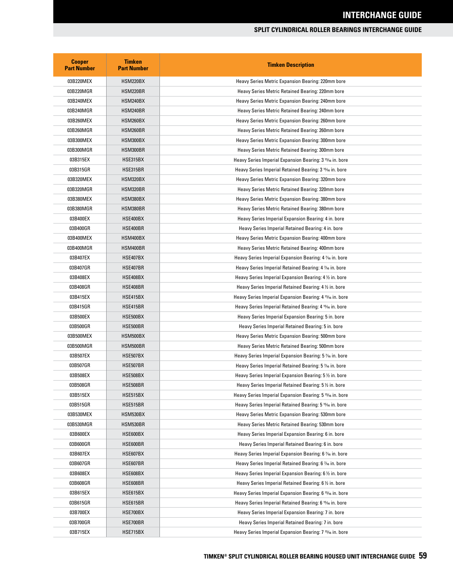| <b>Cooper</b><br><b>Part Number</b> | <b>Timken</b><br><b>Part Number</b> | <b>Timken Description</b>                                             |
|-------------------------------------|-------------------------------------|-----------------------------------------------------------------------|
| 03B220MEX                           | HSM220BX                            | Heavy Series Metric Expansion Bearing: 220mm bore                     |
| 03B220MGR                           | HSM220BR                            | Heavy Series Metric Retained Bearing: 220mm bore                      |
| 03B240MEX                           | HSM240BX                            | Heavy Series Metric Expansion Bearing: 240mm bore                     |
| 03B240MGR                           | HSM240BR                            | Heavy Series Metric Retained Bearing: 240mm bore                      |
| 03B260MEX                           | HSM260BX                            | Heavy Series Metric Expansion Bearing: 260mm bore                     |
| 03B260MGR                           | HSM260BR                            | Heavy Series Metric Retained Bearing: 260mm bore                      |
| 03B300MEX                           | HSM300BX                            | Heavy Series Metric Expansion Bearing: 300mm bore                     |
| 03B300MGR                           | HSM300BR                            | Heavy Series Metric Retained Bearing: 300mm bore                      |
| 03B315EX                            | <b>HSE315BX</b>                     | Heavy Series Imperial Expansion Bearing: 3 <sup>15/1</sup> 6 in. bore |
| 03B315GR                            | HSE315BR                            | Heavy Series Imperial Retained Bearing: 3 <sup>15</sup> % in. bore    |
| 03B320MEX                           | HSM320BX                            | Heavy Series Metric Expansion Bearing: 320mm bore                     |
| 03B320MGR                           | HSM320BR                            | Heavy Series Metric Retained Bearing: 320mm bore                      |
| 03B380MEX                           | HSM380BX                            | Heavy Series Metric Expansion Bearing: 380mm bore                     |
| 03B380MGR                           | HSM380BR                            | Heavy Series Metric Retained Bearing: 380mm bore                      |
| 03B400EX                            | HSE400BX                            | Heavy Series Imperial Expansion Bearing: 4 in. bore                   |
| 03B400GR                            | HSE400BR                            | Heavy Series Imperial Retained Bearing: 4 in. bore                    |
| 03B400MEX                           | HSM400BX                            | Heavy Series Metric Expansion Bearing: 400mm bore                     |
| 03B400MGR                           | HSM400BR                            | Heavy Series Metric Retained Bearing: 400mm bore                      |
| 03B407EX                            | HSE407BX                            | Heavy Series Imperial Expansion Bearing: 4 1/46 in. bore              |
| 03B407GR                            | HSE407BR                            | Heavy Series Imperial Retained Bearing: 4 1/46 in. bore               |
| 03B408EX                            | HSE408BX                            | Heavy Series Imperial Expansion Bearing: 4 1/2 in. bore               |
| 03B408GR                            | HSE408BR                            | Heavy Series Imperial Retained Bearing: 4 1/2 in. bore                |
| 03B415EX                            | HSE415BX                            | Heavy Series Imperial Expansion Bearing: 4 <sup>15</sup> % in. bore   |
| 03B415GR                            | HSE415BR                            | Heavy Series Imperial Retained Bearing: 4 1% in. bore                 |
| 03B500EX                            | HSE500BX                            | Heavy Series Imperial Expansion Bearing: 5 in. bore                   |
| 03B500GR                            | HSE500BR                            | Heavy Series Imperial Retained Bearing: 5 in. bore                    |
| 03B500MEX                           | HSM500BX                            | Heavy Series Metric Expansion Bearing: 500mm bore                     |
| 03B500MGR                           | HSM500BR                            | Heavy Series Metric Retained Bearing: 500mm bore                      |
| 03B507EX                            | HSE507BX                            | Heavy Series Imperial Expansion Bearing: 5 % in. bore                 |
| 03B507GR                            | HSE507BR                            | Heavy Series Imperial Retained Bearing: 5 % in. bore                  |
| 03B508EX                            | HSE508BX                            | Heavy Series Imperial Expansion Bearing: 5 1/2 in. bore               |
| 03B508GR                            | HSE508BR                            | Heavy Series Imperial Retained Bearing: 5 1/2 in. bore                |
| 03B515EX                            | HSE515BX                            | Heavy Series Imperial Expansion Bearing: 5 <sup>15</sup> % in. bore   |
| 03B515GR                            | HSE515BR                            | Heavy Series Imperial Retained Bearing: 5 <sup>15</sup> % in. bore    |
| 03B530MEX                           | HSM530BX                            | Heavy Series Metric Expansion Bearing: 530mm bore                     |
| 03B530MGR                           | HSM530BR                            | Heavy Series Metric Retained Bearing: 530mm bore                      |
| 03B600EX                            | HSE600BX                            | Heavy Series Imperial Expansion Bearing: 6 in. bore                   |
| 03B600GR                            | HSE600BR                            | Heavy Series Imperial Retained Bearing: 6 in. bore                    |
| 03B607EX                            | HSE607BX                            | Heavy Series Imperial Expansion Bearing: 6 % in. bore                 |
| 03B607GR                            | HSE607BR                            | Heavy Series Imperial Retained Bearing: 6 % in. bore                  |
| 03B608EX                            | HSE608BX                            | Heavy Series Imperial Expansion Bearing: 6 1/2 in. bore               |
| 03B608GR                            | HSE608BR                            | Heavy Series Imperial Retained Bearing: 6 1/2 in. bore                |
| 03B615EX                            | HSE615BX                            | Heavy Series Imperial Expansion Bearing: 6 <sup>15</sup> /16 in. bore |
| 03B615GR                            | HSE615BR                            | Heavy Series Imperial Retained Bearing: 6 <sup>15</sup> % in. bore    |
| 03B700EX                            | HSE700BX                            | Heavy Series Imperial Expansion Bearing: 7 in. bore                   |
| 03B700GR                            | HSE700BR                            | Heavy Series Imperial Retained Bearing: 7 in. bore                    |
| 03B715EX                            | HSE715BX                            | Heavy Series Imperial Expansion Bearing: 7 <sup>15</sup> % in. bore   |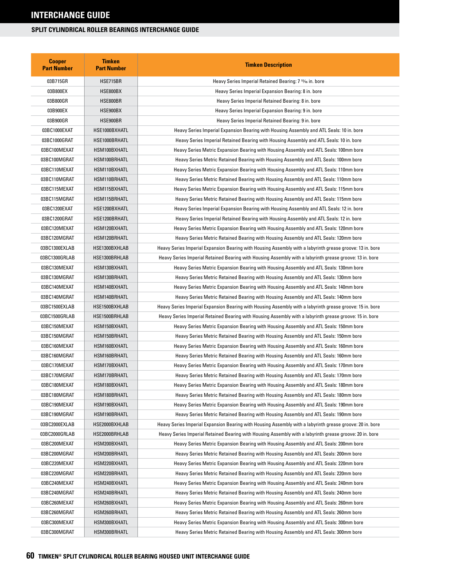| <b>Cooper</b><br><b>Part Number</b> | <b>Timken</b><br><b>Part Number</b> | <b>Timken Description</b>                                                                                 |
|-------------------------------------|-------------------------------------|-----------------------------------------------------------------------------------------------------------|
| 03B715GR                            | HSE715BR                            | Heavy Series Imperial Retained Bearing: 7 <sup>15</sup> /16 in. bore                                      |
| 03B800EX                            | HSE800BX                            | Heavy Series Imperial Expansion Bearing: 8 in. bore                                                       |
| 03B800GR                            | HSE800BR                            | Heavy Series Imperial Retained Bearing: 8 in. bore                                                        |
| 03B900EX                            | HSE900BX                            | Heavy Series Imperial Expansion Bearing: 9 in. bore                                                       |
| 03B900GR                            | HSE900BR                            | Heavy Series Imperial Retained Bearing: 9 in. bore                                                        |
| 03BC1000EXAT                        | HSE1000BXHATL                       | Heavy Series Imperial Expansion Bearing with Housing Assembly and ATL Seals: 10 in. bore                  |
| 03BC1000GRAT                        | HSE1000BRHATL                       | Heavy Series Imperial Retained Bearing with Housing Assembly and ATL Seals: 10 in. bore                   |
| 03BC100MEXAT                        | HSM100BXHATL                        | Heavy Series Metric Expansion Bearing with Housing Assembly and ATL Seals: 100mm bore                     |
| 03BC100MGRAT                        | HSM100BRHATL                        | Heavy Series Metric Retained Bearing with Housing Assembly and ATL Seals: 100mm bore                      |
| 03BC110MEXAT                        | HSM110BXHATL                        | Heavy Series Metric Expansion Bearing with Housing Assembly and ATL Seals: 110mm bore                     |
| 03BC110MGRAT                        | HSM110BRHATL                        | Heavy Series Metric Retained Bearing with Housing Assembly and ATL Seals: 110mm bore                      |
| 03BC115MEXAT                        | HSM115BXHATL                        | Heavy Series Metric Expansion Bearing with Housing Assembly and ATL Seals: 115mm bore                     |
| 03BC115MGRAT                        | HSM115BRHATL                        | Heavy Series Metric Retained Bearing with Housing Assembly and ATL Seals: 115mm bore                      |
| 03BC1200EXAT                        | HSE1200BXHATL                       | Heavy Series Imperial Expansion Bearing with Housing Assembly and ATL Seals: 12 in. bore                  |
| 03BC1200GRAT                        | HSE1200BRHATL                       | Heavy Series Imperial Retained Bearing with Housing Assembly and ATL Seals: 12 in. bore                   |
| 03BC120MEXAT                        | HSM120BXHATL                        | Heavy Series Metric Expansion Bearing with Housing Assembly and ATL Seals: 120mm bore                     |
| 03BC120MGRAT                        | HSM120BRHATL                        | Heavy Series Metric Retained Bearing with Housing Assembly and ATL Seals: 120mm bore                      |
| 03BC1300EXLAB                       | HSE1300BXHLAB                       | Heavy Series Imperial Expansion Bearing with Housing Assembly with a labyrinth grease groove: 13 in. bore |
| 03BC1300GRLAB                       | HSE1300BRHLAB                       | Heavy Series Imperial Retained Bearing with Housing Assembly with a labyrinth grease groove: 13 in. bore  |
| 03BC130MEXAT                        | HSM130BXHATL                        | Heavy Series Metric Expansion Bearing with Housing Assembly and ATL Seals: 130mm bore                     |
| 03BC130MGRAT                        | HSM130BRHATL                        | Heavy Series Metric Retained Bearing with Housing Assembly and ATL Seals: 130mm bore                      |
| 03BC140MEXAT                        | HSM140BXHATL                        | Heavy Series Metric Expansion Bearing with Housing Assembly and ATL Seals: 140mm bore                     |
| 03BC140MGRAT                        | HSM140BRHATL                        | Heavy Series Metric Retained Bearing with Housing Assembly and ATL Seals: 140mm bore                      |
| 03BC1500EXLAB                       | HSE1500BXHLAB                       | Heavy Series Imperial Expansion Bearing with Housing Assembly with a labyrinth grease groove: 15 in. bore |
| 03BC1500GRLAB                       | HSE1500BRHLAB                       | Heavy Series Imperial Retained Bearing with Housing Assembly with a labyrinth grease groove: 15 in. bore  |
| 03BC150MEXAT                        | HSM150BXHATL                        | Heavy Series Metric Expansion Bearing with Housing Assembly and ATL Seals: 150mm bore                     |
| 03BC150MGRAT                        | HSM150BRHATL                        | Heavy Series Metric Retained Bearing with Housing Assembly and ATL Seals: 150mm bore                      |
| 03BC160MEXAT                        | HSM160BXHATL                        | Heavy Series Metric Expansion Bearing with Housing Assembly and ATL Seals: 160mm bore                     |
| 03BC160MGRAT                        | HSM160BRHATL                        | Heavy Series Metric Retained Bearing with Housing Assembly and ATL Seals: 160mm bore                      |
| 03BC170MEXAT                        | HSM170BXHATL                        | Heavy Series Metric Expansion Bearing with Housing Assembly and ATL Seals: 170mm bore                     |
| 03BC170MGRAT                        | HSM170BRHATL                        | Heavy Series Metric Retained Bearing with Housing Assembly and ATL Seals: 170mm bore                      |
| 03BC180MEXAT                        | HSM180BXHATL                        | Heavy Series Metric Expansion Bearing with Housing Assembly and ATL Seals: 180mm bore                     |
| 03BC180MGRAT                        | HSM180BRHATL                        | Heavy Series Metric Retained Bearing with Housing Assembly and ATL Seals: 180mm bore                      |
| 03BC190MEXAT                        | HSM190BXHATL                        | Heavy Series Metric Expansion Bearing with Housing Assembly and ATL Seals: 190mm bore                     |
| 03BC190MGRAT                        | HSM190BRHATL                        | Heavy Series Metric Retained Bearing with Housing Assembly and ATL Seals: 190mm bore                      |
| 03BC2000EXLAB                       | HSE2000BXHLAB                       | Heavy Series Imperial Expansion Bearing with Housing Assembly with a labyrinth grease groove: 20 in. bore |
| 03BC2000GRLAB                       | HSE2000BRHLAB                       | Heavy Series Imperial Retained Bearing with Housing Assembly with a labyrinth grease groove: 20 in. bore  |
| 03BC200MEXAT                        | HSM200BXHATL                        | Heavy Series Metric Expansion Bearing with Housing Assembly and ATL Seals: 200mm bore                     |
| 03BC200MGRAT                        | HSM200BRHATL                        | Heavy Series Metric Retained Bearing with Housing Assembly and ATL Seals: 200mm bore                      |
| 03BC220MEXAT                        | HSM220BXHATL                        | Heavy Series Metric Expansion Bearing with Housing Assembly and ATL Seals: 220mm bore                     |
| 03BC220MGRAT                        | HSM220BRHATL                        | Heavy Series Metric Retained Bearing with Housing Assembly and ATL Seals: 220mm bore                      |
| 03BC240MEXAT                        | HSM240BXHATL                        | Heavy Series Metric Expansion Bearing with Housing Assembly and ATL Seals: 240mm bore                     |
| 03BC240MGRAT                        | HSM240BRHATL                        | Heavy Series Metric Retained Bearing with Housing Assembly and ATL Seals: 240mm bore                      |
| 03BC260MEXAT                        | HSM260BXHATL                        | Heavy Series Metric Expansion Bearing with Housing Assembly and ATL Seals: 260mm bore                     |
| 03BC260MGRAT                        | HSM260BRHATL                        | Heavy Series Metric Retained Bearing with Housing Assembly and ATL Seals: 260mm bore                      |
| 03BC300MEXAT                        | HSM300BXHATL                        | Heavy Series Metric Expansion Bearing with Housing Assembly and ATL Seals: 300mm bore                     |
| 03BC300MGRAT                        | HSM300BRHATL                        | Heavy Series Metric Retained Bearing with Housing Assembly and ATL Seals: 300mm bore                      |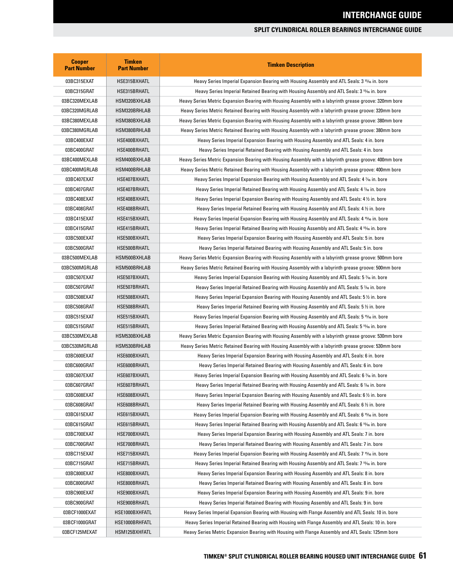| <b>Cooper</b><br><b>Part Number</b> | <b>Timken</b><br><b>Part Number</b> | <b>Timken Description</b>                                                                                |  |
|-------------------------------------|-------------------------------------|----------------------------------------------------------------------------------------------------------|--|
| 03BC315EXAT                         | HSE315BXHATL                        | Heavy Series Imperial Expansion Bearing with Housing Assembly and ATL Seals: 3 1546 in. bore             |  |
| 03BC315GRAT                         | HSE315BRHATL                        | Heavy Series Imperial Retained Bearing with Housing Assembly and ATL Seals: 3 15/6 in. bore              |  |
| 03BC320MEXLAB                       | HSM320BXHLAB                        | Heavy Series Metric Expansion Bearing with Housing Assembly with a labyrinth grease groove: 320mm bore   |  |
| 03BC320MGRLAB                       | HSM320BRHLAB                        | Heavy Series Metric Retained Bearing with Housing Assembly with a labyrinth grease groove: 320mm bore    |  |
| 03BC380MEXLAB                       | HSM380BXHLAB                        | Heavy Series Metric Expansion Bearing with Housing Assembly with a labyrinth grease groove: 380mm bore   |  |
| 03BC380MGRLAB                       | HSM380BRHLAB                        | Heavy Series Metric Retained Bearing with Housing Assembly with a labyrinth grease groove: 380mm bore    |  |
| 03BC400EXAT                         | HSE400BXHATL                        | Heavy Series Imperial Expansion Bearing with Housing Assembly and ATL Seals: 4 in. bore                  |  |
| 03BC400GRAT                         | HSE400BRHATL                        | Heavy Series Imperial Retained Bearing with Housing Assembly and ATL Seals: 4 in. bore                   |  |
| 03BC400MEXLAB                       | HSM400BXHLAB                        | Heavy Series Metric Expansion Bearing with Housing Assembly with a labyrinth grease groove: 400mm bore   |  |
| 03BC400MGRLAB                       | HSM400BRHLAB                        | Heavy Series Metric Retained Bearing with Housing Assembly with a labyrinth grease groove: 400mm bore    |  |
| 03BC407EXAT                         | HSE407BXHATL                        | Heavy Series Imperial Expansion Bearing with Housing Assembly and ATL Seals: 4 % in. bore                |  |
| 03BC407GRAT                         | HSE407BRHATL                        | Heavy Series Imperial Retained Bearing with Housing Assembly and ATL Seals: 4 1⁄16 in. bore              |  |
| 03BC408EXAT                         | HSE408BXHATL                        | Heavy Series Imperial Expansion Bearing with Housing Assembly and ATL Seals: 4 1/2 in. bore              |  |
| 03BC408GRAT                         | HSE408BRHATL                        | Heavy Series Imperial Retained Bearing with Housing Assembly and ATL Seals: 4 1/2 in. bore               |  |
| 03BC415EXAT                         | HSE415BXHATL                        | Heavy Series Imperial Expansion Bearing with Housing Assembly and ATL Seals: 4 15% in. bore              |  |
| 03BC415GRAT                         | HSE415BRHATL                        | Heavy Series Imperial Retained Bearing with Housing Assembly and ATL Seals: 4 <sup>15</sup> /6 in. bore  |  |
| 03BC500EXAT                         | HSE500BXHATL                        | Heavy Series Imperial Expansion Bearing with Housing Assembly and ATL Seals: 5 in. bore                  |  |
| 03BC500GRAT                         | HSE500BRHATL                        | Heavy Series Imperial Retained Bearing with Housing Assembly and ATL Seals: 5 in. bore                   |  |
| 03BC500MEXLAB                       | HSM500BXHLAB                        | Heavy Series Metric Expansion Bearing with Housing Assembly with a labyrinth grease groove: 500mm bore   |  |
| 03BC500MGRLAB                       | HSM500BRHLAB                        | Heavy Series Metric Retained Bearing with Housing Assembly with a labyrinth grease groove: 500mm bore    |  |
| 03BC507EXAT                         | HSE507BXHATL                        | Heavy Series Imperial Expansion Bearing with Housing Assembly and ATL Seals: 5 % in. bore                |  |
| 03BC507GRAT                         | HSE507BRHATL                        | Heavy Series Imperial Retained Bearing with Housing Assembly and ATL Seals: 5 % in. bore                 |  |
| 03BC508EXAT                         | HSE508BXHATL                        | Heavy Series Imperial Expansion Bearing with Housing Assembly and ATL Seals: 5 $\frac{1}{2}$ in. bore    |  |
| 03BC508GRAT                         | HSE508BRHATL                        | Heavy Series Imperial Retained Bearing with Housing Assembly and ATL Seals: 5 1/2 in. bore               |  |
| 03BC515EXAT                         | HSE515BXHATL                        | Heavy Series Imperial Expansion Bearing with Housing Assembly and ATL Seals: 5 <sup>15</sup> /6 in. bore |  |
| 03BC515GRAT                         | HSE515BRHATL                        | Heavy Series Imperial Retained Bearing with Housing Assembly and ATL Seals: 5 <sup>15</sup> /6 in. bore  |  |
| 03BC530MEXLAB                       | HSM530BXHLAB                        | Heavy Series Metric Expansion Bearing with Housing Assembly with a labyrinth grease groove: 530mm bore   |  |
| 03BC530MGRLAB                       | HSM530BRHLAB                        | Heavy Series Metric Retained Bearing with Housing Assembly with a labyrinth grease groove: 530mm bore    |  |
| 03BC600EXAT                         | HSE600BXHATL                        | Heavy Series Imperial Expansion Bearing with Housing Assembly and ATL Seals: 6 in. bore                  |  |
| 03BC600GRAT                         | HSE600BRHATL                        | Heavy Series Imperial Retained Bearing with Housing Assembly and ATL Seals: 6 in. bore                   |  |
| 03BC607EXAT                         | HSE607BXHATL                        | Heavy Series Imperial Expansion Bearing with Housing Assembly and ATL Seals: 6 % in. bore                |  |
| 03BC607GRAT                         | HSE607BRHATL                        | Heavy Series Imperial Retained Bearing with Housing Assembly and ATL Seals: 6 1/16 in. bore              |  |
| 03BC608EXAT                         | HSE608BXHATL                        | Heavy Series Imperial Expansion Bearing with Housing Assembly and ATL Seals: 6 $\frac{1}{2}$ in. bore    |  |
| 03BC608GRAT                         | HSE608BRHATL                        | Heavy Series Imperial Retained Bearing with Housing Assembly and ATL Seals: 6 1/2 in. bore               |  |
| 03BC615EXAT                         | HSE615BXHATL                        | Heavy Series Imperial Expansion Bearing with Housing Assembly and ATL Seals: 6 15% in. bore              |  |
| 03BC615GRAT                         | HSE615BRHATL                        | Heavy Series Imperial Retained Bearing with Housing Assembly and ATL Seals: 6 15/16 in. bore             |  |
| 03BC700EXAT                         | HSE700BXHATL                        | Heavy Series Imperial Expansion Bearing with Housing Assembly and ATL Seals: 7 in. bore                  |  |
| 03BC700GRAT                         | HSE700BRHATL                        | Heavy Series Imperial Retained Bearing with Housing Assembly and ATL Seals: 7 in. bore                   |  |
| 03BC715EXAT                         | HSE715BXHATL                        | Heavy Series Imperial Expansion Bearing with Housing Assembly and ATL Seals: 7 15% in. bore              |  |
| 03BC715GRAT                         | HSE715BRHATL                        | Heavy Series Imperial Retained Bearing with Housing Assembly and ATL Seals: 7 15/16 in. bore             |  |
| 03BC800EXAT                         | HSE800BXHATL                        | Heavy Series Imperial Expansion Bearing with Housing Assembly and ATL Seals: 8 in. bore                  |  |
| 03BC800GRAT                         | HSE800BRHATL                        | Heavy Series Imperial Retained Bearing with Housing Assembly and ATL Seals: 8 in. bore                   |  |
| 03BC900EXAT                         | HSE900BXHATL                        | Heavy Series Imperial Expansion Bearing with Housing Assembly and ATL Seals: 9 in. bore                  |  |
| 03BC900GRAT                         | HSE900BRHATL                        | Heavy Series Imperial Retained Bearing with Housing Assembly and ATL Seals: 9 in. bore                   |  |
| 03BCF1000EXAT                       | HSE1000BXHFATL                      | Heavy Series Imperial Expansion Bearing with Housing with Flange Assembly and ATL Seals: 10 in. bore     |  |
| 03BCF1000GRAT                       | HSE1000BRHFATL                      | Heavy Series Imperial Retained Bearing with Housing with Flange Assembly and ATL Seals: 10 in. bore      |  |
| 03BCF125MEXAT                       | HSM125BXHFATL                       | Heavy Series Metric Expansion Bearing with Housing with Flange Assembly and ATL Seals: 125mm bore        |  |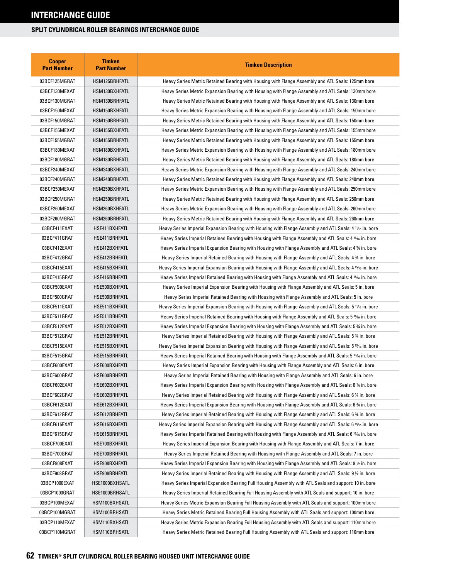| <b>Cooper</b><br><b>Part Number</b> | <b>Timken</b><br><b>Part Number</b> | <b>Timken Description</b>                                                                                 |  |  |
|-------------------------------------|-------------------------------------|-----------------------------------------------------------------------------------------------------------|--|--|
| 03BCF125MGRAT                       | HSM125BRHFATL                       | Heavy Series Metric Retained Bearing with Housing with Flange Assembly and ATL Seals: 125mm bore          |  |  |
| 03BCF130MEXAT                       | HSM130BXHFATL                       | Heavy Series Metric Expansion Bearing with Housing with Flange Assembly and ATL Seals: 130mm bore         |  |  |
| 03BCF130MGRAT                       | HSM130BRHFATL                       | Heavy Series Metric Retained Bearing with Housing with Flange Assembly and ATL Seals: 130mm bore          |  |  |
| 03BCF150MEXAT                       | HSM150BXHFATL                       | Heavy Series Metric Expansion Bearing with Housing with Flange Assembly and ATL Seals: 150mm bore         |  |  |
| 03BCF150MGRAT                       | HSM150BRHFATL                       | Heavy Series Metric Retained Bearing with Housing with Flange Assembly and ATL Seals: 150mm bore          |  |  |
| 03BCF155MEXAT                       | HSM155BXHFATL                       | Heavy Series Metric Expansion Bearing with Housing with Flange Assembly and ATL Seals: 155mm bore         |  |  |
| 03BCF155MGRAT                       | HSM155BRHFATL                       | Heavy Series Metric Retained Bearing with Housing with Flange Assembly and ATL Seals: 155mm bore          |  |  |
| 03BCF180MEXAT                       | HSM180BXHFATL                       | Heavy Series Metric Expansion Bearing with Housing with Flange Assembly and ATL Seals: 180mm bore         |  |  |
| 03BCF180MGRAT                       | HSM180BRHFATL                       | Heavy Series Metric Retained Bearing with Housing with Flange Assembly and ATL Seals: 180mm bore          |  |  |
| 03BCF240MEXAT                       | HSM240BXHFATL                       | Heavy Series Metric Expansion Bearing with Housing with Flange Assembly and ATL Seals: 240mm bore         |  |  |
| 03BCF240MGRAT                       | HSM240BRHFATL                       | Heavy Series Metric Retained Bearing with Housing with Flange Assembly and ATL Seals: 240mm bore          |  |  |
| 03BCF250MEXAT                       | HSM250BXHFATL                       | Heavy Series Metric Expansion Bearing with Housing with Flange Assembly and ATL Seals: 250mm bore         |  |  |
| 03BCF250MGRAT                       | HSM250BRHFATL                       | Heavy Series Metric Retained Bearing with Housing with Flange Assembly and ATL Seals: 250mm bore          |  |  |
| 03BCF260MEXAT                       | HSM260BXHFATL                       | Heavy Series Metric Expansion Bearing with Housing with Flange Assembly and ATL Seals: 260mm bore         |  |  |
| 03BCF260MGRAT                       | HSM260BRHFATL                       | Heavy Series Metric Retained Bearing with Housing with Flange Assembly and ATL Seals: 260mm bore          |  |  |
| 03BCF411EXAT                        | HSE411BXHFATL                       | Heavy Series Imperial Expansion Bearing with Housing with Flange Assembly and ATL Seals: 4 11/16 in. bore |  |  |
| 03BCF411GRAT                        | HSE411BRHFATL                       | Heavy Series Imperial Retained Bearing with Housing with Flange Assembly and ATL Seals: 4 11/16 in. bore  |  |  |
| 03BCF412EXAT                        | HSE412BXHFATL                       | Heavy Series Imperial Expansion Bearing with Housing with Flange Assembly and ATL Seals: 4 % in. bore     |  |  |
| 03BCF412GRAT                        | HSE412BRHFATL                       | Heavy Series Imperial Retained Bearing with Housing with Flange Assembly and ATL Seals: 4 % in. bore      |  |  |
| 03BCF415EXAT                        | HSE415BXHFATL                       | Heavy Series Imperial Expansion Bearing with Housing with Flange Assembly and ATL Seals: 4 15/6 in. bore  |  |  |
| 03BCF415GRAT                        | HSE415BRHFATL                       | Heavy Series Imperial Retained Bearing with Housing with Flange Assembly and ATL Seals: 4 15% in. bore    |  |  |
| 03BCF500EXAT                        | HSE500BXHFATL                       | Heavy Series Imperial Expansion Bearing with Housing with Flange Assembly and ATL Seals: 5 in. bore       |  |  |
| 03BCF500GRAT                        | HSE500BRHFATL                       | Heavy Series Imperial Retained Bearing with Housing with Flange Assembly and ATL Seals: 5 in. bore        |  |  |
| 03BCF511EXAT                        | HSE511BXHFATL                       | Heavy Series Imperial Expansion Bearing with Housing with Flange Assembly and ATL Seals: 5 11⁄16 in. bore |  |  |
| 03BCF511GRAT                        | HSE511BRHFATL                       | Heavy Series Imperial Retained Bearing with Housing with Flange Assembly and ATL Seals: 5 11/6 in. bore   |  |  |
| 03BCF512EXAT                        | HSE512BXHFATL                       | Heavy Series Imperial Expansion Bearing with Housing with Flange Assembly and ATL Seals: 5 % in. bore     |  |  |
| 03BCF512GRAT                        | HSE512BRHFATL                       | Heavy Series Imperial Retained Bearing with Housing with Flange Assembly and ATL Seals: 5 % in. bore      |  |  |
| 03BCF515EXAT                        | HSE515BXHFATL                       | Heavy Series Imperial Expansion Bearing with Housing with Flange Assembly and ATL Seals: 5 15/16 in. bore |  |  |
| 03BCF515GRAT                        | HSE515BRHFATL                       | Heavy Series Imperial Retained Bearing with Housing with Flange Assembly and ATL Seals: 5 15/6 in. bore   |  |  |
| 03BCF600EXAT                        | HSE600BXHFATL                       | Heavy Series Imperial Expansion Bearing with Housing with Flange Assembly and ATL Seals: 6 in. bore       |  |  |
| 03BCF600GRAT                        | HSE600BRHFATL                       | Heavy Series Imperial Retained Bearing with Housing with Flange Assembly and ATL Seals: 6 in. bore        |  |  |
| 03BCF602EXAT                        | HSE602BXHFATL                       | Heavy Series Imperial Expansion Bearing with Housing with Flange Assembly and ATL Seals: 6 ¼ in. bore     |  |  |
| 03BCF602GRAT                        | HSE602BRHFATL                       | Heavy Series Imperial Retained Bearing with Housing with Flange Assembly and ATL Seals: 6 1/4 in. bore    |  |  |
| 03BCF612EXAT                        | HSE612BXHFATL                       | Heavy Series Imperial Expansion Bearing with Housing with Flange Assembly and ATL Seals: 6 % in. bore     |  |  |
| 03BCF612GRAT                        | HSE612BRHFATL                       | Heavy Series Imperial Retained Bearing with Housing with Flange Assembly and ATL Seals: 6 % in. bore      |  |  |
| 03BCF615EXAT                        | HSE615BXHFATL                       | Heavy Series Imperial Expansion Bearing with Housing with Flange Assembly and ATL Seals: 6 15⁄16 in. bore |  |  |
| 03BCF615GRAT                        | HSE615BRHFATL                       | Heavy Series Imperial Retained Bearing with Housing with Flange Assembly and ATL Seals: 6 15/16 in. bore  |  |  |
| 03BCF700EXAT                        | HSE700BXHFATL                       | Heavy Series Imperial Expansion Bearing with Housing with Flange Assembly and ATL Seals: 7 in. bore       |  |  |
| 03BCF700GRAT                        | HSE700BRHFATL                       | Heavy Series Imperial Retained Bearing with Housing with Flange Assembly and ATL Seals: 7 in. bore        |  |  |
| 03BCF908EXAT                        | HSE908BXHFATL                       | Heavy Series Imperial Expansion Bearing with Housing with Flange Assembly and ATL Seals: 9 $\%$ in. bore  |  |  |
| 03BCF908GRAT                        | HSE908BRHFATL                       | Heavy Series Imperial Retained Bearing with Housing with Flange Assembly and ATL Seals: 9 $\%$ in. bore   |  |  |
| 03BCP1000EXAT                       | HSE1000BXHSATL                      | Heavy Series Imperial Expansion Bearing Full Housing Assembly with ATL Seals and support: 10 in. bore     |  |  |
| 03BCP1000GRAT                       | HSE1000BRHSATL                      | Heavy Series Imperial Retained Bearing Full Housing Assembly with ATL Seals and support: 10 in. bore      |  |  |
| 03BCP100MEXAT                       | HSM100BXHSATL                       | Heavy Series Metric Expansion Bearing Full Housing Assembly with ATL Seals and support: 100mm bore        |  |  |
| 03BCP100MGRAT                       | HSM100BRHSATL                       | Heavy Series Metric Retained Bearing Full Housing Assembly with ATL Seals and support: 100mm bore         |  |  |
| 03BCP110MEXAT                       | HSM110BXHSATL                       | Heavy Series Metric Expansion Bearing Full Housing Assembly with ATL Seals and support: 110mm bore        |  |  |
| 03BCP110MGRAT                       | HSM110BRHSATL                       | Heavy Series Metric Retained Bearing Full Housing Assembly with ATL Seals and support: 110mm bore         |  |  |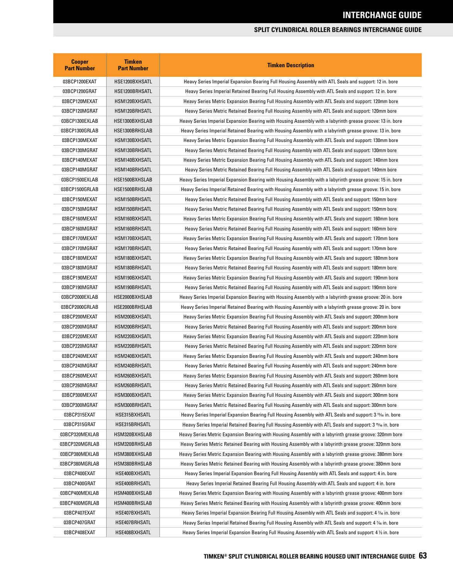| <b>Cooper</b><br><b>Part Number</b> | <b>Timken</b><br><b>Part Number</b> | <b>Timken Description</b>                                                                                             |  |
|-------------------------------------|-------------------------------------|-----------------------------------------------------------------------------------------------------------------------|--|
| 03BCP1200EXAT                       | HSE1200BXHSATL                      | Heavy Series Imperial Expansion Bearing Full Housing Assembly with ATL Seals and support: 12 in. bore                 |  |
| 03BCP1200GRAT                       | HSE1200BRHSATL                      | Heavy Series Imperial Retained Bearing Full Housing Assembly with ATL Seals and support: 12 in. bore                  |  |
| 03BCP120MEXAT                       | HSM120BXHSATL                       | Heavy Series Metric Expansion Bearing Full Housing Assembly with ATL Seals and support: 120mm bore                    |  |
| 03BCP120MGRAT                       | HSM120BRHSATL                       | Heavy Series Metric Retained Bearing Full Housing Assembly with ATL Seals and support: 120mm bore                     |  |
| 03BCP1300EXLAB                      | HSE1300BXHSLAB                      | Heavy Series Imperial Expansion Bearing with Housing Assembly with a labyrinth grease groove: 13 in. bore             |  |
| 03BCP1300GRLAB                      | HSE1300BRHSLAB                      | Heavy Series Imperial Retained Bearing with Housing Assembly with a labyrinth grease groove: 13 in, bore              |  |
| 03BCP130MEXAT                       | HSM130BXHSATL                       | Heavy Series Metric Expansion Bearing Full Housing Assembly with ATL Seals and support: 130mm bore                    |  |
| 03BCP130MGRAT                       | HSM130BRHSATL                       | Heavy Series Metric Retained Bearing Full Housing Assembly with ATL Seals and support: 130mm bore                     |  |
| 03BCP140MEXAT                       | HSM140BXHSATL                       | Heavy Series Metric Expansion Bearing Full Housing Assembly with ATL Seals and support: 140mm bore                    |  |
| 03BCP140MGRAT                       | HSM140BRHSATL                       | Heavy Series Metric Retained Bearing Full Housing Assembly with ATL Seals and support: 140mm bore                     |  |
| 03BCP1500EXLAB                      | HSE1500BXHSLAB                      | Heavy Series Imperial Expansion Bearing with Housing Assembly with a labyrinth grease groove: 15 in. bore             |  |
| 03BCP1500GRLAB                      | HSE1500BRHSLAB                      | Heavy Series Imperial Retained Bearing with Housing Assembly with a labyrinth grease groove: 15 in. bore              |  |
| 03BCP150MEXAT                       | HSM150BRHSATL                       | Heavy Series Metric Retained Bearing Full Housing Assembly with ATL Seals and support: 150mm bore                     |  |
| 03BCP150MGRAT                       | HSM150BRHSATL                       | Heavy Series Metric Retained Bearing Full Housing Assembly with ATL Seals and support: 150mm bore                     |  |
| 03BCP160MEXAT                       | HSM160BXHSATL                       | Heavy Series Metric Expansion Bearing Full Housing Assembly with ATL Seals and support: 160mm bore                    |  |
| 03BCP160MGRAT                       | HSM160BRHSATL                       | Heavy Series Metric Retained Bearing Full Housing Assembly with ATL Seals and support: 160mm bore                     |  |
| 03BCP170MEXAT                       | HSM170BXHSATL                       | Heavy Series Metric Expansion Bearing Full Housing Assembly with ATL Seals and support: 170mm bore                    |  |
| 03BCP170MGRAT                       | HSM170BRHSATL                       | Heavy Series Metric Retained Bearing Full Housing Assembly with ATL Seals and support: 170mm bore                     |  |
| 03BCP180MEXAT                       | HSM180BXHSATL                       | Heavy Series Metric Expansion Bearing Full Housing Assembly with ATL Seals and support: 180mm bore                    |  |
| 03BCP180MGRAT                       | HSM180BRHSATL                       | Heavy Series Metric Retained Bearing Full Housing Assembly with ATL Seals and support: 180mm bore                     |  |
| 03BCP190MEXAT                       | HSM190BXHSATL                       | Heavy Series Metric Expansion Bearing Full Housing Assembly with ATL Seals and support: 190mm bore                    |  |
| 03BCP190MGRAT                       | HSM190BRHSATL                       | Heavy Series Metric Retained Bearing Full Housing Assembly with ATL Seals and support: 190mm bore                     |  |
| 03BCP2000EXLAB                      | HSE2000BXHSLAB                      | Heavy Series Imperial Expansion Bearing with Housing Assembly with a labyrinth grease groove: 20 in. bore             |  |
| 03BCP2000GRLAB                      | HSE2000BRHSLAB                      | Heavy Series Imperial Retained Bearing with Housing Assembly with a labyrinth grease groove: 20 in. bore              |  |
| 03BCP200MEXAT                       | HSM200BXHSATL                       | Heavy Series Metric Expansion Bearing Full Housing Assembly with ATL Seals and support: 200mm bore                    |  |
| 03BCP200MGRAT                       | HSM200BRHSATL                       | Heavy Series Metric Retained Bearing Full Housing Assembly with ATL Seals and support: 200mm bore                     |  |
| 03BCP220MEXAT                       | HSM220BXHSATL                       | Heavy Series Metric Expansion Bearing Full Housing Assembly with ATL Seals and support: 220mm bore                    |  |
| 03BCP220MGRAT                       | HSM220BRHSATL                       | Heavy Series Metric Retained Bearing Full Housing Assembly with ATL Seals and support: 220mm bore                     |  |
| 03BCP240MEXAT                       | HSM240BXHSATL                       | Heavy Series Metric Expansion Bearing Full Housing Assembly with ATL Seals and support: 240mm bore                    |  |
| 03BCP240MGRAT                       | HSM240BRHSATL                       | Heavy Series Metric Retained Bearing Full Housing Assembly with ATL Seals and support: 240mm bore                     |  |
| 03BCP260MEXAT                       | HSM260BXHSATL                       | Heavy Series Metric Expansion Bearing Full Housing Assembly with ATL Seals and support: 260mm bore                    |  |
| 03BCP260MGRAT                       | HSM260BRHSATL                       | Heavy Series Metric Retained Bearing Full Housing Assembly with ATL Seals and support: 260mm bore                     |  |
| 03BCP300MEXAT                       | HSM300BXHSATL                       | Heavy Series Metric Expansion Bearing Full Housing Assembly with ATL Seals and support: 300mm bore                    |  |
| 03BCP300MGRAT                       | HSM300BRHSATL                       | Heavy Series Metric Retained Bearing Full Housing Assembly with ATL Seals and support: 300mm bore                     |  |
| 03BCP315EXAT                        | HSE315BXHSATL                       | Heavy Series Imperial Expansion Bearing Full Housing Assembly with ATL Seals and support: 3 <sup>15</sup> /6 in. bore |  |
| 03BCP315GRAT                        | HSE315BRHSATL                       | Heavy Series Imperial Retained Bearing Full Housing Assembly with ATL Seals and support: 3 <sup>15</sup> /6 in. bore  |  |
| 03BCP320MEXLAB                      | HSM320BXHSLAB                       | Heavy Series Metric Expansion Bearing with Housing Assembly with a labyrinth grease groove: 320mm bore                |  |
| 03BCP320MGRLAB                      | HSM320BRHSLAB                       | Heavy Series Metric Retained Bearing with Housing Assembly with a labyrinth grease groove: 320mm bore                 |  |
| 03BCP380MEXLAB                      | HSM380BXHSLAB                       | Heavy Series Metric Expansion Bearing with Housing Assembly with a labyrinth grease groove: 380mm bore                |  |
| 03BCP380MGRLAB                      | HSM380BRHSLAB                       | Heavy Series Metric Retained Bearing with Housing Assembly with a labyrinth grease groove: 380mm bore                 |  |
| 03BCP400EXAT                        | HSE400BXHSATL                       | Heavy Series Imperial Expansion Bearing Full Housing Assembly with ATL Seals and support: 4 in. bore                  |  |
| 03BCP400GRAT                        | HSE400BRHSATL                       | Heavy Series Imperial Retained Bearing Full Housing Assembly with ATL Seals and support: 4 in. bore                   |  |
| 03BCP400MEXLAB                      | HSM400BXHSLAB                       | Heavy Series Metric Expansion Bearing with Housing Assembly with a labyrinth grease groove: 400mm bore                |  |
| 03BCP400MGRLAB                      | HSM400BRHSLAB                       | Heavy Series Metric Retained Bearing with Housing Assembly with a labyrinth grease groove: 400mm bore                 |  |
| 03BCP407EXAT                        | HSE407BXHSATL                       | Heavy Series Imperial Expansion Bearing Full Housing Assembly with ATL Seals and support: 4 % in. bore                |  |
| 03BCP407GRAT                        | HSE407BRHSATL                       | Heavy Series Imperial Retained Bearing Full Housing Assembly with ATL Seals and support: 4 % in. bore                 |  |
| 03BCP408EXAT                        | HSE408BXHSATL                       | Heavy Series Imperial Expansion Bearing Full Housing Assembly with ATL Seals and support: 4 1/2 in. bore              |  |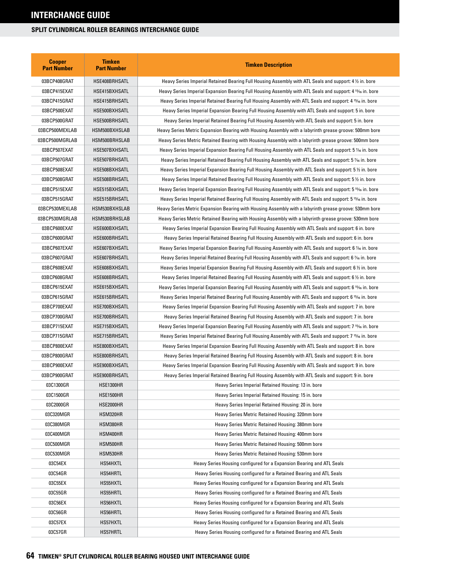| <b>Cooper</b><br><b>Part Number</b> | <b>Timken</b><br><b>Part Number</b> | <b>Timken Description</b>                                                                                             |  |
|-------------------------------------|-------------------------------------|-----------------------------------------------------------------------------------------------------------------------|--|
| 03BCP408GRAT                        | HSE408BRHSATL                       | Heavy Series Imperial Retained Bearing Full Housing Assembly with ATL Seals and support: 4 1/2 in. bore               |  |
| 03BCP415EXAT                        | HSE415BXHSATL                       | Heavy Series Imperial Expansion Bearing Full Housing Assembly with ATL Seals and support: 4 15% in. bore              |  |
| 03BCP415GRAT                        | HSE415BRHSATL                       | Heavy Series Imperial Retained Bearing Full Housing Assembly with ATL Seals and support: 4 15% in. bore               |  |
| 03BCP500EXAT                        | HSE500BXHSATL                       | Heavy Series Imperial Expansion Bearing Full Housing Assembly with ATL Seals and support: 5 in. bore                  |  |
| 03BCP500GRAT                        | HSE500BRHSATL                       | Heavy Series Imperial Retained Bearing Full Housing Assembly with ATL Seals and support: 5 in. bore                   |  |
| 03BCP500MEXLAB                      | HSM500BXHSLAB                       | Heavy Series Metric Expansion Bearing with Housing Assembly with a labyrinth grease groove: 500mm bore                |  |
| 03BCP500MGRLAB                      | HSM500BRHSLAB                       | Heavy Series Metric Retained Bearing with Housing Assembly with a labyrinth grease groove: 500mm bore                 |  |
| 03BCP507EXAT                        | HSE507BXHSATL                       | Heavy Series Imperial Expansion Bearing Full Housing Assembly with ATL Seals and support: 5 % in. bore                |  |
| 03BCP507GRAT                        | HSE507BRHSATL                       | Heavy Series Imperial Retained Bearing Full Housing Assembly with ATL Seals and support: 5 % in. bore                 |  |
| 03BCP508EXAT                        | HSE508BXHSATL                       | Heavy Series Imperial Expansion Bearing Full Housing Assembly with ATL Seals and support: 5 $\frac{1}{2}$ in. bore    |  |
| 03BCP508GRAT                        | HSE508BRHSATL                       | Heavy Series Imperial Retained Bearing Full Housing Assembly with ATL Seals and support: 5 1/2 in. bore               |  |
| 03BCP515EXAT                        | HSE515BXHSATL                       | Heavy Series Imperial Expansion Bearing Full Housing Assembly with ATL Seals and support: 5 15/16 in. bore            |  |
| 03BCP515GRAT                        | HSE515BRHSATL                       | Heavy Series Imperial Retained Bearing Full Housing Assembly with ATL Seals and support: 5 15/16 in. bore             |  |
| 03BCP530MEXLAB                      | HSM530BXHSLAB                       | Heavy Series Metric Expansion Bearing with Housing Assembly with a labyrinth grease groove: 530mm bore                |  |
| 03BCP530MGRLAB                      | HSM530BRHSLAB                       | Heavy Series Metric Retained Bearing with Housing Assembly with a labyrinth grease groove: 530mm bore                 |  |
| 03BCP600EXAT                        | HSE600BXHSATL                       | Heavy Series Imperial Expansion Bearing Full Housing Assembly with ATL Seals and support: 6 in. bore                  |  |
| 03BCP600GRAT                        | HSE600BRHSATL                       | Heavy Series Imperial Retained Bearing Full Housing Assembly with ATL Seals and support: 6 in. bore                   |  |
| 03BCP607EXAT                        | HSE607BXHSATL                       | Heavy Series Imperial Expansion Bearing Full Housing Assembly with ATL Seals and support: 6 % in. bore                |  |
| 03BCP607GRAT                        | HSE607BRHSATL                       | Heavy Series Imperial Retained Bearing Full Housing Assembly with ATL Seals and support: 6 % in. bore                 |  |
| 03BCP608EXAT                        | HSE608BXHSATL                       | Heavy Series Imperial Expansion Bearing Full Housing Assembly with ATL Seals and support: 6 % in. bore                |  |
| 03BCP608GRAT                        | HSE608BRHSATL                       | Heavy Series Imperial Retained Bearing Full Housing Assembly with ATL Seals and support: 6 $\frac{1}{2}$ in. bore     |  |
| 03BCP615EXAT                        | HSE615BXHSATL                       | Heavy Series Imperial Expansion Bearing Full Housing Assembly with ATL Seals and support: 6 15/16 in. bore            |  |
| 03BCP615GRAT                        | HSE615BRHSATL                       | Heavy Series Imperial Retained Bearing Full Housing Assembly with ATL Seals and support: 6 <sup>15</sup> /16 in. bore |  |
| 03BCP700EXAT                        | HSE700BXHSATL                       | Heavy Series Imperial Expansion Bearing Full Housing Assembly with ATL Seals and support: 7 in. bore                  |  |
| 03BCP700GRAT                        | HSE700BRHSATL                       | Heavy Series Imperial Retained Bearing Full Housing Assembly with ATL Seals and support: 7 in. bore                   |  |
| 03BCP715EXAT                        | HSE715BXHSATL                       | Heavy Series Imperial Expansion Bearing Full Housing Assembly with ATL Seals and support: 7 15% in. bore              |  |
| 03BCP715GRAT                        | HSE715BRHSATL                       | Heavy Series Imperial Retained Bearing Full Housing Assembly with ATL Seals and support: 7 15/16 in. bore             |  |
| 03BCP800EXAT                        | HSE800BXHSATL                       | Heavy Series Imperial Expansion Bearing Full Housing Assembly with ATL Seals and support: 8 in. bore                  |  |
| 03BCP800GRAT                        | HSE800BRHSATL                       | Heavy Series Imperial Retained Bearing Full Housing Assembly with ATL Seals and support: 8 in. bore                   |  |
| 03BCP900EXAT                        | HSE900BXHSATL                       | Heavy Series Imperial Expansion Bearing Full Housing Assembly with ATL Seals and support: 9 in. bore                  |  |
| 03BCP900GRAT                        | HSE900BRHSATL                       | Heavy Series Imperial Retained Bearing Full Housing Assembly with ATL Seals and support: 9 in. bore                   |  |
| 03C1300GR                           | HSE1300HR                           | Heavy Series Imperial Retained Housing: 13 in. bore                                                                   |  |
| 03C1500GR                           | HSE1500HR                           | Heavy Series Imperial Retained Housing: 15 in. bore                                                                   |  |
| 03C2000GR                           | HSE2000HR                           | Heavy Series Imperial Retained Housing: 20 in. bore                                                                   |  |
| 03C320MGR                           | HSM320HR                            | Heavy Series Metric Retained Housing: 320mm bore                                                                      |  |
| 03C380MGR                           | HSM380HR                            | Heavy Series Metric Retained Housing: 380mm bore                                                                      |  |
| 03C400MGR                           | HSM400HR                            | Heavy Series Metric Retained Housing: 400mm bore                                                                      |  |
| 03C500MGR                           | HSM500HR                            | Heavy Series Metric Retained Housing: 500mm bore                                                                      |  |
| 03C530MGR                           | HSM530HR                            | Heavy Series Metric Retained Housing: 530mm bore                                                                      |  |
| 03C54EX                             | HS54HXTL                            | Heavy Series Housing configured for a Expansion Bearing and ATL Seals                                                 |  |
| 03C54GR                             | HS54HRTL                            | Heavy Series Housing configured for a Retained Bearing and ATL Seals                                                  |  |
| 03C55EX                             | HS55HXTL                            | Heavy Series Housing configured for a Expansion Bearing and ATL Seals                                                 |  |
| 03C55GR                             | HS55HRTL                            | Heavy Series Housing configured for a Retained Bearing and ATL Seals                                                  |  |
| 03C56EX                             | HS56HXTL                            | Heavy Series Housing configured for a Expansion Bearing and ATL Seals                                                 |  |
| 03C56GR                             | HS56HRTL                            | Heavy Series Housing configured for a Retained Bearing and ATL Seals                                                  |  |
| 03C57EX                             | HS57HXTL                            | Heavy Series Housing configured for a Expansion Bearing and ATL Seals                                                 |  |
| 03C57GR                             | HS57HRTL                            | Heavy Series Housing configured for a Retained Bearing and ATL Seals                                                  |  |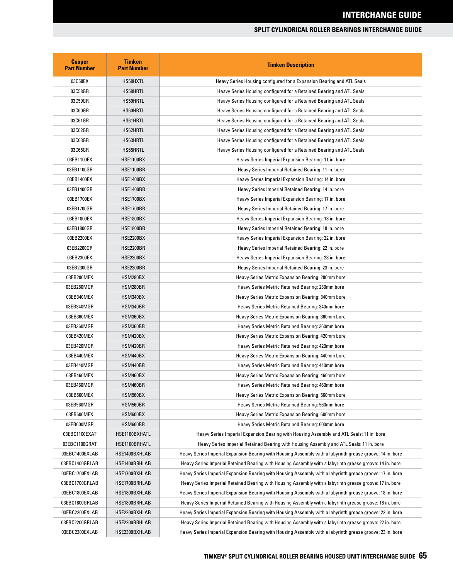| <b>Cooper</b><br><b>Part Number</b> | <b>Timken</b><br><b>Part Number</b> | <b>Timken Description</b>                                                                                 |  |
|-------------------------------------|-------------------------------------|-----------------------------------------------------------------------------------------------------------|--|
| 03C58EX                             | HS58HXTL                            | Heavy Series Housing configured for a Expansion Bearing and ATL Seals                                     |  |
| 03C58GR                             | HS58HRTL                            | Heavy Series Housing configured for a Retained Bearing and ATL Seals                                      |  |
| 03C59GR                             | HS59HRTL                            | Heavy Series Housing configured for a Retained Bearing and ATL Seals                                      |  |
| 03C60GR                             | HS60HRTL                            | Heavy Series Housing configured for a Retained Bearing and ATL Seals                                      |  |
| 03C61GR                             | HS61HRTL                            | Heavy Series Housing configured for a Retained Bearing and ATL Seals                                      |  |
| 03C62GR                             | HS62HRTL                            | Heavy Series Housing configured for a Retained Bearing and ATL Seals                                      |  |
| 03C63GR                             | HS63HRTL                            | Heavy Series Housing configured for a Retained Bearing and ATL Seals                                      |  |
| 03C65GR                             | HS65HRTL                            | Heavy Series Housing configured for a Retained Bearing and ATL Seals                                      |  |
| 03EB1100EX                          | <b>HSE1100BX</b>                    | Heavy Series Imperial Expansion Bearing: 11 in. bore                                                      |  |
| 03EB1100GR                          | <b>HSE1100BR</b>                    | Heavy Series Imperial Retained Bearing: 11 in. bore                                                       |  |
| 03EB1400EX                          | <b>HSE1400BX</b>                    | Heavy Series Imperial Expansion Bearing: 14 in. bore                                                      |  |
| 03EB1400GR                          | <b>HSE1400BR</b>                    | Heavy Series Imperial Retained Bearing: 14 in. bore                                                       |  |
| 03EB1700EX                          | <b>HSE1700BX</b>                    | Heavy Series Imperial Expansion Bearing: 17 in. bore                                                      |  |
| 03EB1700GR                          | <b>HSE1700BR</b>                    | Heavy Series Imperial Retained Bearing: 17 in. bore                                                       |  |
| 03EB1800EX                          | <b>HSE1800BX</b>                    | Heavy Series Imperial Expansion Bearing: 18 in. bore                                                      |  |
| 03EB1800GR                          | <b>HSE1800BR</b>                    | Heavy Series Imperial Retained Bearing: 18 in. bore                                                       |  |
| 03EB2200EX                          | <b>HSE2200BX</b>                    | Heavy Series Imperial Expansion Bearing: 22 in. bore                                                      |  |
| 03EB2200GR                          | <b>HSE2200BR</b>                    | Heavy Series Imperial Retained Bearing: 22 in. bore                                                       |  |
| 03EB2300EX                          | <b>HSE2300BX</b>                    | Heavy Series Imperial Expansion Bearing: 23 in. bore                                                      |  |
| 03EB2300GR                          | <b>HSE2300BR</b>                    | Heavy Series Imperial Retained Bearing: 23 in. bore                                                       |  |
| 03EB280MEX                          | HSM280BX                            | Heavy Series Metric Expansion Bearing: 280mm bore                                                         |  |
| 03EB280MGR                          | HSM280BR                            | Heavy Series Metric Retained Bearing: 280mm bore                                                          |  |
| 03EB340MEX                          | HSM340BX                            | Heavy Series Metric Expansion Bearing: 340mm bore                                                         |  |
| 03EB340MGR                          | HSM340BR                            | Heavy Series Metric Retained Bearing: 340mm bore                                                          |  |
| 03EB360MEX                          | HSM360BX                            | Heavy Series Metric Expansion Bearing: 360mm bore                                                         |  |
| 03EB360MGR                          | HSM360BR                            | Heavy Series Metric Retained Bearing: 360mm bore                                                          |  |
| 03EB420MEX                          | HSM420BX                            | Heavy Series Metric Expansion Bearing: 420mm bore                                                         |  |
| 03EB420MGR                          | HSM420BR                            | Heavy Series Metric Retained Bearing: 420mm bore                                                          |  |
| 03EB440MEX                          | HSM440BX                            | Heavy Series Metric Expansion Bearing: 440mm bore                                                         |  |
| 03EB440MGR                          | HSM440BR                            | Heavy Series Metric Retained Bearing: 440mm bore                                                          |  |
| 03EB460MEX                          | HSM460BX                            | Heavy Series Metric Expansion Bearing: 460mm bore                                                         |  |
| 03EB460MGR                          | HSM460BR                            | Heavy Series Metric Retained Bearing: 460mm bore                                                          |  |
| 03EB560MEX                          | HSM560BX                            | Heavy Series Metric Expansion Bearing: 560mm bore                                                         |  |
| 03EB560MGR                          | HSM560BR                            | Heavy Series Metric Retained Bearing: 560mm bore                                                          |  |
| 03EB600MEX                          | HSM600BX                            | Heavy Series Metric Expansion Bearing: 600mm bore                                                         |  |
| 03EB600MGR                          | HSM600BR                            | Heavy Series Metric Retained Bearing: 600mm bore                                                          |  |
| 03EBC1100EXAT                       | HSE1100BXHATL                       | Heavy Series Imperial Expansion Bearing with Housing Assembly and ATL Seals: 11 in. bore                  |  |
| 03EBC1100GRAT                       | HSE1100BRHATL                       | Heavy Series Imperial Retained Bearing with Housing Assembly and ATL Seals: 11 in. bore                   |  |
| 03EBC1400EXLAB                      | HSE1400BXHLAB                       | Heavy Series Imperial Expansion Bearing with Housing Assembly with a labyrinth grease groove: 14 in. bore |  |
| 03EBC1400GRLAB                      | HSE1400BRHLAB                       | Heavy Series Imperial Retained Bearing with Housing Assembly with a labyrinth grease groove: 14 in. bore  |  |
| 03EBC1700EXLAB                      | HSE1700BXHLAB                       | Heavy Series Imperial Expansion Bearing with Housing Assembly with a labyrinth grease groove: 17 in. bore |  |
| 03EBC1700GRLAB                      | HSE1700BRHLAB                       | Heavy Series Imperial Retained Bearing with Housing Assembly with a labyrinth grease groove: 17 in. bore  |  |
| 03EBC1800EXLAB                      | HSE1800BXHLAB                       | Heavy Series Imperial Expansion Bearing with Housing Assembly with a labyrinth grease groove: 18 in. bore |  |
| 03EBC1800GRLAB                      | HSE1800BRHLAB                       | Heavy Series Imperial Retained Bearing with Housing Assembly with a labyrinth grease groove: 18 in. bore  |  |
| 03EBC2200EXLAB                      | HSE2200BXHLAB                       | Heavy Series Imperial Expansion Bearing with Housing Assembly with a labyrinth grease groove: 22 in. bore |  |
| 03EBC2200GRLAB                      | HSE2200BRHLAB                       | Heavy Series Imperial Retained Bearing with Housing Assembly with a labyrinth grease groove: 22 in. bore  |  |
| 03EBC2300EXLAB                      | HSE2300BXHLAB                       | Heavy Series Imperial Expansion Bearing with Housing Assembly with a labyrinth grease groove: 23 in. bore |  |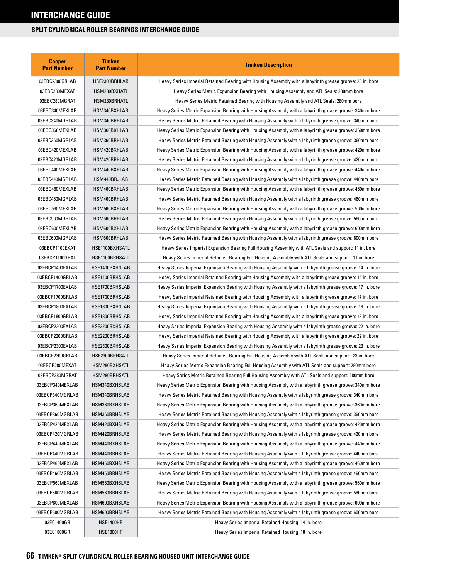| <b>Cooper</b><br><b>Part Number</b> | <b>Timken</b><br><b>Part Number</b> | <b>Timken Description</b>                                                                                 |  |  |
|-------------------------------------|-------------------------------------|-----------------------------------------------------------------------------------------------------------|--|--|
| 03EBC2300GRLAB                      | HSE2300BRHLAB                       | Heavy Series Imperial Retained Bearing with Housing Assembly with a labyrinth grease groove: 23 in. bore  |  |  |
| 03EBC280MEXAT                       | HSM280BXHATL                        | Heavy Series Metric Expansion Bearing with Housing Assembly and ATL Seals: 280mm bore                     |  |  |
| 03EBC280MGRAT                       | HSM280BRHATL                        | Heavy Series Metric Retained Bearing with Housing Assembly and ATL Seals: 280mm bore                      |  |  |
| 03EBC340MEXLAB                      | HSM340BXHLAB                        | Heavy Series Metric Expansion Bearing with Housing Assembly with a labyrinth grease groove: 340mm bore    |  |  |
| 03EBC340MGRLAB                      | HSM340BRHLAB                        | Heavy Series Metric Retained Bearing with Housing Assembly with a labyrinth grease groove: 340mm bore     |  |  |
| 03EBC360MEXLAB                      | HSM360BXHLAB                        | Heavy Series Metric Expansion Bearing with Housing Assembly with a labyrinth grease groove: 360mm bore    |  |  |
| 03EBC360MGRLAB                      | HSM360BRHLAB                        | Heavy Series Metric Retained Bearing with Housing Assembly with a labyrinth grease groove: 360mm bore     |  |  |
| 03EBC420MEXLAB                      | HSM420BXHLAB                        | Heavy Series Metric Expansion Bearing with Housing Assembly with a labyrinth grease groove: 420mm bore    |  |  |
| 03EBC420MGRLAB                      | HSM420BRHLAB                        | Heavy Series Metric Retained Bearing with Housing Assembly with a labyrinth grease groove: 420mm bore     |  |  |
| 03EBC440MEXLAB                      | HSM440BXHLAB                        | Heavy Series Metric Expansion Bearing with Housing Assembly with a labyrinth grease groove: 440mm bore    |  |  |
| 03EBC440MGRLAB                      | HSM440BRJLAB                        | Heavy Series Metric Retained Bearing with Housing Assembly with a labyrinth grease groove: 440mm bore     |  |  |
| 03EBC460MEXLAB                      | HSM460BXHLAB                        | Heavy Series Metric Expansion Bearing with Housing Assembly with a labyrinth grease groove: 460mm bore    |  |  |
| 03EBC460MGRLAB                      | HSM460BRHLAB                        | Heavy Series Metric Retained Bearing with Housing Assembly with a labyrinth grease groove: 460mm bore     |  |  |
| 03EBC560MEXLAB                      | HSM560BXHLAB                        | Heavy Series Metric Expansion Bearing with Housing Assembly with a labyrinth grease groove: 560mm bore    |  |  |
| 03EBC560MGRLAB                      | HSM560BRHLAB                        | Heavy Series Metric Retained Bearing with Housing Assembly with a labyrinth grease groove: 560mm bore     |  |  |
| 03EBC600MEXLAB                      | HSM600BXHLAB                        | Heavy Series Metric Expansion Bearing with Housing Assembly with a labyrinth grease groove: 600mm bore    |  |  |
| 03EBC600MGRLAB                      | HSM600BRHLAB                        | Heavy Series Metric Retained Bearing with Housing Assembly with a labyrinth grease groove: 600mm bore     |  |  |
| 03EBCP1100EXAT                      | HSE1100BXHSATL                      | Heavy Series Imperial Expansion Bearing Full Housing Assembly with ATL Seals and support: 11 in. bore     |  |  |
| 03EBCP1100GRAT                      | HSE1100BRHSATL                      | Heavy Series Imperial Retained Bearing Full Housing Assembly with ATL Seals and support: 11 in. bore      |  |  |
| 03EBCP1400EXLAB                     | HSE1400BXHSLAB                      | Heavy Series Imperial Expansion Bearing with Housing Assembly with a labyrinth grease groove: 14 in. bore |  |  |
| 03EBCP1400GRLAB                     | HSE1400BRHSLAB                      | Heavy Series Imperial Retained Bearing with Housing Assembly with a labyrinth grease groove: 14 in. bore  |  |  |
| 03EBCP1700EXLAB                     | HSE1700BXHSLAB                      | Heavy Series Imperial Expansion Bearing with Housing Assembly with a labyrinth grease groove: 17 in. bore |  |  |
| 03EBCP1700GRLAB                     | HSE1700BRHSLAB                      | Heavy Series Imperial Retained Bearing with Housing Assembly with a labyrinth grease groove: 17 in. bore  |  |  |
| 03EBCP1800EXLAB                     | HSE1800BXHSLAB                      | Heavy Series Imperial Expansion Bearing with Housing Assembly with a labyrinth grease groove: 18 in. bore |  |  |
| 03EBCP1800GRLAB                     | HSE1800BRHSLAB                      | Heavy Series Imperial Retained Bearing with Housing Assembly with a labyrinth grease groove: 18 in. bore  |  |  |
| 03EBCP2200EXLAB                     | HSE2200BXHSLAB                      | Heavy Series Imperial Expansion Bearing with Housing Assembly with a labyrinth grease groove: 22 in. bore |  |  |
| 03EBCP2200GRLAB                     | HSE2200BRHSLAB                      | Heavy Series Imperial Retained Bearing with Housing Assembly with a labyrinth grease groove: 22 in. bore  |  |  |
| 03EBCP2300EXLAB                     | HSE2300BXHSLAB                      | Heavy Series Imperial Expansion Bearing with Housing Assembly with a labyrinth grease groove: 23 in. bore |  |  |
| 03EBCP2300GRLAB                     | HSE2300BRHSATL                      | Heavy Series Imperial Retained Bearing Full Housing Assembly with ATL Seals and support: 23 in. bore      |  |  |
| 03EBCP280MEXAT                      | HSM280BXHSATL                       | Heavy Series Metric Expansion Bearing Full Housing Assembly with ATL Seals and support: 280mm bore        |  |  |
| 03EBCP280MGRAT                      | HSM280BRHSATL                       | Heavy Series Metric Retained Bearing Full Housing Assembly with ATL Seals and support: 280mm bore         |  |  |
| 03EBCP340MEXLAB                     | HSM340BXHSLAB                       | Heavy Series Metric Expansion Bearing with Housing Assembly with a labyrinth grease groove: 340mm bore    |  |  |
| 03EBCP340MGRLAB                     | HSM340BRHSLAB                       | Heavy Series Metric Retained Bearing with Housing Assembly with a labyrinth grease groove: 340mm bore     |  |  |
| 03EBCP360MEXLAB                     | HSM360BXHSLAB                       | Heavy Series Metric Expansion Bearing with Housing Assembly with a labyrinth grease groove: 360mm bore    |  |  |
| 03EBCP360MGRLAB                     | HSM360BRHSLAB                       | Heavy Series Metric Retained Bearing with Housing Assembly with a labyrinth grease groove: 360mm bore     |  |  |
| 03EBCP420MEXLAB                     | HSM420BXHSLAB                       | Heavy Series Metric Expansion Bearing with Housing Assembly with a labyrinth grease groove: 420mm bore    |  |  |
| 03EBCP420MGRLAB                     | HSM420BRHSLAB                       | Heavy Series Metric Retained Bearing with Housing Assembly with a labyrinth grease groove: 420mm bore     |  |  |
| 03EBCP440MEXLAB                     | HSM440BXHSLAB                       | Heavy Series Metric Expansion Bearing with Housing Assembly with a labyrinth grease groove: 440mm bore    |  |  |
| 03EBCP440MGRLAB                     | HSM440BRHSLAB                       | Heavy Series Metric Retained Bearing with Housing Assembly with a labyrinth grease groove: 440mm bore     |  |  |
| 03EBCP460MEXLAB                     | HSM460BXHSLAB                       | Heavy Series Metric Expansion Bearing with Housing Assembly with a labyrinth grease groove: 460mm bore    |  |  |
| 03EBCP460MGRLAB                     | HSM460BRHSLAB                       | Heavy Series Metric Retained Bearing with Housing Assembly with a labyrinth grease groove: 460mm bore     |  |  |
| 03EBCP560MEXLAB                     | HSM560BXHSLAB                       | Heavy Series Metric Expansion Bearing with Housing Assembly with a labyrinth grease groove: 560mm bore    |  |  |
| 03EBCP560MGRLAB                     | HSM560BRHSLAB                       | Heavy Series Metric Retained Bearing with Housing Assembly with a labyrinth grease groove: 560mm bore     |  |  |
| 03EBCP600MEXLAB                     | HSM600BXHSLAB                       | Heavy Series Metric Expansion Bearing with Housing Assembly with a labyrinth grease groove: 600mm bore    |  |  |
| 03EBCP600MGRLAB                     | HSM600BRHSLAB                       | Heavy Series Metric Retained Bearing with Housing Assembly with a labyrinth grease groove: 600mm bore     |  |  |
| 03EC1400GR                          | HSE1400HR                           | Heavy Series Imperial Retained Housing: 14 in. bore                                                       |  |  |
| 03EC1800GR                          | HSE1800HR                           | Heavy Series Imperial Retained Housing: 18 in. bore                                                       |  |  |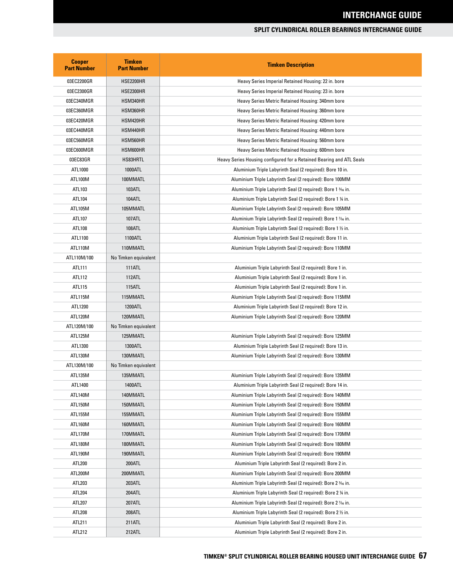| <b>Cooper</b><br><b>Part Number</b> | <b>Timken</b><br><b>Part Number</b> | <b>Timken Description</b>                                            |  |
|-------------------------------------|-------------------------------------|----------------------------------------------------------------------|--|
| 03EC2200GR                          | <b>HSE2200HR</b>                    | Heavy Series Imperial Retained Housing: 22 in. bore                  |  |
| 03EC2300GR                          | <b>HSE2300HR</b>                    | Heavy Series Imperial Retained Housing: 23 in. bore                  |  |
| 03EC340MGR                          | HSM340HR                            | Heavy Series Metric Retained Housing: 340mm bore                     |  |
| 03EC360MGR                          | HSM360HR                            | Heavy Series Metric Retained Housing: 360mm bore                     |  |
| 03EC420MGR                          | HSM420HR                            | Heavy Series Metric Retained Housing: 420mm bore                     |  |
| 03EC440MGR                          | HSM440HR                            | Heavy Series Metric Retained Housing: 440mm bore                     |  |
| 03EC560MGR                          | HSM560HR                            | Heavy Series Metric Retained Housing: 560mm bore                     |  |
| 03EC600MGR                          | HSM600HR                            | Heavy Series Metric Retained Housing: 600mm bore                     |  |
| 03EC83GR                            | HS83HRTL                            | Heavy Series Housing configured for a Retained Bearing and ATL Seals |  |
| ATL1000                             | 1000ATL                             | Aluminium Triple Labyrinth Seal (2 required): Bore 10 in.            |  |
| ATL100M                             | 100MMATL                            | Aluminium Triple Labyrinth Seal (2 required): Bore 100MM             |  |
| ATL103                              | 103ATL                              | Aluminium Triple Labyrinth Seal (2 required): Bore 1 % in.           |  |
| ATL104                              | <b>104ATL</b>                       | Aluminium Triple Labyrinth Seal (2 required): Bore 1 % in.           |  |
| ATL105M                             | 105MMATL                            | Aluminium Triple Labyrinth Seal (2 required): Bore 105MM             |  |
| ATL107                              | 107ATL                              | Aluminium Triple Labyrinth Seal (2 required): Bore 1 % in.           |  |
| ATL108                              | 108ATL                              | Aluminium Triple Labyrinth Seal (2 required): Bore 1 1/2 in.         |  |
| ATL1100                             | 1100ATL                             | Aluminium Triple Labyrinth Seal (2 required): Bore 11 in.            |  |
| ATL110M                             | 110MMATL                            | Aluminium Triple Labyrinth Seal (2 required): Bore 110MM             |  |
| ATL110M/100                         | No Timken equivalent                |                                                                      |  |
| ATL111                              | <b>111ATL</b>                       | Aluminium Triple Labyrinth Seal (2 required): Bore 1 in.             |  |
| ATL112                              | 112ATL                              | Aluminium Triple Labyrinth Seal (2 required): Bore 1 in.             |  |
| ATL115                              | 115ATL                              | Aluminium Triple Labyrinth Seal (2 required): Bore 1 in.             |  |
| ATL115M                             | 115MMATL                            | Aluminium Triple Labyrinth Seal (2 required): Bore 115MM             |  |
| ATL1200                             | 1200ATL                             | Aluminium Triple Labyrinth Seal (2 required): Bore 12 in.            |  |
| ATL120M                             | 120MMATL                            | Aluminium Triple Labyrinth Seal (2 required): Bore 120MM             |  |
| ATL120M/100                         | No Timken equivalent                |                                                                      |  |
| ATL125M                             | 125MMATL                            | Aluminium Triple Labyrinth Seal (2 required): Bore 125MM             |  |
| ATL1300                             | 1300ATL                             | Aluminium Triple Labyrinth Seal (2 required): Bore 13 in.            |  |
| ATL130M                             | 130MMATL                            | Aluminium Triple Labyrinth Seal (2 required): Bore 130MM             |  |
| ATL130M/100                         | No Timken equivalent                |                                                                      |  |
| ATL135M                             | 135MMATL                            | Aluminium Triple Labyrinth Seal (2 required): Bore 135MM             |  |
| ATL1400                             | 1400ATL                             | Aluminium Triple Labyrinth Seal (2 required): Bore 14 in.            |  |
| ATL140M                             | 140MMATL                            | Aluminium Triple Labyrinth Seal (2 required): Bore 140MM             |  |
| ATL150M                             | 150MMATL                            | Aluminium Triple Labyrinth Seal (2 required): Bore 150MM             |  |
| ATL155M                             | 155MMATL                            | Aluminium Triple Labyrinth Seal (2 required): Bore 155MM             |  |
| ATL160M                             | 160MMATL                            | Aluminium Triple Labyrinth Seal (2 required): Bore 160MM             |  |
| ATL170M                             | 170MMATL                            | Aluminium Triple Labyrinth Seal (2 required): Bore 170MM             |  |
| ATL180M                             | 180MMATL                            | Aluminium Triple Labyrinth Seal (2 required): Bore 180MM             |  |
| ATL190M                             | 190MMATL                            | Aluminium Triple Labyrinth Seal (2 required): Bore 190MM             |  |
| ATL200                              | 200ATL                              | Aluminium Triple Labyrinth Seal (2 required): Bore 2 in.             |  |
| ATL200M                             | 200MMATL                            | Aluminium Triple Labyrinth Seal (2 required): Bore 200MM             |  |
| ATL203                              | 203ATL                              | Aluminium Triple Labyrinth Seal (2 required): Bore 2 3/6 in.         |  |
| ATL204                              | 204ATL                              | Aluminium Triple Labyrinth Seal (2 required): Bore 2 % in.           |  |
| ATL207                              | 207ATL                              | Aluminium Triple Labyrinth Seal (2 required): Bore 2 % in.           |  |
| ATL208                              | 208ATL                              | Aluminium Triple Labyrinth Seal (2 required): Bore 2 1/2 in.         |  |
| ATL211                              | 211ATL                              | Aluminium Triple Labyrinth Seal (2 required): Bore 2 in.             |  |
| ATL212                              | 212ATL                              | Aluminium Triple Labyrinth Seal (2 required): Bore 2 in.             |  |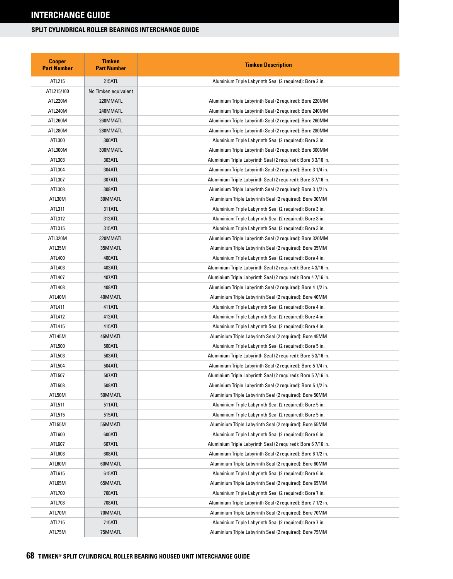| <b>Cooper</b><br><b>Part Number</b> | <b>Timken</b><br><b>Part Number</b> | <b>Timken Description</b>                                     |  |
|-------------------------------------|-------------------------------------|---------------------------------------------------------------|--|
| ATL215                              | 215ATL                              | Aluminium Triple Labyrinth Seal (2 required): Bore 2 in.      |  |
| ATL215/100                          | No Timken equivalent                |                                                               |  |
| ATL220M                             | 220MMATL                            | Aluminium Triple Labyrinth Seal (2 required): Bore 220MM      |  |
| ATL240M                             | 240MMATL                            | Aluminium Triple Labyrinth Seal (2 required): Bore 240MM      |  |
| ATL260M                             | 260MMATL                            | Aluminium Triple Labyrinth Seal (2 required): Bore 260MM      |  |
| ATL280M                             | 280MMATL                            | Aluminium Triple Labyrinth Seal (2 required): Bore 280MM      |  |
| ATL300                              | 300ATL                              | Aluminium Triple Labyrinth Seal (2 required): Bore 3 in.      |  |
| ATL300M                             | 300MMATL                            | Aluminium Triple Labyrinth Seal (2 required): Bore 300MM      |  |
| ATL303                              | 303ATL                              | Aluminium Triple Labyrinth Seal (2 required): Bore 3 3/16 in. |  |
| ATL304                              | 304ATL                              | Aluminium Triple Labyrinth Seal (2 required): Bore 3 1/4 in.  |  |
| ATL307                              | 307ATL                              | Aluminium Triple Labyrinth Seal (2 required): Bore 3 7/16 in. |  |
| ATL308                              | 308ATL                              | Aluminium Triple Labyrinth Seal (2 required): Bore 3 1/2 in.  |  |
| ATL30M                              | 30MMATL                             | Aluminium Triple Labyrinth Seal (2 required): Bore 30MM       |  |
| ATL311                              | 311ATL                              | Aluminium Triple Labyrinth Seal (2 required): Bore 3 in.      |  |
| ATL312                              | 312ATL                              | Aluminium Triple Labyrinth Seal (2 required): Bore 3 in.      |  |
| ATL315                              | 315ATL                              | Aluminium Triple Labyrinth Seal (2 required): Bore 3 in.      |  |
| ATL320M                             | 320MMATL                            | Aluminium Triple Labyrinth Seal (2 required): Bore 320MM      |  |
| ATL35M                              | 35MMATL                             | Aluminium Triple Labyrinth Seal (2 required): Bore 35MM       |  |
| ATL400                              | 400ATL                              | Aluminium Triple Labyrinth Seal (2 required): Bore 4 in.      |  |
| ATL403                              | 403ATL                              | Aluminium Triple Labyrinth Seal (2 required): Bore 4 3/16 in. |  |
| ATL407                              | 407ATL                              | Aluminium Triple Labyrinth Seal (2 required): Bore 4 7/16 in. |  |
| ATL408                              | 408ATL                              | Aluminium Triple Labyrinth Seal (2 required): Bore 4 1/2 in.  |  |
| ATL40M                              | 40MMATL                             | Aluminium Triple Labyrinth Seal (2 required): Bore 40MM       |  |
| ATL411                              | 411ATL                              | Aluminium Triple Labyrinth Seal (2 required): Bore 4 in.      |  |
| ATL412                              | 412ATL                              | Aluminium Triple Labyrinth Seal (2 required): Bore 4 in.      |  |
| ATL415                              | 415ATL                              | Aluminium Triple Labyrinth Seal (2 required): Bore 4 in.      |  |
| ATL45M                              | 45MMATL                             | Aluminium Triple Labyrinth Seal (2 required): Bore 45MM       |  |
| ATL500                              | 500ATL                              | Aluminium Triple Labyrinth Seal (2 required): Bore 5 in.      |  |
| ATL503                              | 503ATL                              | Aluminium Triple Labyrinth Seal (2 required): Bore 5 3/16 in. |  |
| ATL504                              | 504ATL                              | Aluminium Triple Labyrinth Seal (2 required): Bore 5 1/4 in.  |  |
| ATL507                              | 507ATL                              | Aluminium Triple Labyrinth Seal (2 required): Bore 5 7/16 in. |  |
| ATL508                              | 508ATL                              | Aluminium Triple Labyrinth Seal (2 required): Bore 5 1/2 in.  |  |
| ATL50M                              | 50MMATL                             | Aluminium Triple Labyrinth Seal (2 required): Bore 50MM       |  |
| ATL511                              | 511ATL                              | Aluminium Triple Labyrinth Seal (2 required): Bore 5 in.      |  |
| ATL515                              | 515ATL                              | Aluminium Triple Labyrinth Seal (2 required): Bore 5 in.      |  |
| ATL55M                              | 55MMATL                             | Aluminium Triple Labyrinth Seal (2 required): Bore 55MM       |  |
| ATL600                              | 600ATL                              | Aluminium Triple Labyrinth Seal (2 required): Bore 6 in.      |  |
| ATL607                              | 607ATL                              | Aluminium Triple Labyrinth Seal (2 required): Bore 6 7/16 in. |  |
| ATL608                              | 608ATL                              | Aluminium Triple Labyrinth Seal (2 required): Bore 6 1/2 in.  |  |
| ATL60M                              | 60MMATL                             | Aluminium Triple Labyrinth Seal (2 required): Bore 60MM       |  |
| ATL615                              | 615ATL                              | Aluminium Triple Labyrinth Seal (2 required): Bore 6 in.      |  |
| ATL65M                              | 65MMATL                             | Aluminium Triple Labyrinth Seal (2 required): Bore 65MM       |  |
| ATL700                              | 700ATL                              | Aluminium Triple Labyrinth Seal (2 required): Bore 7 in.      |  |
| ATL708                              | 708ATL                              | Aluminium Triple Labyrinth Seal (2 required): Bore 7 1/2 in.  |  |
| ATL70M                              | 70MMATL                             | Aluminium Triple Labyrinth Seal (2 required): Bore 70MM       |  |
| ATL715                              | 715ATL                              | Aluminium Triple Labyrinth Seal (2 required): Bore 7 in.      |  |
| ATL75M                              | 75MMATL                             | Aluminium Triple Labyrinth Seal (2 required): Bore 75MM       |  |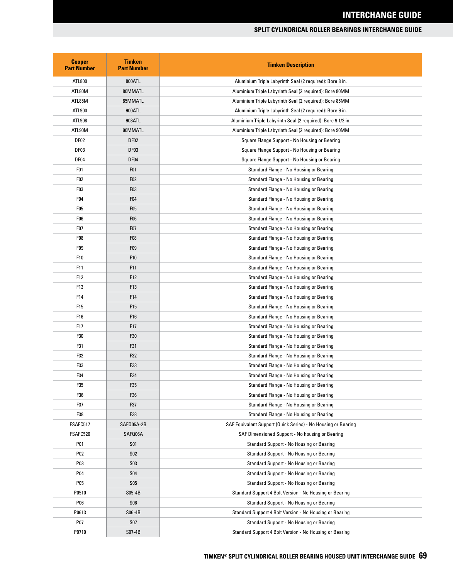| <b>Cooper</b><br><b>Part Number</b> | <b>Timken</b><br><b>Part Number</b> | <b>Timken Description</b>                                     |  |
|-------------------------------------|-------------------------------------|---------------------------------------------------------------|--|
| ATL800                              | 800ATL                              | Aluminium Triple Labyrinth Seal (2 required): Bore 8 in.      |  |
| ATL80M                              | 80MMATL                             | Aluminium Triple Labyrinth Seal (2 required): Bore 80MM       |  |
| ATL85M                              | 85MMATL                             | Aluminium Triple Labyrinth Seal (2 required): Bore 85MM       |  |
| ATL900                              | 900ATL                              | Aluminium Triple Labyrinth Seal (2 required): Bore 9 in.      |  |
| ATL908                              | 908ATL                              | Aluminium Triple Labyrinth Seal (2 required): Bore 9 1/2 in.  |  |
| ATL90M                              | 90MMATL                             | Aluminium Triple Labyrinth Seal (2 required): Bore 90MM       |  |
| DF <sub>02</sub>                    | DF <sub>02</sub>                    | Square Flange Support - No Housing or Bearing                 |  |
| DF <sub>03</sub>                    | DF <sub>03</sub>                    | Square Flange Support - No Housing or Bearing                 |  |
| DF04                                | DF04                                | Square Flange Support - No Housing or Bearing                 |  |
| F <sub>01</sub>                     | F <sub>0</sub> 1                    | Standard Flange - No Housing or Bearing                       |  |
| F <sub>02</sub>                     | F <sub>02</sub>                     | Standard Flange - No Housing or Bearing                       |  |
| F <sub>03</sub>                     | F03                                 | Standard Flange - No Housing or Bearing                       |  |
| F <sub>04</sub>                     | F <sub>04</sub>                     | Standard Flange - No Housing or Bearing                       |  |
| F <sub>0</sub> 5                    | F05                                 | Standard Flange - No Housing or Bearing                       |  |
| F <sub>06</sub>                     | F <sub>06</sub>                     | Standard Flange - No Housing or Bearing                       |  |
| F07                                 | F <sub>0</sub> 7                    | Standard Flange - No Housing or Bearing                       |  |
| F <sub>08</sub>                     | F <sub>0</sub> 8                    | Standard Flange - No Housing or Bearing                       |  |
| F <sub>09</sub>                     | F <sub>09</sub>                     | Standard Flange - No Housing or Bearing                       |  |
| F10                                 | F10                                 | Standard Flange - No Housing or Bearing                       |  |
| F11                                 | F11                                 | Standard Flange - No Housing or Bearing                       |  |
| F12                                 | F12                                 | Standard Flange - No Housing or Bearing                       |  |
| F13                                 | F <sub>13</sub>                     | Standard Flange - No Housing or Bearing                       |  |
| F14                                 | F14                                 | Standard Flange - No Housing or Bearing                       |  |
| F15                                 | F <sub>15</sub>                     | Standard Flange - No Housing or Bearing                       |  |
| F16                                 | F16                                 | Standard Flange - No Housing or Bearing                       |  |
| F17                                 | F17                                 | Standard Flange - No Housing or Bearing                       |  |
| F30                                 | F30                                 | Standard Flange - No Housing or Bearing                       |  |
| F31                                 | F31                                 | Standard Flange - No Housing or Bearing                       |  |
| F32                                 | F32                                 | Standard Flange - No Housing or Bearing                       |  |
| F33                                 | F33                                 | Standard Flange - No Housing or Bearing                       |  |
| F34                                 | F34                                 | Standard Flange - No Housing or Bearing                       |  |
| F35                                 | F35                                 | Standard Flange - No Housing or Bearing                       |  |
| F36                                 | F36                                 | Standard Flange - No Housing or Bearing                       |  |
| F37                                 | F37                                 | Standard Flange - No Housing or Bearing                       |  |
| F38                                 | F38                                 | Standard Flange - No Housing or Bearing                       |  |
| FSAFC517                            | SAFQ05A-2B                          | SAF Equivalent Support (Quick Series) - No Housing or Bearing |  |
| FSAFC520                            | SAFQ06A                             | SAF Dimensioned Support - No housing or Bearing               |  |
| P01                                 | <b>S01</b>                          | <b>Standard Support - No Housing or Bearing</b>               |  |
| P02                                 | <b>S02</b>                          | Standard Support - No Housing or Bearing                      |  |
| P03                                 | <b>S03</b>                          | Standard Support - No Housing or Bearing                      |  |
| P04                                 | <b>S04</b>                          | Standard Support - No Housing or Bearing                      |  |
| P05                                 | S <sub>05</sub>                     | Standard Support - No Housing or Bearing                      |  |
| P0510                               | S05-4B                              | Standard Support 4 Bolt Version - No Housing or Bearing       |  |
| P06                                 | <b>S06</b>                          | Standard Support - No Housing or Bearing                      |  |
| P0613                               | S06-4B                              | Standard Support 4 Bolt Version - No Housing or Bearing       |  |
| P07                                 | <b>S07</b>                          | Standard Support - No Housing or Bearing                      |  |
| P0710                               | S07-4B                              | Standard Support 4 Bolt Version - No Housing or Bearing       |  |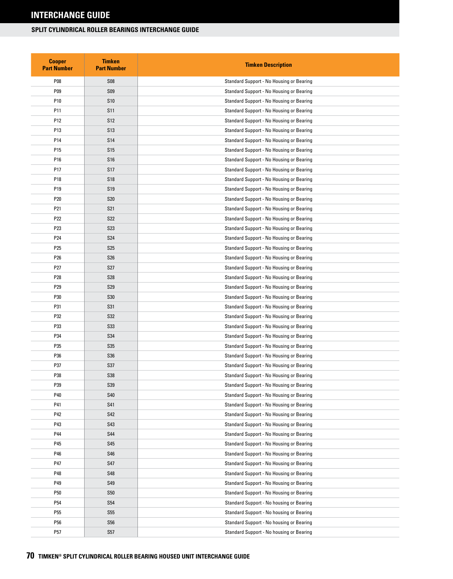| <b>Cooper</b><br><b>Part Number</b> | <b>Timken</b><br><b>Part Number</b> | <b>Timken Description</b>                       |  |
|-------------------------------------|-------------------------------------|-------------------------------------------------|--|
| P08                                 | <b>S08</b>                          | <b>Standard Support - No Housing or Bearing</b> |  |
| P09                                 | <b>S09</b>                          | <b>Standard Support - No Housing or Bearing</b> |  |
| P10                                 | <b>S10</b>                          | Standard Support - No Housing or Bearing        |  |
| P11                                 | S <sub>11</sub>                     | <b>Standard Support - No Housing or Bearing</b> |  |
| P12                                 | S <sub>12</sub>                     | <b>Standard Support - No Housing or Bearing</b> |  |
| P13                                 | S <sub>13</sub>                     | <b>Standard Support - No Housing or Bearing</b> |  |
| P14                                 | <b>S14</b>                          | <b>Standard Support - No Housing or Bearing</b> |  |
| P15                                 | S <sub>15</sub>                     | Standard Support - No Housing or Bearing        |  |
| P16                                 | <b>S16</b>                          | <b>Standard Support - No Housing or Bearing</b> |  |
| P17                                 | S <sub>17</sub>                     | <b>Standard Support - No Housing or Bearing</b> |  |
| P18                                 | <b>S18</b>                          | <b>Standard Support - No Housing or Bearing</b> |  |
| P19                                 | S <sub>19</sub>                     | <b>Standard Support - No Housing or Bearing</b> |  |
| P20                                 | <b>S20</b>                          | <b>Standard Support - No Housing or Bearing</b> |  |
| P21                                 | S21                                 | <b>Standard Support - No Housing or Bearing</b> |  |
| P22                                 | <b>S22</b>                          | <b>Standard Support - No Housing or Bearing</b> |  |
| P23                                 | <b>S23</b>                          | <b>Standard Support - No Housing or Bearing</b> |  |
| P24                                 | S24                                 | <b>Standard Support - No Housing or Bearing</b> |  |
| P25                                 | <b>S25</b>                          | <b>Standard Support - No Housing or Bearing</b> |  |
| P26                                 | <b>S26</b>                          | <b>Standard Support - No Housing or Bearing</b> |  |
| P27                                 | S <sub>27</sub>                     | Standard Support - No Housing or Bearing        |  |
| P28                                 | <b>S28</b>                          | <b>Standard Support - No Housing or Bearing</b> |  |
| P29                                 | S <sub>29</sub>                     | <b>Standard Support - No Housing or Bearing</b> |  |
| P30                                 | <b>S30</b>                          | Standard Support - No Housing or Bearing        |  |
| P31                                 | S31                                 | <b>Standard Support - No Housing or Bearing</b> |  |
| P32                                 | S32                                 | <b>Standard Support - No Housing or Bearing</b> |  |
| P33                                 | S33                                 | <b>Standard Support - No Housing or Bearing</b> |  |
| P34                                 | S34                                 | Standard Support - No Housing or Bearing        |  |
| P35                                 | S35                                 | Standard Support - No Housing or Bearing        |  |
| P36                                 | S36                                 | Standard Support - No Housing or Bearing        |  |
| P37                                 | S37                                 | <b>Standard Support - No Housing or Bearing</b> |  |
| P38                                 | S38                                 | <b>Standard Support - No Housing or Bearing</b> |  |
| P39                                 | S39                                 | Standard Support - No Housing or Bearing        |  |
| P40                                 | <b>S40</b>                          | <b>Standard Support - No Housing or Bearing</b> |  |
| P41                                 | S41                                 | Standard Support - No Housing or Bearing        |  |
| P42                                 | S42                                 | Standard Support - No Housing or Bearing        |  |
| P43                                 | S43                                 | Standard Support - No Housing or Bearing        |  |
| P44                                 | <b>S44</b>                          | Standard Support - No Housing or Bearing        |  |
| P45                                 | S45                                 | <b>Standard Support - No Housing or Bearing</b> |  |
| P46                                 | S46                                 | Standard Support - No Housing or Bearing        |  |
| P47                                 | S47                                 | <b>Standard Support - No Housing or Bearing</b> |  |
| P48                                 | S48                                 | Standard Support - No Housing or Bearing        |  |
| P49                                 | S49                                 | Standard Support - No Housing or Bearing        |  |
| P50                                 | <b>S50</b>                          | Standard Support - No Housing or Bearing        |  |
| P54                                 | S54                                 | Standard Support - No housing or Bearing        |  |
| P55                                 | S55                                 | Standard Support - No housing or Bearing        |  |
| P56                                 | <b>S56</b>                          | Standard Support - No housing or Bearing        |  |
| P57                                 | S57                                 | Standard Support - No housing or Bearing        |  |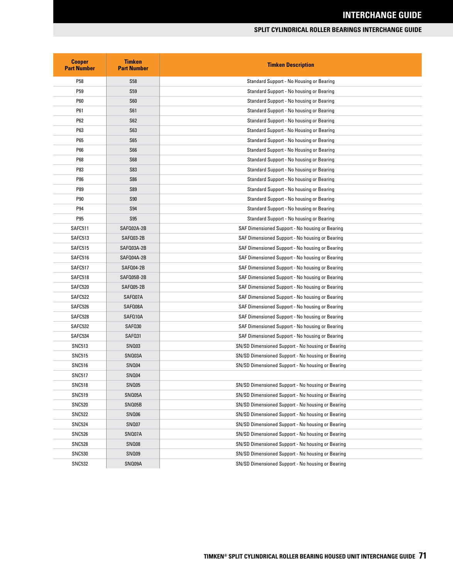| <b>Cooper</b><br><b>Part Number</b> | <b>Timken</b><br><b>Part Number</b> | <b>Timken Description</b>                         |  |
|-------------------------------------|-------------------------------------|---------------------------------------------------|--|
| P58                                 | <b>S58</b>                          | Standard Support - No Housing or Bearing          |  |
| P <sub>59</sub>                     | <b>S59</b>                          | Standard Support - No housing or Bearing          |  |
| P60                                 | <b>S60</b>                          | Standard Support - No housing or Bearing          |  |
| P61                                 | S <sub>61</sub>                     | Standard Support - No housing or Bearing          |  |
| P62                                 | <b>S62</b>                          | Standard Support - No housing or Bearing          |  |
| P63                                 | <b>S63</b>                          | Standard Support - No Housing or Bearing          |  |
| P65                                 | <b>S65</b>                          | Standard Support - No housing or Bearing          |  |
| P66                                 | <b>S66</b>                          | Standard Support - No Housing or Bearing          |  |
| P68                                 | S68                                 | Standard Support - No housing or Bearing          |  |
| P83                                 | <b>S83</b>                          | Standard Support - No housing or Bearing          |  |
| P86                                 | <b>S86</b>                          | Standard Support - No housing or Bearing          |  |
| P89                                 | <b>S89</b>                          | Standard Support - No housing or Bearing          |  |
| P90                                 | <b>S90</b>                          | Standard Support - No housing or Bearing          |  |
| P94                                 | <b>S94</b>                          | Standard Support - No housing or Bearing          |  |
| P95                                 | <b>S95</b>                          | Standard Support - No housing or Bearing          |  |
| SAFC511                             | SAFQ02A-2B                          | SAF Dimensioned Support - No housing or Bearing   |  |
| SAFC513                             | SAF003-2B                           | SAF Dimensioned Support - No housing or Bearing   |  |
| SAFC515                             | SAFQ03A-2B                          | SAF Dimensioned Support - No housing or Bearing   |  |
| SAFC516                             | SAFQ04A-2B                          | SAF Dimensioned Support - No housing or Bearing   |  |
| SAFC517                             | SAFQ04-2B                           | SAF Dimensioned Support - No housing or Bearing   |  |
| SAFC518                             | SAFQ05B-2B                          | SAF Dimensioned Support - No housing or Bearing   |  |
| SAFC520                             | SAF005-2B                           | SAF Dimensioned Support - No housing or Bearing   |  |
| SAFC522                             | SAF007A                             | SAF Dimensioned Support - No housing or Bearing   |  |
| SAFC526                             | SAFQ08A                             | SAF Dimensioned Support - No housing or Bearing   |  |
| SAFC528                             | SAFQ10A                             | SAF Dimensioned Support - No housing or Bearing   |  |
| SAFC532                             | SAF030                              | SAF Dimensioned Support - No housing or Bearing   |  |
| SAFC534                             | SAF031                              | SAF Dimensioned Support - No housing or Bearing   |  |
| <b>SNC513</b>                       | SN003                               | SN/SD Dimensioned Support - No housing or Bearing |  |
| <b>SNC515</b>                       | SNQ03A                              | SN/SD Dimensioned Support - No housing or Bearing |  |
| <b>SNC516</b>                       | SN004                               | SN/SD Dimensioned Support - No housing or Bearing |  |
| <b>SNC517</b>                       | SNQ04                               |                                                   |  |
| <b>SNC518</b>                       | SNQ05                               | SN/SD Dimensioned Support - No housing or Bearing |  |
| <b>SNC519</b>                       | SNQ05A                              | SN/SD Dimensioned Support - No housing or Bearing |  |
| <b>SNC520</b>                       | SNQ05B                              | SN/SD Dimensioned Support - No housing or Bearing |  |
| <b>SNC522</b>                       | <b>SN006</b>                        | SN/SD Dimensioned Support - No housing or Bearing |  |
| <b>SNC524</b>                       | SN007                               | SN/SD Dimensioned Support - No housing or Bearing |  |
| <b>SNC526</b>                       | SNQ07A                              | SN/SD Dimensioned Support - No housing or Bearing |  |
| <b>SNC528</b>                       | SNQ08                               | SN/SD Dimensioned Support - No housing or Bearing |  |
| <b>SNC530</b>                       | SNQ09                               | SN/SD Dimensioned Support - No housing or Bearing |  |
| <b>SNC532</b>                       | SNQ09A                              | SN/SD Dimensioned Support - No housing or Bearing |  |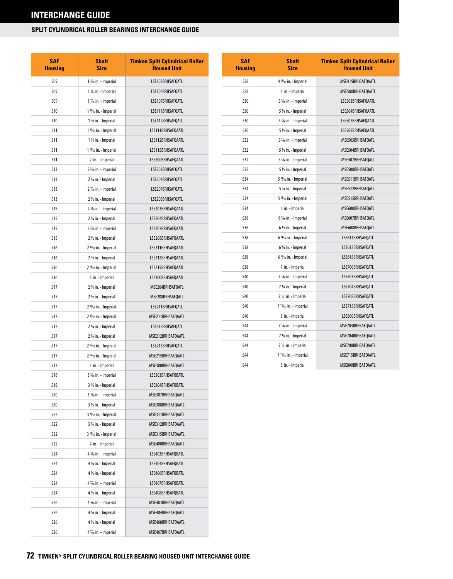| <b>SAF</b><br><b>Housing</b> | <b>Shaft</b><br>Size                                   | <b>Timken Split Cylindrical Roller</b><br><b>Housed Unit</b> |
|------------------------------|--------------------------------------------------------|--------------------------------------------------------------|
| 509                          | 1 <sup>3</sup> / <sub>6</sub> in. - Imperial           | LSE103BRHSAFOATL                                             |
| 509                          | 1 1/4 in. - Imperial                                   | LSE104BRHSAFQATL                                             |
| 509                          | 1 1/ <sub>6</sub> in. - Imperial                       | LSE107BRHSAFQATL                                             |
| 510                          | 1 <sup>1</sup> % in. - Imperial                        | LSE111BRHSAFQATL                                             |
| 510                          | 1 3/4 in. - Imperial                                   | LSE112BRHSAFQATL                                             |
| 511                          | 1 <sup>11</sup> / <sub>16</sub> in. - Imperial         | LSE111BRHSAFQAATL                                            |
| 511                          | 1 3/4 in. - Imperial                                   | LSE112BRHSAFQAATL                                            |
| 511                          | 1 <sup>15</sup> / <sub>16</sub> in. - Imperial         | LSE115BRHSAFQAATL                                            |
| 511                          | 2 in. - Imperial                                       | LSE200BRHSAFQAATL                                            |
| 513                          | 2 <sup>3</sup> / <sub>6</sub> in. - Imperial           | LSE203BRHSAFQATL                                             |
| 513                          | 2 1/4 in. - Imperial                                   | LSE204BRHSAFQATL                                             |
| 513                          | 2 1/ <sub>16</sub> in. - Imperial                      | LSE207BRHSAFQATL                                             |
| 513                          | 2 1/2 in. - Imperial                                   | LSE208BRHSAFOATL                                             |
| 515                          | 2 <sup>3</sup> / <sub>6</sub> in. - Imperial           | LSE203BRHSAFQAATL                                            |
| 515                          | 2 1/4 in. - Imperial                                   | LSE204BRHSAFQAATL                                            |
| 515                          | 2 1/ <sub>16</sub> in. - Imperial                      | LSE207BRHSAFQAATL                                            |
| 515                          | 2 1/2 in. - Imperial                                   | LSE208BRHSAFQAATL                                            |
| 516                          | 2 <sup>11</sup> / <sub>16</sub> in. - Imperial         | LSE211BRHSAFQAATL                                            |
| 516                          | 2 3/4 in. - Imperial                                   | LSE212BRHSAFQAATL                                            |
| 516                          | 2 <sup>15</sup> / <sub>16</sub> in. - Imperial         | LSE215BRHSAFQAATL                                            |
| 516                          | 3 in. - Imperial                                       | LSE300BRHSAFQAATL                                            |
| 517                          | 2 1/4 in. - Imperial                                   | MSE204BRHSAFQATL                                             |
| 517                          | 2 1/2 in. - Imperial                                   | MSE208BRHSAFQATL                                             |
| 517                          | 2 <sup>11</sup> / <sub>16</sub> in. - Imperial         | LSE211BRHSAFQATL                                             |
| 517                          | 2 <sup>11</sup> / <sub>16</sub> in. - Imperial         | MSE211BRHSAFQAATL                                            |
| 517                          | 2 3/4 in. - Imperial                                   | LSE212BRHSAFQATL                                             |
| 517                          | 2 3/4 in. - Imperial                                   | MSE212BRHSAFQAATL                                            |
| 517                          | 2 <sup>15</sup> / <sub>16</sub> in. - Imperial         | LSE215BRHSAFOATL                                             |
| 517                          | 2 <sup>15</sup> / <sub>16</sub> in. - Imperial         | MSE215BRHSAFQAATL                                            |
| 517                          | 3 in. - Imperial                                       | MSE300BRHSAFQAATL                                            |
| 518                          | 3 <sup>3</sup> / <sub>16</sub> in. - Imperial          | LSE303BRHSAFQBATL                                            |
| 518                          | 3 ¼ in. - Imperial                                     | LSE304BRHSAFQBATL                                            |
| 520                          | 3 1/ <sub>6</sub> in. - Imperial                       | MSE307BRHSAFQAATL                                            |
| 520                          | 3 1/2 in. - Imperial                                   | MSE308BRHSAFQAATL                                            |
| 522                          | 3 <sup>11</sup> / <sub>16</sub> in. - Imperial         | MSE311BRHSAFQAATL                                            |
| 522                          | 3 3/4 in. - Imperial                                   | MSE312BRHSAFQAATL                                            |
| 522                          | 3 <sup>15</sup> / <sub>16</sub> in. - Imperial         | MSE315BRHSAFQAATL                                            |
| 522                          | 4 in. - Imperial                                       | MSE400BRHSAFQAATL                                            |
| 524                          | 4 3/16 in. - Imperial                                  | LSE403BRHSAFQBATL                                            |
| 524<br>524                   | 4 1/4 in. - Imperial                                   | LSE404BRHSAFQBATL<br>LSE406BRHSAFQBATL                       |
| 524                          | 4 % in. - Imperial<br>4 1/ <sub>6</sub> in. - Imperial | LSE407BRHSAFQBATL                                            |
| 524                          | 4 1/2 in. - Imperial                                   | LSE408BRHSAFQBATL                                            |
| 526                          | 4 <sup>3</sup> / <sub>16</sub> in. - Imperial          | MSE403BRHSAFQAATL                                            |
| 526                          | 4 ¼ in. - Imperial                                     | MSE404BRHSAFQAATL                                            |
| 526                          | 4 1/2 in. - Imperial                                   | MSE408BRHSAFQAATL                                            |
| 526                          | 4 1/ <sub>6</sub> in. - Imperial                       | MSE407BRHSAFQAATL                                            |
|                              |                                                        |                                                              |

| <b>SAF</b><br><b>Housing</b> | <b>Shaft</b><br><b>Size</b>                    | <b>Timken Split Cylindrical Roller</b><br><b>Housed Unit</b> |
|------------------------------|------------------------------------------------|--------------------------------------------------------------|
| 528                          | 4 <sup>15</sup> / <sub>16</sub> in. - Imperial | MSE415BRHSAFQAATL                                            |
| 528                          | 5 in. - Imperial                               | MSE500BRHSAFQAATL                                            |
| 530                          | 5 3/16 in. - Imperial                          | LSE503BRHSAFOAATL                                            |
| 530                          | 5 1/4 in. - Imperial                           | LSE504BRHSAFQAATL                                            |
| 530                          | 5 1/ <sub>6</sub> in. - Imperial               | LSE507BRHSAFQAATL                                            |
| 530                          | 5 ½ in. - Imperial                             | LSE508BRHSAFQAATL                                            |
| 532                          | 5 3/16 in. - Imperial                          | MSE503BRHSAFQATL                                             |
| 532                          | 5 1/4 in. - Imperial                           | MSE504BRHSAFOATL                                             |
| 532                          | 5 1/ <sub>16</sub> in. - Imperial              | MSE507BRHSAFOATL                                             |
| 532                          | 5 1/2 in. - Imperial                           | MSE508BRHSAFOATL                                             |
| 534                          | 5 11/ <sub>16</sub> in. - Imperial             | MSE511BRHSAFQATL                                             |
| 534                          | 5 3/4 in. - Imperial                           | MSE512BRHSAFQATL                                             |
| 534                          | 5 <sup>15</sup> / <sub>16</sub> in. - Imperial | MSE515BRHSAFQATL                                             |
| 534                          | 6 in. - Imperial                               | MSE600BRHSAFQATL                                             |
| 536                          | 6 % in. - Imperial                             | MSE607BRHSAFQATL                                             |
| 536                          | 6 1/2 in. - Imperial                           | MSE608BRHSAFOATL                                             |
| 538                          | 6 <sup>11</sup> / <sub>6</sub> in. - Imperial  | LSE611BRHSAFOATL                                             |
| 538                          | 6 3/4 in. - Imperial                           | LSE612BRHSAFQATL                                             |
| 538                          | 6 <sup>15</sup> / <sub>16</sub> in. - Imperial | LSE615BRHSAFQATL                                             |
| 538                          | 7 in. - Imperial                               | LSE700BRHSAFQATL                                             |
| 540                          | 7 <sup>3</sup> / <sub>6</sub> in. - Imperial   | LSE703BRHSAFOATL                                             |
| 540                          | 7 1/4 in. - Imperial                           | LSE704BRHSAFOATL                                             |
| 540                          | 7 1/2 in. - Imperial                           | LSE708BRHSAFQATL                                             |
| 540                          | 7 <sup>15</sup> /16 in. - Imperial             | LSE715BRHSAFOATL                                             |
| 540                          | 8 in. - Imperial                               | LSE800BRHSAFQATL                                             |
| 544                          | 7 <sup>3</sup> / <sub>6</sub> in. - Imperial   | MSE703BRHSAFQAATL                                            |
| 544                          | 7 1/4 in. - Imperial                           | MSE704BRHSAFOAATL                                            |
| 544                          | 7 1/2 in. - Imperial                           | MSE708BRHSAFQAATL                                            |
| 544                          | 7 <sup>15</sup> / <sub>16</sub> in. - Imperial | MSE715BRHSAFQAATL                                            |
| 544                          | 8 in. - Imperial                               | MSE800BRHSAFQAATL                                            |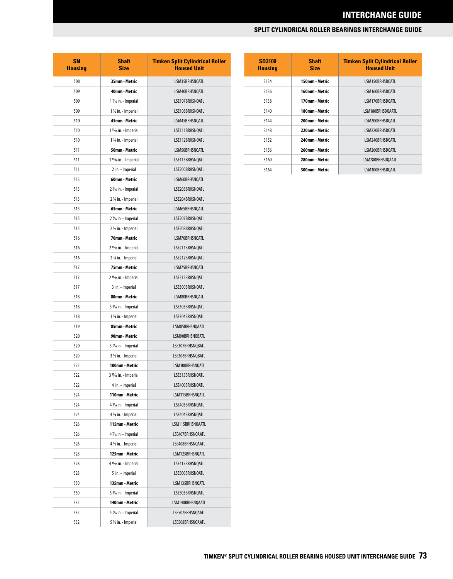## **INTERCHANGE GUIDE**

## **SPLIT CYLINDRICAL ROLLER BEARINGS INTERCHANGE GUIDE**

| SN<br><b>Housing</b> | <b>Shaft</b><br><b>Size</b>                    | <b>Timken Split Cylindrical Roller</b><br><b>Housed Unit</b> |
|----------------------|------------------------------------------------|--------------------------------------------------------------|
| 508                  | 35mm - Metric                                  | LSM35BRHSNOATL                                               |
| 509                  | 40mm - Metric                                  | LSM40BRHSNQATL                                               |
| 509                  | 1 1/ <sub>6</sub> in. - Imperial               | LSE107BRHSNQATL                                              |
| 509                  | 1 1/2 in. - Imperial                           | LSE108BRHSNQATL                                              |
| 510                  | 45mm - Metric                                  | LSM45BRHSNQATL                                               |
| 510                  | 1 11/ <sub>16</sub> in. - Imperial             | LSE111BRHSNQATL                                              |
| 510                  | 1 3/4 in. - Imperial                           | LSE112BRHSNQATL                                              |
| 511                  | 50mm - Metric                                  | LSM50BRHSNOATL                                               |
| 511                  | 1 <sup>15</sup> /16 in. - Imperial             | LSE115BRHSNQATL                                              |
| 511                  | 2 in. - Imperial                               | LSE200BRHSNQATL                                              |
| 513                  | 60mm - Metric                                  | LSM60BRHSNQATL                                               |
| 513                  | 2 3/16 in. - Imperial                          | LSE203BRHSNQATL                                              |
| 513                  | 2 1/4 in. - Imperial                           | LSE204BRHSNOATL                                              |
| 515                  | 65mm - Metric                                  | LSM65BRHSNQATL                                               |
| 515                  | 2 1/ <sub>6</sub> in. - Imperial               | LSE207BRHSNQATL                                              |
| 515                  | 2 1/2 in. - Imperial                           | LSE208BRHSNOATL                                              |
| 516                  | 70mm - Metric                                  | LSM70BRHSNQATL                                               |
| 516                  | 2 <sup>11</sup> / <sub>16</sub> in. - Imperial | LSE211BRHSNQATL                                              |
| 516                  | 2 3/4 in. - Imperial                           | LSE212BRHSNOATL                                              |
| 517                  | 75mm - Metric                                  | LSM75BRHSNQATL                                               |
| 517                  | 2 <sup>15</sup> / <sub>16</sub> in. - Imperial | LSE215BRHSNQATL                                              |
| 517                  | 3 in. - Imperial                               | LSE300BRHSNQATL                                              |
| 518                  | 80mm - Metric                                  | LSM80BRHSNQATL                                               |
| 518                  | 3 3/16 in. - Imperial                          | LSE303BRHSNQATL                                              |
| 518                  | 3 ¼ in. - Imperial                             | LSE304BRHSNQATL                                              |
| 519                  | 85mm - Metric                                  | LSM85BRHSNQAATL                                              |
| 520                  | 90mm - Metric                                  | LSM90BRHSNOBATL                                              |
| 520                  | 3 1/ <sub>6</sub> in. - Imperial               | LSE307BRHSNOBATL                                             |
| 520                  | 3 1/2 in. - Imperial                           | LSE308BRHSNQBATL                                             |
| 522                  | 100mm - Metric                                 | LSM100BRHSNOATL                                              |
| 522                  | 3 <sup>15</sup> / <sub>16</sub> in. - Imperial | LSE315BRHSNQATL                                              |
| 522                  | 4 in. - Imperial                               | LSE400BRHSNQATL                                              |
| 524                  | 110mm - Metric                                 | LSM115BRHSNQATL                                              |
| 524                  | 4 3/16 in. - Imperial                          | LSE403BRHSNQATL                                              |
| 524                  | 4 1/4 in. - Imperial                           | LSE404BRHSNQATL                                              |
| 526                  | 115mm - Metric                                 | LSM115BRHSNQAATL                                             |
| 526                  | 4 1/ <sub>6</sub> in. - Imperial               | LSE407BRHSNQAATL                                             |
| 526                  | 4 1/2 in. - Imperial                           | LSE408BRHSNQAATL                                             |
| 528                  | 125mm - Metric                                 | LSM125BRHSNQATL                                              |
| 528                  | 4 <sup>15</sup> / <sub>16</sub> in. - Imperial | LSE415BRHSNQATL                                              |
| 528                  | 5 in. - Imperial                               | LSE500BRHSNQATL                                              |
| 530                  | 135mm - Metric                                 | LSM135BRHSNQATL                                              |
| 530                  | 5 3/16 in. - Imperial                          | LSE503BRHSNQATL                                              |
| 532                  | 140mm - Metric                                 | LSM140BRHSNQAATL                                             |
| 532                  | 5 1/ <sub>6</sub> in. - Imperial               | LSE507BRHSNQAATL                                             |
| 532                  | 5 1/2 in. - Imperial                           | LSE508BRHSNQAATL                                             |

| <b>SD3100</b><br><b>Housing</b> | Shaft<br><b>Size</b> | <b>Timken Split Cylindrical Roller</b><br><b>Housed Unit</b> |
|---------------------------------|----------------------|--------------------------------------------------------------|
| 3134                            | 150mm - Metric       | LSM150BRHSDOATL                                              |
| 3136                            | 160mm - Metric       | LSM160BRHSDOATL                                              |
| 3138                            | 170mm - Metric       | LSM170BRHSDOATL                                              |
| 3140                            | 180mm - Metric       | LSM180BRHSDOAATL                                             |
| 3144                            | 200mm - Metric       | LSM200BRHSDOATL                                              |
| 3148                            | 220mm - Metric       | LSM220BRHSDOATL                                              |
| 3152                            | 240mm - Metric       | LSM240BRHSDOATL                                              |
| 3156                            | 260mm - Metric       | LSM260BRHSDOATL                                              |
| 3160                            | 280mm - Metric       | LSM280BRHSDOAATL                                             |
| 3164                            | 300mm - Metric       | LSM300BRHSDOATL                                              |